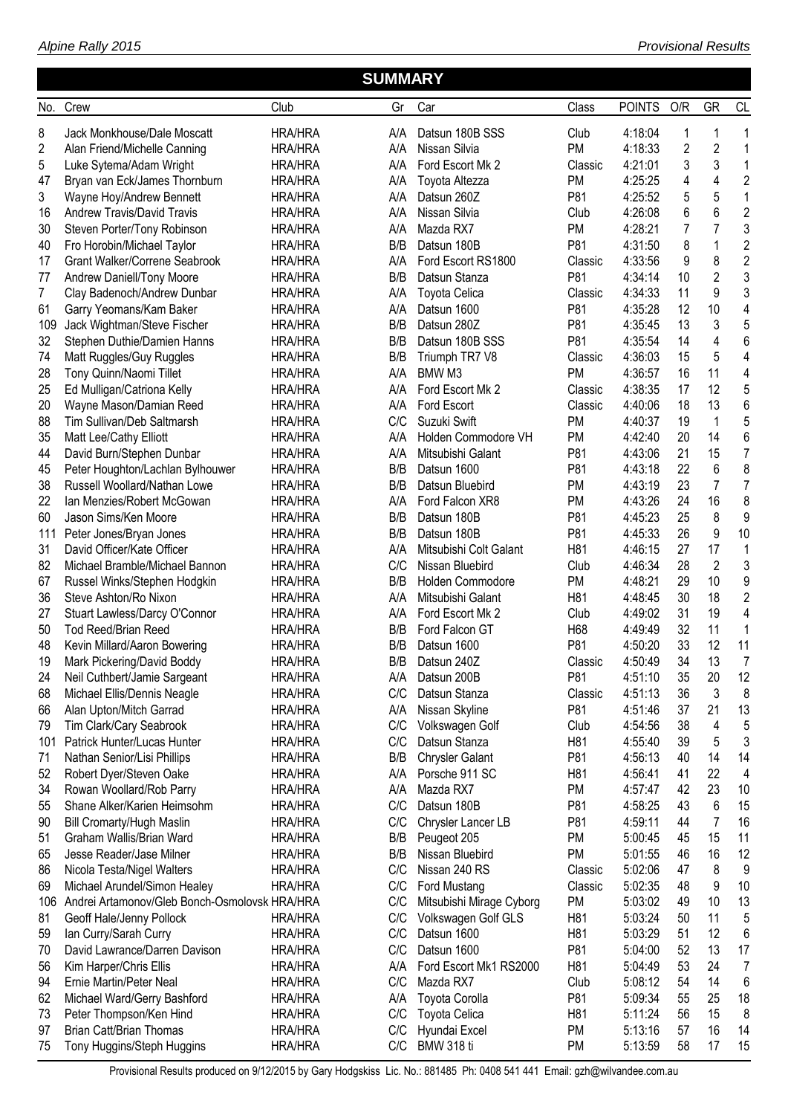|                |                                                        |                                  | <b>SUMMARY</b> |                                          |            |                    |                |                         |                 |
|----------------|--------------------------------------------------------|----------------------------------|----------------|------------------------------------------|------------|--------------------|----------------|-------------------------|-----------------|
| No.            | Crew                                                   | Club                             | Gr             | Car                                      | Class      | <b>POINTS</b>      | O/R            | <b>GR</b>               | <b>CL</b>       |
| 8              | Jack Monkhouse/Dale Moscatt                            | <b>HRA/HRA</b>                   | A/A            | Datsun 180B SSS                          | Club       | 4:18:04            | 1              | 1                       | 1               |
| $\overline{c}$ | Alan Friend/Michelle Canning                           | <b>HRA/HRA</b>                   | A/A            | Nissan Silvia                            | <b>PM</b>  | 4:18:33            | $\overline{2}$ | $\overline{\mathbf{c}}$ | 1               |
| 5              | Luke Sytema/Adam Wright                                | <b>HRA/HRA</b>                   | A/A            | Ford Escort Mk 2                         | Classic    | 4:21:01            | 3              | 3                       | $\mathbf{1}$    |
| 47             | Bryan van Eck/James Thornburn                          | <b>HRA/HRA</b>                   | A/A            | Toyota Altezza                           | PM         | 4:25:25            | 4              | 4                       | $\overline{c}$  |
| 3              | Wayne Hoy/Andrew Bennett                               | <b>HRA/HRA</b>                   | A/A            | Datsun 260Z                              | P81        | 4:25:52            | 5              | 5                       | $\mathbf{1}$    |
| 16             | <b>Andrew Travis/David Travis</b>                      | <b>HRA/HRA</b>                   | A/A            | Nissan Silvia                            | Club       | 4:26:08            | 6              | 6                       | $\overline{c}$  |
| 30             | Steven Porter/Tony Robinson                            | <b>HRA/HRA</b>                   | A/A            | Mazda RX7                                | <b>PM</b>  | 4:28:21            | 7              | 7                       | 3               |
| 40             | Fro Horobin/Michael Taylor                             | <b>HRA/HRA</b>                   | B/B            | Datsun 180B                              | P81        | 4:31:50            | 8              | 1                       | $\overline{2}$  |
| 17             | <b>Grant Walker/Correne Seabrook</b>                   | <b>HRA/HRA</b>                   | A/A            | Ford Escort RS1800                       | Classic    | 4:33:56            | 9              | 8                       | $\overline{c}$  |
| 77             | Andrew Daniell/Tony Moore                              | <b>HRA/HRA</b>                   | B/B            | Datsun Stanza                            | P81        | 4:34:14            | 10             | $\overline{2}$          | 3               |
| 7              | Clay Badenoch/Andrew Dunbar                            | <b>HRA/HRA</b>                   | A/A            | Toyota Celica                            | Classic    | 4:34:33            | 11             | 9                       | 3               |
| 61             | Garry Yeomans/Kam Baker                                | <b>HRA/HRA</b>                   | A/A            | Datsun 1600                              | P81        | 4:35:28            | 12             | 10                      | 4               |
| 109            | Jack Wightman/Steve Fischer                            | <b>HRA/HRA</b>                   | B/B            | Datsun 280Z                              | P81        | 4:35:45            | 13             | 3                       | 5               |
| 32             | Stephen Duthie/Damien Hanns                            | <b>HRA/HRA</b>                   | B/B            | Datsun 180B SSS                          | P81        | 4:35:54            | 14             | $\overline{4}$          | 6               |
| 74             | Matt Ruggles/Guy Ruggles                               | <b>HRA/HRA</b>                   | B/B            | Triumph TR7 V8                           | Classic    | 4:36:03            | 15             | 5                       | 4               |
| 28             | Tony Quinn/Naomi Tillet                                | <b>HRA/HRA</b>                   | A/A            | BMW <sub>M3</sub>                        | <b>PM</b>  | 4:36:57            | 16             | 11                      | 4               |
| 25             | Ed Mulligan/Catriona Kelly                             | <b>HRA/HRA</b>                   | A/A            | Ford Escort Mk 2                         | Classic    | 4:38:35            | 17             | 12                      | 5               |
| 20             | Wayne Mason/Damian Reed                                | <b>HRA/HRA</b>                   | A/A            | Ford Escort                              | Classic    | 4:40:06            | 18             | 13                      | $6\phantom{1}6$ |
| 88             | Tim Sullivan/Deb Saltmarsh                             | <b>HRA/HRA</b>                   | C/C            | Suzuki Swift                             | <b>PM</b>  | 4:40:37            | 19             | 1                       | 5               |
| 35             | Matt Lee/Cathy Elliott                                 | <b>HRA/HRA</b>                   | A/A            | Holden Commodore VH                      | <b>PM</b>  | 4:42:40            | 20             | 14                      | $6\phantom{1}6$ |
| 44             | David Burn/Stephen Dunbar                              | <b>HRA/HRA</b>                   | A/A            | Mitsubishi Galant                        | P81        | 4:43:06            | 21             | 15                      | $\overline{7}$  |
| 45             | Peter Houghton/Lachlan Bylhouwer                       | <b>HRA/HRA</b>                   | B/B            | Datsun 1600                              | P81        | 4:43:18            | 22             | 6                       | 8               |
| 38             | Russell Woollard/Nathan Lowe                           | <b>HRA/HRA</b>                   | B/B            | Datsun Bluebird                          | PM         | 4:43:19            | 23             | 7                       | $\overline{7}$  |
| 22             | Ian Menzies/Robert McGowan                             | <b>HRA/HRA</b>                   | A/A            | Ford Falcon XR8                          | PM         | 4:43:26            | 24             | 16                      | 8               |
| 60             | Jason Sims/Ken Moore                                   | <b>HRA/HRA</b>                   | B/B            | Datsun 180B                              | P81        | 4:45:23            | 25             | 8                       | 9               |
| 111            | Peter Jones/Bryan Jones                                | <b>HRA/HRA</b>                   | B/B            | Datsun 180B                              | P81        | 4:45:33            | 26             | 9                       | 10              |
| 31             | David Officer/Kate Officer                             | <b>HRA/HRA</b>                   | A/A            | Mitsubishi Colt Galant                   | H81        | 4:46:15            | 27             | 17                      | 1               |
| 82             | Michael Bramble/Michael Bannon                         | <b>HRA/HRA</b>                   | C/C            | Nissan Bluebird                          | Club       | 4:46:34            | 28             | $\overline{2}$          | $\mathbf{3}$    |
| 67             | Russel Winks/Stephen Hodgkin                           | <b>HRA/HRA</b>                   | B/B            | Holden Commodore                         | PM         | 4:48:21            | 29             | 10                      | 9               |
| 36             | Steve Ashton/Ro Nixon                                  | <b>HRA/HRA</b>                   | A/A            | Mitsubishi Galant                        | H81        | 4:48:45            | 30             | 18                      | $\overline{2}$  |
| 27             | Stuart Lawless/Darcy O'Connor                          | <b>HRA/HRA</b>                   | A/A            | Ford Escort Mk 2                         | Club       | 4:49:02            | 31             | 19                      | 4               |
| 50             | Tod Reed/Brian Reed                                    | <b>HRA/HRA</b>                   | B/B            | Ford Falcon GT                           | H68        | 4:49:49            | 32             | 11                      | 1               |
| 48             | Kevin Millard/Aaron Bowering                           | <b>HRA/HRA</b>                   | B/B            | Datsun 1600                              | P81        | 4:50:20            | 33             | 12                      | 11              |
| 19             | Mark Pickering/David Boddy                             | <b>HRA/HRA</b>                   |                | B/B Datsun 240Z                          | Classic    | 4:50:49            | 34             | 13                      | 7               |
| 24             | Neil Cuthbert/Jamie Sargeant                           | <b>HRA/HRA</b>                   | A/A            | Datsun 200B                              | P81        | 4:51:10            | 35             | 20                      | 12              |
| 68             | Michael Ellis/Dennis Neagle                            | <b>HRA/HRA</b>                   | C/C            | Datsun Stanza                            | Classic    | 4:51:13            | 36             | 3                       | 8               |
| 66             | Alan Upton/Mitch Garrad                                | <b>HRA/HRA</b>                   | A/A            | Nissan Skyline                           | P81        | 4:51:46            | 37             | 21                      | 13              |
| 79             | Tim Clark/Cary Seabrook                                | <b>HRA/HRA</b>                   | C/C            | Volkswagen Golf                          | Club       | 4:54:56            | 38             | 4                       | 5               |
| 101<br>71      | Patrick Hunter/Lucas Hunter                            | <b>HRA/HRA</b>                   | C/C<br>B/B     | Datsun Stanza                            | H81<br>P81 | 4:55:40            | 39<br>40       | 5<br>14                 | 3<br>14         |
|                | Nathan Senior/Lisi Phillips<br>Robert Dyer/Steven Oake | <b>HRA/HRA</b><br><b>HRA/HRA</b> | A/A            | <b>Chrysler Galant</b><br>Porsche 911 SC | H81        | 4:56:13<br>4:56:41 | 41             | 22                      | 4               |
| 52<br>34       | Rowan Woollard/Rob Parry                               | <b>HRA/HRA</b>                   | A/A            | Mazda RX7                                | <b>PM</b>  | 4:57:47            | 42             | 23                      | 10              |
| 55             | Shane Alker/Karien Heimsohm                            | <b>HRA/HRA</b>                   | C/C            | Datsun 180B                              | P81        | 4:58:25            | 43             | 6                       | 15              |
| 90             | Bill Cromarty/Hugh Maslin                              | <b>HRA/HRA</b>                   | C/C            | Chrysler Lancer LB                       | P81        | 4:59:11            | 44             | 7                       | 16              |
| 51             | Graham Wallis/Brian Ward                               | <b>HRA/HRA</b>                   | B/B            | Peugeot 205                              | <b>PM</b>  | 5:00:45            | 45             | 15                      | 11              |
| 65             | Jesse Reader/Jase Milner                               | <b>HRA/HRA</b>                   | B/B            | Nissan Bluebird                          | <b>PM</b>  | 5:01:55            | 46             | 16                      | 12              |
| 86             | Nicola Testa/Nigel Walters                             | <b>HRA/HRA</b>                   | C/C            | Nissan 240 RS                            | Classic    | 5:02:06            | 47             | 8                       | 9               |
| 69             | Michael Arundel/Simon Healey                           | <b>HRA/HRA</b>                   | C/C            | Ford Mustang                             | Classic    | 5:02:35            | 48             | 9                       | 10              |
| 106            | Andrei Artamonov/Gleb Bonch-Osmolovsk HRA/HRA          |                                  | C/C            | Mitsubishi Mirage Cyborg                 | PM         | 5:03:02            | 49             | 10                      | 13              |
| 81             | Geoff Hale/Jenny Pollock                               | <b>HRA/HRA</b>                   | C/C            | Volkswagen Golf GLS                      | H81        | 5:03:24            | 50             | 11                      | 5               |
| 59             | lan Curry/Sarah Curry                                  | <b>HRA/HRA</b>                   | C/C            | Datsun 1600                              | H81        | 5:03:29            | 51             | 12                      | 6               |
| 70             | David Lawrance/Darren Davison                          | <b>HRA/HRA</b>                   | C/C            | Datsun 1600                              | P81        | 5:04:00            | 52             | 13                      | 17              |
| 56             | Kim Harper/Chris Ellis                                 | <b>HRA/HRA</b>                   | A/A            | Ford Escort Mk1 RS2000                   | H81        | 5:04:49            | 53             | 24                      | 7               |
| 94             | Ernie Martin/Peter Neal                                | <b>HRA/HRA</b>                   | C/C            | Mazda RX7                                | Club       | 5:08:12            | 54             | 14                      | 6               |
| 62             | Michael Ward/Gerry Bashford                            | <b>HRA/HRA</b>                   | A/A            | Toyota Corolla                           | P81        | 5:09:34            | 55             | 25                      | 18              |
| 73             | Peter Thompson/Ken Hind                                | <b>HRA/HRA</b>                   | C/C            | Toyota Celica                            | H81        | 5:11:24            | 56             | 15                      | 8               |
| 97             | <b>Brian Catt/Brian Thomas</b>                         | <b>HRA/HRA</b>                   | C/C            | Hyundai Excel                            | <b>PM</b>  | 5:13:16            | 57             | 16                      | 14              |
| 75             | Tony Huggins/Steph Huggins                             | <b>HRA/HRA</b>                   | C/C            | <b>BMW 318 ti</b>                        | <b>PM</b>  | 5:13:59            | 58             | 17                      | 15              |
|                |                                                        |                                  |                |                                          |            |                    |                |                         |                 |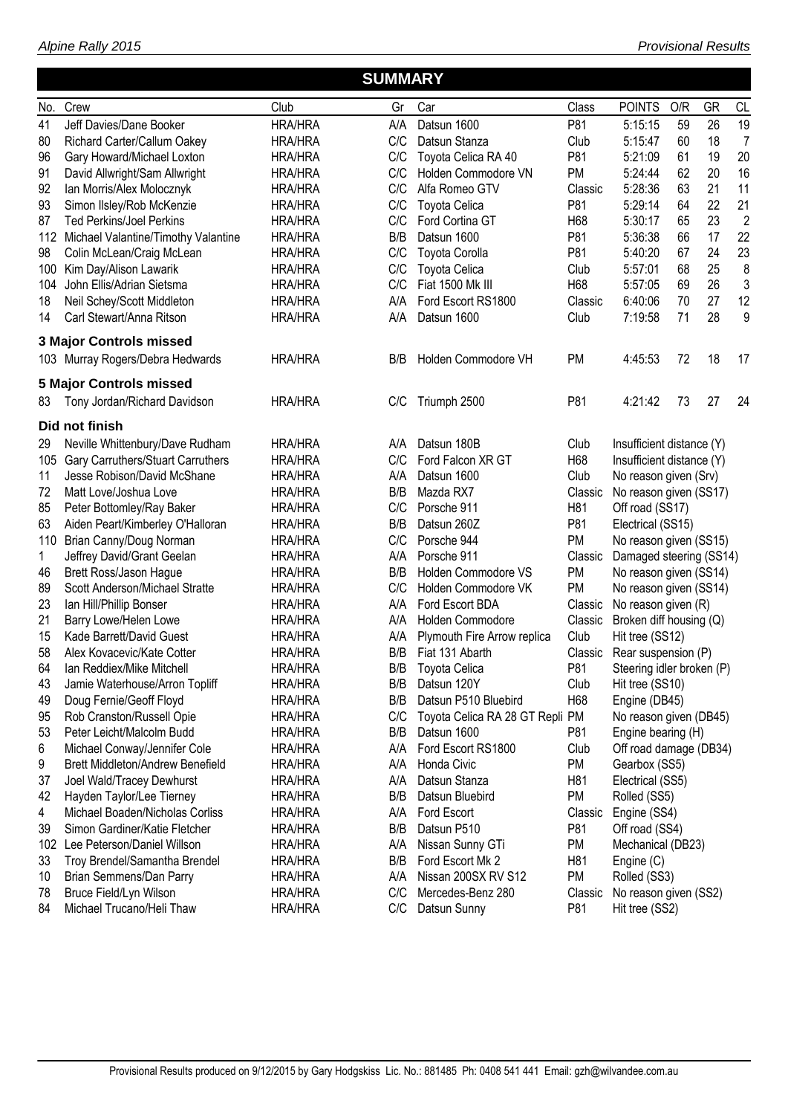| Alpine Rally 2015 |  |
|-------------------|--|
|                   |  |

|   | <b>SUMMARY</b> |     |  |
|---|----------------|-----|--|
|   |                |     |  |
| . | $\sim$<br>$-$  | $-$ |  |

| No.          | Crew                                                           | Club           | Gr  | Car                             | Class           | <b>POINTS</b>             | O/R | GR | CL             |
|--------------|----------------------------------------------------------------|----------------|-----|---------------------------------|-----------------|---------------------------|-----|----|----------------|
| 41           | Jeff Davies/Dane Booker                                        | <b>HRA/HRA</b> | A/A | Datsun 1600                     | P81             | 5:15:15                   | 59  | 26 | 19             |
| 80           | Richard Carter/Callum Oakey                                    | <b>HRA/HRA</b> | C/C | Datsun Stanza                   | Club            | 5:15:47                   | 60  | 18 | $\overline{7}$ |
| 96           | Gary Howard/Michael Loxton                                     | <b>HRA/HRA</b> | C/C | Toyota Celica RA 40             | P81             | 5:21:09                   | 61  | 19 | 20             |
| 91           | David Allwright/Sam Allwright                                  | <b>HRA/HRA</b> | C/C | Holden Commodore VN             | <b>PM</b>       | 5:24:44                   | 62  | 20 | 16             |
| 92           | Ian Morris/Alex Molocznyk                                      | <b>HRA/HRA</b> | C/C | Alfa Romeo GTV                  | Classic         | 5:28:36                   | 63  | 21 | 11             |
| 93           | Simon Ilsley/Rob McKenzie                                      | <b>HRA/HRA</b> | C/C | Toyota Celica                   | P81             | 5:29:14                   | 64  | 22 | 21             |
| 87           | <b>Ted Perkins/Joel Perkins</b>                                | <b>HRA/HRA</b> | C/C | Ford Cortina GT                 | H68             | 5:30:17                   | 65  | 23 | $\overline{2}$ |
|              | 112 Michael Valantine/Timothy Valantine                        | <b>HRA/HRA</b> | B/B | Datsun 1600                     | P81             | 5:36:38                   | 66  | 17 | 22             |
| 98           | Colin McLean/Craig McLean                                      | <b>HRA/HRA</b> | C/C | <b>Toyota Corolla</b>           | P81             | 5:40:20                   | 67  | 24 | 23             |
| 100          | Kim Day/Alison Lawarik                                         | <b>HRA/HRA</b> | C/C | Toyota Celica                   | Club            | 5:57:01                   | 68  | 25 | 8              |
| 104          | John Ellis/Adrian Sietsma                                      | <b>HRA/HRA</b> | C/C | Fiat 1500 Mk III                | H68             | 5:57:05                   | 69  | 26 | 3              |
| 18           | Neil Schey/Scott Middleton                                     | <b>HRA/HRA</b> | A/A | Ford Escort RS1800              | Classic         | 6:40:06                   | 70  | 27 | 12             |
| 14           | Carl Stewart/Anna Ritson                                       | <b>HRA/HRA</b> | A/A | Datsun 1600                     | Club            | 7:19:58                   | 71  | 28 | 9              |
|              | <b>3 Major Controls missed</b>                                 |                |     |                                 |                 |                           |     |    |                |
|              | 103 Murray Rogers/Debra Hedwards                               | <b>HRA/HRA</b> | B/B | Holden Commodore VH             | <b>PM</b>       | 4:45:53                   | 72  | 18 | 17             |
|              |                                                                |                |     |                                 |                 |                           |     |    |                |
| 83           | <b>5 Major Controls missed</b><br>Tony Jordan/Richard Davidson | <b>HRA/HRA</b> | C/C | Triumph 2500                    | P81             | 4:21:42                   | 73  | 27 | 24             |
|              |                                                                |                |     |                                 |                 |                           |     |    |                |
|              | Did not finish                                                 |                |     |                                 |                 |                           |     |    |                |
| 29           | Neville Whittenbury/Dave Rudham                                | <b>HRA/HRA</b> | A/A | Datsun 180B                     | Club            | Insufficient distance (Y) |     |    |                |
| 105          | <b>Gary Carruthers/Stuart Carruthers</b>                       | <b>HRA/HRA</b> | C/C | Ford Falcon XR GT               | H68             | Insufficient distance (Y) |     |    |                |
| 11           | Jesse Robison/David McShane                                    | <b>HRA/HRA</b> | A/A | Datsun 1600                     | Club            | No reason given (Srv)     |     |    |                |
| 72           | Matt Love/Joshua Love                                          | <b>HRA/HRA</b> | B/B | Mazda RX7                       | Classic         | No reason given (SS17)    |     |    |                |
| 85           | Peter Bottomley/Ray Baker                                      | <b>HRA/HRA</b> | C/C | Porsche 911                     | H <sub>81</sub> | Off road (SS17)           |     |    |                |
| 63           | Aiden Peart/Kimberley O'Halloran                               | <b>HRA/HRA</b> | B/B | Datsun 260Z                     | P81             | Electrical (SS15)         |     |    |                |
| 110          | Brian Canny/Doug Norman                                        | <b>HRA/HRA</b> | C/C | Porsche 944                     | <b>PM</b>       | No reason given (SS15)    |     |    |                |
| $\mathbf{1}$ | Jeffrey David/Grant Geelan                                     | <b>HRA/HRA</b> | A/A | Porsche 911                     | Classic         | Damaged steering (SS14)   |     |    |                |
| 46           | Brett Ross/Jason Hague                                         | <b>HRA/HRA</b> | B/B | Holden Commodore VS             | PM              | No reason given (SS14)    |     |    |                |
| 89           | Scott Anderson/Michael Stratte                                 | <b>HRA/HRA</b> | C/C | Holden Commodore VK             | <b>PM</b>       | No reason given (SS14)    |     |    |                |
| 23           | Ian Hill/Phillip Bonser                                        | <b>HRA/HRA</b> | A/A | Ford Escort BDA                 | Classic         | No reason given (R)       |     |    |                |
| 21           | Barry Lowe/Helen Lowe                                          | <b>HRA/HRA</b> | A/A | Holden Commodore                | Classic         | Broken diff housing (Q)   |     |    |                |
| 15           | Kade Barrett/David Guest                                       | <b>HRA/HRA</b> | A/A | Plymouth Fire Arrow replica     | Club            | Hit tree (SS12)           |     |    |                |
| 58           | Alex Kovacevic/Kate Cotter                                     | <b>HRA/HRA</b> | B/B | Fiat 131 Abarth                 | Classic         | Rear suspension (P)       |     |    |                |
| 64           | Ian Reddiex/Mike Mitchell                                      | <b>HRA/HRA</b> | B/B | <b>Toyota Celica</b>            | P81             | Steering idler broken (P) |     |    |                |
| 43           | Jamie Waterhouse/Arron Topliff                                 | <b>HRA/HRA</b> | B/B | Datsun 120Y                     | Club            | Hit tree (SS10)           |     |    |                |
| 49           | Doug Fernie/Geoff Floyd                                        | <b>HRA/HRA</b> | B/B | Datsun P510 Bluebird            | H68             | Engine (DB45)             |     |    |                |
| 95           | Rob Cranston/Russell Opie                                      | <b>HRA/HRA</b> | C/C | Toyota Celica RA 28 GT Repli PM |                 | No reason given (DB45)    |     |    |                |
| 53           | Peter Leicht/Malcolm Budd                                      | <b>HRA/HRA</b> | B/B | Datsun 1600                     | P81             | Engine bearing (H)        |     |    |                |
| 6            | Michael Conway/Jennifer Cole                                   | <b>HRA/HRA</b> | A/A | Ford Escort RS1800              | Club            | Off road damage (DB34)    |     |    |                |
| 9            | <b>Brett Middleton/Andrew Benefield</b>                        | HRA/HRA        | A/A | Honda Civic                     | PM              | Gearbox (SS5)             |     |    |                |
| 37           | Joel Wald/Tracey Dewhurst                                      | <b>HRA/HRA</b> | A/A | Datsun Stanza                   | H81             | Electrical (SS5)          |     |    |                |
| 42           | Hayden Taylor/Lee Tierney                                      | <b>HRA/HRA</b> | B/B | Datsun Bluebird                 | <b>PM</b>       | Rolled (SS5)              |     |    |                |
| 4            | Michael Boaden/Nicholas Corliss                                | <b>HRA/HRA</b> | A/A | Ford Escort                     | Classic         | Engine (SS4)              |     |    |                |
| 39           | Simon Gardiner/Katie Fletcher                                  | <b>HRA/HRA</b> | B/B | Datsun P510                     | P81             | Off road (SS4)            |     |    |                |
| 102          | Lee Peterson/Daniel Willson                                    | <b>HRA/HRA</b> | A/A | Nissan Sunny GTi                | PM              | Mechanical (DB23)         |     |    |                |
| 33           | Troy Brendel/Samantha Brendel                                  | <b>HRA/HRA</b> | B/B | Ford Escort Mk 2                | H81             | Engine (C)                |     |    |                |
| 10           | Brian Semmens/Dan Parry                                        | <b>HRA/HRA</b> | A/A | Nissan 200SX RV S12             | <b>PM</b>       | Rolled (SS3)              |     |    |                |
| 78           | Bruce Field/Lyn Wilson                                         | <b>HRA/HRA</b> | C/C | Mercedes-Benz 280               | Classic         | No reason given (SS2)     |     |    |                |
| 84           | Michael Trucano/Heli Thaw                                      | <b>HRA/HRA</b> | C/C | Datsun Sunny                    | P81             | Hit tree (SS2)            |     |    |                |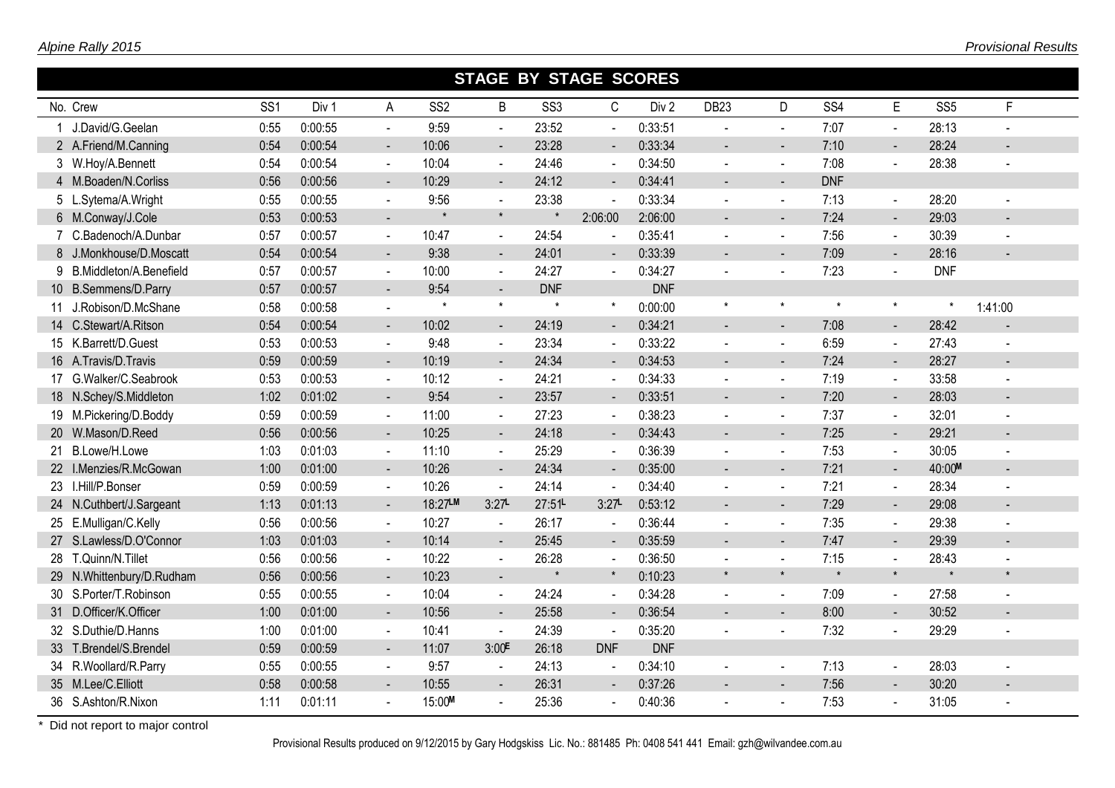|                           |                 |         |                          |                 | <b>STAGE BY STAGE SCORES</b> |                 |                          |                  |                |                          |                 |                       |                 |         |
|---------------------------|-----------------|---------|--------------------------|-----------------|------------------------------|-----------------|--------------------------|------------------|----------------|--------------------------|-----------------|-----------------------|-----------------|---------|
| No. Crew                  | SS <sub>1</sub> | Div 1   | A                        | SS <sub>2</sub> | B                            | SS <sub>3</sub> | C                        | Div <sub>2</sub> | <b>DB23</b>    | D                        | SS <sub>4</sub> | E                     | SS <sub>5</sub> | F       |
| J.David/G.Geelan          | 0:55            | 0:00:55 | $\blacksquare$           | 9:59            | $\Delta \phi$                | 23:52           | $\blacksquare$           | 0:33:51          |                | $\blacksquare$           | 7:07            | $\blacksquare$        | 28:13           |         |
| 2 A.Friend/M.Canning      | 0:54            | 0:00:54 | $\sim$                   | 10:06           | $\sim$                       | 23:28           | $\blacksquare$           | 0:33:34          |                | $\blacksquare$           | 7:10            | $\blacksquare$        | 28:24           |         |
| 3 W.Hoy/A.Bennett         | 0:54            | 0:00:54 | $\sim$                   | 10:04           | $\sim$                       | 24:46           | $\sim$                   | 0:34:50          | $\sim$         | $\blacksquare$           | 7:08            | $\sim$                | 28:38           |         |
| 4 M.Boaden/N.Corliss      | 0:56            | 0:00:56 | $\blacksquare$           | 10:29           | $\sim$                       | 24:12           | $\blacksquare$           | 0:34:41          |                |                          | <b>DNF</b>      |                       |                 |         |
| 5 L.Sytema/A.Wright       | 0:55            | 0:00:55 | $\blacksquare$           | 9:56            | $\sim$                       | 23:38           | $\overline{a}$           | 0:33:34          |                | $\sim$                   | 7:13            | $\blacksquare$        | 28:20           |         |
| 6 M.Conway/J.Cole         | 0:53            | 0:00:53 | $\sim$                   |                 | $\star$                      |                 | 2:06:00                  | 2:06:00          | $\sim$         | $\blacksquare$           | 7:24            | $\blacksquare$        | 29:03           |         |
| 7 C.Badenoch/A.Dunbar     | 0:57            | 0:00:57 | $\sim$                   | 10:47           | $\Delta$                     | 24:54           | $\blacksquare$           | 0:35:41          |                | $\sim$                   | 7:56            | $\blacksquare$        | 30:39           |         |
| 8 J.Monkhouse/D.Moscatt   | 0:54            | 0:00:54 | $\blacksquare$           | 9:38            | $\blacksquare$               | 24:01           |                          | 0:33:39          |                |                          | 7:09            | $\blacksquare$        | 28:16           |         |
| 9 B.Middleton/A.Benefield | 0:57            | 0:00:57 | $\overline{\phantom{a}}$ | 10:00           | $\sim$                       | 24:27           |                          | 0:34:27          |                |                          | 7:23            |                       | <b>DNF</b>      |         |
| 10 B.Semmens/D.Parry      | 0:57            | 0:00:57 | $\blacksquare$           | 9:54            | $\blacksquare$               | <b>DNF</b>      |                          | <b>DNF</b>       |                |                          |                 |                       |                 |         |
| 11 J.Robison/D.McShane    | 0:58            | 0:00:58 |                          | $\star$         | $\star$                      | $\star$         | $\star$                  | 0:00:00          | $\star$        | $\star$                  | $\star$         | $\star$               | $\star$         | 1:41:00 |
| 14 C.Stewart/A.Ritson     | 0:54            | 0:00:54 |                          | 10:02           | $\sim$                       | 24:19           | ÷.                       | 0:34:21          | $\overline{a}$ | $\sim$                   | 7:08            | $\blacksquare$        | 28:42           |         |
| 15 K.Barrett/D.Guest      | 0:53            | 0:00:53 |                          | 9:48            | $\sim$                       | 23:34           |                          | 0:33:22          |                |                          | 6:59            |                       | 27:43           |         |
| 16 A.Travis/D.Travis      | 0:59            | 0:00:59 | $\sim$                   | 10:19           | $\equiv$                     | 24:34           | $\blacksquare$           | 0:34:53          | $\mathbf{r}$   | $\sim$                   | 7:24            | $\sim$                | 28:27           |         |
| 17 G.Walker/C.Seabrook    | 0:53            | 0:00:53 | $\blacksquare$           | 10:12           | $\sim$                       | 24:21           |                          | 0:34:33          |                | $\sim$                   | 7:19            | $\blacksquare$        | 33:58           |         |
| 18 N.Schey/S.Middleton    | 1:02            | 0:01:02 |                          | 9:54            | $\blacksquare$               | 23:57           |                          | 0:33:51          |                |                          | 7:20            | $\blacksquare$        | 28:03           |         |
| 19 M.Pickering/D.Boddy    | 0:59            | 0:00:59 | $\sim$                   | 11:00           | $\sim$                       | 27:23           |                          | 0:38:23          |                | $\sim$                   | 7:37            | $\tilde{\phantom{a}}$ | 32:01           |         |
| 20 W.Mason/D.Reed         | 0:56            | 0:00:56 | $\sim$                   | 10:25           | $\sim$                       | 24:18           | $\overline{\phantom{a}}$ | 0:34:43          | $\sim$         | $\blacksquare$           | 7:25            | $\blacksquare$        | 29:21           |         |
| 21 B.Lowe/H.Lowe          | 1:03            | 0:01:03 | $\sim$                   | 11:10           | $\sim$                       | 25:29           | $\blacksquare$           | 0:36:39          | $\sim$         | $\overline{\phantom{a}}$ | 7:53            | $\blacksquare$        | 30:05           |         |
| 22 I.Menzies/R.McGowan    | 1:00            | 0:01:00 | $\sim$                   | 10:26           | $\blacksquare$               | 24:34           | $\blacksquare$           | 0:35:00          |                | $\blacksquare$           | 7:21            | $\blacksquare$        | 40:00M          |         |
| 23 I.Hill/P.Bonser        | 0:59            | 0:00:59 | $\mathbf{r}$             | 10:26           | $\blacksquare$               | 24:14           | $\blacksquare$           | 0:34:40          |                | $\sim$                   | 7:21            | $\blacksquare$        | 28:34           |         |
| 24 N.Cuthbert/J.Sargeant  | 1:13            | 0:01:13 | $\sim$                   | 18:27LM         | 3:27                         | 27:51L          | 3:27                     | 0:53:12          | $\sim$         | $\sim$                   | 7:29            | $\blacksquare$        | 29:08           |         |
| 25 E.Mulligan/C.Kelly     | 0:56            | 0:00:56 | $\blacksquare$           | 10:27           | $\blacksquare$               | 26:17           | $\blacksquare$           | 0:36:44          |                | $\blacksquare$           | 7:35            | $\blacksquare$        | 29:38           |         |
| 27 S.Lawless/D.O'Connor   | 1:03            | 0:01:03 | $\sim$                   | 10:14           | $\blacksquare$               | 25:45           |                          | 0:35:59          |                | $\blacksquare$           | 7:47            | $\blacksquare$        | 29:39           |         |
| 28 T.Quinn/N.Tillet       | 0:56            | 0:00:56 | $\sim$                   | 10:22           | $\sim$                       | 26:28           |                          | 0:36:50          |                | $\sim$                   | 7:15            | $\mathbf{r}$          | 28:43           |         |
| 29 N.Whittenbury/D.Rudham | 0:56            | 0:00:56 | $\sim$                   | 10:23           | $\blacksquare$               | $\star$         | $\star$                  | 0:10:23          | $\star$        | $\star$                  | $\star$         | $\star$               | $\star$         | $\star$ |
| 30 S.Porter/T.Robinson    | 0:55            | 0:00:55 | $\sim$                   | 10:04           | $\blacksquare$               | 24:24           | $\mathbf{r}$             | 0:34:28          |                | $\sim$                   | 7:09            | $\blacksquare$        | 27:58           |         |
| 31 D.Officer/K.Officer    | 1:00            | 0:01:00 | $\blacksquare$           | 10:56           | $\sim$                       | 25:58           | $\blacksquare$           | 0:36:54          |                |                          | 8:00            |                       | 30:52           |         |
| 32 S.Duthie/D.Hanns       | 1:00            | 0:01:00 | $\sim$                   | 10:41           | $\blacksquare$               | 24:39           | $\blacksquare$           | 0:35:20          |                |                          | 7:32            |                       | 29:29           |         |
| 33 T.Brendel/S.Brendel    | 0:59            | 0:00:59 | $\sim$                   | 11:07           | 3:00 <sup>E</sup>            | 26:18           | <b>DNF</b>               | <b>DNF</b>       |                |                          |                 |                       |                 |         |
| 34 R.Woollard/R.Parry     | 0:55            | 0:00:55 | $\sim$                   | 9:57            | $\blacksquare$               | 24:13           | $\sim$                   | 0:34:10          | $\sim$         | $\sim$                   | 7:13            | $\blacksquare$        | 28:03           | $\sim$  |
| 35 M.Lee/C.Elliott        | 0:58            | 0:00:58 |                          | 10:55           |                              | 26:31           |                          | 0:37:26          |                |                          | 7:56            |                       | 30:20           |         |
| 36 S.Ashton/R.Nixon       | 1:11            | 0:01:11 |                          | 15:00M          |                              | 25:36           |                          | 0:40:36          |                |                          | 7:53            | $\blacksquare$        | 31:05           |         |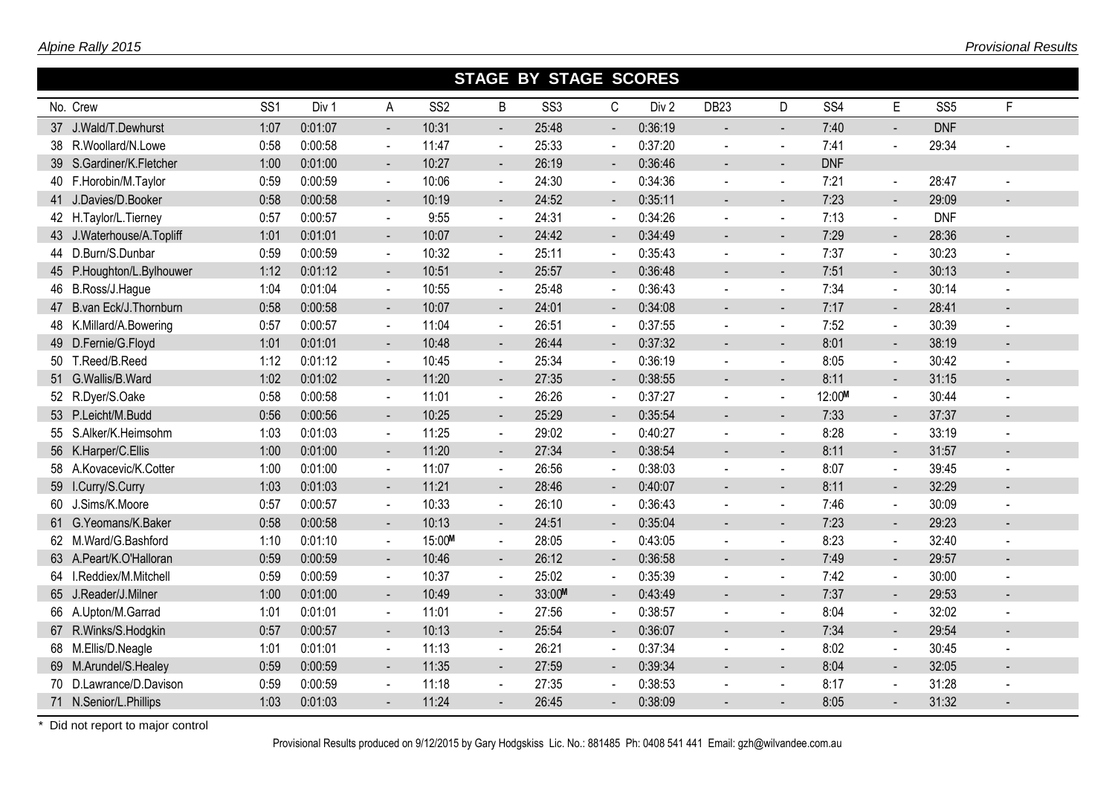|                           |                 |         |                          |                 |                          | <b>STAGE BY STAGE SCORES</b> |                |                  |                  |                |                 |                          |                 |                |
|---------------------------|-----------------|---------|--------------------------|-----------------|--------------------------|------------------------------|----------------|------------------|------------------|----------------|-----------------|--------------------------|-----------------|----------------|
| No. Crew                  | SS <sub>1</sub> | Div 1   | A                        | SS <sub>2</sub> | B                        | SS <sub>3</sub>              | $\mathsf C$    | Div <sub>2</sub> | DB <sub>23</sub> | D              | SS <sub>4</sub> | E                        | SS <sub>5</sub> | F              |
| 37 J.Wald/T.Dewhurst      | 1:07            | 0:01:07 | $\blacksquare$           | 10:31           | $\overline{a}$           | 25:48                        |                | 0:36:19          |                  | $\blacksquare$ | 7:40            |                          | <b>DNF</b>      |                |
| 38 R.Woollard/N.Lowe      | 0:58            | 0:00:58 | $\sim$                   | 11:47           | $\blacksquare$           | 25:33                        |                | 0:37:20          |                  | $\blacksquare$ | 7:41            |                          | 29:34           |                |
| 39 S.Gardiner/K.Fletcher  | 1:00            | 0:01:00 | $\blacksquare$           | 10:27           | $\blacksquare$           | 26:19                        | $\blacksquare$ | 0:36:46          | $\sim$           | $\blacksquare$ | <b>DNF</b>      |                          |                 |                |
| 40 F.Horobin/M.Taylor     | 0:59            | 0:00:59 | $\blacksquare$           | 10:06           | $\blacksquare$           | 24:30                        |                | 0:34:36          | $\mathbf{r}$     | $\blacksquare$ | 7:21            | $\blacksquare$           | 28:47           |                |
| 41 J.Davies/D.Booker      | 0:58            | 0:00:58 | $\sim$                   | 10:19           | $\sim$                   | 24:52                        | $\blacksquare$ | 0:35:11          | $\sim$           | $\blacksquare$ | 7:23            | $\blacksquare$           | 29:09           |                |
| 42 H.Taylor/L.Tierney     | 0:57            | 0:00:57 | $\blacksquare$           | 9:55            | $\sim$                   | 24:31                        | $\blacksquare$ | 0:34:26          | $\mathbf{r}$     | $\blacksquare$ | 7:13            | $\blacksquare$           | <b>DNF</b>      |                |
| 43 J.Waterhouse/A.Topliff | 1:01            | 0:01:01 | $\blacksquare$           | 10:07           | $\overline{\phantom{a}}$ | 24:42                        |                | 0:34:49          |                  | ۰              | 7:29            | $\blacksquare$           | 28:36           |                |
| 44 D.Burn/S.Dunbar        | 0:59            | 0:00:59 | $\mathbf{r}$             | 10:32           | $\blacksquare$           | 25:11                        | $\sim$         | 0:35:43          |                  | $\blacksquare$ | 7:37            | $\sim$                   | 30:23           |                |
| 45 P.Houghton/L.Bylhouwer | 1:12            | 0:01:12 | $\blacksquare$           | 10:51           | $\blacksquare$           | 25:57                        |                | 0:36:48          |                  | $\blacksquare$ | 7:51            | $\blacksquare$           | 30:13           |                |
| 46 B.Ross/J.Hague         | 1:04            | 0:01:04 | $\sim$                   | 10:55           | $\sim$                   | 25:48                        |                | 0:36:43          |                  | $\blacksquare$ | 7:34            | $\sim$                   | 30:14           |                |
| 47 B.van Eck/J. Thornburn | 0:58            | 0:00:58 | $\blacksquare$           | 10:07           | $\sim$                   | 24:01                        |                | 0:34:08          |                  | $\blacksquare$ | 7:17            | $\blacksquare$           | 28:41           |                |
| 48 K.Millard/A.Bowering   | 0:57            | 0:00:57 | $\blacksquare$           | 11:04           | $\sim$                   | 26:51                        |                | 0:37:55          |                  | $\overline{a}$ | 7:52            | $\sim$                   | 30:39           |                |
| 49 D.Fernie/G.Floyd       | 1:01            | 0:01:01 | $\blacksquare$           | 10:48           | ۰                        | 26:44                        |                | 0:37:32          | $\sim$           | $\blacksquare$ | 8:01            | $\blacksquare$           | 38:19           |                |
| 50 T.Reed/B.Reed          | 1:12            | 0:01:12 | $\blacksquare$           | 10:45           | $\sim$                   | 25:34                        |                | 0:36:19          |                  | $\mathbf{r}$   | 8:05            | $\blacksquare$           | 30:42           |                |
| 51 G.Wallis/B.Ward        | 1:02            | 0:01:02 | $\blacksquare$           | 11:20           | $\overline{\phantom{a}}$ | 27:35                        |                | 0:38:55          |                  | $\blacksquare$ | 8:11            | $\blacksquare$           | 31:15           |                |
| 52 R.Dyer/S.Oake          | 0:58            | 0:00:58 | $\blacksquare$           | 11:01           | $\blacksquare$           | 26:26                        |                | 0:37:27          |                  | $\blacksquare$ | 12:00M          | $\blacksquare$           | 30:44           |                |
| 53 P.Leicht/M.Budd        | 0:56            | 0:00:56 | $\blacksquare$           | 10:25           | $\overline{\phantom{a}}$ | 25:29                        | $\blacksquare$ | 0:35:54          |                  | $\blacksquare$ | 7:33            | $\overline{\phantom{a}}$ | 37:37           |                |
| 55 S.Alker/K.Heimsohm     | 1:03            | 0:01:03 | $\blacksquare$           | 11:25           | $\sim$                   | 29:02                        |                | 0:40:27          |                  | $\blacksquare$ | 8:28            | $\blacksquare$           | 33:19           |                |
| 56 K.Harper/C.Ellis       | 1:00            | 0:01:00 | $\blacksquare$           | 11:20           | $\blacksquare$           | 27:34                        | $\blacksquare$ | 0:38:54          |                  | $\blacksquare$ | 8:11            | $\blacksquare$           | 31:57           |                |
| 58 A.Kovacevic/K.Cotter   | 1:00            | 0:01:00 | $\blacksquare$           | 11:07           | $\blacksquare$           | 26:56                        | $\sim$         | 0:38:03          |                  | $\blacksquare$ | 8:07            | $\blacksquare$           | 39:45           |                |
| 59 I.Curry/S.Curry        | 1:03            | 0:01:03 | $\blacksquare$           | 11:21           | $\blacksquare$           | 28:46                        |                | 0:40:07          |                  | $\blacksquare$ | 8:11            | $\blacksquare$           | 32:29           |                |
| 60 J.Sims/K.Moore         | 0:57            | 0:00:57 | $\blacksquare$           | 10:33           | $\sim$                   | 26:10                        | $\sim$         | 0:36:43          |                  | $\blacksquare$ | 7:46            | $\blacksquare$           | 30:09           |                |
| 61 G.Yeomans/K.Baker      | 0:58            | 0:00:58 | $\blacksquare$           | 10:13           | $\blacksquare$           | 24:51                        | $\sim$         | 0:35:04          |                  | $\overline{a}$ | 7:23            | $\blacksquare$           | 29:23           |                |
| 62 M.Ward/G.Bashford      | 1:10            | 0:01:10 | $\blacksquare$           | 15:00M          | $\blacksquare$           | 28:05                        |                | 0:43:05          |                  | $\blacksquare$ | 8:23            | $\blacksquare$           | 32:40           |                |
| 63 A.Peart/K.O'Halloran   | 0:59            | 0:00:59 | $\sim$                   | 10:46           | $\sim$                   | 26:12                        |                | 0:36:58          |                  | $\blacksquare$ | 7:49            | $\blacksquare$           | 29:57           |                |
| 64 I.Reddiex/M.Mitchell   | 0:59            | 0:00:59 | $\blacksquare$           | 10:37           | $\sim$                   | 25:02                        |                | 0:35:39          |                  | $\blacksquare$ | 7:42            | $\blacksquare$           | 30:00           |                |
| 65 J.Reader/J.Milner      | 1:00            | 0:01:00 | $\blacksquare$           | 10:49           | $\blacksquare$           | 33:00M                       |                | 0:43:49          |                  | $\sim$         | 7:37            | $\blacksquare$           | 29:53           |                |
| 66 A.Upton/M.Garrad       | 1:01            | 0:01:01 | $\blacksquare$           | 11:01           | $\blacksquare$           | 27:56                        |                | 0:38:57          | $\blacksquare$   | $\blacksquare$ | 8:04            | $\blacksquare$           | 32:02           | $\blacksquare$ |
| 67 R.Winks/S.Hodgkin      | 0:57            | 0:00:57 |                          | 10:13           | $\overline{\phantom{a}}$ | 25:54                        |                | 0:36:07          |                  |                | 7:34            |                          | 29:54           |                |
| 68 M.Ellis/D.Neagle       | 1:01            | 0:01:01 | $\blacksquare$           | 11:13           | $\sim$                   | 26:21                        |                | 0:37:34          |                  | $\blacksquare$ | 8:02            | $\blacksquare$           | 30:45           |                |
| 69 M.Arundel/S.Healey     | 0:59            | 0:00:59 | $\overline{\phantom{a}}$ | 11:35           | $\overline{\phantom{a}}$ | 27:59                        | $\blacksquare$ | 0:39:34          |                  | $\blacksquare$ | 8:04            | $\overline{\phantom{a}}$ | 32:05           |                |
| 70 D.Lawrance/D.Davison   | 0:59            | 0:00:59 | $\sim$                   | 11:18           | $\blacksquare$           | 27:35                        |                | 0:38:53          |                  |                | 8:17            | $\blacksquare$           | 31:28           |                |
| 71 N.Senior/L.Phillips    | 1:03            | 0:01:03 |                          | 11:24           |                          | 26:45                        |                | 0:38:09          |                  |                | 8:05            | $\blacksquare$           | 31:32           |                |

Provisional Results produced on 9/12/2015 by Gary Hodgskiss Lic. No.: 881485 Ph: 0408 541 441 Email: gzh@wilvandee.com.au

I

п

Г

I

П

Г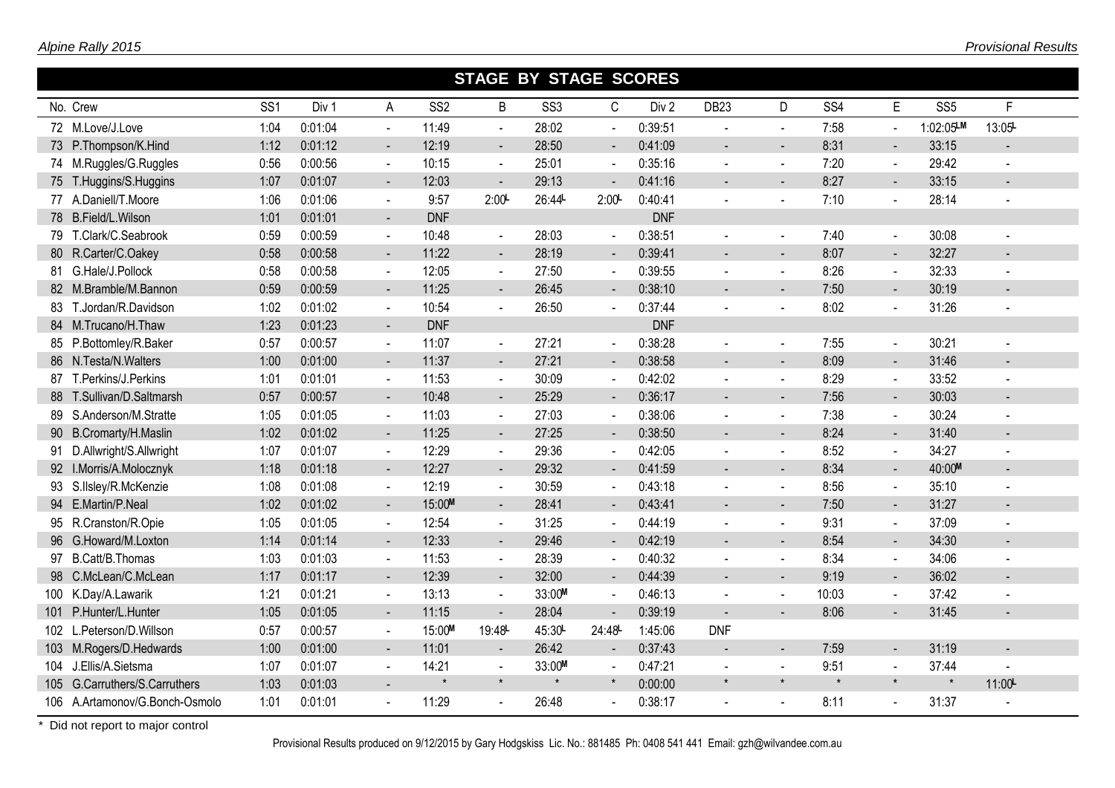|                                |                 |         |                             |                 | <b>STAGE BY STAGE SCORES</b> |                 |                |            |                  |                |                 |                              |                 |                |
|--------------------------------|-----------------|---------|-----------------------------|-----------------|------------------------------|-----------------|----------------|------------|------------------|----------------|-----------------|------------------------------|-----------------|----------------|
| No. Crew                       | SS <sub>1</sub> | Div 1   | A                           | SS <sub>2</sub> | B                            | SS <sub>3</sub> | C              | Div 2      | DB <sub>23</sub> | D              | SS <sub>4</sub> | E                            | SS <sub>5</sub> | F              |
| 72 M.Love/J.Love               | 1:04            | 0:01:04 | $\mathbf{u}$ .              | 11:49           | $\blacksquare$               | 28:02           | $\blacksquare$ | 0:39:51    |                  | $\mathbf{r}$   | 7:58            | $\blacksquare$               | 1:02:05LM       | 13:05          |
| 73 P.Thompson/K.Hind           | 1:12            | 0:01:12 | $\sim$                      | 12:19           | $\blacksquare$               | 28:50           | $\blacksquare$ | 0:41:09    |                  |                | 8:31            | $\blacksquare$               | 33:15           |                |
| 74 M.Ruggles/G.Ruggles         | 0:56            | 0:00:56 | $\sim$                      | 10:15           | $\mathbf{r}$                 | 25:01           | $\sim$         | 0:35:16    | $\sim$           | $\blacksquare$ | 7:20            | $\blacksquare$               | 29:42           |                |
| 75 T.Huggins/S.Huggins         | 1:07            | 0:01:07 | $\sim$                      | 12:03           | $\mathbf{L}^{\mathcal{A}}$   | 29:13           |                | 0:41:16    |                  |                | 8:27            |                              | 33:15           |                |
| 77 A.Daniell/T.Moore           | 1:06            | 0:01:06 | $\mathbf{r}$                | 9:57            | 2:00                         | 26:44L          | 2:00           | 0:40:41    |                  |                | 7:10            | $\overline{a}$               | 28:14           |                |
| 78 B.Field/L.Wilson            | 1:01            | 0:01:01 | $\sim$                      | <b>DNF</b>      |                              |                 |                | <b>DNF</b> |                  |                |                 |                              |                 |                |
| 79 T.Clark/C.Seabrook          | 0:59            | 0:00:59 | $\mathcal{L}_{\mathcal{A}}$ | 10:48           | $\omega$ .                   | 28:03           | $\overline{a}$ | 0:38:51    |                  | $\sim$         | 7:40            | $\overline{a}$               | 30:08           |                |
| 80 R.Carter/C.Oakey            | 0:58            | 0:00:58 | $\blacksquare$              | 11:22           | $\blacksquare$               | 28:19           |                | 0:39:41    |                  |                | 8:07            | $\qquad \qquad \blacksquare$ | 32:27           |                |
| 81 G.Hale/J.Pollock            | 0:58            | 0:00:58 | $\blacksquare$              | 12:05           | $\blacksquare$               | 27:50           |                | 0:39:55    |                  | $\blacksquare$ | 8:26            | $\blacksquare$               | 32:33           |                |
| 82 M.Bramble/M.Bannon          | 0:59            | 0:00:59 | $\blacksquare$              | 11:25           | $\blacksquare$               | 26:45           |                | 0:38:10    |                  |                | 7:50            | $\blacksquare$               | 30:19           |                |
| 83 T.Jordan/R.Davidson         | 1:02            | 0:01:02 | $\sim$                      | 10:54           | $\blacksquare$               | 26:50           |                | 0:37:44    |                  |                | 8:02            |                              | 31:26           |                |
| 84 M.Trucano/H.Thaw            | 1:23            | 0:01:23 |                             | <b>DNF</b>      |                              |                 |                | <b>DNF</b> |                  |                |                 |                              |                 |                |
| 85 P.Bottomley/R.Baker         | 0:57            | 0:00:57 | $\blacksquare$              | 11:07           | $\blacksquare$               | 27:21           |                | 0:38:28    |                  |                | 7:55            | $\blacksquare$               | 30:21           |                |
| 86 N.Testa/N.Walters           | 1:00            | 0:01:00 | $\sim$                      | 11:37           | $\blacksquare$               | 27:21           | $\blacksquare$ | 0:38:58    | $\blacksquare$   |                | 8:09            | $\blacksquare$               | 31:46           |                |
| 87 T.Perkins/J.Perkins         | 1:01            | 0:01:01 | $\sim$                      | 11:53           | $\blacksquare$               | 30:09           |                | 0:42:02    |                  | $\sim$         | 8:29            | $\blacksquare$               | 33:52           |                |
| 88 T.Sullivan/D.Saltmarsh      | 0:57            | 0:00:57 | $\sim$                      | 10:48           | $\blacksquare$               | 25:29           | $\blacksquare$ | 0:36:17    |                  | $\sim$         | 7:56            | $\overline{\phantom{a}}$     | 30:03           |                |
| 89 S.Anderson/M.Stratte        | 1:05            | 0:01:05 | $\sim$                      | 11:03           | $\blacksquare$               | 27:03           |                | 0:38:06    |                  | $\blacksquare$ | 7:38            | $\blacksquare$               | 30:24           |                |
| 90 B.Cromarty/H.Maslin         | 1:02            | 0:01:02 | $\sim$                      | 11:25           | $\blacksquare$               | 27:25           | $\blacksquare$ | 0:38:50    | $\blacksquare$   | $\overline{a}$ | 8:24            | $\blacksquare$               | 31:40           |                |
| 91 D.Allwright/S.Allwright     | 1:07            | 0:01:07 | $\sim$                      | 12:29           | $\blacksquare$               | 29:36           |                | 0:42:05    |                  | $\sim$         | 8:52            | $\overline{a}$               | 34:27           |                |
| 92 I.Morris/A.Molocznyk        | 1:18            | 0:01:18 | $\sim$                      | 12:27           | $\mathbf{r}$                 | 29:32           | $\blacksquare$ | 0:41:59    | $\sim$           | $\sim$         | 8:34            | $\sim$                       | 40:00M          |                |
| 93 S.IIsley/R.McKenzie         | 1:08            | 0:01:08 | $\blacksquare$              | 12:19           | $\omega$                     | 30:59           | $\blacksquare$ | 0:43:18    |                  | $\sim$         | 8:56            | $\blacksquare$               | 35:10           |                |
| 94 E.Martin/P.Neal             | 1:02            | 0:01:02 | $\sim$                      | 15:00M          | $\blacksquare$               | 28:41           |                | 0:43:41    |                  | $\sim$         | 7:50            | $\blacksquare$               | 31:27           |                |
| 95 R.Cranston/R.Opie           | 1:05            | 0:01:05 | $\mathbf{r}$                | 12:54           | $\mathbf{r}$                 | 31:25           |                | 0:44:19    |                  | $\sim$         | 9:31            | $\blacksquare$               | 37:09           |                |
| 96 G.Howard/M.Loxton           | 1:14            | 0:01:14 | $\blacksquare$              | 12:33           | $\blacksquare$               | 29:46           |                | 0:42:19    |                  | $\sim$         | 8:54            | $\blacksquare$               | 34:30           |                |
| 97 B.Catt/B.Thomas             | 1:03            | 0:01:03 | $\sim$                      | 11:53           | $\blacksquare$               | 28:39           |                | 0:40:32    |                  |                | 8:34            |                              | 34:06           |                |
| 98 C.McLean/C.McLean           | 1:17            | 0:01:17 | $\sim$                      | 12:39           | $\blacksquare$               | 32:00           | $\blacksquare$ | 0:44:39    |                  |                | 9:19            |                              | 36:02           |                |
| 100 K.Day/A.Lawarik            | 1:21            | 0:01:21 | $\sim$                      | 13:13           | $\blacksquare$               | 33:00M          |                | 0:46:13    |                  |                | 10:03           | $\blacksquare$               | 37:42           |                |
| 101 P.Hunter/L.Hunter          | 1:05            | 0:01:05 | $\sim$                      | 11:15           | $\blacksquare$               | 28:04           | $\blacksquare$ | 0:39:19    | $\blacksquare$   |                | 8:06            |                              | 31:45           |                |
| 102 L.Peterson/D.Willson       | 0:57            | 0:00:57 | $\sim$                      | 15:00M          | 19:48L                       | 45:30           | 24:48          | 1:45:06    | <b>DNF</b>       |                |                 |                              |                 |                |
| 103 M.Rogers/D.Hedwards        | 1:00            | 0:01:00 | $\sim$                      | 11:01           | $\blacksquare$               | 26:42           | $\blacksquare$ | 0:37:43    |                  |                | 7:59            | $\blacksquare$               | 31:19           |                |
| 104 J.Ellis/A.Sietsma          | 1:07            | 0:01:07 | $\sim$                      | 14:21           | $\blacksquare$               | 33:00M          |                | 0:47:21    |                  |                | 9:51            | $\blacksquare$               | 37:44           | $\blacksquare$ |
| 105 G.Carruthers/S.Carruthers  | 1:03            | 0:01:03 |                             |                 | $\star$                      | $\star$         | $\star$        | 0:00:00    |                  |                | $\star$         | $\star$                      | $\star$         | 11:00          |
| 106 A.Artamonov/G.Bonch-Osmolo | 1:01            | 0:01:01 |                             | 11:29           | $\blacksquare$               | 26:48           |                | 0:38:17    |                  |                | 8:11            |                              | 31:37           |                |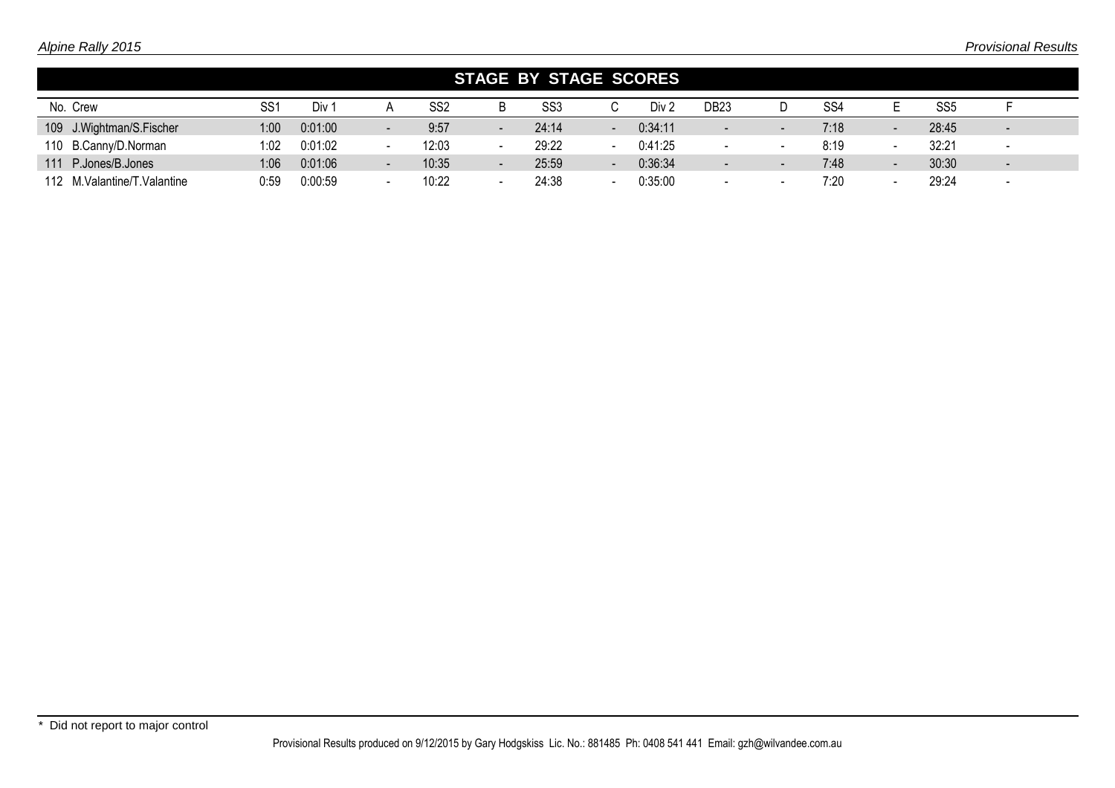|                               |                 |         |                |                 | <b>STAGE BY STAGE SCORES</b> |       |                          |         |                          |                          |                 |                          |                 |                          |  |
|-------------------------------|-----------------|---------|----------------|-----------------|------------------------------|-------|--------------------------|---------|--------------------------|--------------------------|-----------------|--------------------------|-----------------|--------------------------|--|
| No. Crew                      | SS <sub>1</sub> | Div 1   |                | SS <sub>2</sub> | B                            | SS3   |                          | Div 2   | DB <sub>23</sub>         |                          | SS <sub>4</sub> |                          | SS <sub>5</sub> |                          |  |
| 109 J. Wightman/S. Fischer    | 1:00            | 0:01:00 |                | 9:57            | $\qquad \qquad$              | 24:14 | $\overline{\phantom{a}}$ | 0:34:11 | $\qquad \qquad$          | $\overline{\phantom{0}}$ | 7:18            | $\qquad \qquad$          | 28:45           | $\overline{\phantom{a}}$ |  |
| 110 B.Canny/D.Norman          | 1:02            | 0:01:02 |                | 12:03           |                              | 29:22 |                          | 0:41:25 | $\,$ $\,$                |                          | 8:19            | -                        | 32:21           | $\overline{\phantom{a}}$ |  |
| 111 P.Jones/B.Jones           | 1:06            | 0:01:06 | $\blacksquare$ | 10:35           | $\qquad \qquad$              | 25:59 | $\overline{\phantom{a}}$ | 0:36:34 | $\qquad \qquad$          | $\overline{\phantom{0}}$ | 7:48            | $\overline{\phantom{a}}$ | 30:30           | $\overline{\phantom{a}}$ |  |
| 112 M. Valantine/T. Valantine | 0:59            | 0:00:59 |                | 10:22           |                              | 24:38 |                          | 0:35:00 | $\overline{\phantom{0}}$ |                          | 7:20            |                          | 29:24           | $\overline{\phantom{a}}$ |  |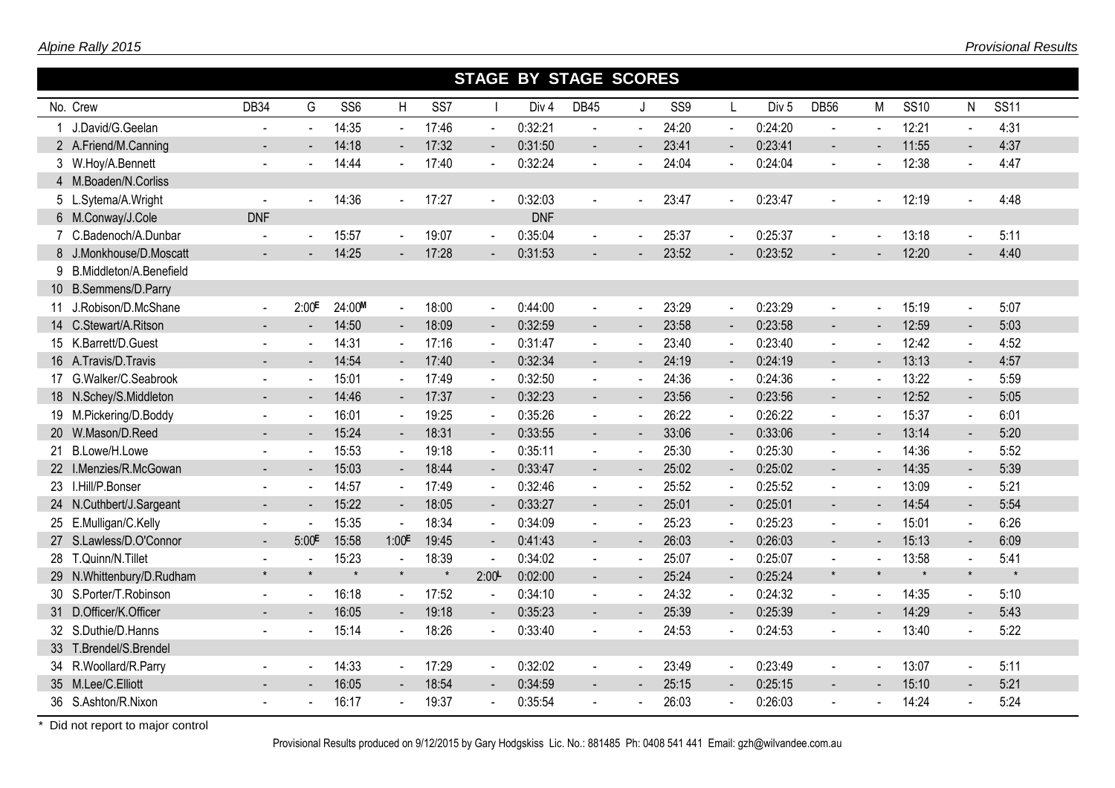|   |                           |                |                          |                 |                          |                 |                          | <b>STAGE BY STAGE SCORES</b> |                |                |       |                          |                  |                |                |             |                          |             |
|---|---------------------------|----------------|--------------------------|-----------------|--------------------------|-----------------|--------------------------|------------------------------|----------------|----------------|-------|--------------------------|------------------|----------------|----------------|-------------|--------------------------|-------------|
|   | No. Crew                  | <b>DB34</b>    | G                        | SS <sub>6</sub> | H                        | SS <sub>7</sub> |                          | Div <sub>4</sub>             | <b>DB45</b>    | J.             | SS9   | $\mathsf{L}$             | Div <sub>5</sub> | <b>DB56</b>    | М              | <b>SS10</b> | N                        | <b>SS11</b> |
|   | J.David/G.Geelan          |                | $\sim$                   | 14:35           | $\mathbf{r}$             | 17:46           | $\omega$                 | 0:32:21                      | $\blacksquare$ |                | 24:20 | $\sim$                   | 0:24:20          | $\blacksquare$ |                | 12:21       |                          | 4:31        |
|   | 2 A.Friend/M.Canning      |                |                          | 14:18           | $\blacksquare$           | 17:32           | $\blacksquare$           | 0:31:50                      | $\blacksquare$ |                | 23:41 | $\blacksquare$           | 0:23:41          | $\sim$         |                | 11:55       | $\sim$                   | 4:37        |
|   | 3 W.Hoy/A.Bennett         | $\blacksquare$ |                          | 14:44           |                          | 17:40           | $\blacksquare$           | 0:32:24                      | $\blacksquare$ |                | 24:04 | $\blacksquare$           | 0:24:04          | $\sim$         |                | 12:38       | $\blacksquare$           | 4:47        |
|   | 4 M.Boaden/N.Corliss      |                |                          |                 |                          |                 |                          |                              |                |                |       |                          |                  |                |                |             |                          |             |
|   | 5 L.Sytema/A.Wright       | $\sim$         | $\sim$                   | 14:36           | $\sim$                   | 17:27           | $\blacksquare$           | 0:32:03                      | $\blacksquare$ |                | 23:47 | $\overline{a}$           | 0:23:47          |                | $\sim$         | 12:19       |                          | 4:48        |
|   | 6 M.Conway/J.Cole         | <b>DNF</b>     |                          |                 |                          |                 |                          | <b>DNF</b>                   |                |                |       |                          |                  |                |                |             |                          |             |
|   | 7 C.Badenoch/A.Dunbar     |                |                          | 15:57           | $\sim$                   | 19:07           | $\blacksquare$           | 0:35:04                      | $\blacksquare$ |                | 25:37 | $\blacksquare$           | 0:25:37          |                | $\mathbf{r}$   | 13:18       | $\sim$                   | 5:11        |
|   | 8 J.Monkhouse/D.Moscatt   |                |                          | 14:25           | $\sim$                   | 17:28           | $\blacksquare$           | 0:31:53                      |                |                | 23:52 |                          | 0:23:52          |                |                | 12:20       |                          | 4:40        |
| 9 | B.Middleton/A.Benefield   |                |                          |                 |                          |                 |                          |                              |                |                |       |                          |                  |                |                |             |                          |             |
|   | 10 B.Semmens/D.Parry      |                |                          |                 |                          |                 |                          |                              |                |                |       |                          |                  |                |                |             |                          |             |
|   | 11 J.Robison/D.McShane    | $\sim$         | 2:00E                    | 24:00M          | $\blacksquare$           | 18:00           | $\blacksquare$           | 0:44:00                      | $\blacksquare$ | $\blacksquare$ | 23:29 | $\sim$                   | 0:23:29          | $\blacksquare$ | $\mathbf{r}$   | 15:19       | $\sim$                   | 5:07        |
|   | 14 C.Stewart/A.Ritson     |                |                          | 14:50           | $\blacksquare$           | 18:09           | $\overline{\phantom{a}}$ | 0:32:59                      | $\blacksquare$ |                | 23:58 | $\overline{\phantom{a}}$ | 0:23:58          | $\blacksquare$ |                | 12:59       | $\blacksquare$           | 5:03        |
|   | 15 K.Barrett/D.Guest      |                |                          | 14:31           |                          | 17:16           | $\blacksquare$           | 0:31:47                      | $\blacksquare$ |                | 23:40 | ÷,                       | 0:23:40          |                |                | 12:42       |                          | 4:52        |
|   | 16 A.Travis/D.Travis      |                |                          | 14:54           | $\sim$                   | 17:40           | $\blacksquare$           | 0:32:34                      | $\blacksquare$ | $\blacksquare$ | 24:19 | $\blacksquare$           | 0:24:19          | $\sim$         |                | 13:13       | $\overline{\phantom{a}}$ | 4:57        |
|   | 17 G.Walker/C.Seabrook    |                |                          | 15:01           |                          | 17:49           | $\blacksquare$           | 0:32:50                      | $\blacksquare$ |                | 24:36 | $\blacksquare$           | 0:24:36          |                |                | 13:22       | $\sim$                   | 5:59        |
|   | 18 N.Schey/S.Middleton    |                |                          | 14:46           | $\sim$                   | 17:37           | $\blacksquare$           | 0:32:23                      | $\blacksquare$ | $\blacksquare$ | 23:56 | $\blacksquare$           | 0:23:56          | $\sim$         |                | 12:52       | $\blacksquare$           | 5:05        |
|   | 19 M.Pickering/D.Boddy    | $\sim$         | $\blacksquare$           | 16:01           |                          | 19:25           | $\blacksquare$           | 0:35:26                      | $\blacksquare$ |                | 26:22 | $\sim$                   | 0:26:22          | $\blacksquare$ |                | 15:37       | $\sim$                   | 6:01        |
|   | 20 W.Mason/D.Reed         |                |                          | 15:24           | $\sim$                   | 18:31           | $\overline{\phantom{a}}$ | 0:33:55                      | $\blacksquare$ |                | 33:06 | $\blacksquare$           | 0:33:06          | $\sim$         |                | 13:14       | $\overline{\phantom{a}}$ | 5:20        |
|   | 21 B.Lowe/H.Lowe          | $\sim$         | $\sim$                   | 15:53           | $\sim$                   | 19:18           | $\blacksquare$           | 0:35:11                      | $\blacksquare$ |                | 25:30 | $\overline{\phantom{a}}$ | 0:25:30          | $\sim$         |                | 14:36       | $\sim$                   | 5:52        |
|   | 22 I.Menzies/R.McGowan    | $\blacksquare$ | $\overline{\phantom{a}}$ | 15:03           | $\sim$                   | 18:44           | $\overline{\phantom{a}}$ | 0:33:47                      | ۰              |                | 25:02 | $\sim$                   | 0:25:02          | $\sim$         | $\blacksquare$ | 14:35       | $\overline{\phantom{a}}$ | 5:39        |
|   | 23 I.Hill/P.Bonser        |                |                          | 14:57           | $\overline{\phantom{a}}$ | 17:49           | $\blacksquare$           | 0:32:46                      | $\blacksquare$ |                | 25:52 | $\blacksquare$           | 0:25:52          | $\sim$         |                | 13:09       | $\sim$                   | 5:21        |
|   | 24 N.Cuthbert/J.Sargeant  |                |                          | 15:22           | $\sim$                   | 18:05           | $\overline{\phantom{a}}$ | 0:33:27                      | $\blacksquare$ |                | 25:01 | $\sim$                   | 0:25:01          | $\sim$         |                | 14:54       | $\blacksquare$           | 5:54        |
|   | 25 E.Mulligan/C.Kelly     |                |                          | 15:35           | $\blacksquare$           | 18:34           | $\blacksquare$           | 0:34:09                      | $\sim$         |                | 25:23 | $\blacksquare$           | 0:25:23          | $\sim$         |                | 15:01       | $\sim$                   | 6:26        |
|   | 27 S.Lawless/D.O'Connor   | $\sim$         | 5:00E                    | 15:58           | 1:00 <sup>E</sup>        | 19:45           | $\blacksquare$           | 0:41:43                      | $\overline{a}$ | $\blacksquare$ | 26:03 | $\blacksquare$           | 0:26:03          | $\sim$         | $\sim$         | 15:13       | $\blacksquare$           | 6:09        |
|   | 28 T.Quinn/N.Tillet       |                |                          | 15:23           | $\mathbf{r}$             | 18:39           | $\mathbf{u}$             | 0:34:02                      | $\blacksquare$ | $\blacksquare$ | 25:07 | $\sim$                   | 0:25:07          |                |                | 13:58       | $\sim$                   | 5:41        |
|   | 29 N.Whittenbury/D.Rudham | $\star$        | $\star$                  |                 | $\star$                  | $\ast$          | 2:00                     | 0:02:00                      | $\blacksquare$ |                | 25:24 | $\sim$                   | 0:25:24          | $\star$        | $\star$        | $\star$     | $\pmb{\star}$            |             |
|   | 30 S.Porter/T.Robinson    |                | $\sim$                   | 16:18           | $\sim$                   | 17:52           | $\blacksquare$           | 0:34:10                      | $\blacksquare$ |                | 24:32 | $\blacksquare$           | 0:24:32          | $\sim$         | $\blacksquare$ | 14:35       | $\sim$                   | 5:10        |
|   | 31 D.Officer/K.Officer    |                |                          | 16:05           | $\sim$                   | 19:18           | $\blacksquare$           | 0:35:23                      | $\blacksquare$ |                | 25:39 | $\blacksquare$           | 0:25:39          | $\sim$         |                | 14:29       | $\sim$                   | 5:43        |
|   | 32 S.Duthie/D.Hanns       |                |                          | 15:14           |                          | 18:26           | $\sim$                   | 0:33:40                      |                |                | 24:53 |                          | 0:24:53          |                |                | 13:40       |                          | 5:22        |
|   | 33 T.Brendel/S.Brendel    |                |                          |                 |                          |                 |                          |                              |                |                |       |                          |                  |                |                |             |                          |             |
|   | 34 R.Woollard/R.Parry     |                |                          | 14:33           | $\sim$                   | 17:29           | $\sim$                   | 0:32:02                      | $\blacksquare$ |                | 23:49 | $\sim$                   | 0:23:49          | $\sim$         |                | 13:07       | $\blacksquare$           | 5:11        |
|   | 35 M.Lee/C.Elliott        |                |                          | 16:05           |                          | 18:54           | $\blacksquare$           | 0:34:59                      |                |                | 25:15 | $\blacksquare$           | 0:25:15          |                |                | 15:10       | $\sim$                   | 5:21        |
|   | 36 S.Ashton/R.Nixon       |                |                          | 16:17           |                          | 19:37           | $\sim$                   | 0:35:54                      | $\blacksquare$ |                | 26:03 | $\overline{\phantom{a}}$ | 0:26:03          |                |                | 14:24       |                          | 5:24        |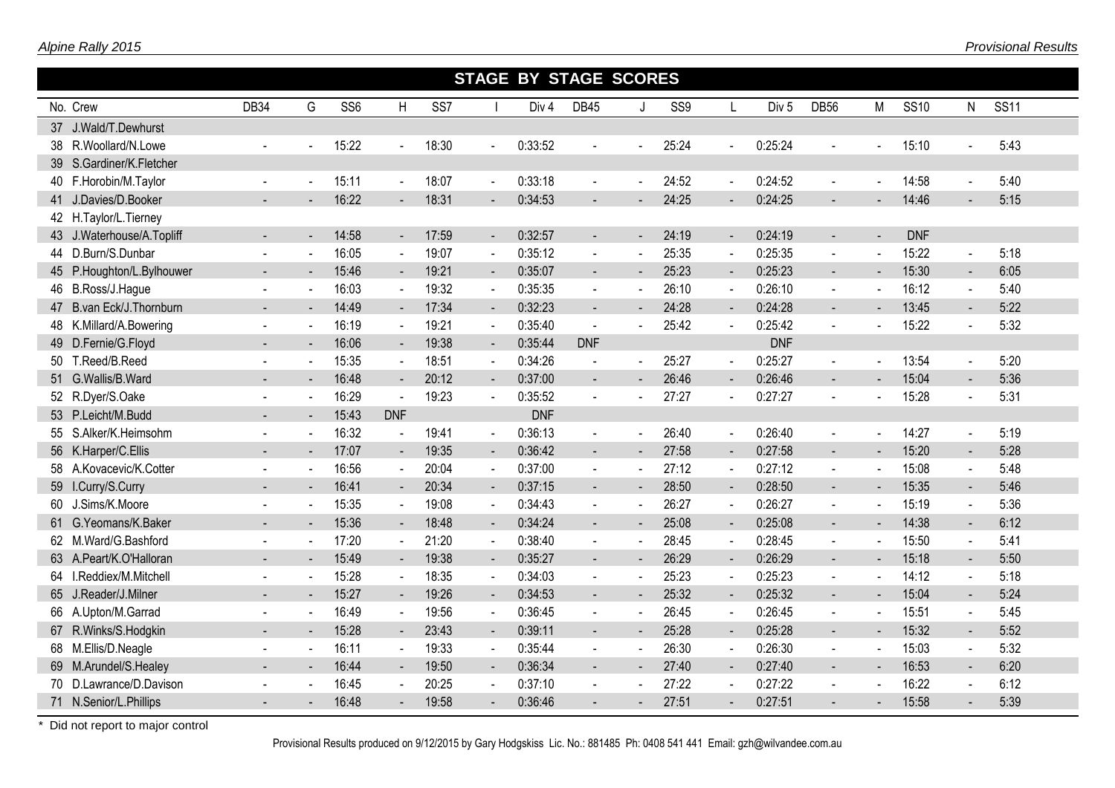|                           |                |        |                 |                |                 |                | <b>STAGE BY STAGE SCORES</b> |                          |                |                 |                          |                  |                          |                       |             |                          |             |
|---------------------------|----------------|--------|-----------------|----------------|-----------------|----------------|------------------------------|--------------------------|----------------|-----------------|--------------------------|------------------|--------------------------|-----------------------|-------------|--------------------------|-------------|
| No. Crew                  | DB34           | G      | SS <sub>6</sub> | H              | SS <sub>7</sub> |                | Div <sub>4</sub>             | <b>DB45</b>              | J              | SS <sub>9</sub> | $\mathbf{I}$             | Div <sub>5</sub> | <b>DB56</b>              | M                     | <b>SS10</b> | N                        | <b>SS11</b> |
| 37 J.Wald/T.Dewhurst      |                |        |                 |                |                 |                |                              |                          |                |                 |                          |                  |                          |                       |             |                          |             |
| 38 R.Woollard/N.Lowe      |                |        | 15:22           |                | 18:30           | $\blacksquare$ | 0:33:52                      |                          |                | 25:24           |                          | 0:25:24          |                          |                       | 15:10       |                          | 5:43        |
| 39 S.Gardiner/K.Fletcher  |                |        |                 |                |                 |                |                              |                          |                |                 |                          |                  |                          |                       |             |                          |             |
| 40 F.Horobin/M.Taylor     | $\blacksquare$ |        | 15:11           | $\sim$         | 18:07           | $\blacksquare$ | 0:33:18                      | $\blacksquare$           |                | 24:52           | $\sim$                   | 0:24:52          | $\blacksquare$           | $\mathbf{r}$          | 14:58       | $\sim$                   | 5:40        |
| 41 J.Davies/D.Booker      |                |        | 16:22           | $\blacksquare$ | 18:31           | $\blacksquare$ | 0:34:53                      | $\blacksquare$           |                | 24:25           |                          | 0:24:25          | $\blacksquare$           | $\blacksquare$        | 14:46       |                          | 5:15        |
| 42 H.Taylor/L.Tierney     |                |        |                 |                |                 |                |                              |                          |                |                 |                          |                  |                          |                       |             |                          |             |
| 43 J.Waterhouse/A.Topliff |                | $\sim$ | 14:58           | $\sim$         | 17:59           | $\sim$         | 0:32:57                      | $\blacksquare$           | $\blacksquare$ | 24:19           | $\blacksquare$           | 0:24:19          | $\overline{\phantom{a}}$ | $\blacksquare$        | <b>DNF</b>  |                          |             |
| 44 D.Burn/S.Dunbar        |                |        | 16:05           |                | 19:07           | $\sim$         | 0:35:12                      | $\sim$                   |                | 25:35           | $\blacksquare$           | 0:25:35          | $\blacksquare$           | $\blacksquare$        | 15:22       | $\mathbf{r}$             | 5:18        |
| 45 P.Houghton/L.Bylhouwer | $\sim$         |        | 15:46           | ◆              | 19:21           | $\blacksquare$ | 0:35:07                      | $\overline{\phantom{a}}$ | $\blacksquare$ | 25:23           | $\blacksquare$           | 0:25:23          | $\overline{\phantom{a}}$ | $\blacksquare$        | 15:30       | $\overline{\phantom{a}}$ | 6:05        |
| 46 B.Ross/J.Hague         |                | $\sim$ | 16:03           | $\blacksquare$ | 19:32           | $\sim$         | 0:35:35                      | $\blacksquare$           | $\sim$         | 26:10           | $\mathbf{r}$             | 0:26:10          | $\blacksquare$           | $\tilde{\phantom{a}}$ | 16:12       | $\sim$                   | 5:40        |
| 47 B.van Eck/J. Thornburn |                |        | 14:49           | $\blacksquare$ | 17:34           | $\blacksquare$ | 0:32:23                      | $\blacksquare$           |                | 24:28           |                          | 0:24:28          | $\blacksquare$           |                       | 13:45       | $\overline{\phantom{a}}$ | 5:22        |
| 48 K.Millard/A.Bowering   |                |        | 16:19           | $\sim$         | 19:21           | $\blacksquare$ | 0:35:40                      | $\sim$                   |                | 25:42           |                          | 0:25:42          | $\mathbf{r}$             | $\blacksquare$        | 15:22       | ÷,                       | 5:32        |
| 49 D.Fernie/G.Floyd       |                |        | 16:06           | $\sim$         | 19:38           | $\sim$         | 0:35:44                      | <b>DNF</b>               |                |                 |                          | <b>DNF</b>       |                          |                       |             |                          |             |
| 50 T.Reed/B.Reed          |                |        | 15:35           |                | 18:51           | $\sim$         | 0:34:26                      |                          | $\sim$         | 25:27           | $\sim$                   | 0:25:27          | $\sim$                   |                       | 13:54       | $\sim$                   | 5:20        |
| 51 G.Wallis/B.Ward        |                |        | 16:48           | $\blacksquare$ | 20:12           | $\blacksquare$ | 0:37:00                      | $\blacksquare$           |                | 26:46           |                          | 0:26:46          | $\blacksquare$           |                       | 15:04       | $\blacksquare$           | 5:36        |
| 52 R.Dyer/S.Oake          |                |        | 16:29           |                | 19:23           | $\blacksquare$ | 0:35:52                      | $\blacksquare$           |                | 27:27           |                          | 0:27:27          | $\blacksquare$           | $\blacksquare$        | 15:28       | $\blacksquare$           | 5:31        |
| 53 P.Leicht/M.Budd        |                |        | 15:43           | <b>DNF</b>     |                 |                | <b>DNF</b>                   |                          |                |                 |                          |                  |                          |                       |             |                          |             |
| 55 S.Alker/K.Heimsohm     | $\sim$         | $\sim$ | 16:32           |                | 19:41           | $\sim$         | 0:36:13                      | $\blacksquare$           |                | 26:40           | $\sim$                   | 0:26:40          | $\sim$                   | $\blacksquare$        | 14:27       | $\overline{a}$           | 5:19        |
| 56 K.Harper/C.Ellis       |                |        | 17:07           | $\sim$         | 19:35           | $\blacksquare$ | 0:36:42                      | $\blacksquare$           | $\sim$         | 27:58           | $\overline{\phantom{a}}$ | 0:27:58          | $\overline{\phantom{a}}$ | $\blacksquare$        | 15:20       | $\blacksquare$           | 5:28        |
| 58 A.Kovacevic/K.Cotter   |                |        | 16:56           |                | 20:04           | $\sim$         | 0:37:00                      | $\blacksquare$           |                | 27:12           | $\blacksquare$           | 0:27:12          | $\blacksquare$           |                       | 15:08       | $\blacksquare$           | 5:48        |
| 59 I.Curry/S.Curry        |                |        | 16:41           | $\sim$         | 20:34           | $\blacksquare$ | 0:37:15                      | $\blacksquare$           | $\blacksquare$ | 28:50           | $\sim$                   | 0:28:50          | $\blacksquare$           | $\blacksquare$        | 15:35       | $\blacksquare$           | 5:46        |
| 60 J.Sims/K.Moore         |                |        | 15:35           | $\blacksquare$ | 19:08           | $\blacksquare$ | 0:34:43                      | $\blacksquare$           |                | 26:27           | $\blacksquare$           | 0:26:27          | $\blacksquare$           |                       | 15:19       | $\blacksquare$           | 5:36        |
| 61 G.Yeomans/K.Baker      |                |        | 15:36           | $\sim$         | 18:48           | $\blacksquare$ | 0:34:24                      | $\blacksquare$           |                | 25:08           | $\overline{\phantom{a}}$ | 0:25:08          | ◆                        | $\blacksquare$        | 14:38       | $\blacksquare$           | 6:12        |
| 62 M.Ward/G.Bashford      |                | $\sim$ | 17:20           | $\blacksquare$ | 21:20           | $\blacksquare$ | 0:38:40                      | $\blacksquare$           |                | 28:45           | $\mathbf{r}$             | 0:28:45          | $\blacksquare$           | $\blacksquare$        | 15:50       | $\blacksquare$           | 5:41        |
| 63 A.Peart/K.O'Halloran   |                |        | 15:49           | $\sim$         | 19:38           | $\sim$         | 0:35:27                      | $\blacksquare$           |                | 26:29           | $\blacksquare$           | 0:26:29          | $\blacksquare$           | $\blacksquare$        | 15:18       | $\overline{\phantom{a}}$ | 5:50        |
| 64 I.Reddiex/M.Mitchell   |                |        | 15:28           | $\sim$         | 18:35           | $\blacksquare$ | 0:34:03                      | $\blacksquare$           |                | 25:23           |                          | 0:25:23          | $\sim$                   | $\blacksquare$        | 14:12       | $\sim$                   | 5:18        |
| 65 J.Reader/J.Milner      |                |        | 15:27           |                | 19:26           | $\blacksquare$ | 0:34:53                      |                          |                | 25:32           |                          | 0:25:32          | $\blacksquare$           |                       | 15:04       | $\sim$                   | 5:24        |
| 66 A.Upton/M.Garrad       |                |        | 16:49           |                | 19:56           | $\blacksquare$ | 0:36:45                      |                          |                | 26:45           |                          | 0:26:45          | $\blacksquare$           |                       | 15:51       |                          | 5:45        |
| 67 R.Winks/S.Hodgkin      |                |        | 15:28           | $\sim$         | 23:43           | $\sim$         | 0:39:11                      | $\blacksquare$           |                | 25:28           | $\blacksquare$           | 0:25:28          | $\sim$                   | $\blacksquare$        | 15:32       | $\blacksquare$           | 5:52        |
| 68 M.Ellis/D.Neagle       |                |        | 16:11           |                | 19:33           | $\blacksquare$ | 0:35:44                      | $\blacksquare$           |                | 26:30           |                          | 0:26:30          | $\sim$                   | $\blacksquare$        | 15:03       | $\sim$                   | 5:32        |
| 69 M.Arundel/S.Healey     |                |        | 16:44           | $\blacksquare$ | 19:50           | $\blacksquare$ | 0:36:34                      | $\blacksquare$           |                | 27:40           |                          | 0:27:40          | $\sim$                   | $\blacksquare$        | 16:53       | $\blacksquare$           | 6:20        |
| 70 D.Lawrance/D.Davison   |                |        | 16:45           |                | 20:25           | $\sim$         | 0:37:10                      | $\blacksquare$           |                | 27:22           |                          | 0:27:22          | $\sim$                   | $\blacksquare$        | 16:22       | $\blacksquare$           | 6:12        |
| 71 N.Senior/L.Phillips    |                |        | 16:48           | $\sim$         | 19:58           | $\blacksquare$ | 0:36:46                      |                          |                | 27:51           |                          | 0:27:51          | $\blacksquare$           | $\blacksquare$        | 15:58       | $\blacksquare$           | 5:39        |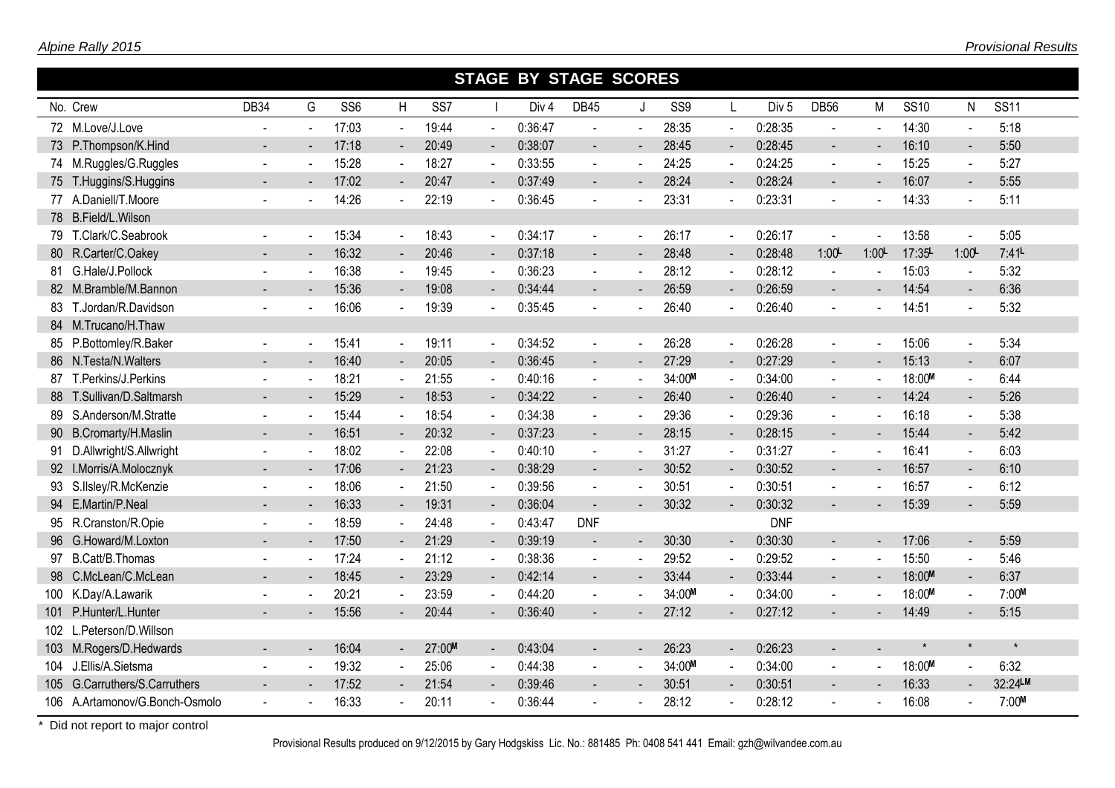|    |                                |                |                          |                 |                |                 |                          | <b>STAGE BY STAGE SCORES</b> |                          |                |        |                          |                  |                          |                          |             |                |             |
|----|--------------------------------|----------------|--------------------------|-----------------|----------------|-----------------|--------------------------|------------------------------|--------------------------|----------------|--------|--------------------------|------------------|--------------------------|--------------------------|-------------|----------------|-------------|
|    | No. Crew                       | DB34           | G                        | SS <sub>6</sub> | H              | SS <sub>7</sub> |                          | Div <sub>4</sub>             | <b>DB45</b>              | J              | SS9    | L                        | Div <sub>5</sub> | <b>DB56</b>              | M                        | <b>SS10</b> | N              | <b>SS11</b> |
|    | 72 M.Love/J.Love               |                | $\overline{\phantom{a}}$ | 17:03           | $\blacksquare$ | 19:44           | $\blacksquare$           | 0:36:47                      | $\blacksquare$           | $\mathbf{r}$   | 28:35  | $\sim$                   | 0:28:35          | $\blacksquare$           | $\overline{\phantom{a}}$ | 14:30       |                | 5:18        |
|    | 73 P.Thompson/K.Hind           |                | $\blacksquare$           | 17:18           | $\sim$         | 20:49           | $\blacksquare$           | 0:38:07                      | $\sim$                   | $\blacksquare$ | 28:45  | $\sim$                   | 0:28:45          | $\blacksquare$           | $\blacksquare$           | 16:10       | $\sim$         | 5:50        |
|    | 74 M.Ruggles/G.Ruggles         | $\blacksquare$ | $\blacksquare$           | 15:28           | $\blacksquare$ | 18:27           | $\blacksquare$           | 0:33:55                      | $\blacksquare$           |                | 24:25  | $\blacksquare$           | 0:24:25          | $\blacksquare$           | $\blacksquare$           | 15:25       | $\blacksquare$ | 5:27        |
|    | 75 T.Huggins/S.Huggins         |                |                          | 17:02           | $\blacksquare$ | 20:47           | $\blacksquare$           | 0:37:49                      |                          |                | 28:24  |                          | 0:28:24          | $\blacksquare$           |                          | 16:07       |                | 5:55        |
|    | 77 A.Daniell/T.Moore           |                |                          | 14:26           | $\mathbf{r}$   | 22:19           | $\blacksquare$           | 0:36:45                      |                          |                | 23:31  |                          | 0:23:31          | $\blacksquare$           | $\blacksquare$           | 14:33       | $\sim$         | 5:11        |
|    | 78 B.Field/L.Wilson            |                |                          |                 |                |                 |                          |                              |                          |                |        |                          |                  |                          |                          |             |                |             |
|    | 79 T.Clark/C.Seabrook          |                | $\sim$                   | 15:34           | $\sim$         | 18:43           | $\sim$                   | 0:34:17                      | $\sim$                   | $\sim$         | 26:17  | ч.                       | 0:26:17          | $\blacksquare$           | ÷,                       | 13:58       | $\blacksquare$ | 5:05        |
|    | 80 R.Carter/C.Oakey            | $\overline{a}$ |                          | 16:32           | $\blacksquare$ | 20:46           | $\blacksquare$           | 0:37:18                      | $\sim$                   |                | 28:48  | $\overline{\phantom{a}}$ | 0:28:48          | 1:00                     | 1:00                     | 17:35       | 1:00           | 7:41        |
|    | 81 G.Hale/J.Pollock            |                |                          | 16:38           | $\sim$         | 19:45           | $\sim$                   | 0:36:23                      |                          |                | 28:12  | $\blacksquare$           | 0:28:12          | $\sim$                   |                          | 15:03       |                | 5:32        |
|    | 82 M.Bramble/M.Bannon          |                |                          | 15:36           |                | 19:08           | $\blacksquare$           | 0:34:44                      |                          |                | 26:59  |                          | 0:26:59          | $\mathbf{r}$             |                          | 14:54       |                | 6:36        |
|    | 83 T.Jordan/R.Davidson         |                |                          | 16:06           |                | 19:39           | $\blacksquare$           | 0:35:45                      |                          |                | 26:40  |                          | 0:26:40          |                          |                          | 14:51       |                | 5:32        |
|    | 84 M.Trucano/H.Thaw            |                |                          |                 |                |                 |                          |                              |                          |                |        |                          |                  |                          |                          |             |                |             |
|    | 85 P.Bottomley/R.Baker         |                | $\sim$                   | 15:41           | $\blacksquare$ | 19:11           | $\blacksquare$           | 0:34:52                      | $\blacksquare$           |                | 26:28  | $\sim$                   | 0:26:28          | $\blacksquare$           | $\blacksquare$           | 15:06       |                | 5:34        |
|    | 86 N.Testa/N.Walters           | $\blacksquare$ | $\sim$                   | 16:40           | $\sim$         | 20:05           | $\blacksquare$           | 0:36:45                      | $\blacksquare$           |                | 27:29  | $\blacksquare$           | 0:27:29          | $\blacksquare$           | $\blacksquare$           | 15:13       | $\sim$         | 6:07        |
| 87 | T.Perkins/J.Perkins            | $\blacksquare$ | $\sim$                   | 18:21           | $\sim$         | 21:55           | $\sim$                   | 0:40:16                      | $\blacksquare$           |                | 34:00M | $\sim$                   | 0:34:00          | $\blacksquare$           | $\blacksquare$           | 18:00M      |                | 6:44        |
|    | 88 T.Sullivan/D.Saltmarsh      |                | $\blacksquare$           | 15:29           | $\blacksquare$ | 18:53           | $\overline{\phantom{a}}$ | 0:34:22                      | $\blacksquare$           |                | 26:40  |                          | 0:26:40          | $\blacksquare$           | $\blacksquare$           | 14:24       |                | 5:26        |
|    | 89 S.Anderson/M.Stratte        | $\blacksquare$ | $\sim$                   | 15:44           | $\sim$         | 18:54           | $\sim$                   | 0:34:38                      | $\sim$                   |                | 29:36  |                          | 0:29:36          | $\mathbf{r}$             | $\blacksquare$           | 16:18       | $\blacksquare$ | 5:38        |
|    | 90 B.Cromarty/H.Maslin         |                | $\overline{\phantom{a}}$ | 16:51           | $\blacksquare$ | 20:32           | $\blacksquare$           | 0:37:23                      | $\blacksquare$           | $\sim$         | 28:15  | $\overline{\phantom{a}}$ | 0:28:15          | $\overline{a}$           | $\blacksquare$           | 15:44       | $\blacksquare$ | 5:42        |
|    | 91 D.Allwright/S.Allwright     |                |                          | 18:02           | $\sim$         | 22:08           | $\sim$                   | 0:40:10                      |                          |                | 31:27  |                          | 0:31:27          | $\blacksquare$           | ÷,                       | 16:41       | $\sim$         | 6:03        |
|    | 92 I.Morris/A.Molocznyk        |                |                          | 17:06           | $\sim$         | 21:23           | $\blacksquare$           | 0:38:29                      |                          |                | 30:52  | $\blacksquare$           | 0:30:52          | $\blacksquare$           |                          | 16:57       | $\sim$         | 6:10        |
|    | 93 S.IIsley/R.McKenzie         |                |                          | 18:06           | $\blacksquare$ | 21:50           | $\blacksquare$           | 0:39:56                      | $\blacksquare$           |                | 30:51  | $\sim$                   | 0:30:51          | $\blacksquare$           |                          | 16:57       | $\blacksquare$ | 6:12        |
|    | 94 E.Martin/P.Neal             |                | $\blacksquare$           | 16:33           | $\sim$         | 19:31           | $\blacksquare$           | 0:36:04                      |                          | $\sim$         | 30:32  | $\sim$                   | 0:30:32          | $\blacksquare$           | $\blacksquare$           | 15:39       | $\sim$         | 5:59        |
|    | 95 R.Cranston/R.Opie           |                | $\sim$                   | 18:59           | $\blacksquare$ | 24:48           | $\blacksquare$           | 0:43:47                      | <b>DNF</b>               |                |        |                          | <b>DNF</b>       |                          |                          |             |                |             |
|    | 96 G.Howard/M.Loxton           | $\sim$         | $\sim$                   | 17:50           | $\sim$         | 21:29           | $\blacksquare$           | 0:39:19                      | $\overline{\phantom{a}}$ | $\sim$         | 30:30  | $\sim$                   | 0:30:30          | $\overline{\phantom{a}}$ | $\blacksquare$           | 17:06       | $\blacksquare$ | 5:59        |
|    | 97 B.Catt/B.Thomas             |                | $\sim$                   | 17:24           | $\sim$         | 21:12           | $\blacksquare$           | 0:38:36                      | $\sim$                   | $\sim$         | 29:52  | $\sim$                   | 0:29:52          | $\blacksquare$           | $\mathbf{r}$             | 15:50       | $\sim$         | 5:46        |
|    | 98 C.McLean/C.McLean           |                |                          | 18:45           | $\blacksquare$ | 23:29           | $\overline{\phantom{a}}$ | 0:42:14                      | $\blacksquare$           |                | 33:44  | $\overline{\phantom{a}}$ | 0:33:44          | $\blacksquare$           | $\blacksquare$           | 18:00M      | $\blacksquare$ | 6:37        |
|    | 100 K.Day/A.Lawarik            |                |                          | 20:21           | $\mathbf{r}$   | 23:59           | $\blacksquare$           | 0:44:20                      | $\sim$                   |                | 34:00M | $\sim$                   | 0:34:00          | $\blacksquare$           | $\blacksquare$           | 18:00M      | $\sim$         | 7:00M       |
|    | 101 P.Hunter/L.Hunter          |                |                          | 15:56           |                | 20:44           | $\blacksquare$           | 0:36:40                      |                          |                | 27:12  |                          | 0:27:12          |                          |                          | 14:49       |                | 5:15        |
|    | 102 L.Peterson/D.Willson       |                |                          |                 |                |                 |                          |                              |                          |                |        |                          |                  |                          |                          |             |                |             |
|    | 103 M.Rogers/D.Hedwards        |                | $\blacksquare$           | 16:04           | $\sim$         | 27:00M          | $\blacksquare$           | 0:43:04                      | $\sim$                   | $\sim$         | 26:23  | $\sim$                   | 0:26:23          | $\blacksquare$           |                          | $\star$     | $\star$        | $\star$     |
|    | 104 J.Ellis/A.Sietsma          |                |                          | 19:32           |                | 25:06           | $\blacksquare$           | 0:44:38                      | $\blacksquare$           |                | 34:00M |                          | 0:34:00          | $\blacksquare$           |                          | 18:00M      |                | 6:32        |
|    | 105 G.Carruthers/S.Carruthers  |                |                          | 17:52           | $\blacksquare$ | 21:54           | $\blacksquare$           | 0:39:46                      |                          |                | 30:51  |                          | 0:30:51          | $\blacksquare$           |                          | 16:33       |                | 32:24LM     |
|    | 106 A.Artamonov/G.Bonch-Osmolo |                |                          | 16:33           |                | 20:11           |                          | 0:36:44                      |                          |                | 28:12  |                          | 0:28:12          | $\blacksquare$           |                          | 16:08       |                | 7:00M       |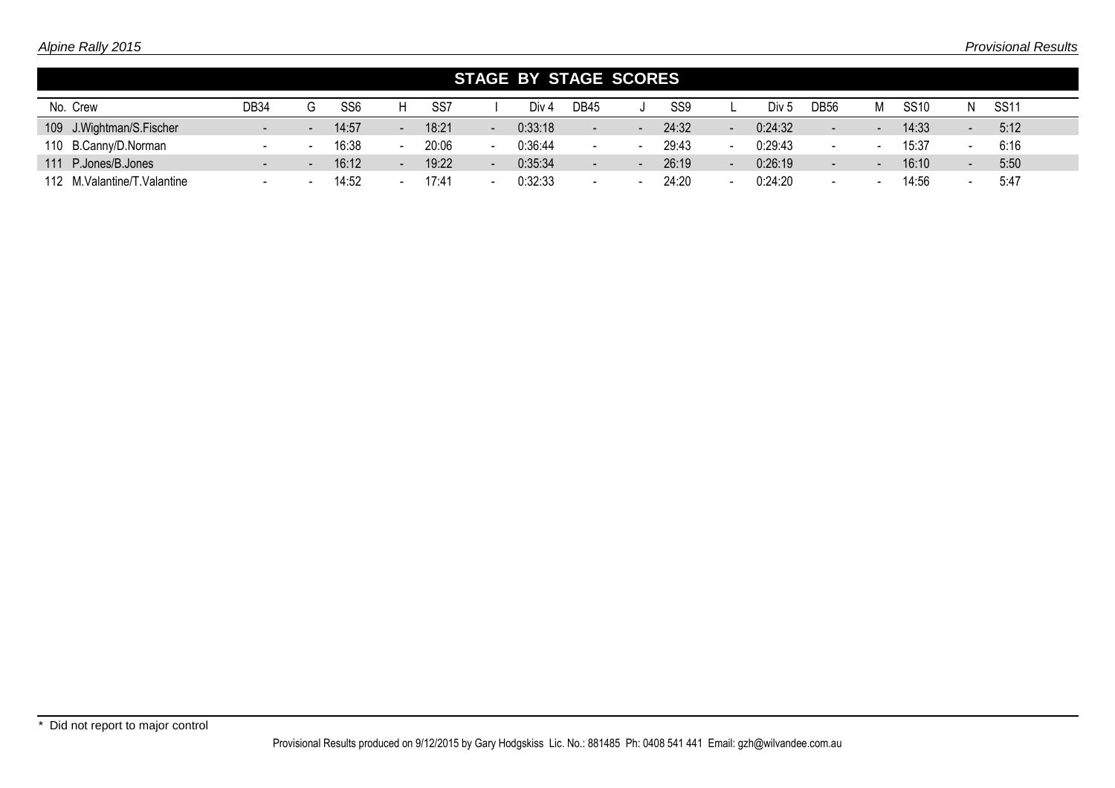|                             |                          |                          |                 |        |       |                          | STAGE BY STAGE SCORES |                |        |                 |                  |                          |                          |             |                          |             |
|-----------------------------|--------------------------|--------------------------|-----------------|--------|-------|--------------------------|-----------------------|----------------|--------|-----------------|------------------|--------------------------|--------------------------|-------------|--------------------------|-------------|
| No. Crew                    | DB34                     | G                        | SS <sub>6</sub> |        | SS7   |                          | Div 4                 | <b>DB45</b>    |        | SS <sub>9</sub> | Div <sub>5</sub> | DB56                     | М                        | <b>SS10</b> | N.                       | <b>SS11</b> |
| 109 J.Wightman/S.Fischer    | $\blacksquare$           | $\overline{\phantom{a}}$ | 14:57           | $\sim$ | 18:21 | $\overline{\phantom{a}}$ | 0:33:18               | $\blacksquare$ | $\sim$ | 24:32           | 0:24:32          | $\overline{\phantom{0}}$ | $\overline{\phantom{a}}$ | 14:33       | $\sim$                   | 5:12        |
| 110 B.Canny/D.Norman        |                          |                          | 16:38           |        | 20:06 | $\,$ $\,$                | 0:36:44               |                |        | 29:43           | 0:29:43          | $\overline{\phantom{0}}$ |                          | 15:37       | $\overline{\phantom{0}}$ | 6:16        |
| 111 P.Jones/B.Jones         | н.                       | $\overline{\phantom{a}}$ | 16:12           | $\sim$ | 19:22 | $\overline{\phantom{a}}$ | 0:35:34               | $\sim$ .       |        | 26:19           | 0:26:19          | $\overline{\phantom{a}}$ | $\blacksquare$           | 16:10       | $\overline{a}$           | 5:50        |
| 112 M.Valantine/T.Valantine | $\overline{\phantom{a}}$ |                          | 14:52           |        | 17:41 |                          | 0:32:33               | $\,$ $\,$      |        | 24:20           | 0:24:20          |                          |                          | 14:56       | $\,$ $\,$                | 5:47        |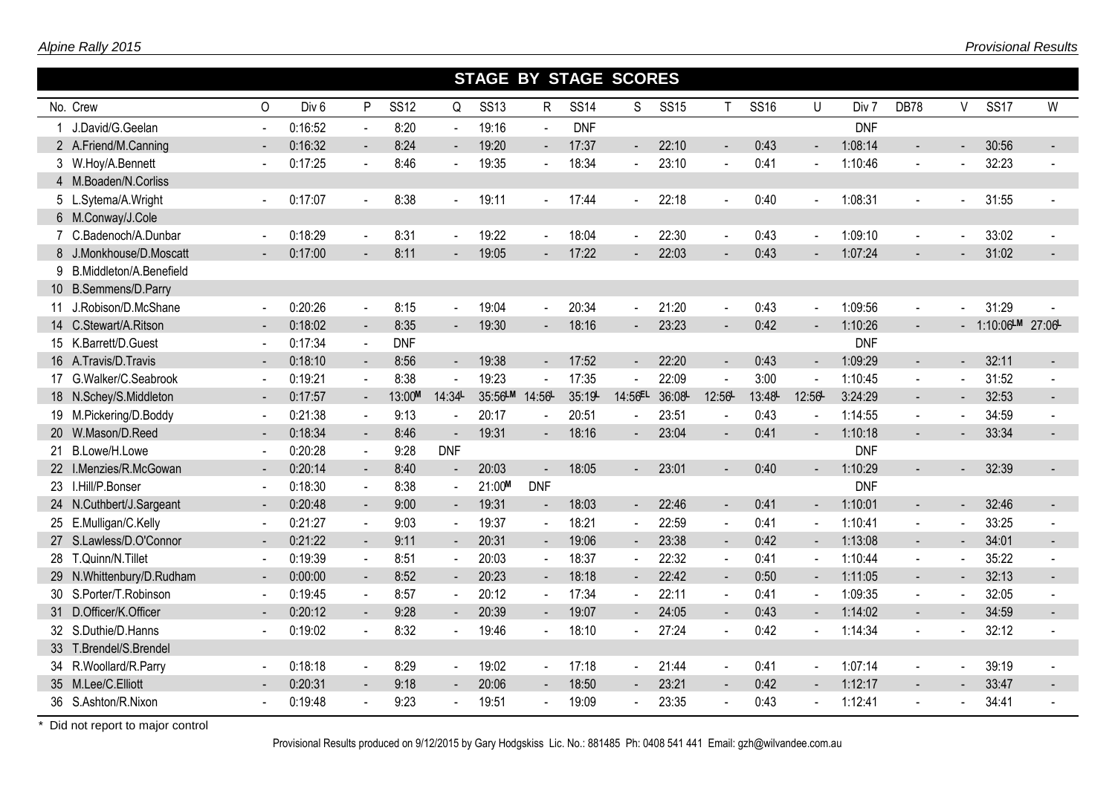|                           |                          |                  |                          |             |                          | <b>STAGE BY STAGE SCORES</b> |                |             |                |             |                             |             |                          |            |                       |                          |                 |                          |
|---------------------------|--------------------------|------------------|--------------------------|-------------|--------------------------|------------------------------|----------------|-------------|----------------|-------------|-----------------------------|-------------|--------------------------|------------|-----------------------|--------------------------|-----------------|--------------------------|
| No. Crew                  | $\Omega$                 | Div <sub>6</sub> | P                        | <b>SS12</b> | Q                        | <b>SS13</b>                  | $\mathsf{R}$   | <b>SS14</b> | S              | <b>SS15</b> | T                           | <b>SS16</b> | $\cup$                   | Div 7      | <b>DB78</b>           | V                        | <b>SS17</b>     | W                        |
| J.David/G.Geelan          |                          | 0:16:52          | $\omega$                 | 8:20        |                          | 19:16                        | $\overline{a}$ | <b>DNF</b>  |                |             |                             |             |                          | <b>DNF</b> |                       |                          |                 |                          |
| 2 A.Friend/M.Canning      |                          | 0:16:32          | $\blacksquare$           | 8:24        |                          | 19:20                        | $\blacksquare$ | 17:37       | $\blacksquare$ | 22:10       | $\blacksquare$              | 0:43        |                          | 1:08:14    |                       |                          | 30:56           |                          |
| 3 W.Hoy/A.Bennett         |                          | 0:17:25          | $\blacksquare$           | 8:46        |                          | 19:35                        | $\sim$         | 18:34       |                | 23:10       | $\tilde{\phantom{a}}$       | 0:41        |                          | 1:10:46    | $\mathbf{r}$          | ÷,                       | 32:23           |                          |
| 4 M.Boaden/N.Corliss      |                          |                  |                          |             |                          |                              |                |             |                |             |                             |             |                          |            |                       |                          |                 |                          |
| 5 L.Sytema/A.Wright       |                          | 0:17:07          | $\sim$                   | 8:38        |                          | 19:11                        | $\sim$         | 17:44       |                | 22:18       | $\overline{a}$              | 0:40        |                          | 1:08:31    | $\blacksquare$        | $\blacksquare$           | 31:55           |                          |
| 6 M.Conway/J.Cole         |                          |                  |                          |             |                          |                              |                |             |                |             |                             |             |                          |            |                       |                          |                 |                          |
| 7 C.Badenoch/A.Dunbar     |                          | 0:18:29          | $\sim$                   | 8:31        |                          | 19:22                        | $\omega$       | 18:04       |                | 22:30       | $\mathcal{L}^{\mathcal{A}}$ | 0:43        |                          | 1:09:10    |                       |                          | 33:02           |                          |
| 8 J.Monkhouse/D.Moscatt   | $\blacksquare$           | 0:17:00          |                          | 8:11        |                          | 19:05                        |                | 17:22       |                | 22:03       |                             | 0:43        |                          | 1:07:24    |                       |                          | 31:02           |                          |
| 9 B.Middleton/A.Benefield |                          |                  |                          |             |                          |                              |                |             |                |             |                             |             |                          |            |                       |                          |                 |                          |
| 10 B.Semmens/D.Parry      |                          |                  |                          |             |                          |                              |                |             |                |             |                             |             |                          |            |                       |                          |                 |                          |
| 11 J.Robison/D.McShane    |                          | 0:20:26          | $\sim$                   | 8:15        | $\sim$                   | 19:04                        | $\omega$       | 20:34       |                | 21:20       | $\overline{a}$              | 0:43        | $\sim$                   | 1:09:56    | $\sim$                | L.                       | 31:29           |                          |
| 14 C.Stewart/A.Ritson     | $\overline{\phantom{a}}$ | 0:18:02          | $\blacksquare$           | 8:35        |                          | 19:30                        | $\sim$         | 18:16       |                | 23:23       | $\overline{a}$              | 0:42        |                          | 1:10:26    | $\mathbf{r}$          |                          | 1:10:06 M 27:06 |                          |
| 15 K.Barrett/D.Guest      |                          | 0:17:34          | $\sim$                   | <b>DNF</b>  |                          |                              |                |             |                |             |                             |             |                          | <b>DNF</b> |                       |                          |                 |                          |
| 16 A.Travis/D.Travis      |                          | 0:18:10          | $\blacksquare$           | 8:56        | $\sim$                   | 19:38                        | $\blacksquare$ | 17:52       | $\sim$         | 22:20       | $\blacksquare$              | 0:43        | $\overline{\phantom{a}}$ | 1:09:29    | $\sim$                | $\overline{\phantom{a}}$ | 32:11           | $\overline{\phantom{0}}$ |
| 17 G.Walker/C.Seabrook    |                          | 0:19:21          |                          | 8:38        |                          | 19:23                        |                | 17:35       |                | 22:09       |                             | 3:00        |                          | 1:10:45    | $\tilde{\phantom{a}}$ |                          | 31:52           |                          |
| 18 N.Schey/S.Middleton    |                          | 0:17:57          | $\sim$                   | 13:00M      | 14:34L                   | 35:56LM                      | 14:56          | 35:19       | 14:56EL        | 36:08       | 12:56                       | 13:48       | 12:56                    | 3:24:29    | $\omega_{\rm c}$      | ÷.                       | 32:53           | $\blacksquare$           |
| 19 M.Pickering/D.Boddy    |                          | 0:21:38          | $\blacksquare$           | 9:13        |                          | 20:17                        |                | 20:51       |                | 23:51       |                             | 0:43        |                          | 1:14:55    | $\blacksquare$        |                          | 34:59           |                          |
| 20 W.Mason/D.Reed         |                          | 0:18:34          | $\blacksquare$           | 8:46        |                          | 19:31                        |                | 18:16       |                | 23:04       | $\blacksquare$              | 0:41        |                          | 1:10:18    | $\blacksquare$        |                          | 33:34           | $\sim$                   |
| 21 B.Lowe/H.Lowe          |                          | 0:20:28          | $\blacksquare$           | 9:28        | <b>DNF</b>               |                              |                |             |                |             |                             |             |                          | <b>DNF</b> |                       |                          |                 |                          |
| 22 I.Menzies/R.McGowan    |                          | 0:20:14          | $\sim$                   | 8:40        | $\overline{\phantom{a}}$ | 20:03                        | $\sim$         | 18:05       | $\sim$         | 23:01       | $\sim$                      | 0:40        |                          | 1:10:29    |                       |                          | 32:39           | $\sim 100$               |
| 23 I.Hill/P.Bonser        |                          | 0:18:30          | $\blacksquare$           | 8:38        | $\sim$                   | 21:00M                       | <b>DNF</b>     |             |                |             |                             |             |                          | <b>DNF</b> |                       |                          |                 |                          |
| 24 N.Cuthbert/J.Sargeant  |                          | 0:20:48          | $\sim$                   | 9:00        | $\sim$                   | 19:31                        | $\sim$         | 18:03       | $\sim$         | 22:46       | $\blacksquare$              | 0:41        |                          | 1:10:01    | $\blacksquare$        |                          | 32:46           | $\sim$ 10 $\pm$          |
| 25 E.Mulligan/C.Kelly     |                          | 0:21:27          | $\blacksquare$           | 9:03        | $\sim$                   | 19:37                        | $\sim$         | 18:21       | $\sim$         | 22:59       | $\blacksquare$              | 0:41        | $\sim$                   | 1:10:41    | $\blacksquare$        | $\blacksquare$           | 33:25           |                          |
| 27 S.Lawless/D.O'Connor   | $\blacksquare$           | 0:21:22          | $\sim$                   | 9:11        | $\blacksquare$           | 20:31                        | $\sim$         | 19:06       | $\sim$         | 23:38       | $\sim$                      | 0:42        | $\blacksquare$           | 1:13:08    | $\blacksquare$        | $\blacksquare$           | 34:01           | $\overline{\phantom{a}}$ |
| 28 T.Quinn/N.Tillet       | $\blacksquare$           | 0:19:39          | $\omega$                 | 8:51        | $\sim$                   | 20:03                        | $\sim$         | 18:37       | $\blacksquare$ | 22:32       | $\omega$                    | 0:41        | $\sim$                   | 1:10:44    | $\mathbf{r}$          | $\sim$                   | 35:22           |                          |
| 29 N.Whittenbury/D.Rudham |                          | 0:00:00          | $\blacksquare$           | 8:52        |                          | 20:23                        | $\blacksquare$ | 18:18       | $\blacksquare$ | 22:42       | $\blacksquare$              | 0:50        | $\blacksquare$           | 1:11:05    | $\blacksquare$        | $\blacksquare$           | 32:13           | $\blacksquare$           |
| 30 S.Porter/T.Robinson    | $\overline{\phantom{a}}$ | 0:19:45          | $\blacksquare$           | 8:57        |                          | 20:12                        | $\sim$         | 17:34       | $\blacksquare$ | 22:11       | $\blacksquare$              | 0:41        | $\sim$                   | 1:09:35    | $\sim$                | $\sim$                   | 32:05           |                          |
| 31 D.Officer/K.Officer    |                          | 0:20:12          | $\overline{\phantom{a}}$ | 9:28        |                          | 20:39                        | $\blacksquare$ | 19:07       | $\sim$         | 24:05       | $\blacksquare$              | 0:43        |                          | 1:14:02    |                       |                          | 34:59           | $\overline{\phantom{a}}$ |
| 32 S.Duthie/D.Hanns       |                          | 0:19:02          |                          | 8:32        |                          | 19:46                        |                | 18:10       |                | 27:24       |                             | 0:42        |                          | 1:14:34    |                       |                          | 32:12           |                          |
| 33 T.Brendel/S.Brendel    |                          |                  |                          |             |                          |                              |                |             |                |             |                             |             |                          |            |                       |                          |                 |                          |
| 34 R.Woollard/R.Parry     |                          | 0:18:18          | $\blacksquare$           | 8:29        |                          | 19:02                        | $\sim$         | 17:18       | $\sim$         | 21:44       | $\blacksquare$              | 0:41        |                          | 1:07:14    | $\blacksquare$        |                          | 39:19           |                          |
| 35 M.Lee/C.Elliott        |                          | 0:20:31          | $\sim$                   | 9:18        |                          | 20:06                        |                | 18:50       |                | 23:21       | $\overline{a}$              | 0:42        |                          | 1:12:17    | $\blacksquare$        |                          | 33:47           | $\overline{\phantom{0}}$ |
| 36 S.Ashton/R.Nixon       |                          | 0:19:48          |                          | 9:23        |                          | 19:51                        |                | 19:09       |                | 23:35       |                             | 0:43        |                          | 1:12:41    | $\blacksquare$        |                          | 34:41           |                          |

Provisional Results produced on 9/12/2015 by Gary Hodgskiss Lic. No.: 881485 Ph: 0408 541 441 Email: gzh@wilvandee.com.au

П

Г

I

г

I

I

T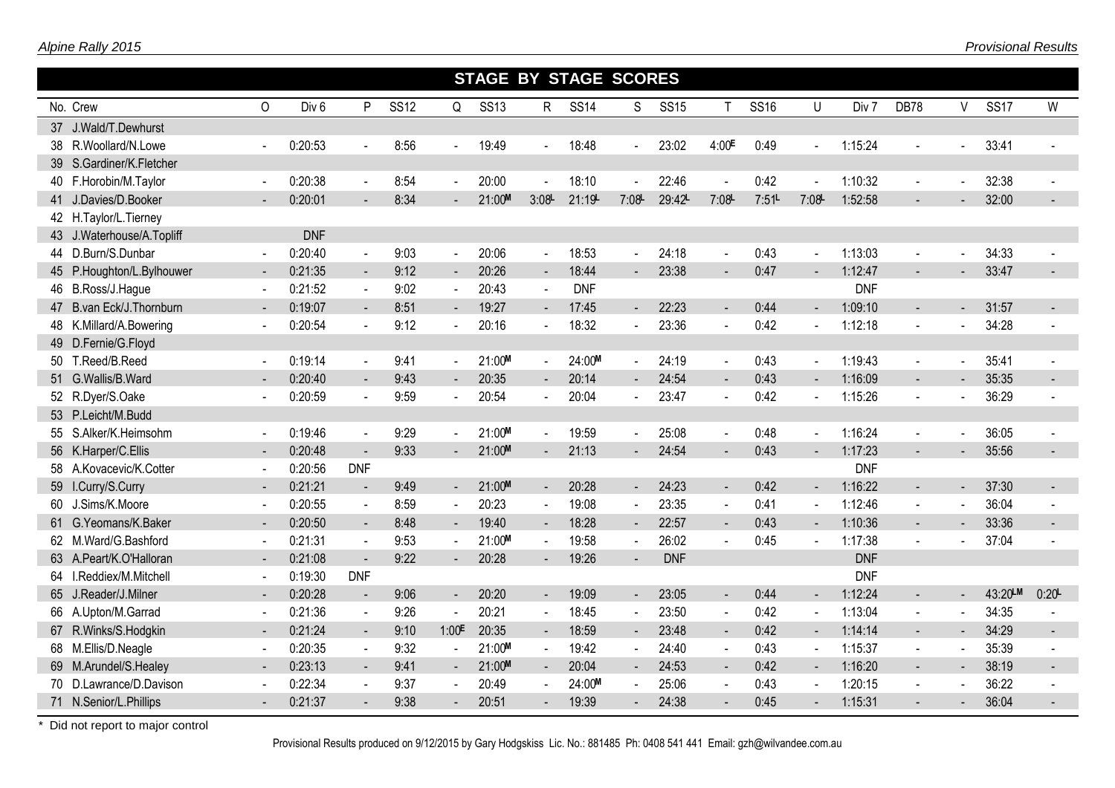|                           |                          |                  |                          |             |                          |             |                 | <b>STAGE BY STAGE SCORES</b> |                |             |                          |             |                          |            |                          |                |             |                          |
|---------------------------|--------------------------|------------------|--------------------------|-------------|--------------------------|-------------|-----------------|------------------------------|----------------|-------------|--------------------------|-------------|--------------------------|------------|--------------------------|----------------|-------------|--------------------------|
| No. Crew                  | $\Omega$                 | Div <sub>6</sub> | P                        | <b>SS12</b> | Q                        | <b>SS13</b> | $R_{\parallel}$ | <b>SS14</b>                  | S              | <b>SS15</b> | $\mathsf{T}$             | <b>SS16</b> | U                        | Div 7      | DB78                     | V              | <b>SS17</b> | W                        |
|                           |                          |                  |                          |             |                          |             |                 |                              |                |             |                          |             |                          |            |                          |                |             |                          |
| 37 J.Wald/T.Dewhurst      |                          |                  |                          |             |                          |             |                 |                              |                |             |                          |             |                          |            |                          |                |             |                          |
| 38 R.Woollard/N.Lowe      |                          | 0:20:53          |                          | 8:56        |                          | 19:49       |                 | 18:48                        | $\mathbf{r}$   | 23:02       | 4:00E                    | 0:49        | $\overline{a}$           | 1:15:24    |                          |                | 33:41       |                          |
| 39 S.Gardiner/K.Fletcher  |                          |                  |                          |             |                          |             |                 |                              |                |             |                          |             |                          |            |                          |                |             |                          |
| 40 F.Horobin/M.Taylor     | $\sim$                   | 0:20:38          | $\blacksquare$           | 8:54        | $\mathbf{r}$             | 20:00       |                 | 18:10                        | $\sim$         | 22:46       | $\tilde{\phantom{a}}$    | 0:42        |                          | 1:10:32    |                          |                | 32:38       |                          |
| 41 J.Davies/D.Booker      |                          | 0:20:01          |                          | 8:34        |                          | 21:00M      | 3:08            | 21:19                        | 7:08           | 29:42L      | 7:08                     | 7:51        | 7:08                     | 1:52:58    |                          |                | 32:00       |                          |
| 42 H.Taylor/L.Tierney     |                          |                  |                          |             |                          |             |                 |                              |                |             |                          |             |                          |            |                          |                |             |                          |
| 43 J.Waterhouse/A.Topliff |                          | <b>DNF</b>       |                          |             |                          |             |                 |                              |                |             |                          |             |                          |            |                          |                |             |                          |
| 44 D.Burn/S.Dunbar        |                          | 0:20:40          |                          | 9:03        | $\sim$                   | 20:06       |                 | 18:53                        | $\blacksquare$ | 24:18       |                          | 0:43        |                          | 1:13:03    |                          |                | 34:33       |                          |
| 45 P.Houghton/L.Bylhouwer |                          | 0:21:35          |                          | 9:12        |                          | 20:26       | $\blacksquare$  | 18:44                        | $\blacksquare$ | 23:38       | $\blacksquare$           | 0:47        |                          | 1:12:47    |                          |                | 33:47       | $\blacksquare$           |
| 46 B.Ross/J.Hague         | $\blacksquare$           | 0:21:52          | $\sim$                   | 9:02        | $\blacksquare$           | 20:43       |                 | <b>DNF</b>                   |                |             |                          |             |                          | <b>DNF</b> |                          |                |             |                          |
| 47 B.van Eck/J. Thornburn |                          | 0:19:07          | $\overline{\phantom{a}}$ | 8:51        |                          | 19:27       | $\blacksquare$  | 17:45                        | $\blacksquare$ | 22:23       | $\blacksquare$           | 0:44        | $\overline{a}$           | 1:09:10    | $\overline{\phantom{a}}$ |                | 31:57       | $\sim$                   |
| 48 K.Millard/A.Bowering   | $\sim$                   | 0:20:54          | $\sim$                   | 9:12        | $\blacksquare$           | 20:16       |                 | 18:32                        | $\sim$         | 23:36       | $\overline{a}$           | 0:42        | $\overline{\phantom{a}}$ | 1:12:18    |                          |                | 34:28       |                          |
| 49 D.Fernie/G.Floyd       |                          |                  |                          |             |                          |             |                 |                              |                |             |                          |             |                          |            |                          |                |             |                          |
| 50 T.Reed/B.Reed          | $\sim$                   | 0:19:14          | $\blacksquare$           | 9:41        | $\mathbf{r}$             | 21:00M      |                 | 24:00M                       | $\sim$         | 24:19       | $\tilde{\phantom{a}}$    | 0:43        | $\overline{a}$           | 1:19:43    |                          |                | 35:41       |                          |
| 51 G.Wallis/B.Ward        |                          | 0:20:40          | $\blacksquare$           | 9:43        | $\sim$                   | 20:35       |                 | 20:14                        | $\blacksquare$ | 24:54       | $\blacksquare$           | 0:43        | $\overline{a}$           | 1:16:09    |                          |                | 35:35       | $\overline{\phantom{0}}$ |
| 52 R.Dyer/S.Oake          |                          | 0:20:59          | $\blacksquare$           | 9:59        |                          | 20:54       |                 | 20:04                        | $\sim$         | 23:47       |                          | 0:42        |                          | 1:15:26    |                          |                | 36:29       |                          |
| 53 P.Leicht/M.Budd        |                          |                  |                          |             |                          |             |                 |                              |                |             |                          |             |                          |            |                          |                |             |                          |
| 55 S.Alker/K.Heimsohm     | $\sim$                   | 0:19:46          | $\sim$                   | 9:29        |                          | 21:00M      |                 | 19:59                        | $\blacksquare$ | 25:08       | $\blacksquare$           | 0:48        | $\overline{a}$           | 1:16:24    |                          |                | 36:05       |                          |
| 56 K.Harper/C.Ellis       |                          | 0:20:48          |                          | 9:33        |                          | 21:00M      |                 | 21:13                        | $\blacksquare$ | 24:54       | $\blacksquare$           | 0:43        |                          | 1:17:23    |                          |                | 35:56       | $\blacksquare$           |
| 58 A.Kovacevic/K.Cotter   | $\sim$                   | 0:20:56          | <b>DNF</b>               |             |                          |             |                 |                              |                |             |                          |             |                          | <b>DNF</b> |                          |                |             |                          |
| 59 I.Curry/S.Curry        | $\overline{\phantom{a}}$ | 0:21:21          | $\blacksquare$           | 9:49        | $\blacksquare$           | 21:00M      | $\blacksquare$  | 20:28                        | $\blacksquare$ | 24:23       | $\overline{\phantom{a}}$ | 0:42        |                          | 1:16:22    |                          |                | 37:30       | $\sim$                   |
| 60 J.Sims/K.Moore         | $\blacksquare$           | 0:20:55          | $\blacksquare$           | 8:59        | $\blacksquare$           | 20:23       |                 | 19:08                        | $\blacksquare$ | 23:35       | $\blacksquare$           | 0:41        | $\blacksquare$           | 1:12:46    |                          |                | 36:04       |                          |
| 61 G.Yeomans/K.Baker      | $\sim$                   | 0:20:50          | $\overline{\phantom{a}}$ | 8:48        | $\overline{\phantom{a}}$ | 19:40       |                 | 18:28                        | $\blacksquare$ | 22:57       | $\blacksquare$           | 0:43        |                          | 1:10:36    |                          |                | 33:36       | $\blacksquare$           |
| 62 M.Ward/G.Bashford      |                          | 0:21:31          |                          | 9:53        |                          | 21:00M      |                 | 19:58                        | $\blacksquare$ | 26:02       |                          | 0:45        |                          | 1:17:38    |                          |                | 37:04       |                          |
| 63 A.Peart/K.O'Halloran   | $\overline{\phantom{a}}$ | 0:21:08          |                          | 9:22        |                          | 20:28       |                 | 19:26                        | $\blacksquare$ | <b>DNF</b>  |                          |             |                          | <b>DNF</b> |                          |                |             |                          |
| 64 I.Reddiex/M.Mitchell   | $\blacksquare$           | 0:19:30          | <b>DNF</b>               |             |                          |             |                 |                              |                |             |                          |             |                          | <b>DNF</b> |                          |                |             |                          |
| 65 J.Reader/J.Milner      |                          | 0:20:28          | $\overline{\phantom{a}}$ | 9:06        | $\blacksquare$           | 20:20       | $\sim$          | 19:09                        | ◆              | 23:05       | $\sim$                   | 0:44        | $\blacksquare$           | 1:12:24    | $\sim$                   | $\sim$         | 43:20LM     | 0:20                     |
| 66 A.Upton/M.Garrad       | $\blacksquare$           | 0:21:36          | $\blacksquare$           | 9:26        | $\blacksquare$           | 20:21       |                 | 18:45                        | $\blacksquare$ | 23:50       | $\blacksquare$           | 0:42        | $\sim$                   | 1:13:04    | $\sim$                   |                | 34:35       |                          |
| 67 R.Winks/S.Hodgkin      | $\overline{\phantom{a}}$ | 0:21:24          | $\overline{\phantom{a}}$ | 9:10        | 1:00E                    | 20:35       |                 | 18:59                        | $\blacksquare$ | 23:48       | $\blacksquare$           | 0:42        | $\blacksquare$           | 1:14:14    | $\sim$                   | $\blacksquare$ | 34:29       | $\blacksquare$           |
| 68 M.Ellis/D.Neagle       | $\sim$                   | 0:20:35          | $\sim$                   | 9:32        | $\mathbf{r}$             | 21:00M      |                 | 19:42                        | $\blacksquare$ | 24:40       | $\sim$                   | 0:43        | $\overline{\phantom{a}}$ | 1:15:37    | $\sim$                   |                | 35:39       |                          |
| 69 M.Arundel/S.Healey     | $\overline{\phantom{a}}$ | 0:23:13          | $\sim$                   | 9:41        | $\blacksquare$           | 21:00M      | $\blacksquare$  | 20:04                        | $\sim$         | 24:53       | $\sim$                   | 0:42        | $\blacksquare$           | 1:16:20    | $\blacksquare$           | $\blacksquare$ | 38:19       | $\blacksquare$           |
| 70 D.Lawrance/D.Davison   |                          | 0:22:34          |                          | 9:37        |                          | 20:49       |                 | 24:00M                       | $\sim$         | 25:06       | $\blacksquare$           | 0:43        |                          | 1:20:15    |                          |                | 36:22       |                          |
| 71 N.Senior/L.Phillips    |                          | 0:21:37          |                          | 9:38        |                          | 20:51       |                 | 19:39                        |                | 24:38       |                          | 0:45        |                          | 1:15:31    |                          |                | 36:04       |                          |

Provisional Results produced on 9/12/2015 by Gary Hodgskiss Lic. No.: 881485 Ph: 0408 541 441 Email: gzh@wilvandee.com.au

Г

T.

П

П

П

П

П

п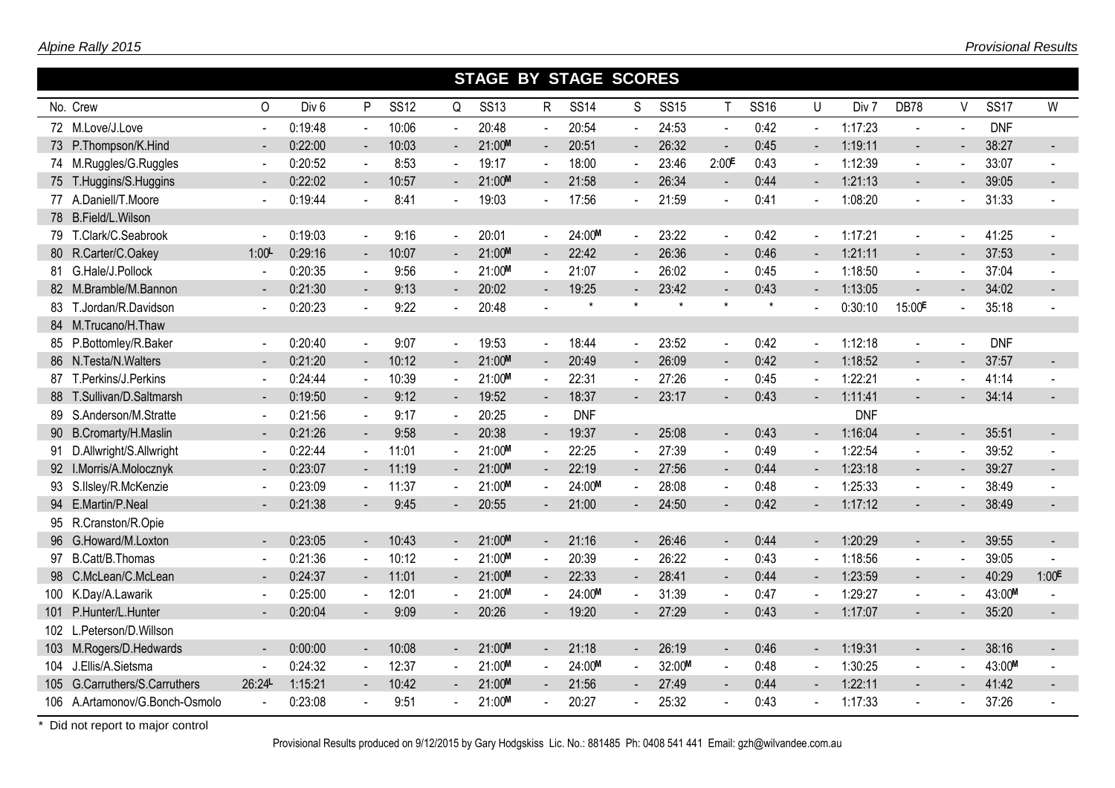|                                |                          |                  |                          |             |                | <b>STAGE BY STAGE SCORES</b> |                |             |                |             |                          |             |                          |            |                    |                          |             |                          |
|--------------------------------|--------------------------|------------------|--------------------------|-------------|----------------|------------------------------|----------------|-------------|----------------|-------------|--------------------------|-------------|--------------------------|------------|--------------------|--------------------------|-------------|--------------------------|
| No. Crew                       | 0                        | Div <sub>6</sub> | P                        | <b>SS12</b> | Q              | <b>SS13</b>                  | R              | <b>SS14</b> | S              | <b>SS15</b> | $\mathsf{T}$             | <b>SS16</b> | U                        | Div 7      | DB78               | V                        | <b>SS17</b> | W                        |
| 72 M.Love/J.Love               | $\blacksquare$           | 0:19:48          | $\Delta$                 | 10:06       | $\sim$         | 20:48                        | $\omega$       | 20:54       |                | 24:53       | $\sim$                   | 0:42        | $\mathbf{r}$             | 1:17:23    | $\blacksquare$     | $\sim$                   | <b>DNF</b>  |                          |
| 73 P.Thompson/K.Hind           |                          | 0:22:00          | $\blacksquare$           | 10:03       |                | 21:00M                       | $\blacksquare$ | 20:51       | $\sim$ $^{-1}$ | 26:32       | $\sim$                   | 0:45        | $\sim$                   | 1:19:11    | $\blacksquare$     |                          | 38:27       |                          |
| 74 M.Ruggles/G.Ruggles         |                          | 0:20:52          | $\sim$                   | 8:53        |                | 19:17                        | $\blacksquare$ | 18:00       |                | 23:46       | 2:00 <sup>E</sup>        | 0:43        |                          | 1:12:39    | $\blacksquare$     | $\blacksquare$           | 33:07       |                          |
| 75 T.Huggins/S.Huggins         | $\sim$                   | 0:22:02          | $\blacksquare$           | 10:57       | $\sim$         | 21:00M                       | $\blacksquare$ | 21:58       | $\sim$         | 26:34       | $\blacksquare$           | 0:44        |                          | 1:21:13    | $\blacksquare$     | $\blacksquare$           | 39:05       |                          |
| 77 A.Daniell/T.Moore           | $\sim$                   | 0:19:44          | $\sim$                   | 8:41        | $\mathbf{r}$   | 19:03                        | $\blacksquare$ | 17:56       |                | 21:59       | $\sim$                   | 0:41        | $\sim$                   | 1:08:20    | $\sim$             | $\sim$                   | 31:33       |                          |
| 78 B.Field/L.Wilson            |                          |                  |                          |             |                |                              |                |             |                |             |                          |             |                          |            |                    |                          |             |                          |
| 79 T.Clark/C.Seabrook          | $\sim$                   | 0:19:03          | $\blacksquare$           | 9:16        |                | 20:01                        | $\blacksquare$ | 24:00M      | $\sim$         | 23:22       | $\sim$                   | 0:42        | $\sim$                   | 1:17:21    | $\sim$             | $\blacksquare$           | 41:25       |                          |
| 80 R.Carter/C.Oakey            | 1:00                     | 0:29:16          | $\blacksquare$           | 10:07       | $\blacksquare$ | 21:00M                       | $\blacksquare$ | 22:42       |                | 26:36       | $\blacksquare$           | 0:46        | $\overline{\phantom{a}}$ | 1:21:11    | $\blacksquare$     |                          | 37:53       | $\overline{\phantom{a}}$ |
| 81 G.Hale/J.Pollock            |                          | 0:20:35          | $\sim$                   | 9:56        |                | 21:00M                       | $\blacksquare$ | 21:07       |                | 26:02       | $\sim$                   | 0:45        |                          | 1:18:50    |                    | $\sim$                   | 37:04       |                          |
| 82 M.Bramble/M.Bannon          |                          | 0:21:30          |                          | 9:13        |                | 20:02                        |                | 19:25       |                | 23:42       |                          | 0:43        |                          | 1:13:05    | $\blacksquare$     |                          | 34:02       |                          |
| 83 T.Jordan/R.Davidson         |                          | 0:20:23          |                          | 9:22        |                | 20:48                        |                | $\star$     | $\star$        | $\star$     | $\star$                  | $\star$     |                          | 0:30:10    | 15:00 <sup>E</sup> |                          | 35:18       |                          |
| 84 M.Trucano/H.Thaw            |                          |                  |                          |             |                |                              |                |             |                |             |                          |             |                          |            |                    |                          |             |                          |
| 85 P.Bottomley/R.Baker         | $\sim$                   | 0:20:40          | $\Delta$                 | 9:07        |                | 19:53                        | $\omega$       | 18:44       |                | 23:52       | $\sim$                   | 0:42        |                          | 1:12:18    | $\sim$             | $\sim$                   | <b>DNF</b>  |                          |
| 86 N.Testa/N.Walters           |                          | 0:21:20          | $\overline{\phantom{a}}$ | 10:12       |                | 21:00M                       | $\sim$         | 20:49       |                | 26:09       | $\blacksquare$           | 0:42        |                          | 1:18:52    | $\blacksquare$     | $\overline{\phantom{a}}$ | 37:57       | $\blacksquare$           |
| 87 T.Perkins/J.Perkins         |                          | 0:24:44          | $\sim$                   | 10:39       |                | 21:00M                       | $\blacksquare$ | 22:31       |                | 27:26       | $\sim$                   | 0:45        |                          | 1:22:21    | $\blacksquare$     | $\sim$                   | 41:14       |                          |
| 88 T.Sullivan/D.Saltmarsh      |                          | 0:19:50          | $\blacksquare$           | 9:12        | $\sim$         | 19:52                        | $\blacksquare$ | 18:37       | $\sim$         | 23:17       | $\overline{\phantom{a}}$ | 0:43        |                          | 1:11:41    | $\blacksquare$     |                          | 34:14       |                          |
| 89 S.Anderson/M.Stratte        |                          | 0:21:56          | $\sim$                   | 9:17        |                | 20:25                        | $\sim$         | <b>DNF</b>  |                |             |                          |             |                          | <b>DNF</b> |                    |                          |             |                          |
| 90 B.Cromarty/H.Maslin         | $\overline{\phantom{a}}$ | 0:21:26          | $\blacksquare$           | 9:58        | $\blacksquare$ | 20:38                        | $\blacksquare$ | 19:37       | $\sim$         | 25:08       | $\blacksquare$           | 0:43        | $\sim$                   | 1:16:04    | $\blacksquare$     |                          | 35:51       | $\sim$                   |
| 91 D.Allwright/S.Allwright     |                          | 0:22:44          | $\blacksquare$           | 11:01       |                | 21:00M                       | $\blacksquare$ | 22:25       |                | 27:39       | $\sim$                   | 0:49        |                          | 1:22:54    | $\blacksquare$     | $\sim$                   | 39:52       |                          |
| 92 I.Morris/A.Molocznyk        |                          | 0:23:07          | $\sim$                   | 11:19       | $\sim$         | 21:00M                       | $\blacksquare$ | 22:19       | $\sim$         | 27:56       | $\blacksquare$           | 0:44        |                          | 1:23:18    | $\mathbf{r}$       | $\sim$                   | 39:27       |                          |
| 93 S.IIsley/R.McKenzie         | $\sim$                   | 0:23:09          | $\blacksquare$           | 11:37       |                | 21:00M                       | $\blacksquare$ | 24:00M      | $\blacksquare$ | 28:08       | $\blacksquare$           | 0:48        | $\blacksquare$           | 1:25:33    | $\blacksquare$     | $\blacksquare$           | 38:49       |                          |
| 94 E.Martin/P.Neal             | $\sim$                   | 0:21:38          | $\blacksquare$           | 9:45        | $\sim$         | 20:55                        | $\sim$         | 21:00       | $\sim$         | 24:50       |                          | 0:42        |                          | 1:17:12    | $\blacksquare$     |                          | 38:49       |                          |
| 95 R.Cranston/R.Opie           |                          |                  |                          |             |                |                              |                |             |                |             |                          |             |                          |            |                    |                          |             |                          |
| 96 G.Howard/M.Loxton           | $\sim$                   | 0:23:05          | $\blacksquare$           | 10:43       |                | 21:00M                       | $\blacksquare$ | 21:16       | $\sim$         | 26:46       | $\blacksquare$           | 0:44        |                          | 1:20:29    | $\blacksquare$     |                          | 39:55       | $\sim$                   |
| 97 B.Catt/B.Thomas             |                          | 0:21:36          | $\blacksquare$           | 10:12       |                | 21:00M                       | $\blacksquare$ | 20:39       |                | 26:22       | $\sim$                   | 0:43        | $\blacksquare$           | 1:18:56    | $\sim$             | $\sim$                   | 39:05       |                          |
| 98 C.McLean/C.McLean           |                          | 0:24:37          | $\blacksquare$           | 11:01       | $\sim$         | 21:00M                       | $\blacksquare$ | 22:33       | $\sim$         | 28:41       | $\blacksquare$           | 0:44        | $\overline{\phantom{a}}$ | 1:23:59    | $\sim$             |                          | 40:29       | 1:00 <sup>E</sup>        |
| 100 K.Day/A.Lawarik            |                          | 0:25:00          | $\sim$                   | 12:01       |                | 21:00M                       | $\blacksquare$ | 24:00M      |                | 31:39       | $\sim$                   | 0:47        |                          | 1:29:27    |                    |                          | 43:00M      |                          |
| 101 P.Hunter/L.Hunter          |                          | 0:20:04          |                          | 9:09        |                | 20:26                        |                | 19:20       |                | 27:29       |                          | 0:43        |                          | 1:17:07    |                    |                          | 35:20       |                          |
| 102 L.Peterson/D.Willson       |                          |                  |                          |             |                |                              |                |             |                |             |                          |             |                          |            |                    |                          |             |                          |
| 103 M.Rogers/D.Hedwards        |                          | 0:00:00          | $\blacksquare$           | 10:08       | $\sim$         | 21:00M                       | $\sim$         | 21:18       | $\sim$ $^{-1}$ | 26:19       | $\blacksquare$           | 0:46        | $\sim$                   | 1:19:31    | $\mathbf{r}$       | $\sim$                   | 38:16       | $\sim$                   |
| 104 J.Ellis/A.Sietsma          |                          | 0:24:32          | $\blacksquare$           | 12:37       |                | 21:00M                       | $\blacksquare$ | 24:00M      |                | 32:00M      | $\blacksquare$           | 0:48        |                          | 1:30:25    | $\blacksquare$     | $\sim$                   | 43:00M      |                          |
| 105 G.Carruthers/S.Carruthers  | 26:24                    | 1:15:21          |                          | 10:42       |                | 21:00M                       |                | 21:56       |                | 27:49       |                          | 0:44        |                          | 1:22:11    |                    |                          | 41:42       |                          |
| 106 A.Artamonov/G.Bonch-Osmolo |                          | 0:23:08          |                          | 9:51        |                | 21:00M                       |                | 20:27       |                | 25:32       |                          | 0:43        |                          | 1:17:33    |                    |                          | 37:26       |                          |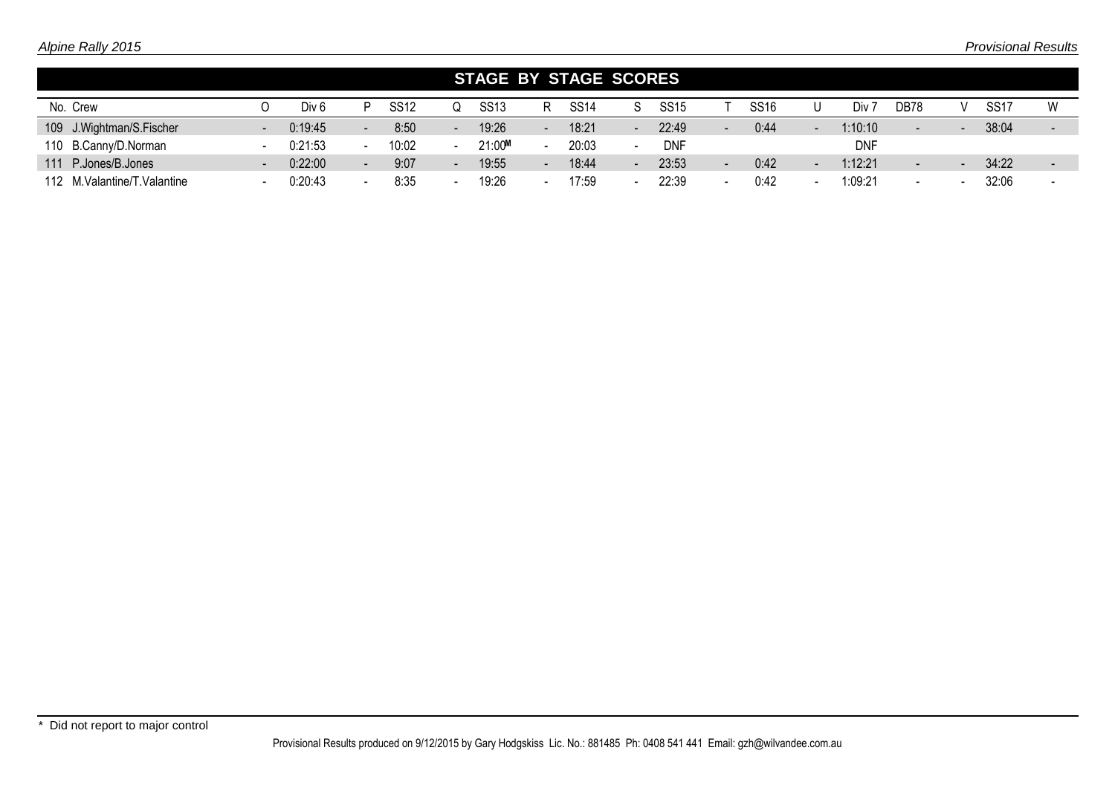|                               |                          |                  |                          |             | <b>STAGE BY STAGE SCORES</b> |                          |             |             |                          |             |            |                          |                          |                  |                 |
|-------------------------------|--------------------------|------------------|--------------------------|-------------|------------------------------|--------------------------|-------------|-------------|--------------------------|-------------|------------|--------------------------|--------------------------|------------------|-----------------|
| No. Crew                      |                          | Div <sub>6</sub> |                          | <b>SS12</b> | <b>SS13</b>                  | R                        | <b>SS14</b> | <b>SS15</b> |                          | <b>SS16</b> | Div        | DB78                     | $\mathcal{L}$            | SS <sub>17</sub> | W               |
| 109 J. Wightman/S. Fischer    | $\overline{\phantom{a}}$ | 0:19:45          | $\overline{\phantom{0}}$ | 8:50        | 19:26                        | $\overline{\phantom{a}}$ | 18:21       | 22:49       | -                        | 0:44        | 1:10:10    | $\overline{\phantom{0}}$ | $\overline{\phantom{a}}$ | 38:04            |                 |
| 110 B.Canny/D.Norman          |                          | 0:21:53          |                          | 10:02       | 21:00M                       |                          | 20:03       | <b>DNF</b>  |                          |             | <b>DNF</b> |                          |                          |                  |                 |
| 111 P.Jones/B.Jones           |                          | 0:22:00          | $\overline{\phantom{a}}$ | 9:07        | 19:55                        | $\overline{\phantom{a}}$ | 18:44       | 23:53       | $\overline{\phantom{0}}$ | 0:42        | 1:12:21    | $\overline{\phantom{0}}$ | $\overline{\phantom{a}}$ | 34:22            | $\qquad \qquad$ |
| 112 M. Valantine/T. Valantine |                          | 0:20:43          | $\overline{\phantom{0}}$ | 8:35        | 19:26                        | $\overline{\phantom{a}}$ | 17:59       | 22:39       | -                        | 0:42        | 1:09:21    | -                        |                          | 32:06            |                 |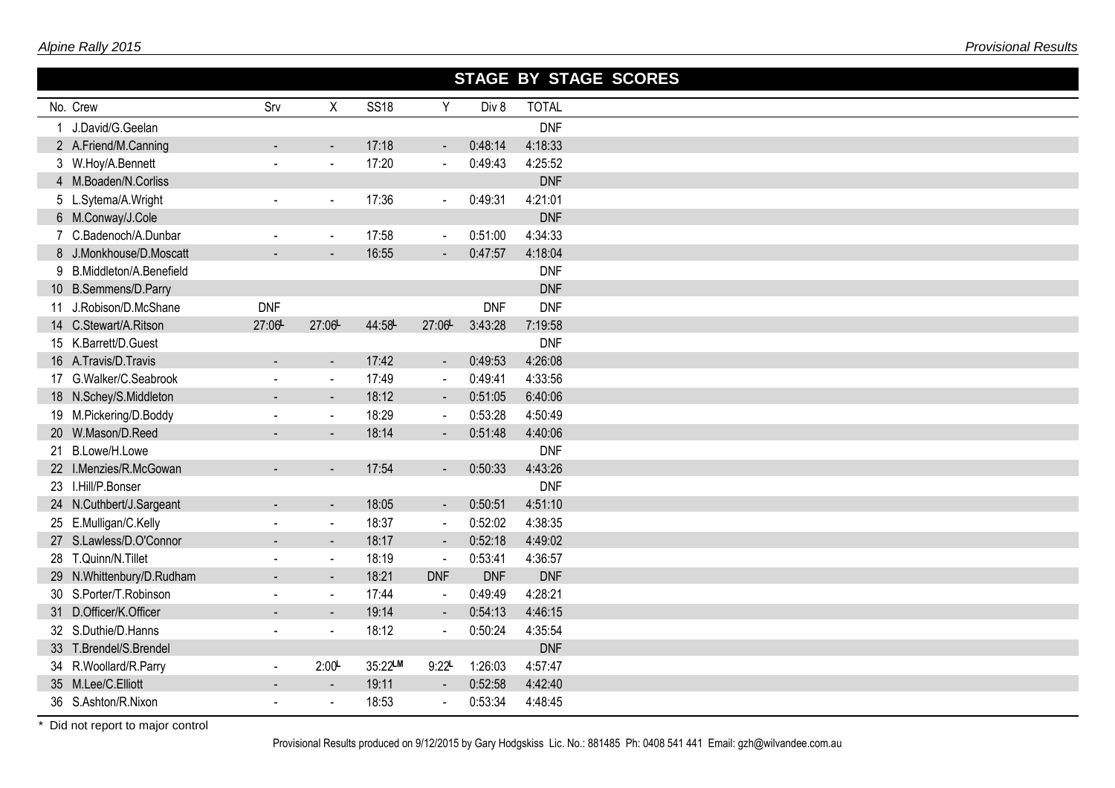|                           |                |                       |             |                     |            | STAGE BY STAGE SCORES |
|---------------------------|----------------|-----------------------|-------------|---------------------|------------|-----------------------|
| No. Crew                  | Srv            | X                     | <b>SS18</b> | Y                   | Div 8      | <b>TOTAL</b>          |
| 1 J.David/G.Geelan        |                |                       |             |                     |            | <b>DNF</b>            |
| 2 A.Friend/M.Canning      |                | $\blacksquare$        | 17:18       | $\blacksquare$      | 0:48:14    | 4:18:33               |
| 3 W.Hoy/A.Bennett         |                | $\tilde{\phantom{a}}$ | 17:20       | $\blacksquare$      | 0:49:43    | 4:25:52               |
| 4 M.Boaden/N.Corliss      |                |                       |             |                     |            | <b>DNF</b>            |
| 5 L.Sytema/A.Wright       | $\mathbf{r}$   | $\blacksquare$        | 17:36       | $\blacksquare$      | 0:49:31    | 4:21:01               |
| 6 M.Conway/J.Cole         |                |                       |             |                     |            | <b>DNF</b>            |
| 7 C.Badenoch/A.Dunbar     | $\blacksquare$ | $\blacksquare$        | 17:58       | $\blacksquare$      | 0:51:00    | 4:34:33               |
| 8 J.Monkhouse/D.Moscatt   |                |                       | 16:55       | $\blacksquare$      | 0:47:57    | 4:18:04               |
| 9 B.Middleton/A.Benefield |                |                       |             |                     |            | <b>DNF</b>            |
| 10 B.Semmens/D.Parry      |                |                       |             |                     |            | <b>DNF</b>            |
| 11 J.Robison/D.McShane    | <b>DNF</b>     |                       |             |                     | <b>DNF</b> | <b>DNF</b>            |
| 14 C.Stewart/A.Ritson     | 27:06          | 27:06-                | 44:58       | 27:06-              | 3:43:28    | 7:19:58               |
| 15 K.Barrett/D.Guest      |                |                       |             |                     |            | <b>DNF</b>            |
| 16 A.Travis/D.Travis      |                | $\blacksquare$        | 17:42       | $\blacksquare$      | 0:49:53    | 4:26:08               |
| 17 G.Walker/C.Seabrook    |                | $\blacksquare$        | 17:49       | $\blacksquare$      | 0:49:41    | 4:33:56               |
| 18 N.Schey/S.Middleton    |                | $\blacksquare$        | 18:12       | $\blacksquare$      | 0:51:05    | 6:40:06               |
| 19 M.Pickering/D.Boddy    |                | $\mathbf{r}$          | 18:29       | $\blacksquare$      | 0:53:28    | 4:50:49               |
| 20 W.Mason/D.Reed         |                | $\blacksquare$        | 18:14       | $\blacksquare$      | 0:51:48    | 4:40:06               |
| 21 B.Lowe/H.Lowe          |                |                       |             |                     |            | <b>DNF</b>            |
| 22 I.Menzies/R.McGowan    |                | $\blacksquare$        | 17:54       | $\blacksquare$      | 0:50:33    | 4:43:26               |
| 23 I.Hill/P.Bonser        |                |                       |             |                     |            | <b>DNF</b>            |
| 24 N.Cuthbert/J.Sargeant  | $\blacksquare$ | $\blacksquare$        | 18:05       | $\blacksquare$      | 0:50:51    | 4:51:10               |
| 25 E.Mulligan/C.Kelly     |                | $\blacksquare$        | 18:37       | $\blacksquare$      | 0:52:02    | 4:38:35               |
| 27 S.Lawless/D.O'Connor   |                | $\blacksquare$        | 18:17       | $\blacksquare$      | 0:52:18    | 4:49:02               |
| 28 T.Quinn/N.Tillet       |                | $\blacksquare$        | 18:19       | $\blacksquare$      | 0:53:41    | 4:36:57               |
| 29 N.Whittenbury/D.Rudham |                | $\blacksquare$        | 18:21       | <b>DNF</b>          | <b>DNF</b> | <b>DNF</b>            |
| 30 S.Porter/T.Robinson    | $\sim$         | $\blacksquare$        | 17:44       | $\sim$              | 0:49:49    | 4:28:21               |
| 31 D.Officer/K.Officer    |                | $\blacksquare$        | 19:14       | $\blacksquare$      | 0:54:13    | 4:46:15               |
| 32 S.Duthie/D.Hanns       | $\sim$         | $\blacksquare$        | 18:12       | $\blacksquare$      | 0:50:24    | 4:35:54               |
| 33 T.Brendel/S.Brendel    |                |                       |             |                     |            | <b>DNF</b>            |
| 34 R.Woollard/R.Parry     | $\blacksquare$ | 2:00                  | 35:22LM     | $9:22$ <sup>L</sup> | 1:26:03    | 4:57:47               |
| 35 M.Lee/C.Elliott        |                | $\blacksquare$        | 19:11       | $\blacksquare$      | 0:52:58    | 4:42:40               |
| 36 S.Ashton/R.Nixon       |                | $\mathbf{r}$          | 18:53       | $\mathbf{r}$        | 0:53:34    | 4:48:45               |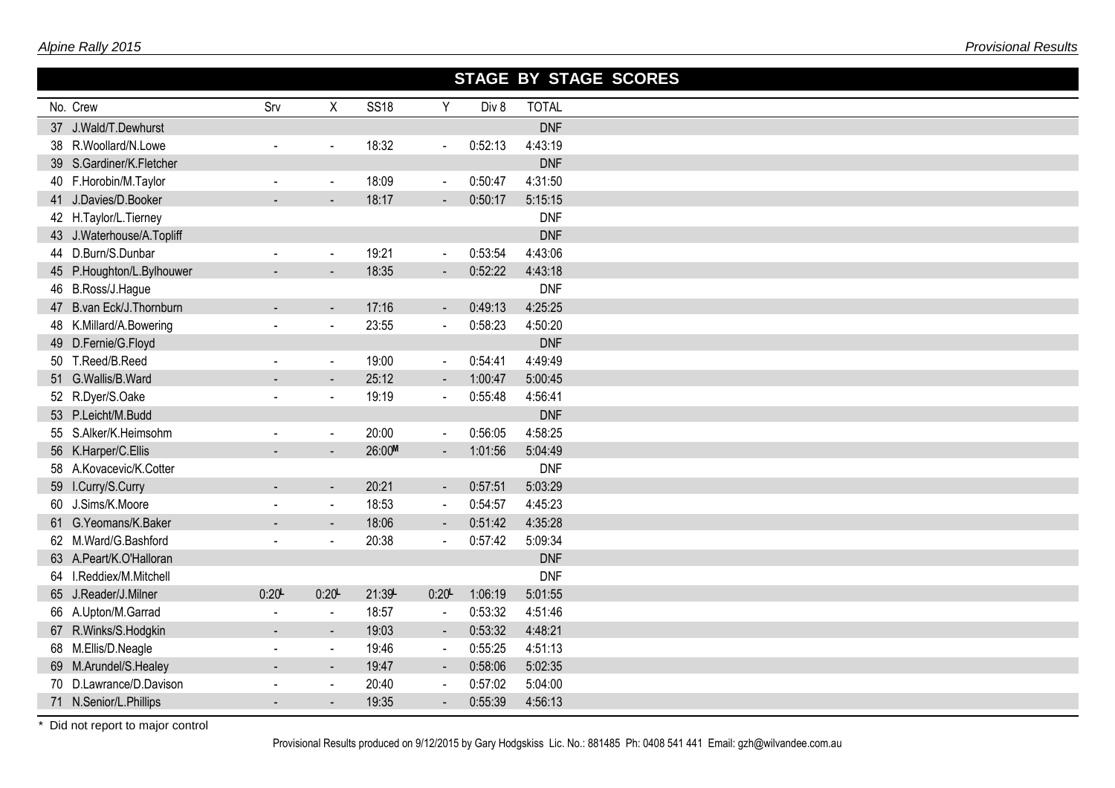|                           |                          |                          |             |                |         | STAGE BY STAGE SCORES |
|---------------------------|--------------------------|--------------------------|-------------|----------------|---------|-----------------------|
| No. Crew                  | Srv                      | X                        | <b>SS18</b> | Y              | Div 8   | <b>TOTAL</b>          |
| 37 J.Wald/T.Dewhurst      |                          |                          |             |                |         | <b>DNF</b>            |
| 38 R.Woollard/N.Lowe      | $\blacksquare$           | $\blacksquare$           | 18:32       | $\blacksquare$ | 0:52:13 | 4:43:19               |
| 39 S.Gardiner/K.Fletcher  |                          |                          |             |                |         | <b>DNF</b>            |
| 40 F.Horobin/M.Taylor     | $\sim$                   | $\blacksquare$           | 18:09       | $\blacksquare$ | 0:50:47 | 4:31:50               |
| 41 J.Davies/D.Booker      |                          | $\overline{\phantom{0}}$ | 18:17       | $\sim$         | 0:50:17 | 5:15:15               |
| 42 H.Taylor/L.Tierney     |                          |                          |             |                |         | <b>DNF</b>            |
| 43 J.Waterhouse/A.Topliff |                          |                          |             |                |         | <b>DNF</b>            |
| 44 D.Burn/S.Dunbar        |                          | $\blacksquare$           | 19:21       | $\blacksquare$ | 0:53:54 | 4:43:06               |
| 45 P.Houghton/L.Bylhouwer |                          | $\blacksquare$           | 18:35       |                | 0:52:22 | 4:43:18               |
| 46 B.Ross/J.Hague         |                          |                          |             |                |         | <b>DNF</b>            |
| 47 B.van Eck/J. Thornburn |                          | $\blacksquare$           | 17:16       |                | 0:49:13 | 4:25:25               |
| 48 K.Millard/A.Bowering   |                          | $\blacksquare$           | 23:55       | $\blacksquare$ | 0:58:23 | 4:50:20               |
| 49 D.Fernie/G.Floyd       |                          |                          |             |                |         | <b>DNF</b>            |
| 50 T.Reed/B.Reed          | $\sim$                   | $\blacksquare$           | 19:00       | $\blacksquare$ | 0:54:41 | 4:49:49               |
| 51 G.Wallis/B.Ward        |                          | $\blacksquare$           | 25:12       | $\blacksquare$ | 1:00:47 | 5:00:45               |
| 52 R.Dyer/S.Oake          | $\sim$                   | $\mathbf{r}$             | 19:19       | $\blacksquare$ | 0:55:48 | 4:56:41               |
| 53 P.Leicht/M.Budd        |                          |                          |             |                |         | <b>DNF</b>            |
| 55 S.Alker/K.Heimsohm     | $\blacksquare$           | $\blacksquare$           | 20:00       | $\blacksquare$ | 0:56:05 | 4:58:25               |
| 56 K.Harper/C.Ellis       |                          | $\overline{\phantom{a}}$ | 26:00M      | $\blacksquare$ | 1:01:56 | 5:04:49               |
| 58 A.Kovacevic/K.Cotter   |                          |                          |             |                |         | <b>DNF</b>            |
| 59 I.Curry/S.Curry        |                          | $\blacksquare$           | 20:21       | $\blacksquare$ | 0:57:51 | 5:03:29               |
| 60 J.Sims/K.Moore         | $\mathbf{r}$             | $\blacksquare$           | 18:53       | $\blacksquare$ | 0:54:57 | 4:45:23               |
| 61 G.Yeomans/K.Baker      |                          | $\blacksquare$           | 18:06       | $\blacksquare$ | 0:51:42 | 4:35:28               |
| 62 M.Ward/G.Bashford      |                          | $\blacksquare$           | 20:38       |                | 0:57:42 | 5:09:34               |
| 63 A.Peart/K.O'Halloran   |                          |                          |             |                |         | <b>DNF</b>            |
| 64 I.Reddiex/M.Mitchell   |                          |                          |             |                |         | <b>DNF</b>            |
| 65 J.Reader/J.Milner      | 0:20                     | 0:20                     | 21:39       | 0:20           | 1:06:19 | 5:01:55               |
| 66 A.Upton/M.Garrad       | $\blacksquare$           | $\blacksquare$           | 18:57       | $\blacksquare$ | 0:53:32 | 4:51:46               |
| 67 R.Winks/S.Hodgkin      | $\blacksquare$           | $\blacksquare$           | 19:03       | $\sim$         | 0:53:32 | 4:48:21               |
| 68 M.Ellis/D.Neagle       | $\blacksquare$           | $\blacksquare$           | 19:46       | $\blacksquare$ | 0:55:25 | 4:51:13               |
| 69 M.Arundel/S.Healey     | $\overline{\phantom{0}}$ | $\blacksquare$           | 19:47       | $\blacksquare$ | 0:58:06 | 5:02:35               |
| 70 D.Lawrance/D.Davison   |                          | $\blacksquare$           | 20:40       | $\blacksquare$ | 0:57:02 | 5:04:00               |
| 71 N.Senior/L.Phillips    |                          | $\blacksquare$           | 19:35       |                | 0:55:39 | 4:56:13               |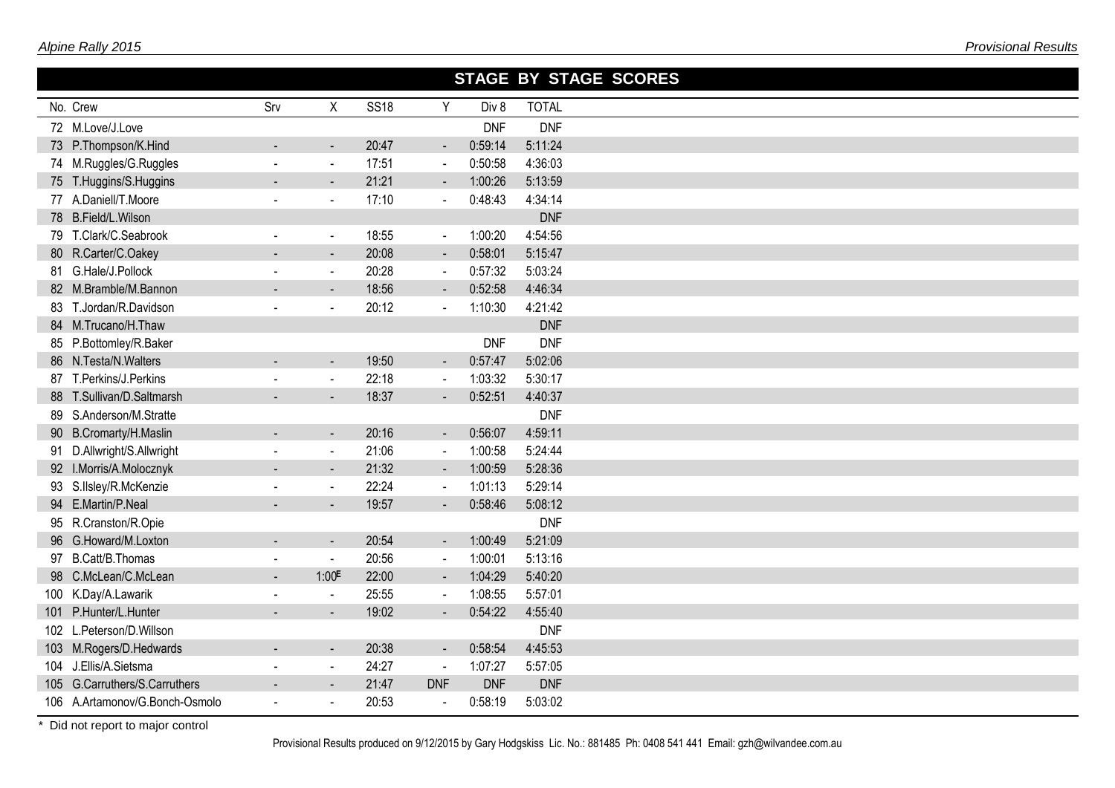|                                |                          |                          |             |                          |            | STAGE BY STAGE SCORES |
|--------------------------------|--------------------------|--------------------------|-------------|--------------------------|------------|-----------------------|
| No. Crew                       | Srv                      | Χ                        | <b>SS18</b> | Y                        | Div 8      | <b>TOTAL</b>          |
| 72 M.Love/J.Love               |                          |                          |             |                          | <b>DNF</b> | <b>DNF</b>            |
| 73 P.Thompson/K.Hind           |                          | $\blacksquare$           | 20:47       | $\sim$                   | 0:59:14    | 5:11:24               |
| 74 M.Ruggles/G.Ruggles         | $\blacksquare$           | $\blacksquare$           | 17:51       | $\blacksquare$           | 0:50:58    | 4:36:03               |
| 75 T.Huggins/S.Huggins         |                          |                          | 21:21       | $\blacksquare$           | 1:00:26    | 5:13:59               |
| 77 A.Daniell/T.Moore           | $\blacksquare$           | $\sim$                   | 17:10       | $\blacksquare$           | 0:48:43    | 4:34:14               |
| 78 B.Field/L.Wilson            |                          |                          |             |                          |            | <b>DNF</b>            |
| 79 T.Clark/C.Seabrook          | $\blacksquare$           | $\blacksquare$           | 18:55       | $\blacksquare$           | 1:00:20    | 4:54:56               |
| 80 R.Carter/C.Oakey            |                          | $\sim$                   | 20:08       | $\blacksquare$           | 0:58:01    | 5:15:47               |
| 81 G.Hale/J.Pollock            | $\blacksquare$           | $\blacksquare$           | 20:28       | $\blacksquare$           | 0:57:32    | 5:03:24               |
| 82 M.Bramble/M.Bannon          |                          | $\blacksquare$           | 18:56       | $\blacksquare$           | 0:52:58    | 4:46:34               |
| 83 T.Jordan/R.Davidson         |                          | $\tilde{\phantom{a}}$    | 20:12       | $\omega$                 | 1:10:30    | 4:21:42               |
| 84 M.Trucano/H.Thaw            |                          |                          |             |                          |            | <b>DNF</b>            |
| 85 P.Bottomley/R.Baker         |                          |                          |             |                          | <b>DNF</b> | <b>DNF</b>            |
| 86 N.Testa/N.Walters           |                          | $\blacksquare$           | 19:50       | $\blacksquare$           | 0:57:47    | 5:02:06               |
| 87 T.Perkins/J.Perkins         |                          | $\blacksquare$           | 22:18       | $\blacksquare$           | 1:03:32    | 5:30:17               |
| 88 T.Sullivan/D.Saltmarsh      |                          | $\overline{\phantom{a}}$ | 18:37       | $\sim$                   | 0:52:51    | 4:40:37               |
| 89 S.Anderson/M.Stratte        |                          |                          |             |                          |            | <b>DNF</b>            |
| 90 B.Cromarty/H.Maslin         |                          | $\blacksquare$           | 20:16       | $\blacksquare$           | 0:56:07    | 4:59:11               |
| 91 D.Allwright/S.Allwright     | $\blacksquare$           | $\overline{\phantom{a}}$ | 21:06       | $\blacksquare$           | 1:00:58    | 5:24:44               |
| 92 I.Morris/A.Molocznyk        |                          | $\sim$                   | 21:32       | $\blacksquare$           | 1:00:59    | 5:28:36               |
| 93 S.IIsley/R.McKenzie         |                          | $\blacksquare$           | 22:24       | $\blacksquare$           | 1:01:13    | 5:29:14               |
| 94 E.Martin/P.Neal             |                          | $\sim$                   | 19:57       | $\sim$                   | 0:58:46    | 5:08:12               |
| 95 R.Cranston/R.Opie           |                          |                          |             |                          |            | <b>DNF</b>            |
| 96 G.Howard/M.Loxton           |                          | $\blacksquare$           | 20:54       | $\blacksquare$           | 1:00:49    | 5:21:09               |
| 97 B.Catt/B.Thomas             | $\blacksquare$           | $\blacksquare$           | 20:56       | $\blacksquare$           | 1:00:01    | 5:13:16               |
| 98 C.McLean/C.McLean           |                          | 1:00 <sup>F</sup>        | 22:00       | $\overline{\phantom{a}}$ | 1:04:29    | 5:40:20               |
| 100 K.Day/A.Lawarik            | $\blacksquare$           | $\blacksquare$           | 25:55       | $\blacksquare$           | 1:08:55    | 5:57:01               |
| 101 P.Hunter/L.Hunter          |                          |                          | 19:02       |                          | 0:54:22    | 4:55:40               |
| 102 L.Peterson/D.Willson       |                          |                          |             |                          |            | <b>DNF</b>            |
| 103 M.Rogers/D.Hedwards        |                          | $\overline{\phantom{a}}$ | 20:38       | $\blacksquare$           | 0:58:54    | 4:45:53               |
| 104 J.Ellis/A.Sietsma          | $\overline{\phantom{a}}$ | $\blacksquare$           | 24:27       | $\blacksquare$           | 1:07:27    | 5:57:05               |
| 105 G.Carruthers/S.Carruthers  |                          | $\sim$                   | 21:47       | <b>DNF</b>               | <b>DNF</b> | <b>DNF</b>            |
| 106 A.Artamonov/G.Bonch-Osmolo | $\blacksquare$           | $\blacksquare$           | 20:53       | $\blacksquare$           | 0:58:19    | 5:03:02               |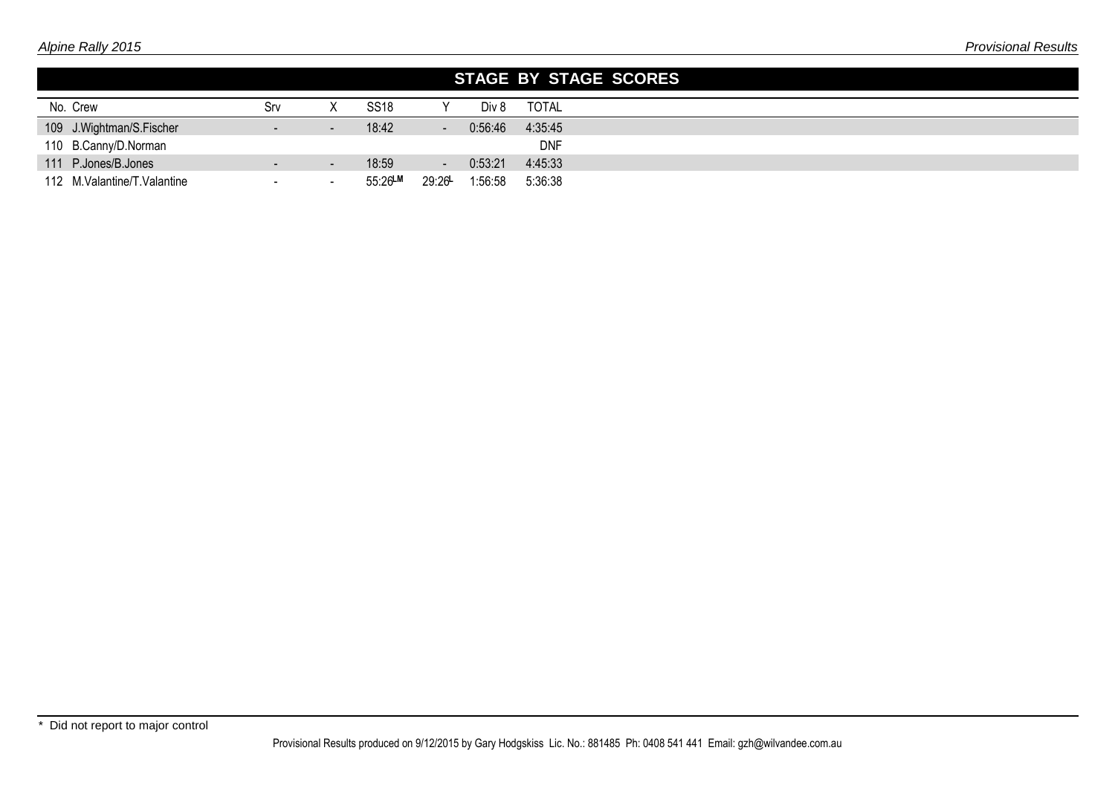|                             |                          |                          |             |                |         | STAGE BY STAGE SCORES |
|-----------------------------|--------------------------|--------------------------|-------------|----------------|---------|-----------------------|
| No. Crew                    | Srv                      |                          | <b>SS18</b> |                | Div 8   | <b>TOTAL</b>          |
| 109 J. Wightman/S. Fischer  |                          |                          | 18:42       | $\blacksquare$ | 0:56:46 | 4:35:45               |
| 110 B.Canny/D.Norman        |                          |                          |             |                |         | <b>DNF</b>            |
| 111 P.Jones/B.Jones         |                          | $\overline{\phantom{a}}$ | 18:59       | $\sim$         | 0:53:21 | 4:45:33               |
| 112 M.Valantine/T.Valantine | $\overline{\phantom{0}}$ |                          | 55:26LM     | 29:26          | 1:56:58 | 5:36:38               |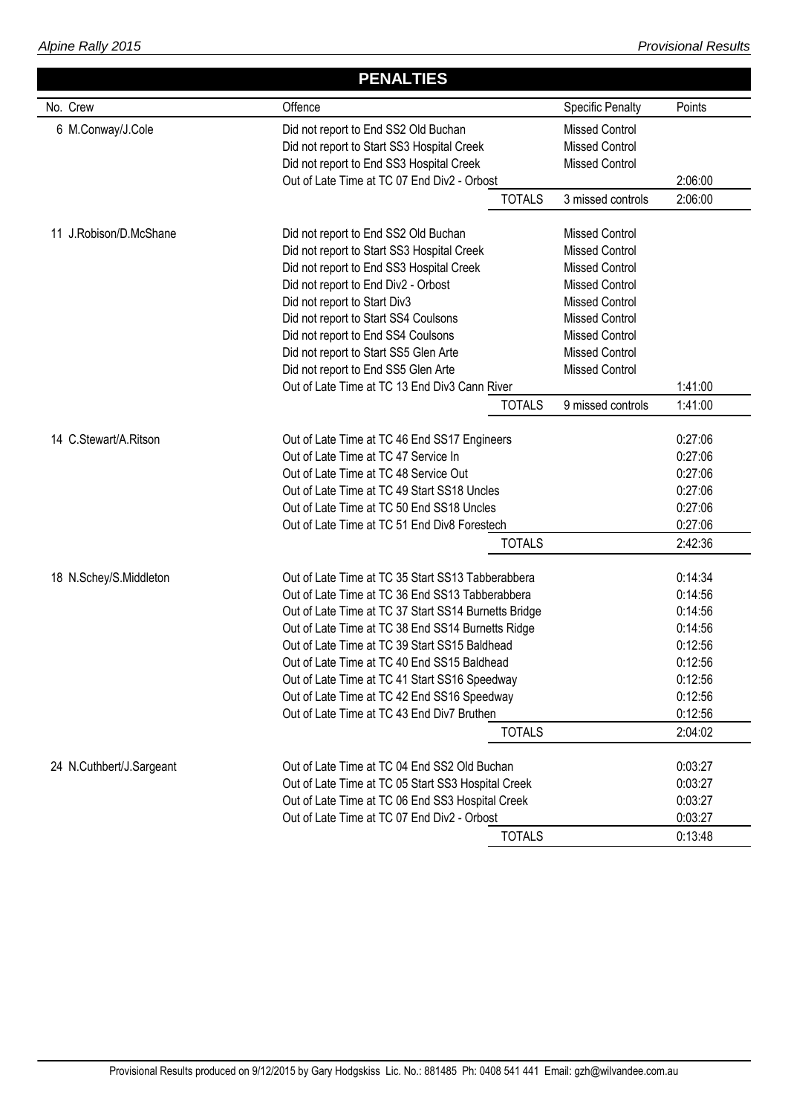|                          | <b>PENALTIES</b>                                     |                         |         |
|--------------------------|------------------------------------------------------|-------------------------|---------|
| No. Crew                 | Offence                                              | <b>Specific Penalty</b> | Points  |
| 6 M.Conway/J.Cole        | Did not report to End SS2 Old Buchan                 | <b>Missed Control</b>   |         |
|                          | Did not report to Start SS3 Hospital Creek           | <b>Missed Control</b>   |         |
|                          | Did not report to End SS3 Hospital Creek             | <b>Missed Control</b>   |         |
|                          | Out of Late Time at TC 07 End Div2 - Orbost          |                         | 2:06:00 |
|                          | <b>TOTALS</b>                                        | 3 missed controls       | 2:06:00 |
| 11 J.Robison/D.McShane   | Did not report to End SS2 Old Buchan                 | <b>Missed Control</b>   |         |
|                          | Did not report to Start SS3 Hospital Creek           | <b>Missed Control</b>   |         |
|                          | Did not report to End SS3 Hospital Creek             | <b>Missed Control</b>   |         |
|                          | Did not report to End Div2 - Orbost                  | <b>Missed Control</b>   |         |
|                          | Did not report to Start Div3                         | <b>Missed Control</b>   |         |
|                          | Did not report to Start SS4 Coulsons                 | <b>Missed Control</b>   |         |
|                          | Did not report to End SS4 Coulsons                   | <b>Missed Control</b>   |         |
|                          | Did not report to Start SS5 Glen Arte                | <b>Missed Control</b>   |         |
|                          | Did not report to End SS5 Glen Arte                  | <b>Missed Control</b>   |         |
|                          | Out of Late Time at TC 13 End Div3 Cann River        |                         | 1:41:00 |
|                          | <b>TOTALS</b>                                        | 9 missed controls       | 1:41:00 |
| 14 C.Stewart/A.Ritson    | Out of Late Time at TC 46 End SS17 Engineers         |                         | 0:27:06 |
|                          | Out of Late Time at TC 47 Service In                 |                         | 0:27:06 |
|                          | Out of Late Time at TC 48 Service Out                |                         | 0:27:06 |
|                          | Out of Late Time at TC 49 Start SS18 Uncles          |                         | 0:27:06 |
|                          | Out of Late Time at TC 50 End SS18 Uncles            |                         | 0:27:06 |
|                          | Out of Late Time at TC 51 End Div8 Forestech         |                         | 0:27:06 |
|                          | <b>TOTALS</b>                                        |                         | 2:42:36 |
| 18 N.Schey/S.Middleton   | Out of Late Time at TC 35 Start SS13 Tabberabbera    |                         | 0:14:34 |
|                          | Out of Late Time at TC 36 End SS13 Tabberabbera      |                         | 0:14:56 |
|                          | Out of Late Time at TC 37 Start SS14 Burnetts Bridge |                         | 0:14:56 |
|                          | Out of Late Time at TC 38 End SS14 Burnetts Ridge    |                         | 0:14:56 |
|                          | Out of Late Time at TC 39 Start SS15 Baldhead        |                         | 0:12:56 |
|                          | Out of Late Time at TC 40 End SS15 Baldhead          |                         | 0:12:56 |
|                          | Out of Late Time at TC 41 Start SS16 Speedway        |                         | 0:12:56 |
|                          | Out of Late Time at TC 42 End SS16 Speedway          |                         | 0:12:56 |
|                          | Out of Late Time at TC 43 End Div7 Bruthen           |                         | 0:12:56 |
|                          | <b>TOTALS</b>                                        |                         | 2:04:02 |
| 24 N.Cuthbert/J.Sargeant | Out of Late Time at TC 04 End SS2 Old Buchan         |                         | 0:03:27 |
|                          | Out of Late Time at TC 05 Start SS3 Hospital Creek   |                         | 0:03:27 |
|                          | Out of Late Time at TC 06 End SS3 Hospital Creek     |                         | 0:03:27 |
|                          | Out of Late Time at TC 07 End Div2 - Orbost          |                         | 0:03:27 |
|                          | <b>TOTALS</b>                                        |                         | 0:13:48 |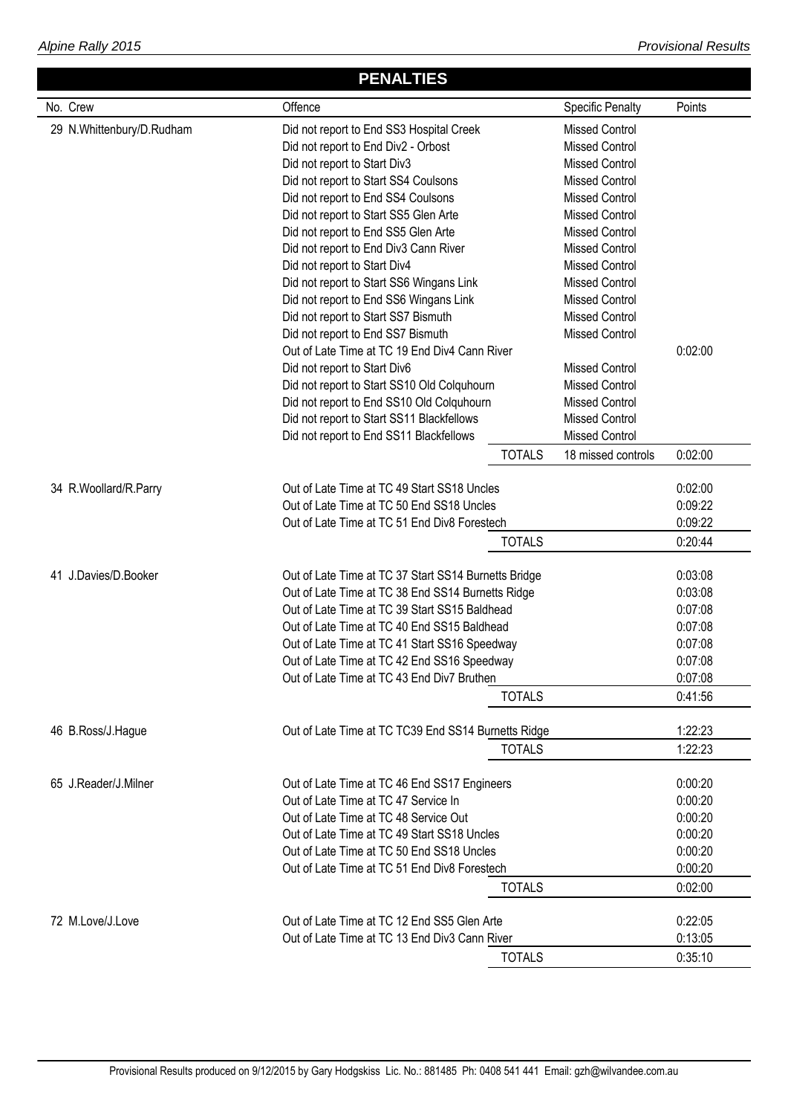|                           | <b>PENALTIES</b>                                     |               |                         |         |
|---------------------------|------------------------------------------------------|---------------|-------------------------|---------|
| No. Crew                  | Offence                                              |               | <b>Specific Penalty</b> | Points  |
| 29 N.Whittenbury/D.Rudham | Did not report to End SS3 Hospital Creek             |               | <b>Missed Control</b>   |         |
|                           | Did not report to End Div2 - Orbost                  |               | <b>Missed Control</b>   |         |
|                           | Did not report to Start Div3                         |               | <b>Missed Control</b>   |         |
|                           | Did not report to Start SS4 Coulsons                 |               | <b>Missed Control</b>   |         |
|                           | Did not report to End SS4 Coulsons                   |               | <b>Missed Control</b>   |         |
|                           | Did not report to Start SS5 Glen Arte                |               | <b>Missed Control</b>   |         |
|                           | Did not report to End SS5 Glen Arte                  |               | <b>Missed Control</b>   |         |
|                           | Did not report to End Div3 Cann River                |               | <b>Missed Control</b>   |         |
|                           | Did not report to Start Div4                         |               | <b>Missed Control</b>   |         |
|                           | Did not report to Start SS6 Wingans Link             |               | <b>Missed Control</b>   |         |
|                           | Did not report to End SS6 Wingans Link               |               | <b>Missed Control</b>   |         |
|                           | Did not report to Start SS7 Bismuth                  |               | <b>Missed Control</b>   |         |
|                           | Did not report to End SS7 Bismuth                    |               | <b>Missed Control</b>   |         |
|                           | Out of Late Time at TC 19 End Div4 Cann River        |               |                         | 0:02:00 |
|                           | Did not report to Start Div6                         |               | <b>Missed Control</b>   |         |
|                           | Did not report to Start SS10 Old Colquhourn          |               | <b>Missed Control</b>   |         |
|                           | Did not report to End SS10 Old Colquhourn            |               | <b>Missed Control</b>   |         |
|                           | Did not report to Start SS11 Blackfellows            |               | <b>Missed Control</b>   |         |
|                           | Did not report to End SS11 Blackfellows              |               | <b>Missed Control</b>   |         |
|                           |                                                      | <b>TOTALS</b> | 18 missed controls      | 0:02:00 |
| 34 R.Woollard/R.Parry     | Out of Late Time at TC 49 Start SS18 Uncles          |               |                         | 0:02:00 |
|                           | Out of Late Time at TC 50 End SS18 Uncles            |               |                         | 0:09:22 |
|                           | Out of Late Time at TC 51 End Div8 Forestech         |               |                         | 0:09:22 |
|                           |                                                      | <b>TOTALS</b> |                         | 0:20:44 |
| 41 J.Davies/D.Booker      | Out of Late Time at TC 37 Start SS14 Burnetts Bridge |               |                         | 0:03:08 |
|                           | Out of Late Time at TC 38 End SS14 Burnetts Ridge    |               |                         | 0:03:08 |
|                           | Out of Late Time at TC 39 Start SS15 Baldhead        |               |                         | 0:07:08 |
|                           | Out of Late Time at TC 40 End SS15 Baldhead          |               |                         | 0:07:08 |
|                           | Out of Late Time at TC 41 Start SS16 Speedway        |               |                         | 0:07:08 |
|                           | Out of Late Time at TC 42 End SS16 Speedway          |               |                         | 0:07:08 |
|                           | Out of Late Time at TC 43 End Div7 Bruthen           |               |                         | 0:07:08 |
|                           |                                                      | <b>TOTALS</b> |                         | 0:41:56 |
| 46 B.Ross/J.Hague         | Out of Late Time at TC TC39 End SS14 Burnetts Ridge  |               |                         | 1:22:23 |
|                           |                                                      | <b>TOTALS</b> |                         | 1:22:23 |
|                           |                                                      |               |                         |         |
| 65 J.Reader/J.Milner      | Out of Late Time at TC 46 End SS17 Engineers         |               |                         | 0:00:20 |
|                           | Out of Late Time at TC 47 Service In                 |               |                         | 0:00:20 |
|                           | Out of Late Time at TC 48 Service Out                |               |                         | 0:00:20 |
|                           | Out of Late Time at TC 49 Start SS18 Uncles          |               |                         | 0:00:20 |
|                           | Out of Late Time at TC 50 End SS18 Uncles            |               |                         | 0:00:20 |
|                           | Out of Late Time at TC 51 End Div8 Forestech         |               |                         | 0:00:20 |
|                           |                                                      | <b>TOTALS</b> |                         | 0:02:00 |
| 72 M.Love/J.Love          | Out of Late Time at TC 12 End SS5 Glen Arte          |               |                         | 0:22:05 |
|                           | Out of Late Time at TC 13 End Div3 Cann River        |               |                         | 0:13:05 |
|                           |                                                      | <b>TOTALS</b> |                         | 0:35:10 |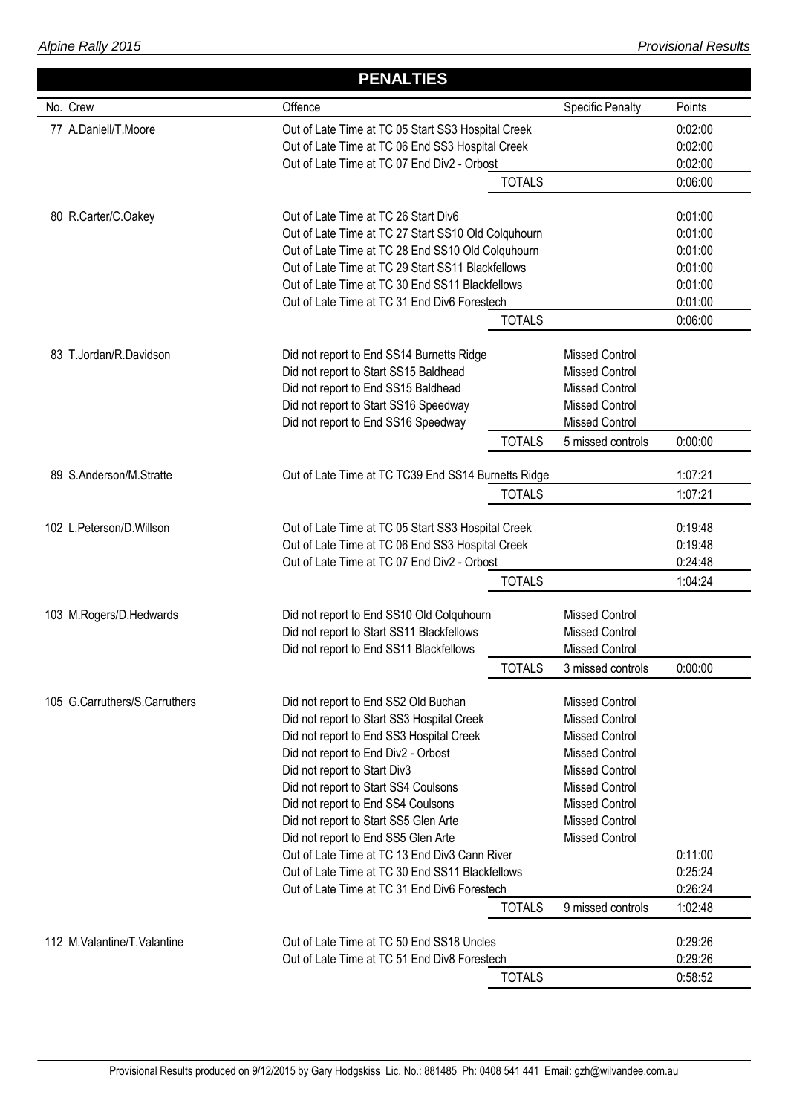|                               | <b>PENALTIES</b>                                                                                |               |                         |                    |
|-------------------------------|-------------------------------------------------------------------------------------------------|---------------|-------------------------|--------------------|
| No. Crew                      | Offence                                                                                         |               | <b>Specific Penalty</b> | Points             |
| 77 A.Daniell/T.Moore          | Out of Late Time at TC 05 Start SS3 Hospital Creek                                              |               |                         | 0:02:00            |
|                               | Out of Late Time at TC 06 End SS3 Hospital Creek                                                |               |                         | 0:02:00            |
|                               | Out of Late Time at TC 07 End Div2 - Orbost                                                     |               |                         | 0:02:00            |
|                               |                                                                                                 | <b>TOTALS</b> |                         | 0:06:00            |
|                               |                                                                                                 |               |                         |                    |
| 80 R.Carter/C.Oakey           | Out of Late Time at TC 26 Start Div6<br>Out of Late Time at TC 27 Start SS10 Old Colquhourn     |               |                         | 0:01:00<br>0:01:00 |
|                               | Out of Late Time at TC 28 End SS10 Old Colquhourn                                               |               |                         | 0:01:00            |
|                               | Out of Late Time at TC 29 Start SS11 Blackfellows                                               |               |                         | 0:01:00            |
|                               | Out of Late Time at TC 30 End SS11 Blackfellows                                                 |               |                         | 0:01:00            |
|                               | Out of Late Time at TC 31 End Div6 Forestech                                                    |               |                         | 0:01:00            |
|                               |                                                                                                 | <b>TOTALS</b> |                         | 0:06:00            |
|                               |                                                                                                 |               |                         |                    |
| 83 T.Jordan/R.Davidson        | Did not report to End SS14 Burnetts Ridge                                                       |               | <b>Missed Control</b>   |                    |
|                               | Did not report to Start SS15 Baldhead                                                           |               | <b>Missed Control</b>   |                    |
|                               | Did not report to End SS15 Baldhead                                                             |               | <b>Missed Control</b>   |                    |
|                               | Did not report to Start SS16 Speedway                                                           |               | <b>Missed Control</b>   |                    |
|                               | Did not report to End SS16 Speedway                                                             |               | <b>Missed Control</b>   |                    |
|                               |                                                                                                 | <b>TOTALS</b> | 5 missed controls       | 0:00:00            |
| 89 S.Anderson/M.Stratte       | Out of Late Time at TC TC39 End SS14 Burnetts Ridge                                             |               |                         | 1:07:21            |
|                               |                                                                                                 | <b>TOTALS</b> |                         | 1:07:21            |
|                               |                                                                                                 |               |                         |                    |
| 102 L.Peterson/D.Willson      | Out of Late Time at TC 05 Start SS3 Hospital Creek                                              |               |                         | 0:19:48<br>0:19:48 |
|                               | Out of Late Time at TC 06 End SS3 Hospital Creek<br>Out of Late Time at TC 07 End Div2 - Orbost |               |                         | 0:24:48            |
|                               |                                                                                                 | <b>TOTALS</b> |                         | 1:04:24            |
|                               |                                                                                                 |               |                         |                    |
| 103 M.Rogers/D.Hedwards       | Did not report to End SS10 Old Colquhourn                                                       |               | <b>Missed Control</b>   |                    |
|                               | Did not report to Start SS11 Blackfellows                                                       |               | <b>Missed Control</b>   |                    |
|                               | Did not report to End SS11 Blackfellows                                                         |               | <b>Missed Control</b>   |                    |
|                               |                                                                                                 | <b>TOTALS</b> | 3 missed controls       | 0:00:00            |
| 105 G.Carruthers/S.Carruthers | Did not report to End SS2 Old Buchan                                                            |               | Missed Control          |                    |
|                               | Did not report to Start SS3 Hospital Creek                                                      |               | <b>Missed Control</b>   |                    |
|                               | Did not report to End SS3 Hospital Creek                                                        |               | <b>Missed Control</b>   |                    |
|                               | Did not report to End Div2 - Orbost                                                             |               | <b>Missed Control</b>   |                    |
|                               | Did not report to Start Div3                                                                    |               | <b>Missed Control</b>   |                    |
|                               | Did not report to Start SS4 Coulsons                                                            |               | <b>Missed Control</b>   |                    |
|                               | Did not report to End SS4 Coulsons                                                              |               | <b>Missed Control</b>   |                    |
|                               | Did not report to Start SS5 Glen Arte                                                           |               | <b>Missed Control</b>   |                    |
|                               | Did not report to End SS5 Glen Arte                                                             |               | <b>Missed Control</b>   |                    |
|                               | Out of Late Time at TC 13 End Div3 Cann River                                                   |               |                         | 0:11:00            |
|                               | Out of Late Time at TC 30 End SS11 Blackfellows<br>Out of Late Time at TC 31 End Div6 Forestech |               |                         | 0:25:24<br>0:26:24 |
|                               |                                                                                                 | <b>TOTALS</b> | 9 missed controls       | 1:02:48            |
|                               |                                                                                                 |               |                         |                    |
| 112 M.Valantine/T.Valantine   | Out of Late Time at TC 50 End SS18 Uncles                                                       |               |                         | 0:29:26            |
|                               | Out of Late Time at TC 51 End Div8 Forestech                                                    |               |                         | 0:29:26            |
|                               |                                                                                                 | <b>TOTALS</b> |                         | 0:58:52            |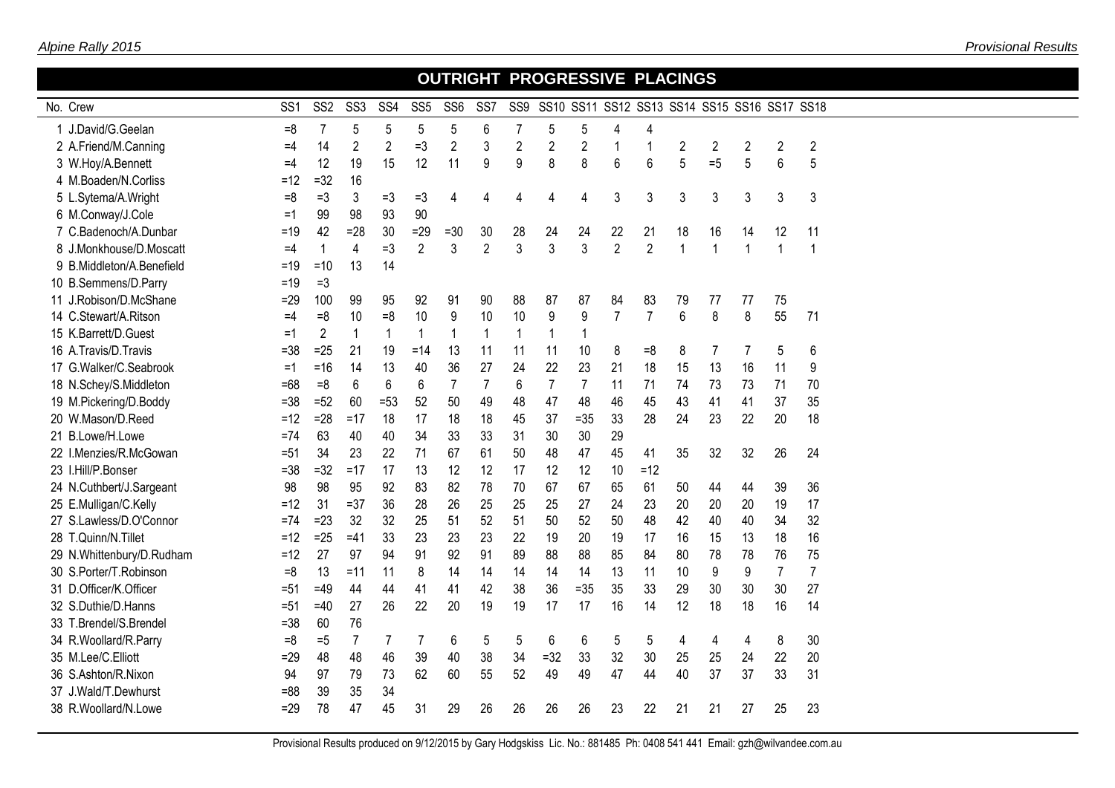|                           |                 |                 |                 |                 |                 |                 |                 | OUTRIGHT PROGRESSIVE PLACINGS |                |                |                |                |                |                |                                              |                |                |  |
|---------------------------|-----------------|-----------------|-----------------|-----------------|-----------------|-----------------|-----------------|-------------------------------|----------------|----------------|----------------|----------------|----------------|----------------|----------------------------------------------|----------------|----------------|--|
| No. Crew                  | SS <sub>1</sub> | SS <sub>2</sub> | SS <sub>3</sub> | SS <sub>4</sub> | SS <sub>5</sub> | SS <sub>6</sub> | SS <sub>7</sub> | SS9                           |                |                |                |                |                |                | SS10 SS11 SS12 SS13 SS14 SS15 SS16 SS17 SS18 |                |                |  |
| 1 J.David/G.Geelan        | $=8$            | $\overline{7}$  | 5               | 5               | 5               | 5               | 6               | $\overline{7}$                | 5              | 5              | 4              | $\overline{4}$ |                |                |                                              |                |                |  |
| 2 A.Friend/M.Canning      | $=4$            | 14              | $\overline{2}$  | $\overline{2}$  | $=3$            | $\overline{2}$  | 3               | $\overline{2}$                | $\overline{2}$ | $\overline{2}$ | $\mathbf 1$    | 1              | $\overline{2}$ | $\overline{2}$ | $\overline{2}$                               | $\overline{2}$ | $\sqrt{2}$     |  |
| 3 W.Hoy/A.Bennett         | $=4$            | 12              | 19              | 15              | 12              | 11              | 9               | 9                             | 8              | 8              | 6              | 6              | 5              | $=5$           | 5                                            | $6\phantom{1}$ | 5              |  |
| 4 M.Boaden/N.Corliss      | $=12$           | $=32$           | 16              |                 |                 |                 |                 |                               |                |                |                |                |                |                |                                              |                |                |  |
| 5 L.Sytema/A.Wright       | $=8$            | $=3$            | 3               | $=3$            | $=3$            | 4               | 4               | 4                             | 4              | 4              | 3              | 3              | 3              | 3              | 3                                            | 3              | 3              |  |
| 6 M.Conway/J.Cole         | $=1$            | 99              | 98              | 93              | 90              |                 |                 |                               |                |                |                |                |                |                |                                              |                |                |  |
| 7 C.Badenoch/A.Dunbar     | $=19$           | 42              | $=28$           | 30              | $=29$           | $=30$           | 30              | 28                            | 24             | 24             | 22             | 21             | 18             | 16             | 14                                           | 12             | 11             |  |
| 8 J.Monkhouse/D.Moscatt   | $=4$            | $\overline{1}$  | $\overline{4}$  | $=3$            | $\overline{2}$  | 3               | $\overline{2}$  | $\mathfrak{Z}$                | $\mathbf{3}$   | $\mathbf{3}$   | $\overline{2}$ | $\overline{2}$ | 1              | $\overline{1}$ | $\overline{1}$                               | $\overline{1}$ | $\mathbf{1}$   |  |
| 9 B.Middleton/A.Benefield | $=19$           | $=10$           | 13              | 14              |                 |                 |                 |                               |                |                |                |                |                |                |                                              |                |                |  |
| 10 B.Semmens/D.Parry      | $=19$           | $=3$            |                 |                 |                 |                 |                 |                               |                |                |                |                |                |                |                                              |                |                |  |
| 11 J.Robison/D.McShane    | $=29$           | 100             | 99              | 95              | 92              | 91              | 90              | 88                            | 87             | 87             | 84             | 83             | 79             | 77             | 77                                           | 75             |                |  |
| 14 C.Stewart/A.Ritson     | $=4$            | $=8$            | 10              | $=8$            | 10              | 9               | 10              | 10                            | 9              | 9              | $\overline{7}$ | $\overline{7}$ | $6\phantom{a}$ | 8              | 8                                            | 55             | 71             |  |
| 15 K.Barrett/D.Guest      | $=1$            | $\overline{2}$  | $\mathbf{1}$    | 1               | $\mathbf{1}$    |                 | $\mathbf 1$     | $\overline{\phantom{a}}$      | $\mathbf{1}$   | $\mathbf{1}$   |                |                |                |                |                                              |                |                |  |
| 16 A.Travis/D.Travis      | $= 38$          | $=25$           | 21              | 19              | $=14$           | 13              | 11              | 11                            | 11             | 10             | 8              | $=8$           | 8              | 7              | 7                                            | 5              | 6              |  |
| 17 G.Walker/C.Seabrook    | $=1$            | $=16$           | 14              | 13              | 40              | 36              | 27              | 24                            | 22             | 23             | 21             | 18             | 15             | 13             | 16                                           | 11             | 9              |  |
| 18 N.Schey/S.Middleton    | $=68$           | $=8$            | 6               | 6               | 6               | $\overline{7}$  | $\overline{7}$  | 6                             | $\overline{7}$ | $\overline{7}$ | 11             | 71             | 74             | 73             | 73                                           | 71             | 70             |  |
| 19 M.Pickering/D.Boddy    | $= 38$          | $=52$           | 60              | $= 53$          | 52              | 50              | 49              | 48                            | 47             | 48             | 46             | 45             | 43             | 41             | 41                                           | 37             | 35             |  |
| 20 W.Mason/D.Reed         | $=12$           | $=28$           | $=17$           | 18              | 17              | 18              | 18              | 45                            | 37             | $= 35$         | 33             | 28             | 24             | 23             | 22                                           | 20             | 18             |  |
| 21 B.Lowe/H.Lowe          | $= 74$          | 63              | 40              | 40              | 34              | 33              | 33              | 31                            | 30             | 30             | 29             |                |                |                |                                              |                |                |  |
| 22 I.Menzies/R.McGowan    | $= 51$          | 34              | 23              | 22              | 71              | 67              | 61              | 50                            | 48             | 47             | 45             | 41             | 35             | 32             | 32                                           | 26             | 24             |  |
| 23 I.Hill/P.Bonser        | $= 38$          | $=32$           | $=17$           | 17              | 13              | 12              | 12              | 17                            | 12             | 12             | 10             | $=12$          |                |                |                                              |                |                |  |
| 24 N.Cuthbert/J.Sargeant  | 98              | 98              | 95              | 92              | 83              | 82              | 78              | 70                            | 67             | 67             | 65             | 61             | 50             | 44             | 44                                           | 39             | 36             |  |
| 25 E.Mulligan/C.Kelly     | $=12$           | 31              | $=37$           | 36              | 28              | 26              | 25              | 25                            | 25             | 27             | 24             | 23             | 20             | 20             | 20                                           | 19             | 17             |  |
| 27 S.Lawless/D.O'Connor   | $=74$           | $=23$           | 32              | 32              | 25              | 51              | 52              | 51                            | 50             | 52             | 50             | 48             | 42             | 40             | 40                                           | 34             | 32             |  |
| 28 T.Quinn/N.Tillet       | $=12$           | $=25$           | $=41$           | 33              | 23              | 23              | 23              | 22                            | 19             | 20             | 19             | 17             | 16             | 15             | 13                                           | 18             | 16             |  |
| 29 N.Whittenbury/D.Rudham | $=12$           | 27              | 97              | 94              | 91              | 92              | 91              | 89                            | 88             | 88             | 85             | 84             | 80             | 78             | 78                                           | 76             | 75             |  |
| 30 S.Porter/T.Robinson    | $=8$            | 13              | $=11$           | 11              | 8               | 14              | 14              | 14                            | 14             | 14             | 13             | 11             | 10             | 9              | 9                                            | $\overline{7}$ | $\overline{7}$ |  |
| 31 D.Officer/K.Officer    | $= 51$          | $=49$           | 44              | 44              | 41              | 41              | 42              | 38                            | 36             | $= 35$         | 35             | 33             | 29             | 30             | 30                                           | 30             | 27             |  |
| 32 S.Duthie/D.Hanns       | $= 51$          | $=40$           | 27              | 26              | 22              | 20              | 19              | 19                            | 17             | 17             | 16             | 14             | 12             | 18             | 18                                           | 16             | 14             |  |
| 33 T.Brendel/S.Brendel    | $= 38$          | 60              | 76              |                 |                 |                 |                 |                               |                |                |                |                |                |                |                                              |                |                |  |
| 34 R.Woollard/R.Parry     | $=8$            | $=5$            | $\overline{7}$  | 7               | 7               | 6               | 5               | 5                             | 6              | 6              | 5              | 5              | 4              | 4              | 4                                            | 8              | 30             |  |
| 35 M.Lee/C.Elliott        | $=29$           | 48              | 48              | 46              | 39              | 40              | 38              | 34                            | $=32$          | 33             | 32             | 30             | 25             | 25             | 24                                           | 22             | 20             |  |
| 36 S.Ashton/R.Nixon       | 94              | 97              | 79              | 73              | 62              | 60              | 55              | 52                            | 49             | 49             | 47             | 44             | 40             | 37             | 37                                           | 33             | 31             |  |
| 37 J.Wald/T.Dewhurst      | $= 88$          | 39              | 35              | 34              |                 |                 |                 |                               |                |                |                |                |                |                |                                              |                |                |  |
| 38 R.Woollard/N.Lowe      | $=29$           | 78              | 47              | 45              | 31              | 29              | 26              | 26                            | 26             | 26             | 23             | 22             | 21             | 21             | 27                                           | 25             | 23             |  |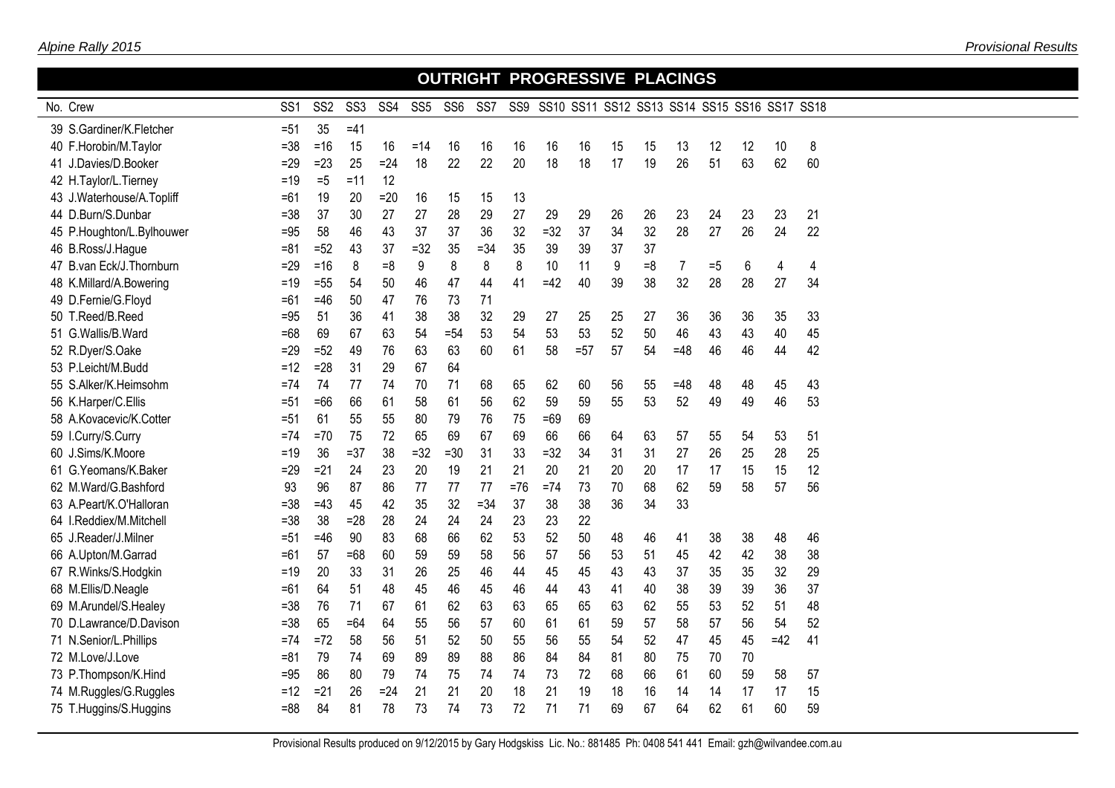## No. Crew  **OUTRIGHT PROGRESSIVE PLACINGS** SS1 SS2 SS3 SS4 SS5 SS6 SS7 SS9 SS10 SS11 SS12 SS13 SS14 SS15 SS16 SS17 SS18  $39 S.Gardiner/K. Fletcher$  =51  $35 = 41$  F.Horobin/M.Taylor =38 =16 15 16 =14 16 16 16 16 16 15 15 13 12 12 10 8 J.Davies/D.Booker =29 =23 25 =24 18 22 22 20 18 18 17 19 26 51 63 62 60 H.Taylor/L.Tierney =19 =5 =11 12 43 J.Waterhouse/A.Topliff  $=61$  19 20 =20 16 15 15 13 D.Burn/S.Dunbar =38 37 30 27 27 28 29 27 29 29 26 26 23 24 23 23 21 P.Houghton/L.Bylhouwer =95 58 46 43 37 37 36 32 =32 37 34 32 28 27 26 24 22 B.Ross/J.Hague =81 =52 43 37 =32 35 =34 35 39 39 37 37 B.van Eck/J.Thornburn =29 =16 8 =8 9 8 8 8 10 11 9 =8 7 =5 6 4 4 K.Millard/A.Bowering =19 =55 54 50 46 47 44 41 =42 40 39 38 32 28 28 27 34 D.Fernie/G.Floyd =61 =46 50 47 76 73 71 T.Reed/B.Reed =95 51 36 41 38 38 32 29 27 25 25 27 36 36 36 35 33 G.Wallis/B.Ward =68 69 67 63 54 =54 53 54 53 53 52 50 46 43 43 40 45 R.Dyer/S.Oake =29 =52 49 76 63 63 60 61 58 =57 57 54 =48 46 46 44 42 P.Leicht/M.Budd =12 =28 31 29 67 64 S.Alker/K.Heimsohm =74 74 77 74 70 71 68 65 62 60 56 55 =48 48 48 45 43 K.Harper/C.Ellis =51 =66 66 61 58 61 56 62 59 59 55 53 52 49 49 46 53 A.Kovacevic/K.Cotter =51 61 55 55 80 79 76 75 =69 69 I.Curry/S.Curry =74 =70 75 72 65 69 67 69 66 66 64 63 57 55 54 53 51 J.Sims/K.Moore =19 36 =37 38 =32 =30 31 33 =32 34 31 31 27 26 25 28 25 G.Yeomans/K.Baker =29 =21 24 23 20 19 21 21 20 21 20 20 17 17 15 15 12 M.Ward/G.Bashford 93 96 87 86 77 77 77 =76 =74 73 70 68 62 59 58 57 56 A.Peart/K.O'Halloran =38 =43 45 42 35 32 =34 37 38 38 36 34 33 I.Reddiex/M.Mitchell =38 38 =28 28 24 24 24 23 23 22 J.Reader/J.Milner =51 =46 90 83 68 66 62 53 52 50 48 46 41 38 38 48 46 A.Upton/M.Garrad =61 57 =68 60 59 59 58 56 57 56 53 51 45 42 42 38 38 R.Winks/S.Hodgkin =19 20 33 31 26 25 46 44 45 45 43 43 37 35 35 32 29 M.Ellis/D.Neagle =61 64 51 48 45 46 45 46 44 43 41 40 38 39 39 36 37 M.Arundel/S.Healey =38 76 71 67 61 62 63 63 65 65 63 62 55 53 52 51 48 D.Lawrance/D.Davison =38 65 =64 64 55 56 57 60 61 61 59 57 58 57 56 54 52 N.Senior/L.Phillips =74 =72 58 56 51 52 50 55 56 55 54 52 47 45 45 =42 41 M.Love/J.Love =81 79 74 69 89 89 88 86 84 84 81 80 75 70 70 P.Thompson/K.Hind =95 86 80 79 74 75 74 74 73 72 68 66 61 60 59 58 57 M.Ruggles/G.Ruggles =12 =21 26 =24 21 21 20 18 21 19 18 16 14 14 17 17 15 T.Huggins/S.Huggins =88 84 81 78 73 74 73 72 71 71 69 67 64 62 61 60 59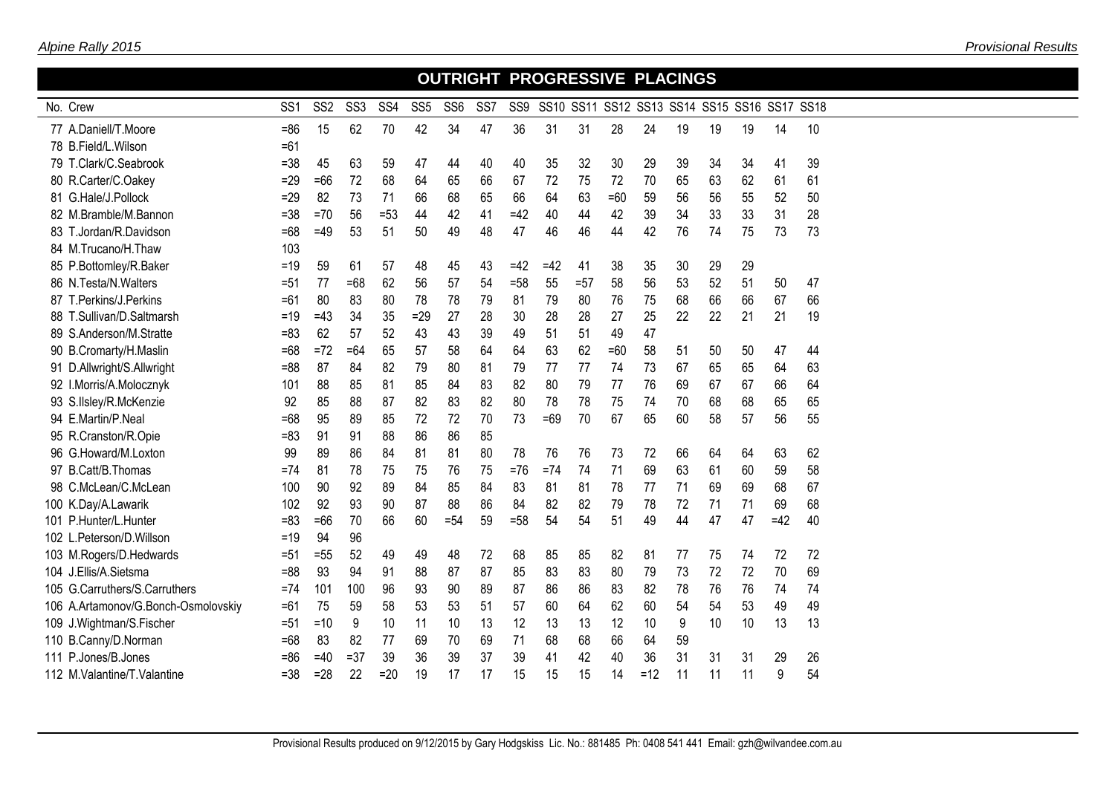|                                     |                 |                 |                 |                 |                 |                 |                 |        |       |       | <b>OUTRIGHT PROGRESSIVE PLACINGS</b> |       |    |                                              |    |       |    |
|-------------------------------------|-----------------|-----------------|-----------------|-----------------|-----------------|-----------------|-----------------|--------|-------|-------|--------------------------------------|-------|----|----------------------------------------------|----|-------|----|
| No. Crew                            | SS <sub>1</sub> | SS <sub>2</sub> | SS <sub>3</sub> | SS <sub>4</sub> | SS <sub>5</sub> | SS <sub>6</sub> | SS <sub>7</sub> | SS9    |       |       |                                      |       |    | SS10 SS11 SS12 SS13 SS14 SS15 SS16 SS17 SS18 |    |       |    |
| 77 A.Daniell/T.Moore                | $= 86$          | 15              | 62              | 70              | 42              | 34              | 47              | 36     | 31    | 31    | 28                                   | 24    | 19 | 19                                           | 19 | 14    | 10 |
| 78 B.Field/L.Wilson                 | $=61$           |                 |                 |                 |                 |                 |                 |        |       |       |                                      |       |    |                                              |    |       |    |
| 79 T.Clark/C.Seabrook               | $= 38$          | 45              | 63              | 59              | 47              | 44              | 40              | 40     | 35    | 32    | 30                                   | 29    | 39 | 34                                           | 34 | 41    | 39 |
| 80 R.Carter/C.Oakey                 | $=29$           | $=66$           | 72              | 68              | 64              | 65              | 66              | 67     | 72    | 75    | 72                                   | 70    | 65 | 63                                           | 62 | 61    | 61 |
| 81 G.Hale/J.Pollock                 | $=29$           | 82              | 73              | 71              | 66              | 68              | 65              | 66     | 64    | 63    | $=60$                                | 59    | 56 | 56                                           | 55 | 52    | 50 |
| 82 M.Bramble/M.Bannon               | $= 38$          | $=70$           | 56              | $= 53$          | 44              | 42              | 41              | $=42$  | 40    | 44    | 42                                   | 39    | 34 | 33                                           | 33 | 31    | 28 |
| 83 T.Jordan/R.Davidson              | $=68$           | $=49$           | 53              | 51              | 50              | 49              | 48              | 47     | 46    | 46    | 44                                   | 42    | 76 | 74                                           | 75 | 73    | 73 |
| 84 M.Trucano/H.Thaw                 | 103             |                 |                 |                 |                 |                 |                 |        |       |       |                                      |       |    |                                              |    |       |    |
| 85 P.Bottomley/R.Baker              | $=19$           | 59              | 61              | 57              | 48              | 45              | 43              | $=42$  | $=42$ | 41    | 38                                   | 35    | 30 | 29                                           | 29 |       |    |
| 86 N.Testa/N.Walters                | $= 51$          | 77              | $=68$           | 62              | 56              | 57              | 54              | $= 58$ | 55    | $=57$ | 58                                   | 56    | 53 | 52                                           | 51 | 50    | 47 |
| 87 T.Perkins/J.Perkins              | $=61$           | 80              | 83              | 80              | 78              | 78              | 79              | 81     | 79    | 80    | 76                                   | 75    | 68 | 66                                           | 66 | 67    | 66 |
| 88 T.Sullivan/D.Saltmarsh           | $=19$           | $=43$           | 34              | 35              | $=29$           | 27              | 28              | 30     | 28    | 28    | 27                                   | 25    | 22 | 22                                           | 21 | 21    | 19 |
| 89 S.Anderson/M.Stratte             | $= 83$          | 62              | 57              | 52              | 43              | 43              | 39              | 49     | 51    | 51    | 49                                   | 47    |    |                                              |    |       |    |
| 90 B.Cromarty/H.Maslin              | $=68$           | $=72$           | $=64$           | 65              | 57              | 58              | 64              | 64     | 63    | 62    | $=60$                                | 58    | 51 | 50                                           | 50 | 47    | 44 |
| 91 D.Allwright/S.Allwright          | $= 88$          | 87              | 84              | 82              | 79              | 80              | 81              | 79     | 77    | 77    | 74                                   | 73    | 67 | 65                                           | 65 | 64    | 63 |
| 92 I.Morris/A.Molocznyk             | 101             | 88              | 85              | 81              | 85              | 84              | 83              | 82     | 80    | 79    | 77                                   | 76    | 69 | 67                                           | 67 | 66    | 64 |
| 93 S.IIsley/R.McKenzie              | 92              | 85              | 88              | 87              | 82              | 83              | 82              | 80     | 78    | 78    | 75                                   | 74    | 70 | 68                                           | 68 | 65    | 65 |
| 94 E.Martin/P.Neal                  | $=68$           | 95              | 89              | 85              | 72              | 72              | 70              | 73     | $=69$ | 70    | 67                                   | 65    | 60 | 58                                           | 57 | 56    | 55 |
| 95 R.Cranston/R.Opie                | $= 83$          | 91              | 91              | 88              | 86              | 86              | 85              |        |       |       |                                      |       |    |                                              |    |       |    |
| 96 G.Howard/M.Loxton                | 99              | 89              | 86              | 84              | 81              | 81              | 80              | 78     | 76    | 76    | 73                                   | 72    | 66 | 64                                           | 64 | 63    | 62 |
| 97 B.Catt/B.Thomas                  | $=74$           | 81              | 78              | 75              | 75              | 76              | 75              | $=76$  | $=74$ | 74    | 71                                   | 69    | 63 | 61                                           | 60 | 59    | 58 |
| 98 C.McLean/C.McLean                | 100             | 90              | 92              | 89              | 84              | 85              | 84              | 83     | 81    | 81    | 78                                   | 77    | 71 | 69                                           | 69 | 68    | 67 |
| 100 K.Day/A.Lawarik                 | 102             | 92              | 93              | 90              | 87              | 88              | 86              | 84     | 82    | 82    | 79                                   | 78    | 72 | 71                                           | 71 | 69    | 68 |
| 101 P.Hunter/L.Hunter               | $= 83$          | $=66$           | 70              | 66              | 60              | $= 54$          | 59              | $=58$  | 54    | 54    | 51                                   | 49    | 44 | 47                                           | 47 | $=42$ | 40 |
| 102 L.Peterson/D.Willson            | $=19$           | 94              | 96              |                 |                 |                 |                 |        |       |       |                                      |       |    |                                              |    |       |    |
| 103 M.Rogers/D.Hedwards             | $= 51$          | $=55$           | 52              | 49              | 49              | 48              | 72              | 68     | 85    | 85    | 82                                   | 81    | 77 | 75                                           | 74 | 72    | 72 |
| 104 J.Ellis/A.Sietsma               | $= 88$          | 93              | 94              | 91              | 88              | 87              | 87              | 85     | 83    | 83    | 80                                   | 79    | 73 | 72                                           | 72 | 70    | 69 |
| 105 G.Carruthers/S.Carruthers       | $=74$           | 101             | 100             | 96              | 93              | 90              | 89              | 87     | 86    | 86    | 83                                   | 82    | 78 | 76                                           | 76 | 74    | 74 |
| 106 A.Artamonov/G.Bonch-Osmolovskiy | $=61$           | 75              | 59              | 58              | 53              | 53              | 51              | 57     | 60    | 64    | 62                                   | 60    | 54 | 54                                           | 53 | 49    | 49 |
| 109 J. Wightman/S. Fischer          | $=51$           | $=10$           | 9               | 10              | 11              | 10              | 13              | 12     | 13    | 13    | 12                                   | 10    | 9  | 10                                           | 10 | 13    | 13 |
| 110 B.Canny/D.Norman                | $=68$           | 83              | 82              | 77              | 69              | 70              | 69              | 71     | 68    | 68    | 66                                   | 64    | 59 |                                              |    |       |    |
| 111 P.Jones/B.Jones                 | =86             | $=40$           | $= 37$          | 39              | 36              | 39              | 37              | 39     | 41    | 42    | 40                                   | 36    | 31 | 31                                           | 31 | 29    | 26 |
| 112 M. Valantine/T. Valantine       | $= 38$          | $=28$           | 22              | $=20$           | 19              | 17              | 17              | 15     | 15    | 15    | 14                                   | $=12$ | 11 | 11                                           | 11 | 9     | 54 |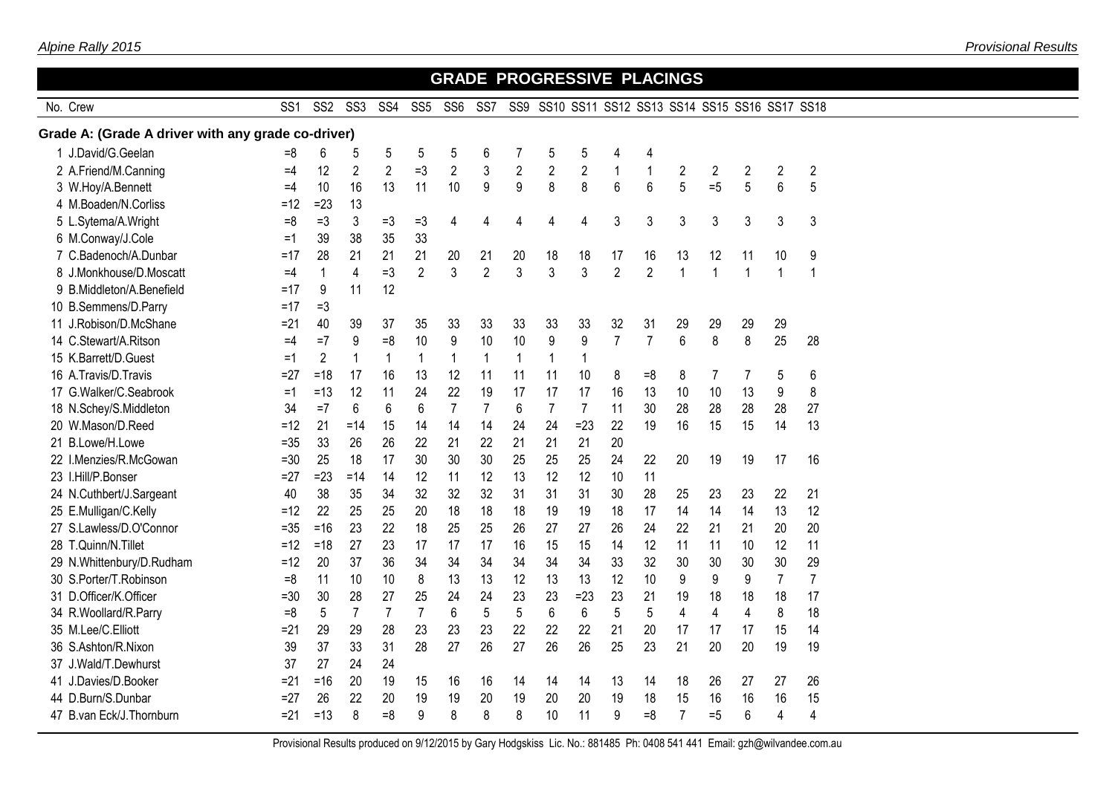|                                                    |                 |                 |                 |                 |                 |                 |                |                         | <b>GRADE PROGRESSIVE PLACINGS</b>                |                |                |                |                         |                |                |                |                |  |
|----------------------------------------------------|-----------------|-----------------|-----------------|-----------------|-----------------|-----------------|----------------|-------------------------|--------------------------------------------------|----------------|----------------|----------------|-------------------------|----------------|----------------|----------------|----------------|--|
| No. Crew                                           | SS <sub>1</sub> | SS <sub>2</sub> | SS <sub>3</sub> | SS <sub>4</sub> | SS <sub>5</sub> | SS <sub>6</sub> | SS7            |                         | SS9 SS10 SS11 SS12 SS13 SS14 SS15 SS16 SS17 SS18 |                |                |                |                         |                |                |                |                |  |
| Grade A: (Grade A driver with any grade co-driver) |                 |                 |                 |                 |                 |                 |                |                         |                                                  |                |                |                |                         |                |                |                |                |  |
| 1 J.David/G.Geelan                                 | $=8$            | 6               | 5               | 5               | 5               | 5               | 6              | 7                       | 5                                                | 5              | 4              | 4              |                         |                |                |                |                |  |
| 2 A.Friend/M.Canning                               | $=4$            | 12              | $\overline{2}$  | $\overline{2}$  | $=3$            | $\overline{2}$  | 3              | $\overline{\mathbf{c}}$ | $\overline{c}$                                   | $\overline{2}$ | $\mathbf{1}$   | $\mathbf{1}$   | $\overline{c}$          | $\overline{2}$ | 2              | $\overline{2}$ | $\overline{2}$ |  |
| 3 W.Hoy/A.Bennett                                  | $=4$            | 10              | 16              | 13              | 11              | 10              | 9              | 9                       | 8                                                | 8              | 6              | 6              | 5                       | $=5$           | 5              | $6\,$          | 5              |  |
| 4 M.Boaden/N.Corliss                               | $=12$           | $=23$           | 13              |                 |                 |                 |                |                         |                                                  |                |                |                |                         |                |                |                |                |  |
| 5 L.Sytema/A.Wright                                | $=8$            | $=$ 3           | 3               | $=3$            | $=3$            | 4               | 4              | 4                       | 4                                                | 4              | 3              | 3              | 3                       | 3              | 3              | 3              | 3              |  |
| 6 M.Conway/J.Cole                                  | $=1$            | 39              | 38              | 35              | 33              |                 |                |                         |                                                  |                |                |                |                         |                |                |                |                |  |
| 7 C.Badenoch/A.Dunbar                              | $=17$           | 28              | 21              | 21              | 21              | 20              | 21             | 20                      | 18                                               | 18             | 17             | 16             | 13                      | 12             | 11             | 10             | 9              |  |
| 8 J.Monkhouse/D.Moscatt                            | $=4$            | 1               | 4               | $=3$            | $\overline{2}$  | 3               | $\overline{2}$ | 3                       | 3                                                | 3              | $\overline{2}$ | $\overline{2}$ | $\mathbf{1}$            | 1              | $\mathbf{1}$   | $\mathbf{1}$   | $\mathbf 1$    |  |
| 9 B.Middleton/A.Benefield                          | =17             | 9               | 11              | 12              |                 |                 |                |                         |                                                  |                |                |                |                         |                |                |                |                |  |
| 10 B.Semmens/D.Parry                               | $=17$           | $=3$            |                 |                 |                 |                 |                |                         |                                                  |                |                |                |                         |                |                |                |                |  |
| 11 J.Robison/D.McShane                             | $= 21$          | 40              | 39              | 37              | 35              | 33              | 33             | 33                      | 33                                               | 33             | 32             | 31             | 29                      | 29             | 29             | 29             |                |  |
| 14 C.Stewart/A.Ritson                              | $=4$            | $=7$            | 9               | $=8$            | 10              | 9               | 10             | 10                      | 9                                                | 9              | $\overline{7}$ | $\overline{7}$ | $6\phantom{1}$          | 8              | 8              | 25             | 28             |  |
| 15 K.Barrett/D.Guest                               | $=1$            | $\overline{2}$  | 1               | $\mathbf{1}$    | $\mathbf{1}$    | $\mathbf{1}$    | $\mathbf 1$    | $\mathbf{1}$            | 1                                                | $\mathbf 1$    |                |                |                         |                |                |                |                |  |
| 16 A.Travis/D.Travis                               | $= 27$          | $=18$           | 17              | 16              | 13              | 12              | 11             | 11                      | 11                                               | 10             | 8              | $=8$           | 8                       | 7              | 7              | 5              | 6              |  |
| 17 G.Walker/C.Seabrook                             | $=1$            | $=13$           | 12              | 11              | 24              | 22              | 19             | 17                      | 17                                               | 17             | 16             | 13             | 10                      | 10             | 13             | 9              | 8              |  |
| 18 N.Schey/S.Middleton                             | 34              | $=7$            | 6               | 6               | 6               | $\overline{7}$  | $\overline{7}$ | 6                       | $\overline{7}$                                   | $\overline{7}$ | 11             | 30             | 28                      | 28             | 28             | 28             | 27             |  |
| 20 W.Mason/D.Reed                                  | $=12$           | 21              | $=14$           | 15              | 14              | 14              | 14             | 24                      | 24                                               | $=23$          | 22             | 19             | 16                      | 15             | 15             | 14             | 13             |  |
| B.Lowe/H.Lowe<br>21                                | $=35$           | 33              | 26              | 26              | 22              | 21              | 22             | 21                      | 21                                               | 21             | 20             |                |                         |                |                |                |                |  |
| I.Menzies/R.McGowan<br>22                          | $= 30$          | 25              | 18              | 17              | 30              | 30              | 30             | 25                      | 25                                               | 25             | 24             | 22             | 20                      | 19             | 19             | 17             | 16             |  |
| 23 I.Hill/P.Bonser                                 | $= 27$          | $=23$           | $= 14$          | 14              | 12              | 11              | 12             | 13                      | 12                                               | 12             | 10             | 11             |                         |                |                |                |                |  |
| 24 N.Cuthbert/J.Sargeant                           | 40              | 38              | 35              | 34              | 32              | 32              | 32             | 31                      | 31                                               | 31             | 30             | 28             | 25                      | 23             | 23             | 22             | 21             |  |
| 25 E.Mulligan/C.Kelly                              | $=12$           | 22              | 25              | 25              | 20              | 18              | 18             | 18                      | 19                                               | 19             | 18             | 17             | 14                      | 14             | 14             | 13             | 12             |  |
| 27 S.Lawless/D.O'Connor                            | $=35$           | $=16$           | 23              | 22              | 18              | 25              | 25             | 26                      | 27                                               | 27             | 26             | 24             | 22                      | 21             | 21             | 20             | 20             |  |
| 28 T.Quinn/N.Tillet                                | $=12$           | $=18$           | 27              | 23              | 17              | 17              | 17             | 16                      | 15                                               | 15             | 14             | 12             | 11                      | 11             | 10             | 12             | 11             |  |
| 29 N.Whittenbury/D.Rudham                          | $=12$           | 20              | 37              | 36              | 34              | 34              | 34             | 34                      | 34                                               | 34             | 33             | 32             | 30                      | 30             | 30             | 30             | 29             |  |
| 30 S.Porter/T.Robinson                             | $=8$            | 11              | 10              | 10              | 8               | 13              | 13             | 12                      | 13                                               | 13             | 12             | 10             | 9                       | 9              | 9              | $\overline{7}$ | $\overline{7}$ |  |
| 31 D.Officer/K.Officer                             | $= 30$          | 30              | 28              | 27              | 25              | 24              | 24             | 23                      | 23                                               | $=23$          | 23             | 21             | 19                      | 18             | 18             | 18             | 17             |  |
| 34 R.Woollard/R.Parry                              | $=8$            | 5               | $\overline{7}$  | $\overline{7}$  | $\overline{7}$  | 6               | 5              | 5                       | 6                                                | 6              | 5              | 5              | $\overline{\mathbf{4}}$ | $\overline{4}$ | $\overline{4}$ | 8              | 18             |  |
| 35 M.Lee/C.Elliott                                 | $= 21$          | 29              | 29              | 28              | 23              | 23              | 23             | 22                      | 22                                               | 22             | 21             | 20             | 17                      | 17             | 17             | 15             | 14             |  |
| 36 S.Ashton/R.Nixon                                | 39              | 37              | 33              | 31              | 28              | 27              | 26             | 27                      | 26                                               | 26             | 25             | 23             | 21                      | 20             | 20             | 19             | 19             |  |
| J.Wald/T.Dewhurst<br>37                            | 37              | 27              | 24              | 24              |                 |                 |                |                         |                                                  |                |                |                |                         |                |                |                |                |  |
| 41 J.Davies/D.Booker                               | $= 21$          | $=16$           | 20              | 19              | 15              | 16              | 16             | 14                      | 14                                               | 14             | 13             | 14             | 18                      | 26             | 27             | 27             | 26             |  |
| 44 D.Burn/S.Dunbar                                 | $=27$           | 26              | 22              | 20              | 19              | 19              | 20             | 19                      | 20                                               | 20             | 19             | 18             | 15                      | 16             | 16             | 16             | 15             |  |
| 47 B.van Eck/J.Thornburn                           | $= 21$          | $=13$           | 8               | $= 8$           | 9               | 8               | 8              | 8                       | 10                                               | 11             | 9              | $= 8$          | $\overline{7}$          | $=5$           | 6              | $\overline{4}$ | 4              |  |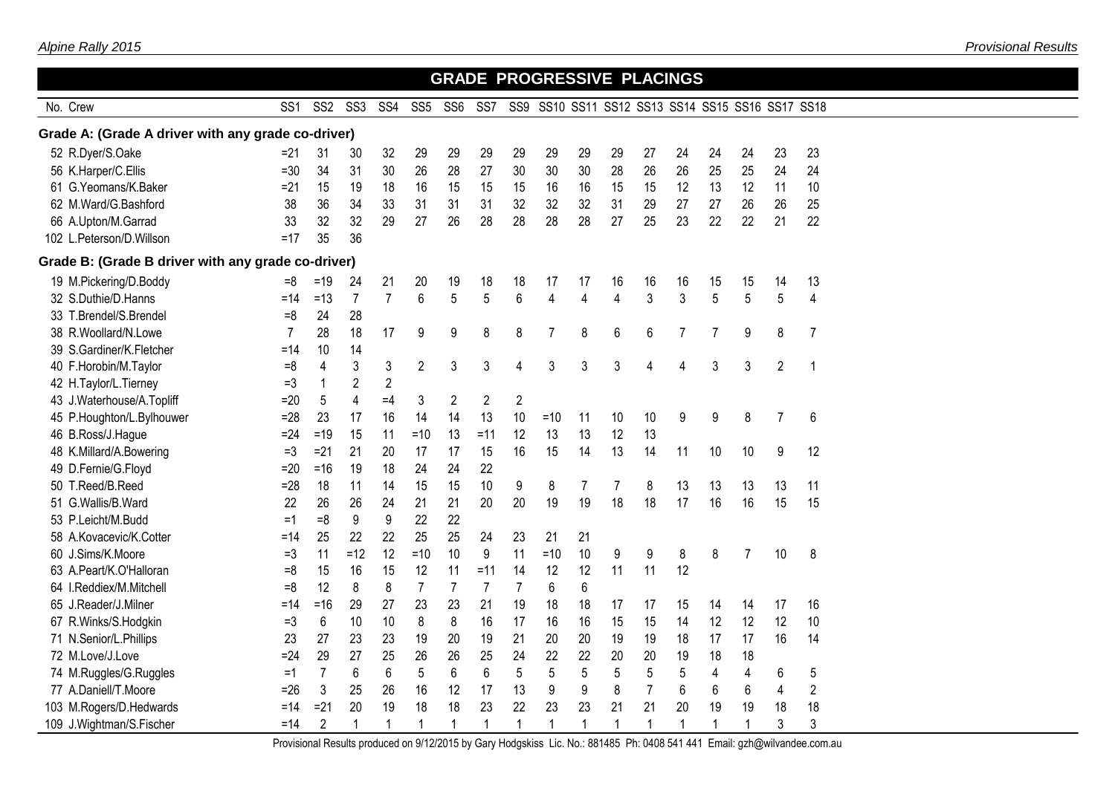|                                                    |                 |                 |                 |                 |                 |                 |                 |                 | <b>GRADE PROGRESSIVE PLACINGS</b> |                |                                              |                |                |                |                |                |                |
|----------------------------------------------------|-----------------|-----------------|-----------------|-----------------|-----------------|-----------------|-----------------|-----------------|-----------------------------------|----------------|----------------------------------------------|----------------|----------------|----------------|----------------|----------------|----------------|
| No. Crew                                           | SS <sub>1</sub> | SS <sub>2</sub> | SS <sub>3</sub> | SS <sub>4</sub> | SS <sub>5</sub> | SS <sub>6</sub> | SS <sub>7</sub> | SS <sub>9</sub> |                                   |                | SS10 SS11 SS12 SS13 SS14 SS15 SS16 SS17 SS18 |                |                |                |                |                |                |
| Grade A: (Grade A driver with any grade co-driver) |                 |                 |                 |                 |                 |                 |                 |                 |                                   |                |                                              |                |                |                |                |                |                |
| 52 R.Dyer/S.Oake                                   | $=21$           | 31              | 30              | 32              | 29              | 29              | 29              | 29              | 29                                | 29             | 29                                           | 27             | 24             | 24             | 24             | 23             | 23             |
| 56 K.Harper/C.Ellis                                | $=30$           | 34              | 31              | 30              | 26              | 28              | 27              | 30              | 30                                | 30             | 28                                           | 26             | 26             | 25             | 25             | 24             | 24             |
| 61 G.Yeomans/K.Baker                               | $=21$           | 15              | 19              | 18              | 16              | 15              | 15              | 15              | 16                                | 16             | 15                                           | 15             | 12             | 13             | 12             | 11             | 10             |
| 62 M.Ward/G.Bashford                               | 38              | 36              | 34              | 33              | 31              | 31              | 31              | 32              | 32                                | 32             | 31                                           | 29             | 27             | 27             | 26             | 26             | 25             |
| 66 A.Upton/M.Garrad                                | 33              | 32              | 32              | 29              | 27              | 26              | 28              | 28              | 28                                | 28             | 27                                           | 25             | 23             | 22             | 22             | 21             | 22             |
| 102 L.Peterson/D.Willson                           | $=17$           | 35              | 36              |                 |                 |                 |                 |                 |                                   |                |                                              |                |                |                |                |                |                |
| Grade B: (Grade B driver with any grade co-driver) |                 |                 |                 |                 |                 |                 |                 |                 |                                   |                |                                              |                |                |                |                |                |                |
| 19 M.Pickering/D.Boddy                             | $=8$            | $=19$           | 24              | 21              | 20              | 19              | 18              | 18              | 17                                | 17             | 16                                           | 16             | 16             | 15             | 15             | 14             | 13             |
| 32 S.Duthie/D.Hanns                                | $=14$           | $=13$           | $\overline{7}$  | $\overline{7}$  | $6\overline{6}$ | 5               | 5               | 6               | $\overline{4}$                    | $\overline{4}$ | $\overline{4}$                               | 3              | 3              | 5              | 5              | 5              | 4              |
| 33 T.Brendel/S.Brendel                             | $=8$            | 24              | 28              |                 |                 |                 |                 |                 |                                   |                |                                              |                |                |                |                |                |                |
| 38 R.Woollard/N.Lowe                               | $\overline{7}$  | 28              | 18              | 17              | 9               | 9               | 8               | 8               | $\overline{7}$                    | 8              | 6                                            | 6              | $\overline{7}$ | $\overline{7}$ | 9              | 8              | $\overline{7}$ |
| 39 S.Gardiner/K.Fletcher                           | =14             | 10              | 14              |                 |                 |                 |                 |                 |                                   |                |                                              |                |                |                |                |                |                |
| 40 F.Horobin/M.Taylor                              | $=8$            | 4               | 3               | 3               | $\overline{2}$  | 3               | 3               | 4               | 3                                 | 3              | 3                                            | 4              | 4              | 3              | 3              | $\overline{2}$ | 1              |
| 42 H.Taylor/L.Tierney                              | $=3$            | 1               | 2               | $\overline{2}$  |                 |                 |                 |                 |                                   |                |                                              |                |                |                |                |                |                |
| 43 J.Waterhouse/A.Topliff                          | $=20$           | 5               | 4               | $=4$            | 3               | $\overline{c}$  | $\overline{2}$  | $\overline{2}$  |                                   |                |                                              |                |                |                |                |                |                |
| 45 P.Houghton/L.Bylhouwer                          | $= 28$          | 23              | 17              | 16              | 14              | 14              | 13              | 10              | $=10$                             | 11             | 10                                           | 10             | 9              | 9              | 8              | $\overline{7}$ | 6              |
| 46 B.Ross/J.Hague                                  | $=24$           | $=19$           | 15              | 11              | $=10$           | 13              | $=11$           | 12              | 13                                | 13             | 12                                           | 13             |                |                |                |                |                |
| 48 K.Millard/A.Bowering                            | $=3$            | $=21$           | 21              | 20              | 17              | 17              | 15              | 16              | 15                                | 14             | 13                                           | 14             | 11             | 10             | 10             | 9              | 12             |
| 49 D.Fernie/G.Floyd                                | $=20$           | $=16$           | 19              | 18              | 24              | 24              | 22              |                 |                                   |                |                                              |                |                |                |                |                |                |
| 50 T.Reed/B.Reed                                   | $= 28$          | 18              | 11              | 14              | 15              | 15              | 10              | 9               | 8                                 | 7              | $\overline{7}$                               | 8              | 13             | 13             | 13             | 13             | 11             |
| 51 G.Wallis/B.Ward                                 | 22              | 26              | 26              | 24              | 21              | 21              | 20              | 20              | 19                                | 19             | 18                                           | 18             | 17             | 16             | 16             | 15             | 15             |
| 53 P.Leicht/M.Budd                                 | $=1$            | $= 8$           | 9               | 9               | 22              | 22              |                 |                 |                                   |                |                                              |                |                |                |                |                |                |
| 58 A.Kovacevic/K.Cotter                            | $=14$           | 25              | 22              | 22              | 25              | 25              | 24              | 23              | 21                                | 21             |                                              |                |                |                |                |                |                |
| 60 J.Sims/K.Moore                                  | $=3$            | 11              | $=12$           | 12              | $=10$           | 10              | 9               | 11              | $=10$                             | 10             | 9                                            | 9              | 8              | 8              | $\overline{7}$ | 10             | 8              |
| 63 A.Peart/K.O'Halloran                            | $=8$            | 15              | 16              | 15              | 12              | 11              | $=11$           | 14              | 12                                | 12             | 11                                           | 11             | 12             |                |                |                |                |
| 64 I.Reddiex/M.Mitchell                            | $=8$            | 12              | 8               | 8               | $\overline{7}$  | $\overline{7}$  | $\overline{7}$  | $\overline{7}$  | 6                                 | 6              |                                              |                |                |                |                |                |                |
| 65 J.Reader/J.Milner                               | $=14$           | $= 16$          | 29              | 27              | 23              | 23              | 21              | 19              | 18                                | 18             | 17                                           | 17             | 15             | 14             | 14             | 17             | 16             |
| 67 R.Winks/S.Hodgkin                               | $=3$            | 6               | 10              | 10              | 8               | 8               | 16              | 17              | 16                                | 16             | 15                                           | 15             | 14             | 12             | 12             | 12             | 10             |
| 71 N.Senior/L.Phillips                             | 23              | 27              | 23              | 23              | 19              | 20              | 19              | 21              | 20                                | 20             | 19                                           | 19             | 18             | 17             | 17             | 16             | 14             |
| 72 M.Love/J.Love                                   | $=24$           | 29              | 27              | 25              | 26              | 26              | 25              | 24              | 22                                | 22             | 20                                           | 20             | 19             | 18             | 18             |                |                |
| 74 M.Ruggles/G.Ruggles                             | $=1$            | $\overline{7}$  | 6               | 6               | 5               | 6               | 6               | 5               | 5                                 | 5              | 5                                            | 5              | 5              | 4              | 4              | 6              | 5              |
| 77 A.Daniell/T.Moore                               | $=26$           | 3               | 25              | 26              | 16              | 12              | 17              | 13              | 9                                 | 9              | 8                                            | $\overline{7}$ | 6              | 6              | 6              | 4              | $\overline{2}$ |
| 103 M.Rogers/D.Hedwards                            | $=14$           | $= 21$          | 20              | 19              | 18              | 18              | 23              | 22              | 23                                | 23             | 21                                           | 21             | 20             | 19             | 19             | 18             | 18             |
| 109 J.Wightman/S.Fischer                           | $=14$           | $\overline{2}$  | 1               | 1               | 1               | 1               | 1               | $\mathbf{1}$    | 1                                 | 1              | 1                                            | 1              | 1              | 1              | 1              | 3              | 3              |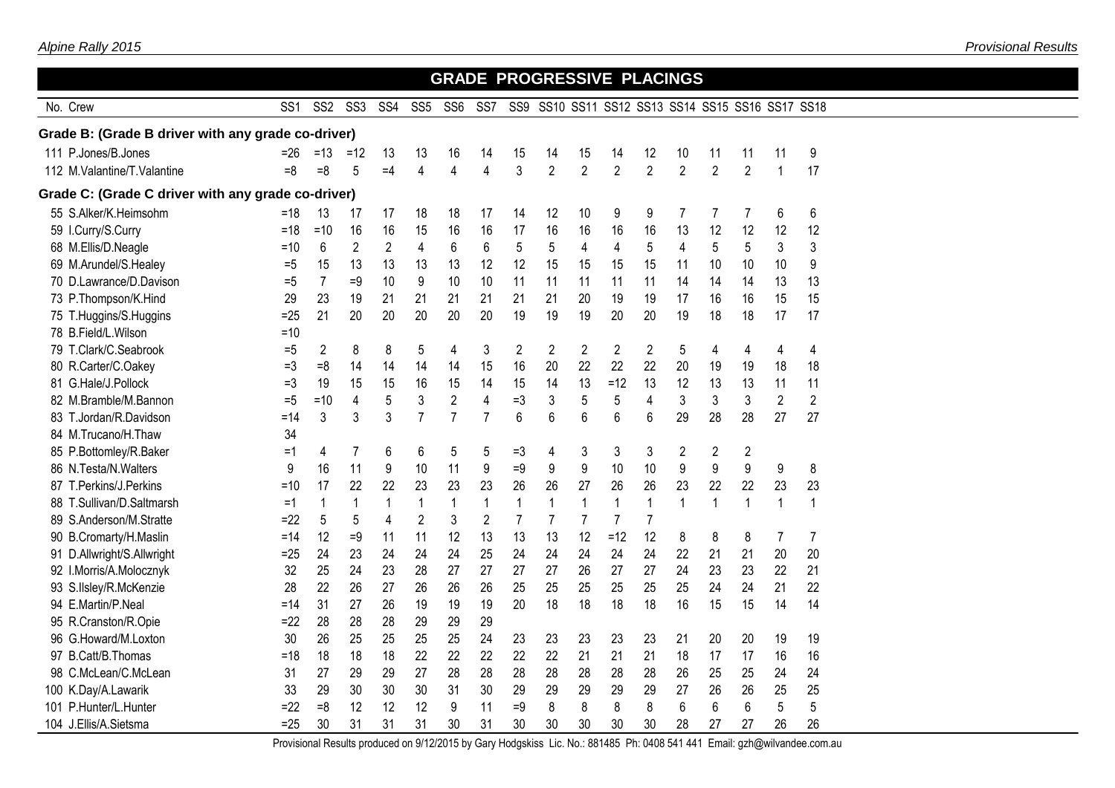|                                                    |                 |                 |                 |                |                         |                         |                 |                 | <b>GRADE PROGRESSIVE PLACINGS</b> |                |                                              |                |                |                |                         |                |                |  |
|----------------------------------------------------|-----------------|-----------------|-----------------|----------------|-------------------------|-------------------------|-----------------|-----------------|-----------------------------------|----------------|----------------------------------------------|----------------|----------------|----------------|-------------------------|----------------|----------------|--|
| No. Crew                                           | SS <sub>1</sub> | SS <sub>2</sub> | SS <sub>3</sub> | SS4            | SS <sub>5</sub>         | SS <sub>6</sub>         | SS <sub>7</sub> | SS <sub>9</sub> |                                   |                | SS10 SS11 SS12 SS13 SS14 SS15 SS16 SS17 SS18 |                |                |                |                         |                |                |  |
| Grade B: (Grade B driver with any grade co-driver) |                 |                 |                 |                |                         |                         |                 |                 |                                   |                |                                              |                |                |                |                         |                |                |  |
| 111 P.Jones/B.Jones                                | =26             | $=13$           | $=12$           | 13             | 13                      | 16                      | 14              | 15              | 14                                | 15             | 14                                           | 12             | 10             | 11             | 11                      | 11             | 9              |  |
| 112 M.Valantine/T.Valantine                        | $=8$            | $= 8$           | 5               | $=4$           | $\overline{4}$          | $\overline{\mathbf{4}}$ | $\overline{4}$  | 3               | $\overline{2}$                    | $\overline{2}$ | $\overline{2}$                               | $\overline{2}$ | $\overline{2}$ | $\overline{2}$ | $\overline{2}$          | $\mathbf{1}$   | 17             |  |
| Grade C: (Grade C driver with any grade co-driver) |                 |                 |                 |                |                         |                         |                 |                 |                                   |                |                                              |                |                |                |                         |                |                |  |
| 55 S.Alker/K.Heimsohm                              | $=18$           | 13              | 17              | 17             | 18                      | 18                      | 17              | 14              | 12                                | 10             | 9                                            | 9              | $\overline{7}$ | 7              | 7                       | 6              | 6              |  |
| 59 I.Curry/S.Curry                                 | $=18$           | $=10$           | 16              | 16             | 15                      | 16                      | 16              | 17              | 16                                | 16             | 16                                           | 16             | 13             | 12             | 12                      | 12             | 12             |  |
| 68 M.Ellis/D.Neagle                                | $=10$           | 6               | $\overline{2}$  | $\overline{2}$ | $\overline{\mathbf{4}}$ | 6                       | 6               | 5               | 5                                 | 4              | $\overline{\mathbf{4}}$                      | 5              | $\overline{4}$ | 5              | 5                       | 3              | 3              |  |
| 69 M.Arundel/S.Healey                              | $=5$            | 15              | 13              | 13             | 13                      | 13                      | 12              | 12              | 15                                | 15             | 15                                           | 15             | 11             | 10             | 10                      | 10             | 9              |  |
| 70 D.Lawrance/D.Davison                            | $=5$            | $\overline{7}$  | $=9$            | 10             | 9                       | 10                      | 10              | 11              | 11                                | 11             | 11                                           | 11             | 14             | 14             | 14                      | 13             | 13             |  |
| 73 P.Thompson/K.Hind                               | 29              | 23              | 19              | 21             | 21                      | 21                      | 21              | 21              | 21                                | 20             | 19                                           | 19             | 17             | 16             | 16                      | 15             | 15             |  |
| 75 T.Huggins/S.Huggins                             | $=25$           | 21              | 20              | 20             | 20                      | 20                      | 20              | 19              | 19                                | 19             | 20                                           | 20             | 19             | 18             | 18                      | 17             | 17             |  |
| 78 B.Field/L.Wilson                                | $=10$           |                 |                 |                |                         |                         |                 |                 |                                   |                |                                              |                |                |                |                         |                |                |  |
| 79 T.Clark/C.Seabrook                              | $=5$            | $\overline{2}$  | 8               | 8              | 5                       | 4                       | 3               | 2               | $\overline{2}$                    | $\overline{2}$ | $\overline{2}$                               | $\overline{2}$ | 5              | 4              | 4                       | 4              | 4              |  |
| 80 R.Carter/C.Oakey                                | $=3$            | $=8$            | 14              | 14             | 14                      | 14                      | 15              | 16              | 20                                | 22             | 22                                           | 22             | 20             | 19             | 19                      | 18             | 18             |  |
| 81 G.Hale/J.Pollock                                | $=3$            | 19              | 15              | 15             | 16                      | 15                      | 14              | 15              | 14                                | 13             | $=12$                                        | 13             | 12             | 13             | 13                      | 11             | 11             |  |
| 82 M.Bramble/M.Bannon                              | $=5$            | $=10$           | 4               | 5              | 3                       | $\overline{2}$          | 4               | $=3$            | 3                                 | 5              | 5                                            | 4              | 3              | 3              | 3                       | $\overline{2}$ | $\overline{2}$ |  |
| 83 T.Jordan/R.Davidson                             | =14             | 3               | 3               | 3              | $\overline{7}$          | $\overline{7}$          | $\overline{7}$  | $6\phantom{a}$  | 6                                 | 6              | $6\phantom{1}$                               | 6              | 29             | 28             | 28                      | 27             | 27             |  |
| 84 M.Trucano/H.Thaw                                | 34              |                 |                 |                |                         |                         |                 |                 |                                   |                |                                              |                |                |                |                         |                |                |  |
| 85 P.Bottomley/R.Baker                             | $=1$            | 4               | 7               | 6              | 6                       | 5                       | 5               | $=3$            | 4                                 | 3              | 3                                            | 3              | 2              | 2              | $\overline{\mathbf{c}}$ |                |                |  |
| 86 N.Testa/N.Walters                               | 9               | 16              | 11              | 9              | 10                      | 11                      | 9               | $=9$            | 9                                 | 9              | 10                                           | 10             | 9              | 9              | 9                       | 9              | 8              |  |
| 87 T.Perkins/J.Perkins                             | =10             | 17              | 22              | 22             | 23                      | 23                      | 23              | 26              | 26                                | 27             | 26                                           | 26             | 23             | 22             | 22                      | 23             | 23             |  |
| 88 T.Sullivan/D.Saltmarsh                          | $=1$            | 1               | $\mathbf{1}$    | $\mathbf{1}$   | $\mathbf 1$             | $\mathbf{1}$            | $\mathbf 1$     | $\mathbf{1}$    | $\mathbf{1}$                      | $\mathbf{1}$   | $\mathbf{1}$                                 | $\mathbf{1}$   | $\mathbf{1}$   | $\mathbf{1}$   | $\mathbf{1}$            | $\mathbf{1}$   | $\mathbf{1}$   |  |
| 89 S.Anderson/M.Stratte                            | $=22$           | 5               | 5               | 4              | $\overline{2}$          | 3                       | $\overline{2}$  | $\overline{7}$  | $\overline{7}$                    | $\overline{7}$ | $\overline{7}$                               | $\overline{7}$ |                |                |                         |                |                |  |
| 90 B.Cromarty/H.Maslin                             | $=14$           | 12              | $=9$            | 11             | 11                      | 12                      | 13              | 13              | 13                                | 12             | $=12$                                        | 12             | 8              | 8              | 8                       | $\overline{7}$ | $\overline{7}$ |  |
| 91 D.Allwright/S.Allwright                         | $=25$           | 24              | 23              | 24             | 24                      | 24                      | 25              | 24              | 24                                | 24             | 24                                           | 24             | 22             | 21             | 21                      | 20             | 20             |  |
| 92 I.Morris/A.Molocznyk                            | 32              | 25              | 24              | 23             | 28                      | 27                      | 27              | 27              | 27                                | 26             | 27                                           | 27             | 24             | 23             | 23                      | 22             | 21             |  |
| 93 S.IIsley/R.McKenzie                             | 28              | 22              | 26              | 27             | 26                      | 26                      | 26              | 25              | 25                                | 25             | 25                                           | 25             | 25             | 24             | 24                      | 21             | 22             |  |
| 94 E.Martin/P.Neal                                 | =14             | 31              | 27              | 26             | 19                      | 19                      | 19              | 20              | 18                                | 18             | 18                                           | 18             | 16             | 15             | 15                      | 14             | 14             |  |
| 95 R.Cranston/R.Opie                               | $=22$           | 28              | 28              | 28             | 29                      | 29                      | 29              |                 |                                   |                |                                              |                |                |                |                         |                |                |  |
| 96 G.Howard/M.Loxton                               | 30              | 26              | 25              | 25             | 25                      | 25                      | 24              | 23              | 23                                | 23             | 23                                           | 23             | 21             | 20             | 20                      | 19             | 19             |  |
| 97 B.Catt/B.Thomas                                 | $=18$           | 18              | 18              | 18             | 22                      | 22                      | 22              | 22              | 22                                | 21             | 21                                           | 21             | 18             | 17             | 17                      | 16             | 16             |  |
| 98 C.McLean/C.McLean                               | 31              | 27              | 29              | 29             | 27                      | 28                      | 28              | 28              | 28                                | 28             | 28                                           | 28             | 26             | 25             | 25                      | 24             | 24             |  |
| 100 K.Day/A.Lawarik                                | 33              | 29              | 30              | 30             | 30                      | 31                      | 30              | 29              | 29                                | 29             | 29                                           | 29             | 27             | 26             | 26                      | 25             | 25             |  |
| 101 P.Hunter/L.Hunter                              | $=22$           | $=8$            | 12              | 12             | 12                      | 9                       | 11              | $=9$            | 8                                 | 8              | 8                                            | 8              | 6              | 6              | 6                       | 5              | 5              |  |
| 104 J.Ellis/A.Sietsma                              | $=25$           | 30              | 31              | 31             | 31                      | 30                      | 31              | 30              | 30                                | 30             | 30                                           | 30             | 28             | 27             | 27                      | 26             | 26             |  |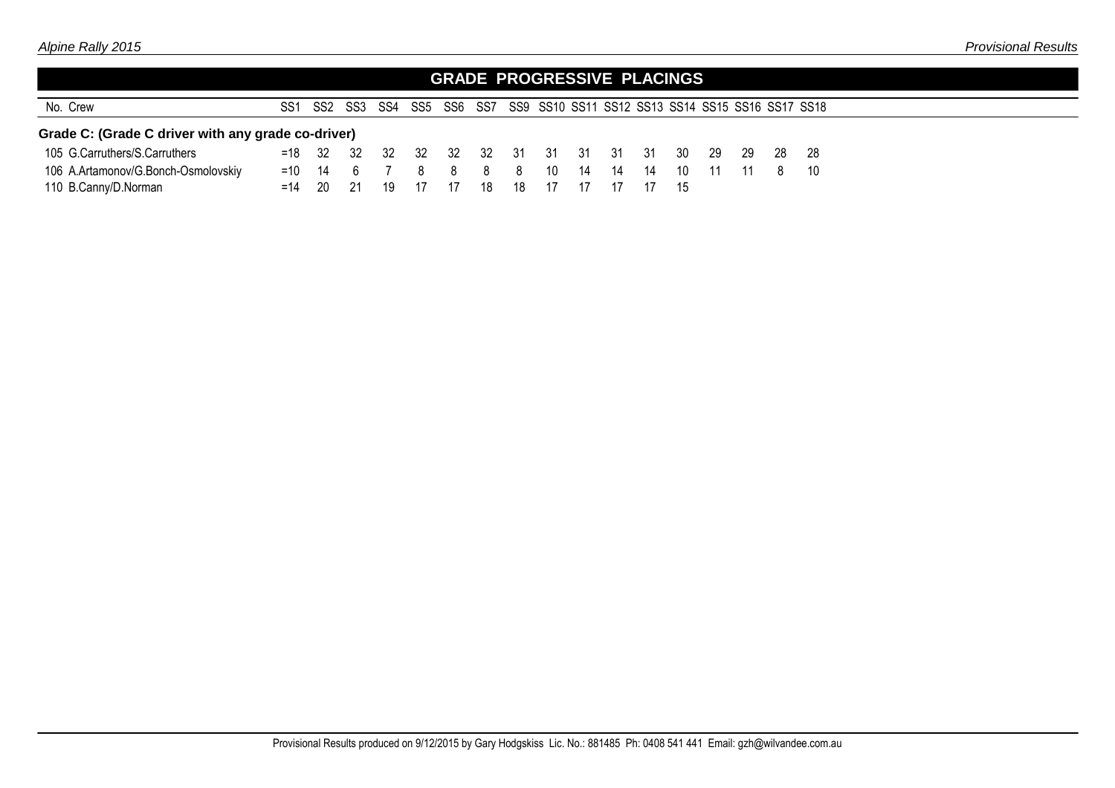|                                                    |                 |      |                 |    |    |      |    |    |                      |    |    | GRADE PROGRESSIVE PLACINGS |      |    |      |                                                                          |
|----------------------------------------------------|-----------------|------|-----------------|----|----|------|----|----|----------------------|----|----|----------------------------|------|----|------|--------------------------------------------------------------------------|
| No. Crew                                           | SS <sub>1</sub> |      |                 |    |    |      |    |    |                      |    |    |                            |      |    |      | SS2 SS3 SS4 SS5 SS6 SS7 SS9 SS10 SS11 SS12 SS13 SS14 SS15 SS16 SS17 SS18 |
| Grade C: (Grade C driver with any grade co-driver) |                 |      |                 |    |    |      |    |    |                      |    |    |                            |      |    |      |                                                                          |
| 105 G.Carruthers/S.Carruthers                      |                 |      | $= 18$ 32 32 32 |    |    |      |    |    | 32 32 32 31 31 31 31 |    |    | 31 30                      | - 29 | 29 | - 28 | - 28                                                                     |
| 106 A.Artamonov/G.Bonch-Osmolovskiy                |                 |      | $= 10$ 14 6 7   |    | 8  | 8    | 8  | 8  | 10                   | 14 | 14 | 14 10                      | 11   | 11 | -8   | $-10$                                                                    |
| 110 B.Canny/D.Norman                               | $=14$           | - 20 | - 21            | 19 | 17 | - 17 | 18 | 18 | - 17                 |    |    | - 15                       |      |    |      |                                                                          |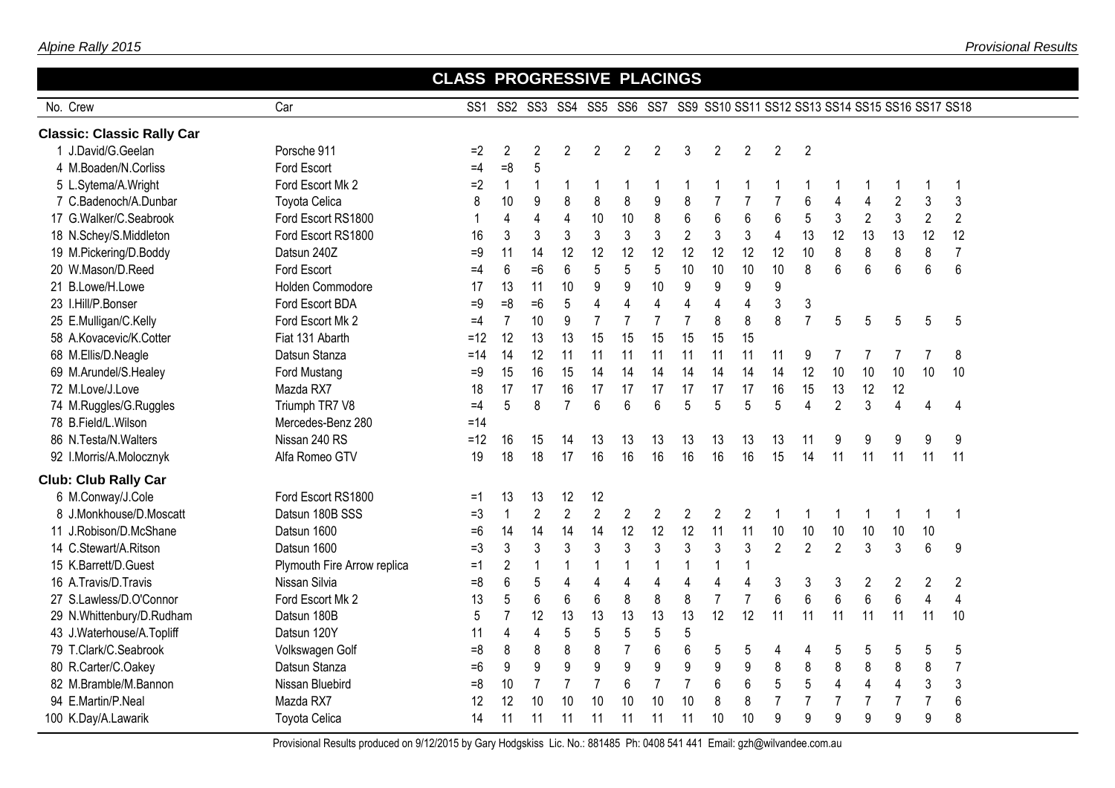|                                   |                             | <b>CLASS PROGRESSIVE PLACINGS</b> |                |                |                |                  |                |                |                                                                              |                |                |                         |                |                |                |                |                         |                |  |
|-----------------------------------|-----------------------------|-----------------------------------|----------------|----------------|----------------|------------------|----------------|----------------|------------------------------------------------------------------------------|----------------|----------------|-------------------------|----------------|----------------|----------------|----------------|-------------------------|----------------|--|
| No. Crew                          | Car                         |                                   |                |                |                |                  |                |                | SS1 SS2 SS3 SS4 SS5 SS6 SS7 SS9 SS10 SS11 SS12 SS13 SS14 SS15 SS16 SS17 SS18 |                |                |                         |                |                |                |                |                         |                |  |
| <b>Classic: Classic Rally Car</b> |                             |                                   |                |                |                |                  |                |                |                                                                              |                |                |                         |                |                |                |                |                         |                |  |
| 1 J.David/G.Geelan                | Porsche 911                 | $=2$                              | $\overline{2}$ | $\overline{2}$ | $\overline{2}$ | $\overline{2}$   | $\overline{2}$ | $\overline{2}$ | 3                                                                            | $\overline{2}$ | $\overline{2}$ | 2                       | $\overline{2}$ |                |                |                |                         |                |  |
| 4 M.Boaden/N.Corliss              | Ford Escort                 | $=4$                              | $=8$           | 5              |                |                  |                |                |                                                                              |                |                |                         |                |                |                |                |                         |                |  |
| 5 L.Sytema/A.Wright               | Ford Escort Mk 2            | $=2$                              | $\mathbf{1}$   | $\mathbf 1$    | 1              |                  |                | 1              | 1                                                                            |                |                |                         |                |                |                |                |                         | -1             |  |
| 7 C.Badenoch/A.Dunbar             | <b>Toyota Celica</b>        | 8                                 | 10             | 9              | 8              | 8                | 8              | 9              | 8                                                                            | $\overline{7}$ | $\overline{7}$ | $\overline{7}$          | 6              | $\overline{4}$ | 4              | $\overline{2}$ | 3                       | 3              |  |
| 17 G.Walker/C.Seabrook            | Ford Escort RS1800          |                                   | 4              | 4              | $\overline{4}$ | 10               | 10             | 8              | 6                                                                            | 6              | 6              | 6                       | 5              | 3              | $\overline{2}$ | $\mathfrak{Z}$ | $\mathbf{2}$            | $\overline{2}$ |  |
| 18 N.Schey/S.Middleton            | Ford Escort RS1800          | 16                                | 3              | 3              | 3              | 3                | 3              | 3              | $\overline{2}$                                                               | 3              | 3              | $\overline{\mathbf{4}}$ | 13             | 12             | 13             | 13             | 12                      | 12             |  |
| 19 M.Pickering/D.Boddy            | Datsun 240Z                 | $=9$                              | 11             | 14             | 12             | 12               | 12             | 12             | 12                                                                           | 12             | 12             | 12                      | 10             | 8              | 8              | 8              | $\,8\,$                 | $\overline{7}$ |  |
| 20 W.Mason/D.Reed                 | Ford Escort                 | $=4$                              | 6              | $=6$           | 6              | 5                | 5              | 5              | 10                                                                           | 10             | 10             | 10                      | 8              | 6              | 6              | $6\phantom{1}$ | 6                       | $6\phantom{a}$ |  |
| 21 B.Lowe/H.Lowe                  | Holden Commodore            | 17                                | 13             | 11             | 10             | 9                | 9              | 10             | 9                                                                            | 9              | 9              | 9                       |                |                |                |                |                         |                |  |
| 23 I.Hill/P.Bonser                | Ford Escort BDA             | $=9$                              | $=8$           | $=6$           | 5              | 4                | $\overline{4}$ | 4              | $\overline{4}$                                                               | 4              | 4              | 3                       | $\mathfrak{Z}$ |                |                |                |                         |                |  |
| 25 E.Mulligan/C.Kelly             | Ford Escort Mk 2            | $=4$                              | $\overline{7}$ | 10             | 9              | $\overline{7}$   | $\overline{7}$ | $\overline{7}$ | $\overline{7}$                                                               | 8              | 8              | 8                       | $\overline{7}$ | 5              | 5              | 5              | 5                       | 5              |  |
| 58 A.Kovacevic/K.Cotter           | Fiat 131 Abarth             | $=12$                             | 12             | 13             | 13             | 15               | 15             | 15             | 15                                                                           | 15             | 15             |                         |                |                |                |                |                         |                |  |
| 68 M.Ellis/D.Neagle               | Datsun Stanza               | $=14$                             | 14             | 12             | 11             | 11               | 11             | 11             | 11                                                                           | 11             | 11             | 11                      | 9              | 7              | 7              | 7              | $\overline{7}$          | 8              |  |
| 69 M.Arundel/S.Healey             | Ford Mustang                | $=9$                              | 15             | 16             | 15             | 14               | 14             | 14             | 14                                                                           | 14             | 14             | 14                      | 12             | 10             | 10             | 10             | 10                      | 10             |  |
| 72 M.Love/J.Love                  | Mazda RX7                   | 18                                | 17             | 17             | 16             | 17               | 17             | 17             | 17                                                                           | 17             | 17             | 16                      | 15             | 13             | 12             | 12             |                         |                |  |
| 74 M.Ruggles/G.Ruggles            | Triumph TR7 V8              | $=4$                              | 5              | 8              | $\overline{7}$ | 6                | $6\phantom{1}$ | 6              | 5                                                                            | 5              | 5              | 5                       | 4              | $\overline{2}$ | 3              | $\overline{4}$ | 4                       | $\overline{4}$ |  |
| 78 B.Field/L.Wilson               | Mercedes-Benz 280           | $=14$                             |                |                |                |                  |                |                |                                                                              |                |                |                         |                |                |                |                |                         |                |  |
| 86 N.Testa/N.Walters              | Nissan 240 RS               | $=12$                             | 16             | 15             | 14             | 13               | 13             | 13             | 13                                                                           | 13             | 13             | 13                      | 11             | 9              | 9              | 9              | 9                       | 9              |  |
| 92 I.Morris/A.Molocznyk           | Alfa Romeo GTV              | 19                                | 18             | 18             | 17             | 16               | 16             | 16             | 16                                                                           | 16             | 16             | 15                      | 14             | 11             | 11             | 11             | 11                      | 11             |  |
| <b>Club: Club Rally Car</b>       |                             |                                   |                |                |                |                  |                |                |                                                                              |                |                |                         |                |                |                |                |                         |                |  |
| 6 M.Conway/J.Cole                 | Ford Escort RS1800          | $=1$                              | 13             | 13             | 12             | 12               |                |                |                                                                              |                |                |                         |                |                |                |                |                         |                |  |
| 8 J.Monkhouse/D.Moscatt           | Datsun 180B SSS             | $=3$                              | $\mathbf{1}$   | $\overline{2}$ | $\overline{2}$ | $\overline{2}$   | $\overline{2}$ | $\overline{2}$ | $\mathbf{2}$                                                                 | $\overline{2}$ | $\overline{c}$ | -1                      | -1             | -1             |                | -1             | $\mathbf 1$             | -1             |  |
| 11 J.Robison/D.McShane            | Datsun 1600                 | $=6$                              | 14             | 14             | 14             | 14               | 12             | 12             | 12                                                                           | 11             | 11             | 10                      | 10             | 10             | 10             | 10             | 10                      |                |  |
| 14 C.Stewart/A.Ritson             | Datsun 1600                 | $=3$                              | $\mathsf 3$    | 3              | 3              | 3                | 3              | 3              | 3                                                                            | 3              | 3              | $\overline{2}$          | $\overline{2}$ | $\overline{2}$ | 3              | 3              | $6\phantom{1}$          | 9              |  |
| 15 K.Barrett/D.Guest              | Plymouth Fire Arrow replica | $=1$                              | $\overline{2}$ | $\mathbf{1}$   | $\mathbf{1}$   |                  | 1              | $\mathbf 1$    | $\mathbf{1}$                                                                 | $\mathbf 1$    | $\mathbf{1}$   |                         |                |                |                |                |                         |                |  |
| 16 A.Travis/D.Travis              | Nissan Silvia               | $=8$                              | 6              | 5              | $\overline{4}$ | 4                | 4              | $\overline{4}$ | $\overline{\mathbf{4}}$                                                      | 4              | 4              | 3                       | 3              | 3              | 2              | $\overline{c}$ | $\overline{c}$          | $\overline{2}$ |  |
| 27 S.Lawless/D.O'Connor           | Ford Escort Mk 2            | 13                                | 5              | 6              | 6              | $6\phantom{1}6$  | 8              | 8              | 8                                                                            | $\overline{7}$ | $\overline{7}$ | 6                       | 6              | 6              | 6              | $6\phantom{1}$ | $\overline{\mathbf{4}}$ | $\overline{4}$ |  |
| 29 N.Whittenbury/D.Rudham         | Datsun 180B                 | 5                                 | $\overline{7}$ | 12             | 13             | 13               | 13             | 13             | 13                                                                           | 12             | 12             | 11                      | 11             | 11             | 11             | 11             | 11                      | 10             |  |
| 43 J.Waterhouse/A.Topliff         | Datsun 120Y                 | 11                                | 4              | $\overline{4}$ | 5              | 5                | 5              | 5              | 5                                                                            |                |                |                         |                |                |                |                |                         |                |  |
| 79 T.Clark/C.Seabrook             | Volkswagen Golf             | $= 8$                             | 8              | 8              | 8              | 8                | $\overline{7}$ | 6              | 6                                                                            | 5              | 5              | 4                       | 4              | 5              | 5              | 5              | 5                       | 5              |  |
| 80 R.Carter/C.Oakey               | Datsun Stanza               | $=6$                              | 9              | 9              | 9              | $\boldsymbol{9}$ | 9              | 9              | 9                                                                            | 9              | 9              | 8                       | 8              | $\,8\,$        | 8              | 8              | 8                       | $\overline{7}$ |  |
| 82 M.Bramble/M.Bannon             | Nissan Bluebird             | $= 8$                             | 10             | $\overline{7}$ | $\overline{7}$ | $\overline{7}$   | 6              | $\overline{7}$ | $\overline{7}$                                                               | 6              | 6              | 5                       | 5              | $\overline{4}$ | $\overline{4}$ | $\overline{4}$ | 3                       | $\mathfrak{Z}$ |  |
| 94 E.Martin/P.Neal                | Mazda RX7                   | 12                                | 12             | 10             | 10             | 10               | 10             | 10             | 10                                                                           | 8              | 8              | $\overline{7}$          | $\overline{7}$ | $\overline{7}$ | $\overline{7}$ | $\overline{7}$ | $\overline{7}$          | 6              |  |
| 100 K.Day/A.Lawarik               | <b>Toyota Celica</b>        | 14                                | 11             | 11             | 11             | 11               | 11             | 11             | 11                                                                           | 10             | 10             | 9                       | 9              | 9              | 9              | 9              | 9                       | 8              |  |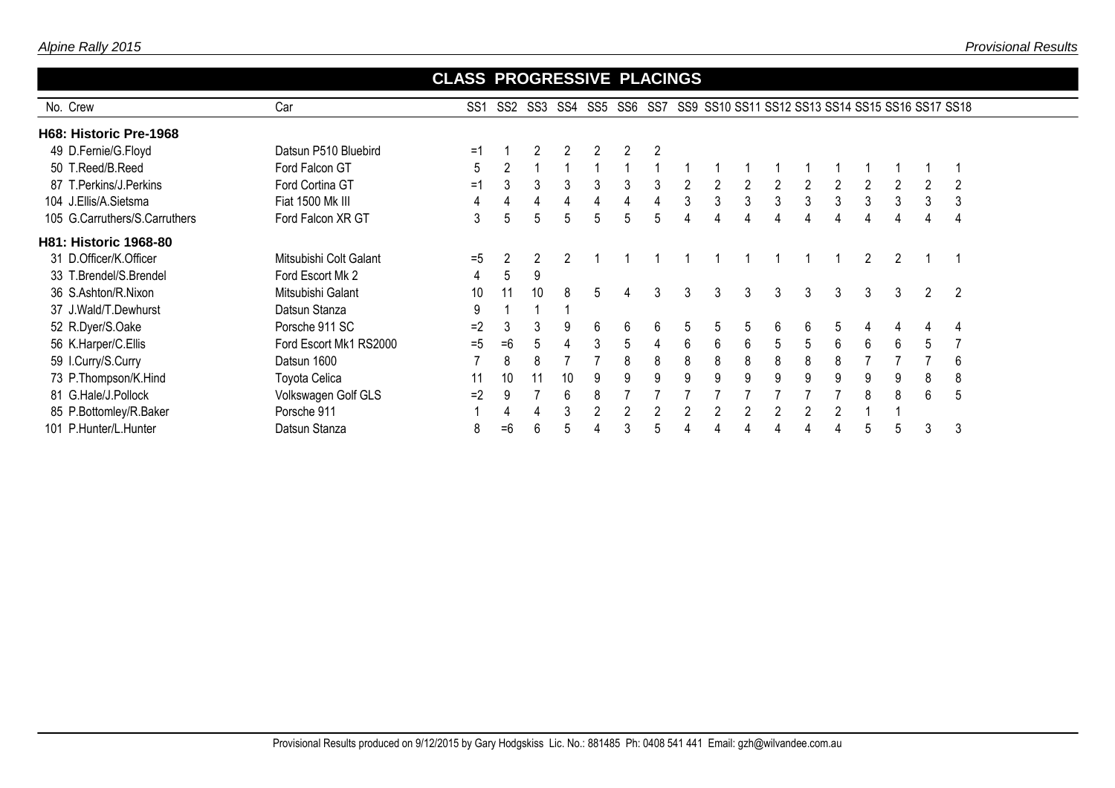No. Crew

|     | <b>CLASS PROGRESSIVE PLACINGS</b> |     |  |  |  |                                                                      |  |
|-----|-----------------------------------|-----|--|--|--|----------------------------------------------------------------------|--|
| Car | SS1                               | SS2 |  |  |  | SS3 SS4 SS5 SS6 SS7 SS9 SS10 SS11 SS12 SS13 SS14 SS15 SS16 SS17 SS18 |  |
|     |                                   |     |  |  |  |                                                                      |  |

| H68: Historic Pre-1968        |                        |       |      |    |    |    |   |                |   |    |    |   |   |   |   |   |                |   |
|-------------------------------|------------------------|-------|------|----|----|----|---|----------------|---|----|----|---|---|---|---|---|----------------|---|
| 49 D.Fernie/G.Floyd           | Datsun P510 Bluebird   | =1    |      | 2  | 2  |    | 2 | $\overline{2}$ |   |    |    |   |   |   |   |   |                |   |
| 50 T.Reed/B.Reed              | Ford Falcon GT         | 5     |      |    |    |    |   |                |   |    |    |   |   |   |   |   |                |   |
| 87 T.Perkins/J.Perkins        | Ford Cortina GT        | =1    | 3    | 3  | 3  | 3  | 3 | 3              |   |    |    |   |   |   |   |   | 2              |   |
| 104 J.Ellis/A.Sietsma         | Fiat 1500 Mk III       | 4     |      | 4  | 4  |    | 4 |                | 3 | 3  | 3. | 3 | 3 | 3 | 3 | 3 | 3              | 3 |
| 105 G.Carruthers/S.Carruthers | Ford Falcon XR GT      | 3     | 5    | 5  | 5  | 5. | 5 | 5              | 4 | 4  |    | 4 |   | 4 | 4 |   | 4              | 4 |
| <b>H81: Historic 1968-80</b>  |                        |       |      |    |    |    |   |                |   |    |    |   |   |   |   |   |                |   |
| 31 D.Officer/K.Officer        | Mitsubishi Colt Galant | $= 5$ |      |    |    |    |   |                |   |    |    |   |   |   | 2 |   |                |   |
| 33 T.Brendel/S.Brendel        | Ford Escort Mk 2       | 4     | 5    | 9  |    |    |   |                |   |    |    |   |   |   |   |   |                |   |
| 36 S.Ashton/R.Nixon           | Mitsubishi Galant      | 10    | 11   | 10 | 8  | 5. | 4 | 3              | 3 | 3  | 3  | 3 | 3 | 3 | 3 | 3 | $\overline{2}$ |   |
| 37 J.Wald/T.Dewhurst          | Datsun Stanza          | 9     |      |    |    |    |   |                |   |    |    |   |   |   |   |   |                |   |
| 52 R.Dyer/S.Oake              | Porsche 911 SC         | $=2$  | 3    | 3  | 9  | 6  | 6 | 6              | 5 | 5. |    | 6 | 6 | 5 | 4 |   | 4              | 4 |
| 56 K.Harper/C.Ellis           | Ford Escort Mk1 RS2000 | $= 5$ | $=6$ | 5  | 4  | 3  | 5 | 4              | 6 | 6  | 6  | 5 | 5 | 6 | 6 | 6 | 5              |   |
| 59 I.Curry/S.Curry            | Datsun 1600            |       | 8    | 8  |    |    | 8 | 8              | 8 | 8  | 8  | 8 | 8 | 8 |   |   |                | 6 |
| 73 P.Thompson/K.Hind          | Toyota Celica          | 11    | 10   | 11 | 10 | 9  | 9 | 9              | 9 | 9  | 9  | 9 | 9 | 9 | 9 | 9 | 8              | 8 |
| 81 G.Hale/J.Pollock           | Volkswagen Golf GLS    | $=2$  | 9    |    | 6  |    |   |                |   |    |    |   |   |   | 8 | 8 | 6              | 5 |
| 85 P.Bottomley/R.Baker        | Porsche 911            |       |      | 4  | 3  |    | 2 |                |   |    |    |   |   | າ |   |   |                |   |
| 101 P.Hunter/L.Hunter         | Datsun Stanza          | 8     | $=6$ | 6  | 5  |    |   | 5              |   |    |    |   |   |   |   |   | 3              |   |

## **CLASS**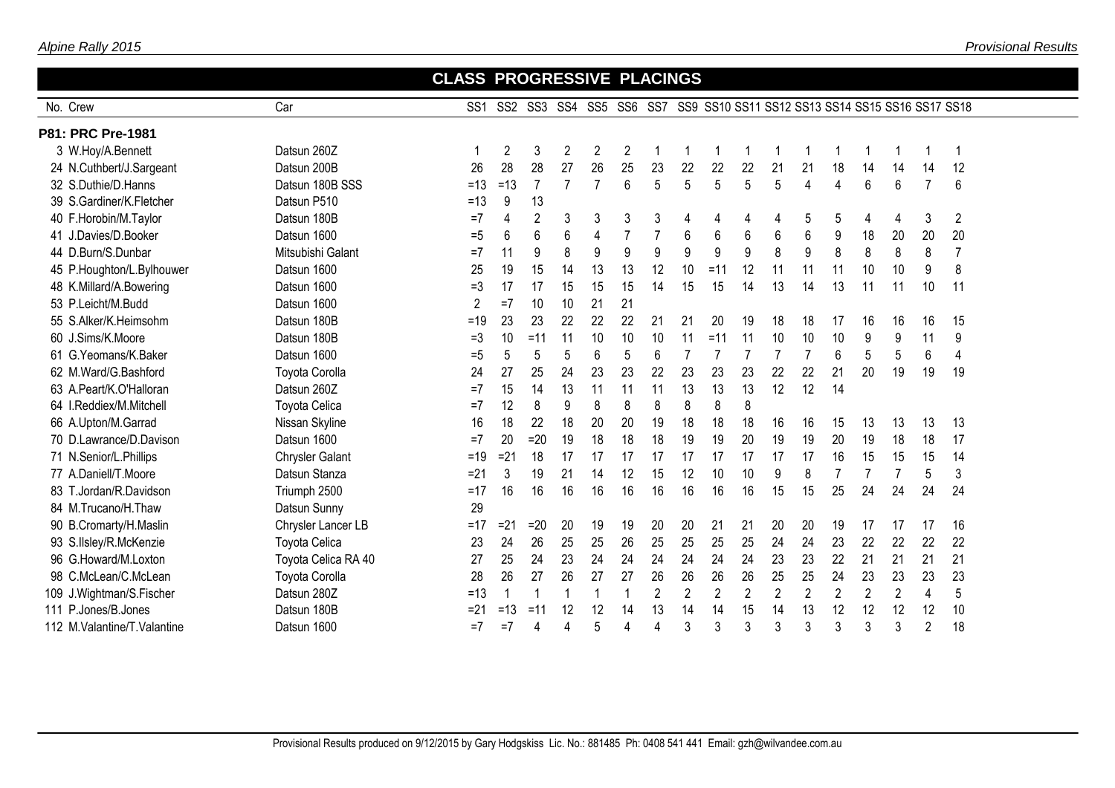|                             |                       | <b>CLASS PROGRESSIVE PLACINGS</b> |        |                |                          |                |                |                |                |                                                                          |                |                |                 |                |                |                |                |                |  |
|-----------------------------|-----------------------|-----------------------------------|--------|----------------|--------------------------|----------------|----------------|----------------|----------------|--------------------------------------------------------------------------|----------------|----------------|-----------------|----------------|----------------|----------------|----------------|----------------|--|
| No. Crew                    | Car                   | SS <sub>1</sub>                   |        |                |                          |                |                |                |                | SS2 SS3 SS4 SS5 SS6 SS7 SS9 SS10 SS11 SS12 SS13 SS14 SS15 SS16 SS17 SS18 |                |                |                 |                |                |                |                |                |  |
| P81: PRC Pre-1981           |                       |                                   |        |                |                          |                |                |                |                |                                                                          |                |                |                 |                |                |                |                |                |  |
| 3 W.Hoy/A.Bennett           | Datsun 260Z           |                                   | 2      | 3              | 2                        | $\overline{2}$ | 2              | -1             | 1              |                                                                          | 1              |                | -1              |                | 1              | 1              |                | 1              |  |
| 24 N.Cuthbert/J.Sargeant    | Datsun 200B           | 26                                | 28     | 28             | 27                       | 26             | 25             | 23             | 22             | 22                                                                       | 22             | 21             | 21              | 18             | 14             | 14             | 14             | 12             |  |
| 32 S.Duthie/D.Hanns         | Datsun 180B SSS       | $=13$                             | $=13$  | $\overline{7}$ | $\overline{7}$           | $\overline{7}$ | 6              | 5              | 5              | 5                                                                        | 5              | 5              | $\overline{4}$  | 4              | 6              | 6              | $\overline{7}$ | 6              |  |
| 39 S.Gardiner/K.Fletcher    | Datsun P510           | $=13$                             | 9      | 13             |                          |                |                |                |                |                                                                          |                |                |                 |                |                |                |                |                |  |
| 40 F.Horobin/M.Taylor       | Datsun 180B           | $=7$                              |        | $\overline{2}$ | 3                        | 3              | 3              | 3              | 4              | 4                                                                        | 4              | 4              | 5               | 5              | 4              | 4              | 3              | 2              |  |
| 41 J.Davies/D.Booker        | Datsun 1600           | $= 5$                             | 6      | 6              | 6                        | 4              | $\overline{7}$ |                | 6              | 6                                                                        | 6              | 6              | $6\phantom{1}6$ | 9              | 18             | 20             | 20             | 20             |  |
| 44 D.Burn/S.Dunbar          | Mitsubishi Galant     | $=7$                              | 11     | 9              | 8                        | 9              | 9              | 9              | 9              | 9                                                                        | 9              | 8              | 9               | 8              | 8              | 8              | 8              | $\overline{7}$ |  |
| 45 P.Houghton/L.Bylhouwer   | Datsun 1600           | 25                                | 19     | 15             | 14                       | 13             | 13             | 12             | 10             | $=11$                                                                    | 12             | 11             | 11              | 11             | 10             | 10             | 9              | 8              |  |
| 48 K.Millard/A.Bowering     | Datsun 1600           | $=$ 3                             | 17     | 17             | 15                       | 15             | 15             | 14             | 15             | 15                                                                       | 14             | 13             | 14              | 13             | 11             | 11             | 10             | 11             |  |
| 53 P.Leicht/M.Budd          | Datsun 1600           | $\overline{2}$                    | $=7$   | 10             | 10                       | 21             | 21             |                |                |                                                                          |                |                |                 |                |                |                |                |                |  |
| 55 S.Alker/K.Heimsohm       | Datsun 180B           | $=19$                             | 23     | 23             | 22                       | 22             | 22             | 21             | 21             | 20                                                                       | 19             | 18             | 18              | 17             | 16             | 16             | 16             | 15             |  |
| 60 J.Sims/K.Moore           | Datsun 180B           | $=$ 3                             | 10     | $=11$          | 11                       | 10             | 10             | 10             | 11             | $=11$                                                                    | 11             | 10             | 10              | 10             | 9              | 9              | 11             | 9              |  |
| 61 G.Yeomans/K.Baker        | Datsun 1600           | $= 5$                             | 5      | 5              | 5                        | 6              | 5              | 6              | $\overline{7}$ |                                                                          | 7              | 7              | $\overline{7}$  | 6              | 5              | 5              | 6              | 4              |  |
| 62 M.Ward/G.Bashford        | <b>Toyota Corolla</b> | 24                                | 27     | 25             | 24                       | 23             | 23             | 22             | 23             | 23                                                                       | 23             | 22             | 22              | 21             | 20             | 19             | 19             | 19             |  |
| 63 A.Peart/K.O'Halloran     | Datsun 260Z           | $=7$                              | 15     | 14             | 13                       | 11             | 11             | 11             | 13             | 13                                                                       | 13             | 12             | 12              | 14             |                |                |                |                |  |
| 64 I.Reddiex/M.Mitchell     | <b>Toyota Celica</b>  | $=7$                              | 12     | 8              | 9                        | 8              | 8              | 8              | 8              | 8                                                                        | 8              |                |                 |                |                |                |                |                |  |
| 66 A.Upton/M.Garrad         | Nissan Skyline        | 16                                | 18     | 22             | 18                       | 20             | 20             | 19             | 18             | 18                                                                       | 18             | 16             | 16              | 15             | 13             | 13             | 13             | 13             |  |
| 70 D.Lawrance/D.Davison     | Datsun 1600           | $=7$                              | 20     | $=20$          | 19                       | 18             | 18             | 18             | 19             | 19                                                                       | 20             | 19             | 19              | 20             | 19             | 18             | 18             | 17             |  |
| 71 N.Senior/L.Phillips      | Chrysler Galant       | $=19$                             | $= 21$ | 18             | 17                       | 17             | 17             | 17             | 17             | 17                                                                       | 17             | 17             | 17              | 16             | 15             | 15             | 15             | 14             |  |
| 77 A.Daniell/T.Moore        | Datsun Stanza         | $=21$                             | 3      | 19             | 21                       | 14             | 12             | 15             | 12             | 10                                                                       | 10             | 9              | 8               | $\overline{7}$ | $\overline{7}$ | $\overline{7}$ | 5              | 3              |  |
| 83 T.Jordan/R.Davidson      | Triumph 2500          | $=17$                             | 16     | 16             | 16                       | 16             | 16             | 16             | 16             | 16                                                                       | 16             | 15             | 15              | 25             | 24             | 24             | 24             | 24             |  |
| 84 M.Trucano/H.Thaw         | Datsun Sunny          | 29                                |        |                |                          |                |                |                |                |                                                                          |                |                |                 |                |                |                |                |                |  |
| 90 B.Cromarty/H.Maslin      | Chrysler Lancer LB    | $=17$                             | $=21$  | $=20$          | 20                       | 19             | 19             | 20             | 20             | 21                                                                       | 21             | 20             | 20              | 19             | 17             | 17             | 17             | 16             |  |
| 93 S.IIsley/R.McKenzie      | <b>Toyota Celica</b>  | 23                                | 24     | 26             | 25                       | 25             | 26             | 25             | 25             | 25                                                                       | 25             | 24             | 24              | 23             | 22             | 22             | 22             | 22             |  |
| 96 G.Howard/M.Loxton        | Toyota Celica RA 40   | 27                                | 25     | 24             | 23                       | 24             | 24             | 24             | 24             | 24                                                                       | 24             | 23             | 23              | 22             | 21             | 21             | 21             | 21             |  |
| 98 C.McLean/C.McLean        | <b>Toyota Corolla</b> | 28                                | 26     | 27             | 26                       | 27             | 27             | 26             | 26             | 26                                                                       | 26             | 25             | 25              | 24             | 23             | 23             | 23             | 23             |  |
| 109 J.Wightman/S.Fischer    | Datsun 280Z           | $=13$                             |        | $\overline{1}$ | $\overline{\phantom{a}}$ | 1              | 1              | $\overline{2}$ | $\overline{2}$ | $\overline{2}$                                                           | $\overline{2}$ | $\overline{2}$ | $\overline{2}$  | $\overline{2}$ | $\overline{2}$ | $\overline{2}$ | 4              | 5              |  |
| 111 P.Jones/B.Jones         | Datsun 180B           | $=21$                             | $=13$  | $=11$          | 12                       | 12             | 14             | 13             | 14             | 14                                                                       | 15             | 14             | 13              | 12             | 12             | 12             | 12             | 10             |  |
| 112 M.Valantine/T.Valantine | Datsun 1600           | $=7$                              | $=7$   | 4              | 4                        | 5              | Δ              | 4              | 3              | 3                                                                        | 3              | 3              | 3               | 3              | 3              | 3              | $\overline{2}$ | 18             |  |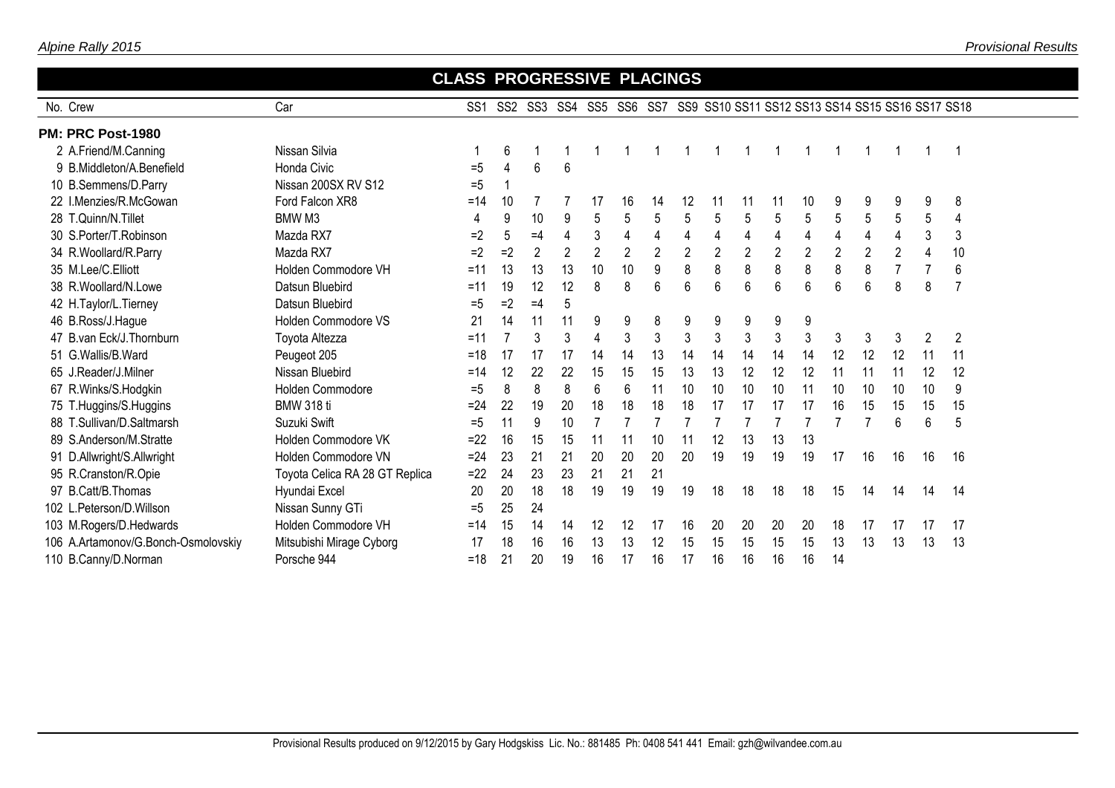|                                     |                                | <b>CLASS PROGRESSIVE PLACINGS</b> |                 |                |                |                     |                |                |                |            |                |                |                |                |                                                  |                |    |                |
|-------------------------------------|--------------------------------|-----------------------------------|-----------------|----------------|----------------|---------------------|----------------|----------------|----------------|------------|----------------|----------------|----------------|----------------|--------------------------------------------------|----------------|----|----------------|
| No. Crew                            | Car                            | SS <sub>1</sub>                   | SS <sub>2</sub> |                |                | SS3 SS4 SS5 SS6 SS7 |                |                |                |            |                |                |                |                | SS9 SS10 SS11 SS12 SS13 SS14 SS15 SS16 SS17 SS18 |                |    |                |
| PM: PRC Post-1980                   |                                |                                   |                 |                |                |                     |                |                |                |            |                |                |                |                |                                                  |                |    |                |
| 2 A.Friend/M.Canning                | Nissan Silvia                  |                                   | 6               |                |                |                     |                |                |                |            |                |                |                |                |                                                  |                |    |                |
| 9 B.Middleton/A.Benefield           | <b>Honda Civic</b>             | $=5$                              | 4               | 6              | 6              |                     |                |                |                |            |                |                |                |                |                                                  |                |    |                |
| 10 B.Semmens/D.Parry                | Nissan 200SX RV S12            | $= 5$                             |                 |                |                |                     |                |                |                |            |                |                |                |                |                                                  |                |    |                |
| 22 I.Menzies/R.McGowan              | Ford Falcon XR8                | $=14$                             | 10              |                |                | 17                  | 16             | 14             | 12             | 11         | 11             | 11             | 10             | 9              | 9                                                | 9              | 9  | 8              |
| 28 T.Quinn/N.Tillet                 | BMW <sub>M3</sub>              | 4                                 | 9               | 10             | 9              | 5                   | 5              | 5              | 5              | 5          | 5              | 5              | 5              | 5              | 5                                                | $\overline{5}$ | 5  | 4              |
| 30 S.Porter/T.Robinson              | Mazda RX7                      | $=2$                              | 5               | $=4$           | $\overline{4}$ | 3                   | $\overline{4}$ | 4              | 4              | 4          | $\overline{4}$ | $\overline{4}$ | $\overline{4}$ | $\overline{4}$ | 4                                                | 4              | 3  | 3              |
| 34 R.Woollard/R.Parry               | Mazda RX7                      | $=2$                              | $=2$            | $\overline{2}$ | $\overline{2}$ | $\mathbf{2}$        | $\overline{2}$ | $\overline{2}$ | $\overline{2}$ | $\sqrt{2}$ | $\overline{2}$ | $\overline{2}$ | $\overline{2}$ | $\overline{2}$ | $\overline{2}$                                   | $\overline{2}$ | 4  | 10             |
| 35 M.Lee/C.Elliott                  | Holden Commodore VH            | $=11$                             | 13              | 13             | 13             | 10                  | 10             | 9              | 8              | 8          | 8              | 8              | 8              | 8              | 8                                                | $\overline{7}$ |    | 6              |
| 38 R. Woollard/N. Lowe              | Datsun Bluebird                | $=11$                             | 19              | 12             | 12             | 8                   | 8              | 6              | 6              | 6          | 6              | 6              | $6\phantom{.}$ | 6              | 6                                                | 8              | 8  | 7              |
| 42 H.Taylor/L.Tierney               | Datsun Bluebird                | $=5$                              | $=2$            | $=4$           | 5              |                     |                |                |                |            |                |                |                |                |                                                  |                |    |                |
| 46 B.Ross/J.Hague                   | Holden Commodore VS            | 21                                | 14              | 11             | 11             | 9                   | 9              | 8              | 9              | 9          | 9              | 9              | 9              |                |                                                  |                |    |                |
| 47 B.van Eck/J.Thornburn            | Toyota Altezza                 | $=11$                             | 7               | 3              | 3              | $\overline{4}$      | 3              | 3              | 3              | 3          | 3              | $\mathbf{3}$   | 3              | 3              | 3                                                | 3              | 2  | $\overline{2}$ |
| 51 G.Wallis/B.Ward                  | Peugeot 205                    | $=18$                             | 17              | 17             | 17             | 14                  | 14             | 13             | 14             | 14         | 14             | 14             | 14             | 12             | 12                                               | 12             | 11 | 11             |
| 65 J.Reader/J.Milner                | Nissan Bluebird                | $=14$                             | 12              | 22             | 22             | 15                  | 15             | 15             | 13             | 13         | 12             | 12             | 12             | 11             | 11                                               | 11             | 12 | 12             |
| 67 R.Winks/S.Hodgkin                | Holden Commodore               | $= 5$                             | 8               | 8              | 8              | 6                   | 6              | 11             | 10             | 10         | 10             | 10             | 11             | 10             | 10                                               | 10             | 10 | 9              |
| 75 T.Huggins/S.Huggins              | <b>BMW 318 ti</b>              | $=24$                             | 22              | 19             | 20             | 18                  | 18             | 18             | 18             | 17         | 17             | 17             | 17             | 16             | 15                                               | 15             | 15 | 15             |
| 88 T.Sullivan/D.Saltmarsh           | Suzuki Swift                   | $=5$                              | 11              | 9              | 10             |                     |                |                |                |            |                |                |                | $\overline{7}$ |                                                  | 6              | 6  | 5              |
| 89 S.Anderson/M.Stratte             | Holden Commodore VK            | $=22$                             | 16              | 15             | 15             | 11                  | 11             | 10             | 11             | 12         | 13             | 13             | 13             |                |                                                  |                |    |                |
| 91 D.Allwright/S.Allwright          | Holden Commodore VN            | $=24$                             | 23              | 21             | 21             | 20                  | 20             | 20             | 20             | 19         | 19             | 19             | 19             | 17             | 16                                               | 16             | 16 | 16             |
| 95 R.Cranston/R.Opie                | Toyota Celica RA 28 GT Replica | $=22$                             | 24              | 23             | 23             | 21                  | 21             | 21             |                |            |                |                |                |                |                                                  |                |    |                |
| 97 B.Catt/B.Thomas                  | Hyundai Excel                  | 20                                | 20              | 18             | 18             | 19                  | 19             | 19             | 19             | 18         | 18             | 18             | 18             | 15             | 14                                               | 14             | 14 | 14             |
| 102 L.Peterson/D.Willson            | Nissan Sunny GTi               | $= 5$                             | 25              | 24             |                |                     |                |                |                |            |                |                |                |                |                                                  |                |    |                |
| 103 M.Rogers/D.Hedwards             | Holden Commodore VH            | $=14$                             | 15              | 14             | 14             | 12                  | 12             | 17             | 16             | 20         | 20             | 20             | 20             | 18             | 17                                               | 17             | 17 | 17             |
| 106 A.Artamonov/G.Bonch-Osmolovskiy | Mitsubishi Mirage Cyborg       | 17                                | 18              | 16             | 16             | 13                  | 13             | 12             | 15             | 15         | 15             | 15             | 15             | 13             | 13                                               | 13             | 13 | 13             |
| 110 B.Canny/D.Norman                | Porsche 944                    | $=18$                             | 21              | 20             | 19             | 16                  | 17             | 16             | 17             | 16         | 16             | 16             | 16             | 14             |                                                  |                |    |                |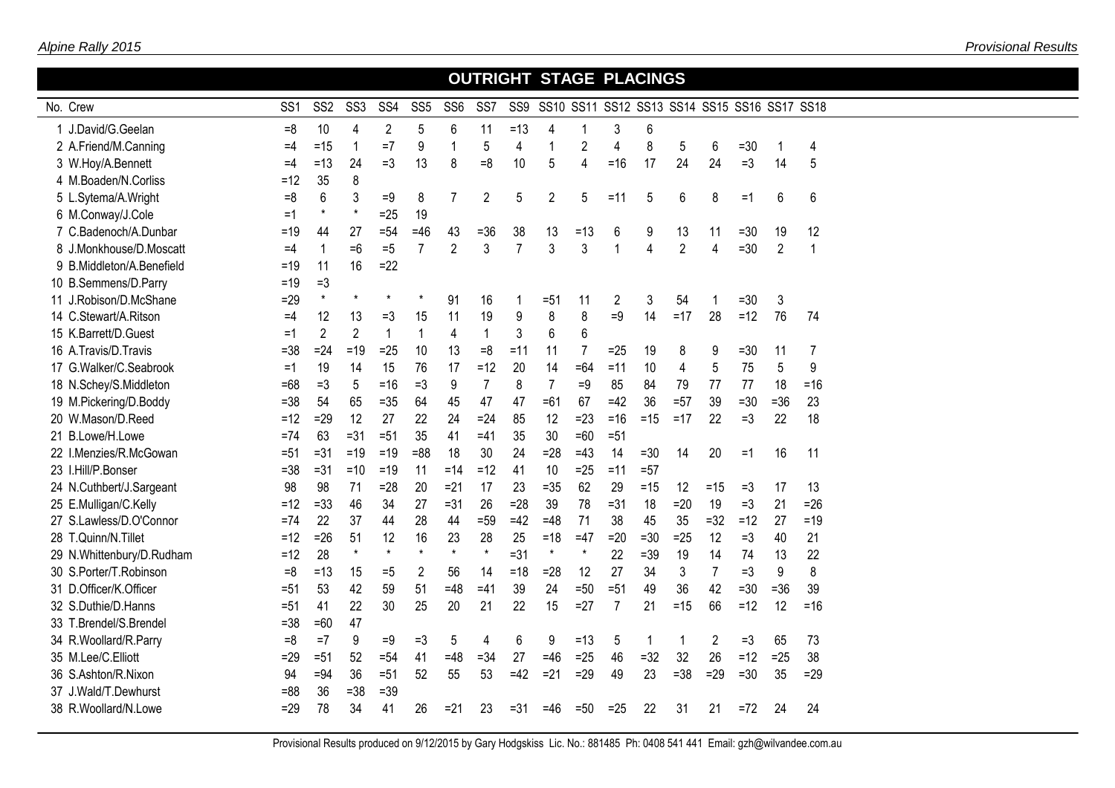|                           |                 |                 |                 |                 |                 |                 |                 |                |                |                |                | <b>OUTRIGHT STAGE PLACINGS</b>               |                |                |        |                |                |
|---------------------------|-----------------|-----------------|-----------------|-----------------|-----------------|-----------------|-----------------|----------------|----------------|----------------|----------------|----------------------------------------------|----------------|----------------|--------|----------------|----------------|
| No. Crew                  | SS <sub>1</sub> | SS <sub>2</sub> | SS <sub>3</sub> | SS <sub>4</sub> | SS <sub>5</sub> | SS <sub>6</sub> | SS <sub>7</sub> | SS9            |                |                |                | SS10 SS11 SS12 SS13 SS14 SS15 SS16 SS17 SS18 |                |                |        |                |                |
| 1 J.David/G.Geelan        | $=8$            | 10              | 4               | $\overline{2}$  | 5               | 6               | 11              | $=13$          | 4              | -1             | 3              | 6                                            |                |                |        |                |                |
| 2 A.Friend/M.Canning      | $=4$            | $=15$           | $\overline{1}$  | $=7$            | 9               | 1               | 5               | 4              | 1              | $\overline{c}$ | $\overline{4}$ | 8                                            | 5              | 6              | $= 30$ | 1              | 4              |
| 3 W.Hoy/A.Bennett         | $=4$            | $=13$           | 24              | $=3$            | 13              | 8               | $= 8$           | 10             | 5              | 4              | $= 16$         | 17                                           | 24             | 24             | $=3$   | 14             | 5              |
| 4 M.Boaden/N.Corliss      | $=12$           | 35              | 8               |                 |                 |                 |                 |                |                |                |                |                                              |                |                |        |                |                |
| 5 L.Sytema/A.Wright       | $=8$            | 6               | 3               | $=9$            | 8               | 7               | 2               | 5              | $\overline{2}$ | 5              | $=11$          | 5                                            | 6              | 8              | $=1$   | 6              | 6              |
| 6 M.Conway/J.Cole         | $=1$            | $\star$         | $\star$         | $=25$           | 19              |                 |                 |                |                |                |                |                                              |                |                |        |                |                |
| 7 C.Badenoch/A.Dunbar     | $=19$           | 44              | 27              | $= 54$          | $=46$           | 43              | $= 36$          | 38             | 13             | $=13$          | 6              | 9                                            | 13             | 11             | $=30$  | 19             | 12             |
| 8 J.Monkhouse/D.Moscatt   | $=4$            | 1               | $=6$            | $=5$            | $\overline{7}$  | $\overline{2}$  | 3               | $\overline{7}$ | 3              | 3              | $\overline{1}$ | $\overline{4}$                               | $\overline{2}$ | 4              | $= 30$ | $\overline{2}$ | $\overline{1}$ |
| 9 B.Middleton/A.Benefield | $=19$           | 11              | 16              | $=22$           |                 |                 |                 |                |                |                |                |                                              |                |                |        |                |                |
| 10 B.Semmens/D.Parry      | $=19$           | $=3$            |                 |                 |                 |                 |                 |                |                |                |                |                                              |                |                |        |                |                |
| 11 J.Robison/D.McShane    | $=29$           | $\star$         |                 |                 |                 | 91              | 16              |                | $= 51$         | 11             | $\overline{2}$ | 3                                            | 54             |                | $= 30$ | 3              |                |
| 14 C.Stewart/A.Ritson     | $=4$            | 12              | 13              | $=3$            | 15              | 11              | 19              | 9              | 8              | 8              | $=9$           | 14                                           | $=17$          | 28             | $=12$  | 76             | 74             |
| 15 K.Barrett/D.Guest      | $=1$            | $\overline{2}$  | $\overline{2}$  | $\mathbf{1}$    | $\mathbf 1$     | 4               | $\mathbf{1}$    | 3              | 6              | $6\,$          |                |                                              |                |                |        |                |                |
| 16 A.Travis/D.Travis      | $= 38$          | $=24$           | $=19$           | $=25$           | 10              | 13              | $=8$            | $=11$          | 11             | 7              | $=25$          | 19                                           | 8              | 9              | $=30$  | 11             | 7              |
| 17 G.Walker/C.Seabrook    | $=1$            | 19              | 14              | 15              | 76              | 17              | $=12$           | 20             | 14             | $=64$          | $=11$          | 10                                           | 4              | $\sqrt{5}$     | 75     | 5              | 9              |
| 18 N.Schey/S.Middleton    | $=68$           | $=3$            | 5               | $=16$           | $=3$            | 9               | $\overline{7}$  | 8              | $\overline{7}$ | $=9$           | 85             | 84                                           | 79             | 77             | 77     | 18             | $=16$          |
| 19 M.Pickering/D.Boddy    | $= 38$          | 54              | 65              | $= 35$          | 64              | 45              | 47              | 47             | $=61$          | 67             | $=42$          | 36                                           | $=57$          | 39             | $=30$  | $=36$          | 23             |
| 20 W.Mason/D.Reed         | $=12$           | $=29$           | 12              | 27              | 22              | 24              | $=24$           | 85             | 12             | $=23$          | $= 16$         | $=15$                                        | $=17$          | 22             | $=3$   | 22             | 18             |
| 21 B.Lowe/H.Lowe          | $=74$           | 63              | $= 31$          | $=51$           | 35              | 41              | $=41$           | 35             | 30             | $=60$          | $=51$          |                                              |                |                |        |                |                |
| 22 I.Menzies/R.McGowan    | $= 51$          | $=31$           | $=19$           | $=19$           | $= 88$          | 18              | 30              | 24             | $=28$          | $=43$          | 14             | $=30$                                        | 14             | 20             | $=1$   | 16             | 11             |
| 23 I.Hill/P.Bonser        | $= 38$          | $=31$           | $=10$           | $=19$           | 11              | $=14$           | $=12$           | 41             | 10             | $=25$          | $=11$          | $=57$                                        |                |                |        |                |                |
| 24 N.Cuthbert/J.Sargeant  | 98              | 98              | 71              | $=28$           | 20              | $=21$           | 17              | 23             | $= 35$         | 62             | 29             | $=15$                                        | 12             | $=15$          | $=3$   | 17             | 13             |
| 25 E.Mulligan/C.Kelly     | $=12$           | $=33$           | 46              | 34              | 27              | $= 31$          | 26              | $=28$          | 39             | 78             | $=31$          | 18                                           | $=20$          | 19             | $=3$   | 21             | $=26$          |
| 27 S.Lawless/D.O'Connor   | $=74$           | 22              | 37              | 44              | 28              | 44              | $=59$           | $=42$          | $=48$          | 71             | 38             | 45                                           | 35             | $=32$          | $=12$  | 27             | $=19$          |
| 28 T.Quinn/N.Tillet       | $=12$           | $=26$           | 51              | 12              | 16              | 23              | 28              | 25             | $=18$          | $=47$          | $=20$          | $=30$                                        | $=25$          | 12             | $=3$   | 40             | 21             |
| 29 N.Whittenbury/D.Rudham | $=12$           | 28              | $\star$         | $\star$         | $\star$         | $\star$         | $\star$         | $=31$          | $\pmb{\star}$  | $^{\ast}$      | 22             | $=39$                                        | 19             | 14             | 74     | 13             | 22             |
| 30 S.Porter/T.Robinson    | $=8$            | $=13$           | 15              | $= 5$           | 2               | 56              | 14              | $=18$          | $=28$          | 12             | 27             | 34                                           | 3              | $\overline{7}$ | $=3$   | 9              | 8              |
| 31 D.Officer/K.Officer    | $= 51$          | 53              | 42              | 59              | 51              | $=48$           | $=41$           | 39             | 24             | $=50$          | $=51$          | 49                                           | 36             | 42             | $=30$  | $=36$          | 39             |
| 32 S.Duthie/D.Hanns       | $= 51$          | 41              | 22              | 30              | 25              | 20              | 21              | 22             | 15             | $=27$          | $\overline{7}$ | 21                                           | $=15$          | 66             | $=12$  | 12             | $= 16$         |
| 33 T.Brendel/S.Brendel    | $= 38$          | $=60$           | 47              |                 |                 |                 |                 |                |                |                |                |                                              |                |                |        |                |                |
| 34 R.Woollard/R.Parry     | $=8$            | $=7$            | 9               | $=9$            | $=3$            | 5               | 4               | 6              | 9              | $=13$          | 5              | 1                                            | 1              | 2              | $=3$   | 65             | 73             |
| 35 M.Lee/C.Elliott        | $=29$           | $= 51$          | 52              | $= 54$          | 41              | $=48$           | $= 34$          | 27             | $=46$          | $=25$          | 46             | $=32$                                        | 32             | 26             | $=12$  | $=25$          | 38             |
| 36 S.Ashton/R.Nixon       | 94              | $= 94$          | 36              | $= 51$          | 52              | 55              | 53              | $=42$          | $= 21$         | $=29$          | 49             | 23                                           | $=38$          | $=29$          | $=30$  | 35             | $=29$          |
| 37 J.Wald/T.Dewhurst      | $= 88$          | 36              | $= 38$          | $=39$           |                 |                 |                 |                |                |                |                |                                              |                |                |        |                |                |
| 38 R.Woollard/N.Lowe      | $=29$           | 78              | 34              | 41              | 26              | $=21$           | 23              | $= 31$         | $=46$          | $=50$          | $=25$          | 22                                           | 31             | 21             | $=72$  | 24             | 24             |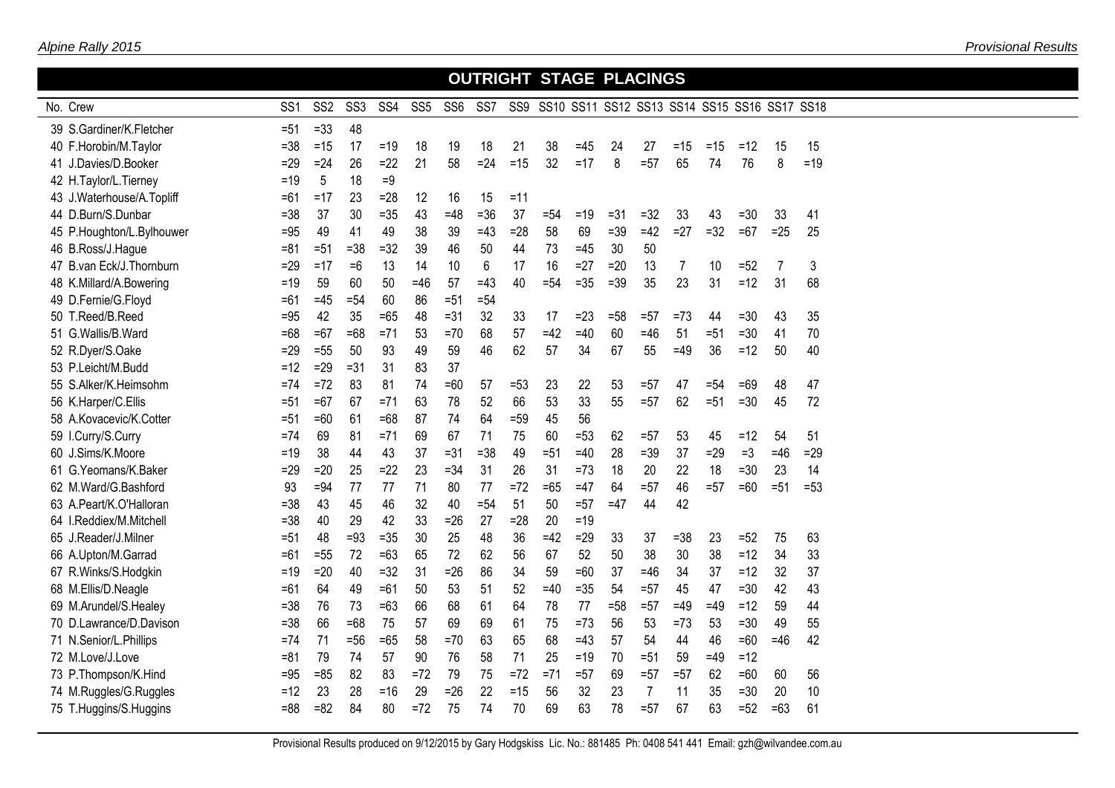## No. Crew  **OUTRIGHT STAGE PLACINGS** SS1 SS2 SS3 SS4 SS5 SS6 SS7 SS9 SS10 SS11 SS12 SS13 SS14 SS15 SS16 SS17 SS18  $39 S<sub>1</sub>$  S. Gardiner/K. Fletcher  $=51$  =33 48 F.Horobin/M.Taylor =38 =15 17 =19 18 19 18 21 38 =45 24 27 =15 =15 =12 15 15 J.Davies/D.Booker =29 =24 26 =22 21 58 =24 =15 32 =17 8 =57 65 74 76 8 =19 H.Taylor/L.Tierney =19 5 18 =9 J.Waterhouse/A.Topliff =61 =17 23 =28 12 16 15 =11 D.Burn/S.Dunbar =38 37 30 =35 43 =48 =36 37 =54 =19 =31 =32 33 43 =30 33 41 P.Houghton/L.Bylhouwer =95 49 41 49 38 39 =43 =28 58 69 =39 =42 =27 =32 =67 =25 25 B.Ross/J.Hague =81 =51 =38 =32 39 46 50 44 73 =45 30 50 B.van Eck/J.Thornburn =29 =17 =6 13 14 10 6 17 16 =27 =20 13 7 10 =52 7 3 K.Millard/A.Bowering =19 59 60 50 =46 57 =43 40 =54 =35 =39 35 23 31 =12 31 68 D.Fernie/G.Floyd =61 =45 =54 60 86 =51 =54 T.Reed/B.Reed =95 42 35 =65 48 =31 32 33 17 =23 =58 =57 =73 44 =30 43 35 G.Wallis/B.Ward =68 =67 =68 =71 53 =70 68 57 =42 =40 60 =46 51 =51 =30 41 70 R.Dyer/S.Oake =29 =55 50 93 49 59 46 62 57 34 67 55 =49 36 =12 50 40 P.Leicht/M.Budd =12 =29 =31 31 83 37 S.Alker/K.Heimsohm =74 =72 83 81 74 =60 57 =53 23 22 53 =57 47 =54 =69 48 47 K.Harper/C.Ellis =51 =67 67 =71 63 78 52 66 53 33 55 =57 62 =51 =30 45 72 A.Kovacevic/K.Cotter =51 =60 61 =68 87 74 64 =59 45 56 I.Curry/S.Curry =74 69 81 =71 69 67 71 75 60 =53 62 =57 53 45 =12 54 51 J.Sims/K.Moore =19 38 44 43 37 =31 =38 49 =51 =40 28 =39 37 =29 =3 =46 =29 G.Yeomans/K.Baker =29 =20 25 =22 23 =34 31 26 31 =73 18 20 22 18 =30 23 14 M.Ward/G.Bashford 93 =94 77 77 71 80 77 =72 =65 =47 64 =57 46 =57 =60 =51 =53 A.Peart/K.O'Halloran =38 43 45 46 32 40 =54 51 50 =57 =47 44 42 I.Reddiex/M.Mitchell =38 40 29 42 33 =26 27 =28 20 =19 J.Reader/J.Milner =51 48 =93 =35 30 25 48 36 =42 =29 33 37 =38 23 =52 75 63 A.Upton/M.Garrad =61 =55 72 =63 65 72 62 56 67 52 50 38 30 38 =12 34 33 R.Winks/S.Hodgkin =19 =20 40 =32 31 =26 86 34 59 =60 37 =46 34 37 =12 32 37 M.Ellis/D.Neagle =61 64 49 =61 50 53 51 52 =40 =35 54 =57 45 47 =30 42 43 M.Arundel/S.Healey =38 76 73 =63 66 68 61 64 78 77 =58 =57 =49 =49 =12 59 44 D.Lawrance/D.Davison =38 66 =68 75 57 69 69 61 75 =73 56 53 =73 53 =30 49 55 N.Senior/L.Phillips =74 71 =56 =65 58 =70 63 65 68 =43 57 54 44 46 =60 =46 42 M.Love/J.Love =81 79 74 57 90 76 58 71 25 =19 70 =51 59 =49 =12 P.Thompson/K.Hind =95 =85 82 83 =72 79 75 =72 =71 =57 69 =57 =57 62 =60 60 56 74 M.Ruggles/G.Ruggles 6 = 12 23 28 =16 29 =26 22 =15 56 32 23 7 11 35 =30 20 10 T.Huggins/S.Huggins =88 =82 84 80 =72 75 74 70 69 63 78 =57 67 63 =52 =63 61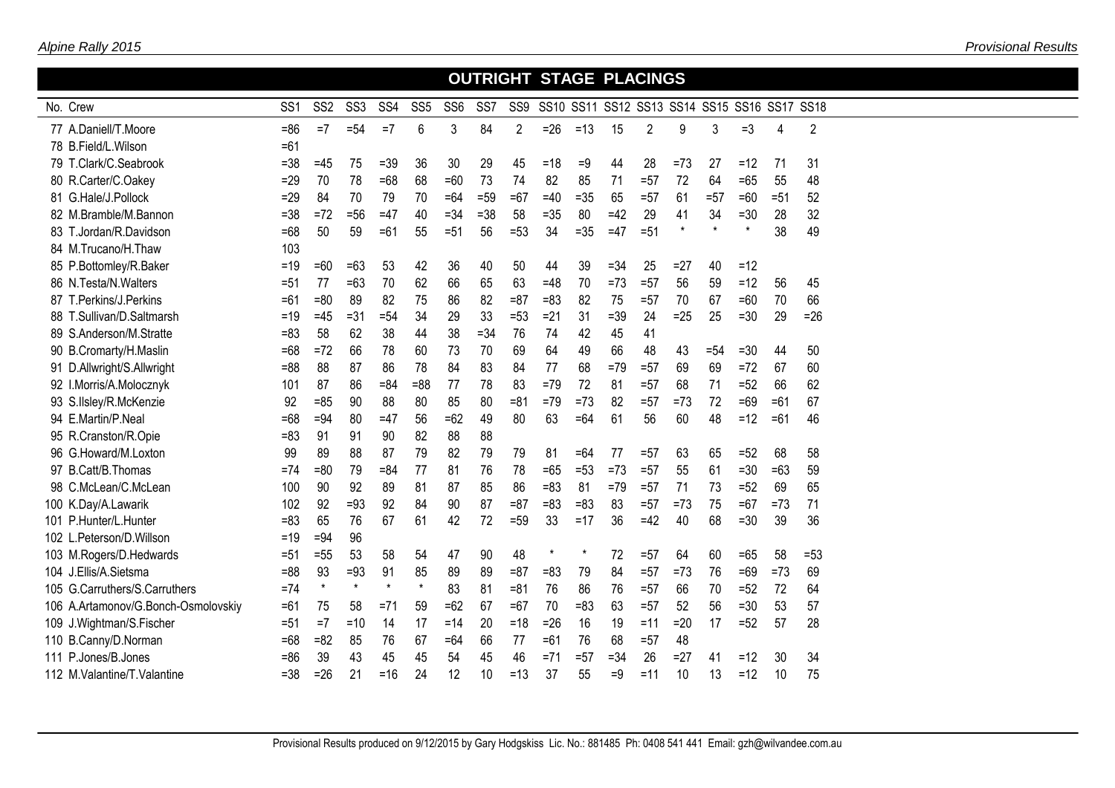|                                     |                 |                 |                  |         |                 |                 |                 |        |         | <b>OUTRIGHT STAGE PLACINGS</b>               |        |                |         |        |         |        |                |  |
|-------------------------------------|-----------------|-----------------|------------------|---------|-----------------|-----------------|-----------------|--------|---------|----------------------------------------------|--------|----------------|---------|--------|---------|--------|----------------|--|
| No. Crew                            | SS <sub>1</sub> | SS <sub>2</sub> | SS <sub>3</sub>  | SS4     | SS <sub>5</sub> | SS <sub>6</sub> | SS <sub>7</sub> | SS9    |         | SS10 SS11 SS12 SS13 SS14 SS15 SS16 SS17 SS18 |        |                |         |        |         |        |                |  |
| 77 A.Daniell/T.Moore                | $= 86$          | $=7$            | $= 54$           | $=7$    | 6               | 3               | 84              | 2      | $=26$   | $=13$                                        | 15     | $\overline{2}$ | 9       | 3      | $=3$    | 4      | $\overline{2}$ |  |
| 78 B.Field/L.Wilson                 | $=61$           |                 |                  |         |                 |                 |                 |        |         |                                              |        |                |         |        |         |        |                |  |
| 79 T.Clark/C.Seabrook               | $= 38$          | $=45$           | 75               | $=39$   | 36              | 30              | 29              | 45     | $=18$   | =9                                           | 44     | 28             | $=73$   | 27     | $=12$   | 71     | 31             |  |
| 80 R.Carter/C.Oakey                 | $=29$           | 70              | 78               | $=68$   | 68              | $=60$           | 73              | 74     | 82      | 85                                           | 71     | $= 57$         | 72      | 64     | $=65$   | 55     | 48             |  |
| 81 G.Hale/J.Pollock                 | $=29$           | 84              | 70               | 79      | 70              | $=64$           | $=59$           | $=67$  | $=40$   | $=35$                                        | 65     | $=57$          | 61      | $= 57$ | $=60$   | $= 51$ | 52             |  |
| 82 M.Bramble/M.Bannon               | $= 38$          | $=72$           | $=56$            | $=47$   | 40              | $= 34$          | $=38$           | 58     | $=35$   | 80                                           | $=42$  | 29             | 41      | 34     | $=30$   | 28     | 32             |  |
| 83 T.Jordan/R.Davidson              | $=68$           | 50              | 59               | $=61$   | 55              | $= 51$          | 56              | $= 53$ | 34      | $=35$                                        | $=47$  | $= 51$         | $\star$ |        | $\star$ | 38     | 49             |  |
| 84 M.Trucano/H.Thaw                 | 103             |                 |                  |         |                 |                 |                 |        |         |                                              |        |                |         |        |         |        |                |  |
| 85 P.Bottomley/R.Baker              | $=19$           | $=60$           | $=63$            | 53      | 42              | 36              | 40              | 50     | 44      | 39                                           | $= 34$ | 25             | $=27$   | 40     | $=12$   |        |                |  |
| 86 N.Testa/N.Walters                | $= 51$          | 77              | $=63$            | 70      | 62              | 66              | 65              | 63     | $=48$   | 70                                           | $=73$  | $= 57$         | 56      | 59     | $=12$   | 56     | 45             |  |
| 87 T.Perkins/J.Perkins              | $=61$           | $= 80$          | 89               | 82      | 75              | 86              | 82              | $= 87$ | $= 83$  | 82                                           | 75     | $=57$          | 70      | 67     | $=60$   | 70     | 66             |  |
| 88 T.Sullivan/D.Saltmarsh           | $=19$           | $=45$           | $=31$            | $= 54$  | 34              | 29              | 33              | $= 53$ | $=21$   | 31                                           | $= 39$ | 24             | $=25$   | 25     | $=30$   | 29     | $=26$          |  |
| 89 S.Anderson/M.Stratte             | $= 83$          | 58              | 62               | 38      | 44              | 38              | $= 34$          | 76     | 74      | 42                                           | 45     | 41             |         |        |         |        |                |  |
| 90 B.Cromarty/H.Maslin              | $=68$           | $=72$           | 66               | 78      | 60              | 73              | 70              | 69     | 64      | 49                                           | 66     | 48             | 43      | $= 54$ | $=30$   | 44     | 50             |  |
| 91 D.Allwright/S.Allwright          | $= 88$          | 88              | 87               | 86      | 78              | 84              | 83              | 84     | 77      | 68                                           | $=79$  | $= 57$         | 69      | 69     | $=72$   | 67     | 60             |  |
| 92 I.Morris/A.Molocznyk             | 101             | 87              | 86               | $= 84$  | $= 88$          | 77              | 78              | 83     | $=79$   | 72                                           | 81     | $=57$          | 68      | 71     | $=52$   | 66     | 62             |  |
| 93 S.IIsley/R.McKenzie              | 92              | $=85$           | 90               | 88      | 80              | 85              | 80              | $= 81$ | $=79$   | $=73$                                        | 82     | $=57$          | $=73$   | 72     | $=69$   | $=61$  | 67             |  |
| 94 E.Martin/P.Neal                  | $=68$           | $=94$           | 80               | $=47$   | 56              | $=62$           | 49              | 80     | 63      | $=64$                                        | 61     | 56             | 60      | 48     | $=12$   | $=61$  | 46             |  |
| 95 R.Cranston/R.Opie                | $= 83$          | 91              | 91               | 90      | 82              | 88              | 88              |        |         |                                              |        |                |         |        |         |        |                |  |
| 96 G.Howard/M.Loxton                | 99              | 89              | 88               | 87      | 79              | 82              | 79              | 79     | 81      | $=64$                                        | 77     | $= 57$         | 63      | 65     | $=52$   | 68     | 58             |  |
| 97 B.Catt/B.Thomas                  | $=74$           | $= 80$          | 79               | $= 84$  | 77              | 81              | 76              | 78     | $=65$   | $= 53$                                       | $=73$  | $=57$          | 55      | 61     | $=30$   | $=63$  | 59             |  |
| 98 C.McLean/C.McLean                | 100             | 90              | 92               | 89      | 81              | 87              | 85              | 86     | $= 83$  | 81                                           | $=79$  | $=57$          | 71      | 73     | $=52$   | 69     | 65             |  |
| 100 K.Day/A.Lawarik                 | 102             | 92              | $=93$            | 92      | 84              | 90              | 87              | $= 87$ | $= 83$  | $=83$                                        | 83     | $= 57$         | $=73$   | 75     | $=67$   | $=73$  | 71             |  |
| 101 P.Hunter/L.Hunter               | $= 83$          | 65              | 76               | 67      | 61              | 42              | 72              | $=59$  | 33      | $=17$                                        | 36     | $=42$          | 40      | 68     | $=30$   | 39     | 36             |  |
| 102 L.Peterson/D.Willson            | $=19$           | $=94$           | 96               |         |                 |                 |                 |        |         |                                              |        |                |         |        |         |        |                |  |
| 103 M.Rogers/D.Hedwards             | $= 51$          | $=55$           | 53               | 58      | 54              | 47              | 90              | 48     | $\star$ | $\pmb{\ast}$                                 | 72     | $=57$          | 64      | 60     | $=65$   | 58     | $= 53$         |  |
| 104 J.Ellis/A.Sietsma               | $= 88$          | 93<br>$\star$   | $=93$<br>$\star$ | 91      | 85<br>$\star$   | 89              | 89              | $= 87$ | $= 83$  | 79                                           | 84     | $=57$          | $=73$   | 76     | $=69$   | $=73$  | 69             |  |
| 105 G.Carruthers/S.Carruthers       | $=74$           |                 |                  | $\star$ |                 | 83              | 81              | $= 81$ | 76      | 86                                           | 76     | $=57$          | 66      | 70     | $=52$   | 72     | 64             |  |
| 106 A.Artamonov/G.Bonch-Osmolovskiy | $=61$           | 75              | 58               | $= 71$  | 59              | $=62$           | 67              | $=67$  | 70      | $= 83$                                       | 63     | $=57$          | 52      | 56     | $=30$   | 53     | 57             |  |
| 109 J.Wightman/S.Fischer            | $= 51$          | $=7$            | $=10$            | 14      | 17              | $=14$           | 20              | $=18$  | $=26$   | 16                                           | 19     | $=11$          | $=20$   | 17     | $=52$   | 57     | 28             |  |
| 110 B.Canny/D.Norman                | $=68$           | $= 82$          | 85               | 76      | 67              | $=64$           | 66              | 77     | $=61$   | 76                                           | 68     | $=57$          | 48      |        |         |        |                |  |
| 111 P.Jones/B.Jones                 | $= 86$          | 39              | 43               | 45      | 45              | 54              | 45              | 46     | $= 71$  | $= 57$                                       | $= 34$ | 26             | $= 27$  | 41     | $=12$   | 30     | 34             |  |
| 112 M.Valantine/T.Valantine         | $= 38$          | $=26$           | 21               | $=16$   | 24              | 12              | 10              | $=13$  | 37      | 55                                           | $=9$   | $=11$          | 10      | 13     | $=12$   | 10     | 75             |  |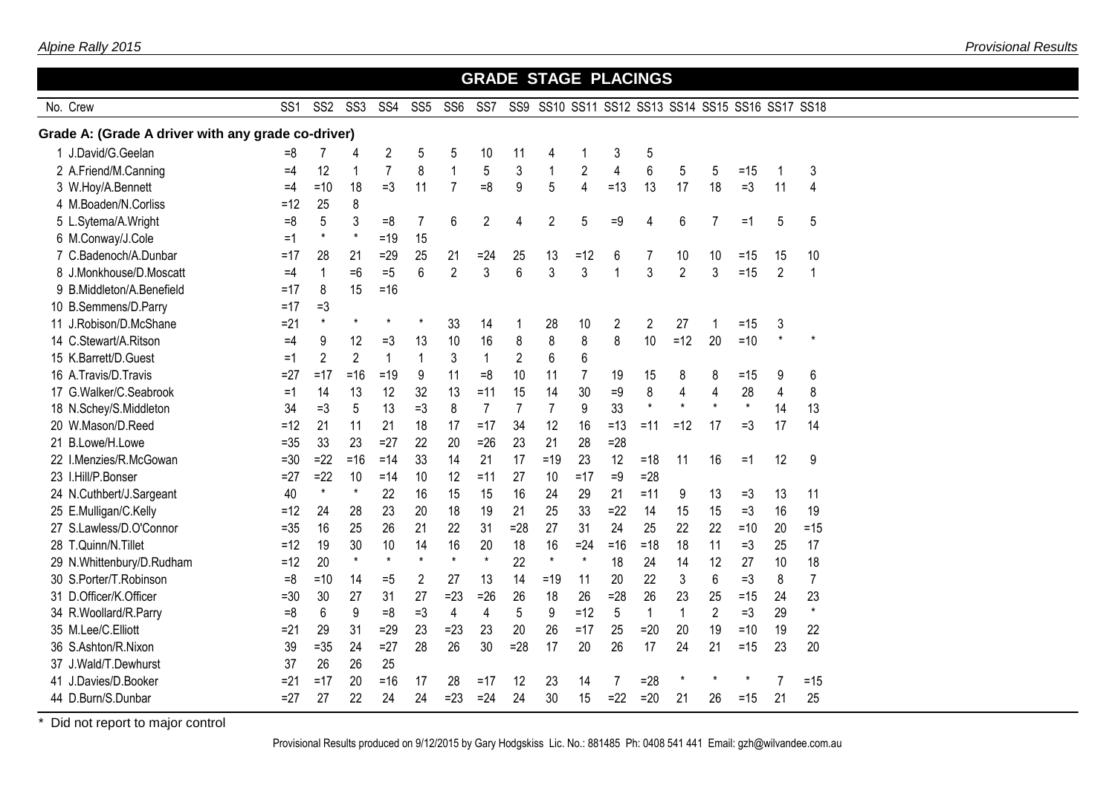|                                                    |                 |                 |                 |                 |                 |                 |                 |                | <b>GRADE STAGE PLACINGS</b> |                |                |                |                |                |                                              |                |                |  |
|----------------------------------------------------|-----------------|-----------------|-----------------|-----------------|-----------------|-----------------|-----------------|----------------|-----------------------------|----------------|----------------|----------------|----------------|----------------|----------------------------------------------|----------------|----------------|--|
| No. Crew                                           | SS <sub>1</sub> | SS <sub>2</sub> | SS <sub>3</sub> | SS <sub>4</sub> | SS <sub>5</sub> | SS <sub>6</sub> | SS <sub>7</sub> | SS9            |                             |                |                |                |                |                | SS10 SS11 SS12 SS13 SS14 SS15 SS16 SS17 SS18 |                |                |  |
| Grade A: (Grade A driver with any grade co-driver) |                 |                 |                 |                 |                 |                 |                 |                |                             |                |                |                |                |                |                                              |                |                |  |
| 1 J.David/G.Geelan                                 | =8              | 7               | 4               | 2               | 5               | 5               | 10              | 11             | 4                           | 1              | 3              | 5              |                |                |                                              |                |                |  |
| 2 A.Friend/M.Canning                               | $=4$            | 12              | 1               | $\overline{7}$  | 8               | $\mathbf{1}$    | 5               | $\mathfrak{Z}$ | $\mathbf{1}$                | $\overline{2}$ | $\overline{4}$ | 6              | 5              | 5              | $=15$                                        | 1              | 3              |  |
| 3 W.Hoy/A.Bennett                                  | $=4$            | $=10$           | 18              | $=3$            | 11              | $\overline{7}$  | $= 8$           | 9              | 5                           | $\overline{4}$ | $=13$          | 13             | 17             | 18             | $=3$                                         | 11             | 4              |  |
| 4 M.Boaden/N.Corliss                               | $=12$           | 25              | 8               |                 |                 |                 |                 |                |                             |                |                |                |                |                |                                              |                |                |  |
| 5 L.Sytema/A.Wright                                | $=8$            | 5               | 3               | $=8$            | 7               | 6               | $\overline{2}$  | $\overline{4}$ | $\overline{c}$              | 5              | $=9$           | 4              | 6              | 7              | $=1$                                         | 5              | 5              |  |
| 6 M.Conway/J.Cole                                  | $=1$            | $\star$         | $\star$         | $=19$           | 15              |                 |                 |                |                             |                |                |                |                |                |                                              |                |                |  |
| 7 C.Badenoch/A.Dunbar                              | =17             | 28              | 21              | $=29$           | 25              | 21              | $= 24$          | 25             | 13                          | $=12$          | 6              | 7              | 10             | 10             | $=15$                                        | 15             | 10             |  |
| 8 J.Monkhouse/D.Moscatt                            | $=4$            | $\mathbf{1}$    | $=6$            | $=5$            | 6               | $\overline{2}$  | 3               | 6              | 3                           | 3              | $\mathbf 1$    | 3              | $\overline{2}$ | 3              | $=15$                                        | $\overline{2}$ | 1              |  |
| 9 B.Middleton/A.Benefield                          | $=17$           | 8               | 15              | $= 16$          |                 |                 |                 |                |                             |                |                |                |                |                |                                              |                |                |  |
| 10 B.Semmens/D.Parry                               | $=17$           | $=3$            |                 |                 |                 |                 |                 |                |                             |                |                |                |                |                |                                              |                |                |  |
| 11 J.Robison/D.McShane                             | $= 21$          | $\star$         | $^\star$        | $\star$         | $^\star$        | 33              | 14              | 1              | 28                          | 10             | 2              | $\overline{2}$ | 27             | 1              | $=15$                                        | 3              |                |  |
| 14 C.Stewart/A.Ritson                              | $=4$            | 9               | 12              | $=3$            | 13              | 10              | 16              | 8              | 8                           | $\,8\,$        | 8              | 10             | $=12$          | 20             | $=10$                                        | $\star$        |                |  |
| 15 K.Barrett/D.Guest                               | $=1$            | $\overline{2}$  | $\overline{2}$  | $\mathbf{1}$    | $\mathbf{1}$    | 3               | $\mathbf{1}$    | $\overline{c}$ | 6                           | $6\phantom{1}$ |                |                |                |                |                                              |                |                |  |
| 16 A.Travis/D.Travis                               | $= 27$          | $=17$           | $=16$           | $=19$           | 9               | 11              | $=8$            | 10             | 11                          | $\overline{7}$ | 19             | 15             | 8              | 8              | $=15$                                        | 9              | 6              |  |
| 17 G.Walker/C.Seabrook                             | $=1$            | 14              | 13              | 12              | 32              | 13              | $=11$           | 15             | 14                          | 30             | $=9$           | 8              | $\overline{4}$ | 4              | 28                                           | $\overline{4}$ | 8              |  |
| 18 N.Schey/S.Middleton                             | 34              | $=3$            | 5               | 13              | $=3$            | 8               | $\overline{7}$  | $\overline{7}$ | $\overline{7}$              | $9\,$          | 33             | $\star$        | $\star$        | $\star$        | $\star$                                      | 14             | 13             |  |
| 20 W.Mason/D.Reed                                  | $=12$           | 21              | 11              | 21              | 18              | 17              | $=17$           | 34             | 12                          | 16             | $=13$          | $=11$          | $=12$          | 17             | $=3$                                         | 17             | 14             |  |
| B.Lowe/H.Lowe<br>21                                | $= 35$          | 33              | 23              | $=27$           | 22              | 20              | $=26$           | 23             | 21                          | 28             | $= 28$         |                |                |                |                                              |                |                |  |
| 22 I.Menzies/R.McGowan                             | $= 30$          | $=22$           | $=16$           | $=14$           | 33              | 14              | 21              | 17             | $=19$                       | 23             | 12             | $=18$          | 11             | 16             | $=1$                                         | 12             | 9              |  |
| 23 I.Hill/P.Bonser                                 | $= 27$          | $=22$           | 10              | $=14$           | 10              | 12              | $=11$           | 27             | 10                          | $=17$          | $=9$           | $= 28$         |                |                |                                              |                |                |  |
| 24 N.Cuthbert/J.Sargeant                           | 40              | $\star$         | $\star$         | 22              | 16              | 15              | 15              | 16             | 24                          | 29             | 21             | $=11$          | 9              | 13             | $=3$                                         | 13             | 11             |  |
| 25 E.Mulligan/C.Kelly                              | $=12$           | 24              | 28              | 23              | 20              | 18              | 19              | 21             | 25                          | 33             | $=22$          | 14             | 15             | 15             | $=3$                                         | 16             | 19             |  |
| 27 S.Lawless/D.O'Connor                            | $= 35$          | 16              | 25              | 26              | 21              | 22              | 31              | $= 28$         | 27                          | 31             | 24             | 25             | 22             | 22             | $=10$                                        | 20             | $=15$          |  |
| 28 T.Quinn/N.Tillet                                | $=12$           | 19              | 30              | 10              | 14              | 16              | 20              | 18             | 16                          | $=24$          | $=16$          | $=18$          | 18             | 11             | $=3$                                         | 25             | 17             |  |
| 29 N.Whittenbury/D.Rudham                          | $=12$           | 20              | $\star$         | $\star$         | $\star$         | $\star$         | $\star$         | 22             | $\star$                     | $\star$        | 18             | 24             | 14             | 12             | 27                                           | 10             | 18             |  |
| 30 S.Porter/T.Robinson                             | $=8$            | $=10$           | 14              | $=5$            | 2               | 27              | 13              | 14             | $=19$                       | 11             | 20             | 22             | 3              | 6              | $=3$                                         | 8              | $\overline{7}$ |  |
| 31 D.Officer/K.Officer                             | $= 30$          | 30              | 27              | 31              | 27              | $=23$           | $=26$           | 26             | 18                          | 26             | $= 28$         | 26             | 23             | 25             | $=15$                                        | 24             | 23             |  |
| 34 R.Woollard/R.Parry                              | $=8$            | 6               | 9               | $=8$            | $=3$            | $\overline{4}$  | 4               | 5              | 9                           | $=12$          | 5              | $\mathbf{1}$   | $\mathbf{1}$   | $\overline{2}$ | $=3$                                         | 29             | $\star$        |  |
| 35 M.Lee/C.Elliott                                 | $= 21$          | 29              | 31              | $=29$           | 23              | $= 23$          | 23              | 20             | 26                          | $=17$          | 25             | $=20$          | 20             | 19             | $=10$                                        | 19             | 22             |  |
| 36 S.Ashton/R.Nixon                                | 39              | $=35$           | 24              | $=27$           | 28              | 26              | 30              | $=28$          | 17                          | 20             | 26             | 17             | 24             | 21             | $=15$                                        | 23             | 20             |  |
| J.Wald/T.Dewhurst<br>37                            | 37              | 26              | 26              | 25              |                 |                 |                 |                |                             |                |                |                |                |                |                                              |                |                |  |
| J.Davies/D.Booker<br>41                            | $= 21$          | $=17$           | 20              | $= 16$          | 17              | 28              | $=17$           | 12             | 23                          | 14             | 7              | $= 28$         |                |                |                                              |                | $=15$          |  |
| 44 D.Burn/S.Dunbar                                 | $= 27$          | 27              | 22              | 24              | 24              | $= 23$          | $=24$           | 24             | 30                          | 15             | $=22$          | $=20$          | 21             | 26             | $=15$                                        | 21             | 25             |  |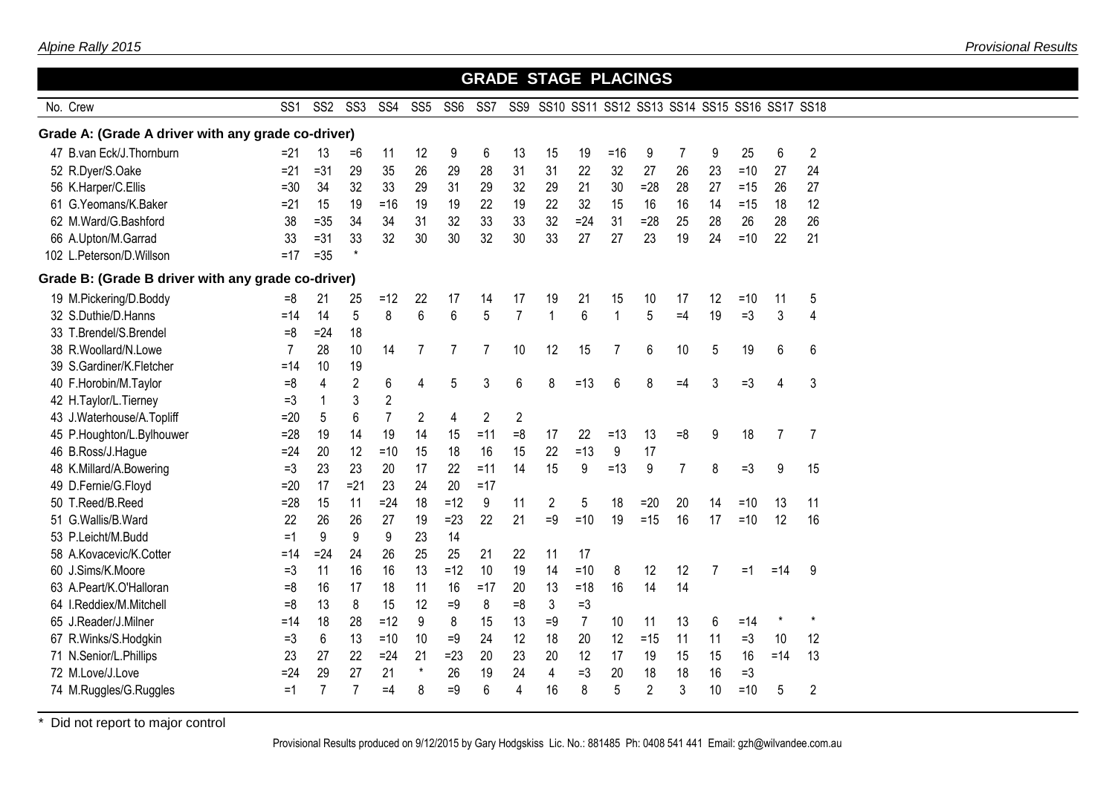|                                                    |                 |                 |                 |                 |                 |                 |                 |                 | <b>GRADE STAGE PLACINGS</b> |                |              |                |      |                                              |       |         |                |  |
|----------------------------------------------------|-----------------|-----------------|-----------------|-----------------|-----------------|-----------------|-----------------|-----------------|-----------------------------|----------------|--------------|----------------|------|----------------------------------------------|-------|---------|----------------|--|
| No. Crew                                           | SS <sub>1</sub> | SS <sub>2</sub> | SS <sub>3</sub> | SS <sub>4</sub> | SS <sub>5</sub> | SS <sub>6</sub> | SS <sub>7</sub> | SS <sub>9</sub> |                             |                |              |                |      | SS10 SS11 SS12 SS13 SS14 SS15 SS16 SS17 SS18 |       |         |                |  |
| Grade A: (Grade A driver with any grade co-driver) |                 |                 |                 |                 |                 |                 |                 |                 |                             |                |              |                |      |                                              |       |         |                |  |
| 47 B.van Eck/J.Thornburn                           | $= 21$          | 13              | =6              | 11              | 12              | 9               | 6               | 13              | 15                          | 19             | $=16$        | 9              | 7    | 9                                            | 25    | 6       | $\overline{c}$ |  |
| 52 R.Dyer/S.Oake                                   | $= 21$          | $= 31$          | 29              | 35              | 26              | 29              | 28              | 31              | 31                          | 22             | 32           | 27             | 26   | 23                                           | $=10$ | 27      | 24             |  |
| 56 K.Harper/C.Ellis                                | $=30$           | 34              | 32              | 33              | 29              | 31              | 29              | 32              | 29                          | 21             | 30           | $=28$          | 28   | 27                                           | $=15$ | 26      | 27             |  |
| 61 G.Yeomans/K.Baker                               | $=21$           | 15              | 19              | $= 16$          | 19              | 19              | 22              | 19              | 22                          | 32             | 15           | 16             | 16   | 14                                           | $=15$ | 18      | 12             |  |
| 62 M.Ward/G.Bashford                               | 38              | $= 35$          | 34              | 34              | 31              | 32              | 33              | 33              | 32                          | $=24$          | 31           | $=28$          | 25   | 28                                           | 26    | 28      | 26             |  |
| 66 A.Upton/M.Garrad                                | 33              | $= 31$          | 33              | 32              | 30              | 30              | 32              | 30              | 33                          | 27             | 27           | 23             | 19   | 24                                           | $=10$ | 22      | 21             |  |
| 102 L.Peterson/D.Willson                           | $=17$           | $= 35$          | $\star$         |                 |                 |                 |                 |                 |                             |                |              |                |      |                                              |       |         |                |  |
| Grade B: (Grade B driver with any grade co-driver) |                 |                 |                 |                 |                 |                 |                 |                 |                             |                |              |                |      |                                              |       |         |                |  |
| 19 M.Pickering/D.Boddy                             | $=8$            | 21              | 25              | $=12$           | 22              | 17              | 14              | 17              | 19                          | 21             | 15           | 10             | 17   | 12                                           | $=10$ | 11      | 5              |  |
| 32 S.Duthie/D.Hanns                                | $=14$           | 14              | 5               | 8               | 6               | 6               | 5               | $\overline{7}$  | $\mathbf{1}$                | 6              | $\mathbf{1}$ | 5              | $=4$ | 19                                           | $=3$  | 3       | 4              |  |
| 33 T.Brendel/S.Brendel                             | $=8$            | $= 24$          | 18              |                 |                 |                 |                 |                 |                             |                |              |                |      |                                              |       |         |                |  |
| 38 R. Woollard/N. Lowe                             | 7               | 28              | 10              | 14              | 7               | 7               | 7               | 10              | 12                          | 15             | 7            | 6              | 10   | 5                                            | 19    | 6       | 6              |  |
| 39 S.Gardiner/K.Fletcher                           | $=14$           | 10              | 19              |                 |                 |                 |                 |                 |                             |                |              |                |      |                                              |       |         |                |  |
| 40 F.Horobin/M.Taylor                              | $=8$            | 4               | $\overline{2}$  | 6               | 4               | 5               | 3               | 6               | 8                           | $=13$          | 6            | 8              | $=4$ | 3                                            | $=3$  | 4       | 3              |  |
| 42 H.Taylor/L.Tierney                              | $=3$            | 1               | 3               | $\overline{2}$  |                 |                 |                 |                 |                             |                |              |                |      |                                              |       |         |                |  |
| 43 J.Waterhouse/A.Topliff                          | $=20$           | 5               | 6               | 7               | 2               | 4               | $\overline{2}$  | 2               |                             |                |              |                |      |                                              |       |         |                |  |
| 45 P.Houghton/L.Bylhouwer                          | $= 28$          | 19              | 14              | 19              | 14              | 15              | $=11$           | $=8$            | 17                          | 22             | $=13$        | 13             | $=8$ | 9                                            | 18    | 7       | 7              |  |
| 46 B.Ross/J.Hague                                  | $=24$           | 20              | 12              | $=10$           | 15              | 18              | 16              | 15              | 22                          | $=13$          | 9            | 17             |      |                                              |       |         |                |  |
| 48 K.Millard/A.Bowering                            | $=3$            | 23              | 23              | 20              | 17              | 22              | $=11$           | 14              | 15                          | 9              | $=13$        | 9              | 7    | 8                                            | $=3$  | 9       | 15             |  |
| 49 D.Fernie/G.Floyd                                | $=20$           | 17              | $= 21$          | 23              | 24              | 20              | $=17$           |                 |                             |                |              |                |      |                                              |       |         |                |  |
| 50 T.Reed/B.Reed                                   | $= 28$          | 15              | 11              | $= 24$          | 18              | $=12$           | 9               | 11              | 2                           | 5              | 18           | $=20$          | 20   | 14                                           | $=10$ | 13      | 11             |  |
| 51 G.Wallis/B.Ward                                 | 22              | 26              | 26              | 27              | 19              | $=23$           | 22              | 21              | $=9$                        | $=10$          | 19           | $=15$          | 16   | 17                                           | $=10$ | 12      | 16             |  |
| 53 P.Leicht/M.Budd                                 | $=1$            | 9               | 9               | 9               | 23              | 14              |                 |                 |                             |                |              |                |      |                                              |       |         |                |  |
| 58 A.Kovacevic/K.Cotter                            | =14             | $= 24$          | 24              | 26              | 25              | 25              | 21              | 22              | 11                          | 17             |              |                |      |                                              |       |         |                |  |
| 60 J.Sims/K.Moore                                  | $=3$            | 11              | 16              | 16              | 13              | $=12$           | 10              | 19              | 14                          | $=10$          | 8            | 12             | 12   | 7                                            | =1    | $=14$   | 9              |  |
| 63 A.Peart/K.O'Halloran                            | $= 8$           | 16              | 17              | 18              | 11              | 16              | =17             | 20              | 13                          | $=18$          | 16           | 14             | 14   |                                              |       |         |                |  |
| 64 I.Reddiex/M.Mitchell                            | $= 8$           | 13              | 8               | 15              | 12              | $=9$            | 8               | $= 8$           | 3                           | $=3$           |              |                |      |                                              |       |         |                |  |
| 65 J.Reader/J.Milner                               | =14             | 18              | 28              | $=12$           | 9               | 8               | 15              | 13              | $=9$                        | $\overline{7}$ | 10           | 11             | 13   | 6                                            | $=14$ | $\star$ | $\star$        |  |
| 67 R.Winks/S.Hodgkin                               | $=3$            | 6               | 13              | $=10$           | 10              | $=9$            | 24              | 12              | 18                          | 20             | 12           | $=15$          | 11   | 11                                           | $=3$  | 10      | 12             |  |
| 71 N.Senior/L.Phillips                             | 23              | 27              | 22              | $= 24$          | 21              | $= 23$          | 20              | 23              | 20                          | 12             | 17           | 19             | 15   | 15                                           | 16    | $=14$   | 13             |  |
| 72 M.Love/J.Love                                   | $=24$           | 29              | 27              | 21              | $\star$         | 26              | 19              | 24              | 4                           | $=3$           | 20           | 18             | 18   | 16                                           | $=3$  |         |                |  |
| 74 M.Ruggles/G.Ruggles                             | $=1$            | $\overline{7}$  | 7               | $=4$            | 8               | $=9$            | 6               | 4               | 16                          | 8              | 5            | $\overline{2}$ | 3    | 10                                           | $=10$ | 5       | $\overline{c}$ |  |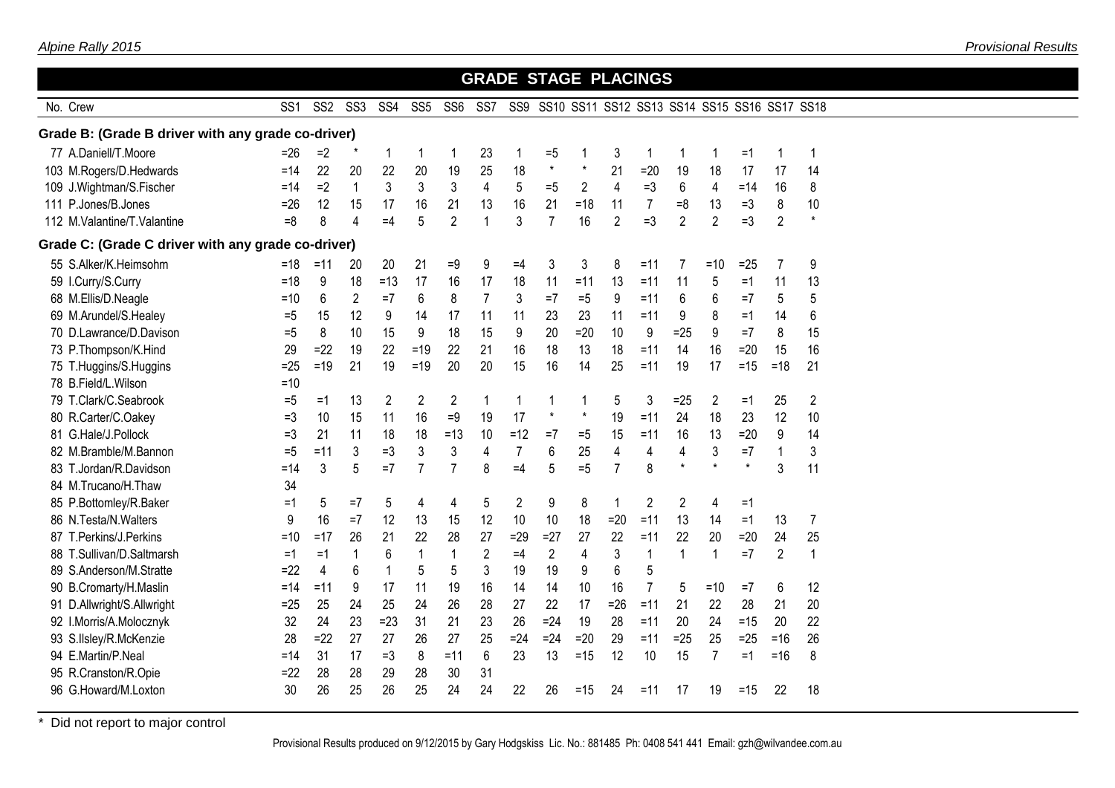|                                                    |                 |                 |                 |                 |                 |                 |                 |                | <b>GRADE STAGE PLACINGS</b> |         |                |                |                |                                              |         |                |                |  |
|----------------------------------------------------|-----------------|-----------------|-----------------|-----------------|-----------------|-----------------|-----------------|----------------|-----------------------------|---------|----------------|----------------|----------------|----------------------------------------------|---------|----------------|----------------|--|
| No. Crew                                           | SS <sub>1</sub> | SS <sub>2</sub> | SS <sub>3</sub> | SS <sub>4</sub> | SS <sub>5</sub> | SS <sub>6</sub> | SS <sub>7</sub> | SS9            |                             |         |                |                |                | SS10 SS11 SS12 SS13 SS14 SS15 SS16 SS17 SS18 |         |                |                |  |
| Grade B: (Grade B driver with any grade co-driver) |                 |                 |                 |                 |                 |                 |                 |                |                             |         |                |                |                |                                              |         |                |                |  |
| 77 A.Daniell/T.Moore                               | $= 26$          | $=2$            |                 | 1               | 1               | 1               | 23              | 1              | $=5$                        | 1       | 3              | 1              | 1              | 1                                            | $=1$    | 1              | 1              |  |
| 103 M.Rogers/D.Hedwards                            | $=14$           | 22              | 20              | 22              | 20              | 19              | 25              | 18             | $\star$                     | $\star$ | 21             | $=20$          | 19             | 18                                           | 17      | 17             | 14             |  |
| 109 J.Wightman/S.Fischer                           | $=14$           | $=2$            | $\mathbf{1}$    | 3               | 3               | 3               | $\overline{4}$  | 5              | $=5$                        | 2       | $\overline{4}$ | $=3$           | 6              | $\overline{4}$                               | $=14$   | 16             | 8              |  |
| 111 P.Jones/B.Jones                                | $=26$           | 12              | 15              | 17              | 16              | 21              | 13              | 16             | 21                          | $=18$   | 11             | 7              | $=8$           | 13                                           | $=3$    | 8              | 10             |  |
| 112 M.Valantine/T.Valantine                        | $=8$            | 8               | $\overline{4}$  | $=4$            | 5               | $\overline{2}$  | $\mathbf{1}$    | 3              | $\overline{7}$              | 16      | $\overline{2}$ | $=3$           | $\overline{2}$ | $\overline{2}$                               | $=3$    | $\overline{2}$ | $\star$        |  |
| Grade C: (Grade C driver with any grade co-driver) |                 |                 |                 |                 |                 |                 |                 |                |                             |         |                |                |                |                                              |         |                |                |  |
| 55 S.Alker/K.Heimsohm                              | $=18$           | $=11$           | 20              | 20              | 21              | $=9$            | 9               | $=4$           | 3                           | 3       | 8              | $=11$          | 7              | $=10$                                        | $=25$   | $\overline{7}$ | 9              |  |
| 59 I.Curry/S.Curry                                 | $=18$           | 9               | 18              | $=13$           | 17              | 16              | 17              | 18             | 11                          | $=11$   | 13             | $=11$          | 11             | 5                                            | $=1$    | 11             | 13             |  |
| 68 M.Ellis/D.Neagle                                | $=10$           | 6               | $\overline{2}$  | $=7$            | 6               | 8               | $\overline{7}$  | $\sqrt{3}$     | $=7$                        | $=5$    | 9              | $=11$          | 6              | 6                                            | $=7$    | 5              | 5              |  |
| 69 M.Arundel/S.Healey                              | $=5$            | 15              | 12              | 9               | 14              | 17              | 11              | 11             | 23                          | 23      | 11             | $=11$          | 9              | 8                                            | $=1$    | 14             | 6              |  |
| 70 D.Lawrance/D.Davison                            | $=5$            | 8               | 10              | 15              | 9               | 18              | 15              | 9              | 20                          | $=20$   | 10             | 9              | $=25$          | 9                                            | $=7$    | 8              | 15             |  |
| 73 P.Thompson/K.Hind                               | 29              | $=22$           | 19              | 22              | $=19$           | 22              | 21              | 16             | 18                          | 13      | 18             | $=11$          | 14             | 16                                           | $=20$   | 15             | 16             |  |
| 75 T.Huggins/S.Huggins                             | $=25$           | $=19$           | 21              | 19              | $=19$           | 20              | 20              | 15             | 16                          | 14      | 25             | $=11$          | 19             | 17                                           | $=15$   | $=18$          | 21             |  |
| 78 B.Field/L.Wilson                                | $=10$           |                 |                 |                 |                 |                 |                 |                |                             |         |                |                |                |                                              |         |                |                |  |
| 79 T.Clark/C.Seabrook                              | $=5$            | $=1$            | 13              | $\overline{2}$  | $\overline{2}$  | $\overline{c}$  | $\mathbf{1}$    | $\mathbf{1}$   | 1                           | 1       | 5              | 3              | $=25$          | $\overline{2}$                               | $=1$    | 25             | $\overline{2}$ |  |
| 80 R.Carter/C.Oakey                                | $=3$            | 10              | 15              | 11              | 16              | $=9$            | 19              | 17             | $\star$                     | $\star$ | 19             | $=11$          | 24             | 18                                           | 23      | 12             | 10             |  |
| 81 G.Hale/J.Pollock                                | $=3$            | 21              | 11              | 18              | 18              | $=13$           | 10              | $=12$          | $=7$                        | $=5$    | 15             | $=11$          | 16             | 13                                           | $=20$   | 9              | 14             |  |
| 82 M.Bramble/M.Bannon                              | $=5$            | $=11$           | 3               | $=3$            | 3               | 3               | 4               | $\overline{7}$ | 6                           | 25      | 4              | 4              | 4              | 3                                            | $=7$    | $\mathbf{1}$   | 3              |  |
| 83 T.Jordan/R.Davidson                             | $=14$           | 3               | 5               | $=7$            | $\overline{7}$  | $\overline{7}$  | 8               | $=4$           | 5                           | $=5$    | $\overline{7}$ | 8              | $\star$        | $\star$                                      | $\star$ | 3              | 11             |  |
| 84 M.Trucano/H.Thaw                                | 34              |                 |                 |                 |                 |                 |                 |                |                             |         |                |                |                |                                              |         |                |                |  |
| 85 P.Bottomley/R.Baker                             | $=1$            | 5               | $=7$            | 5               | 4               | 4               | 5               | $\overline{2}$ | 9                           | 8       | 1              | $\overline{2}$ | $\overline{2}$ | 4                                            | $=1$    |                |                |  |
| 86 N.Testa/N.Walters                               | 9               | 16              | $=7$            | 12              | 13              | 15              | 12              | 10             | 10                          | 18      | $=20$          | $=11$          | 13             | 14                                           | $=1$    | 13             | 7              |  |
| 87 T.Perkins/J.Perkins                             | $=10$           | $=17$           | 26              | 21              | 22              | 28              | 27              | $=29$          | $=27$                       | 27      | 22             | $=11$          | 22             | 20                                           | $=20$   | 24             | 25             |  |
| 88 T.Sullivan/D.Saltmarsh                          | $=1$            | $=1$            | 1               | 6               | $\mathbf{1}$    | $\mathbf{1}$    | $\overline{2}$  | $=4$           | $\overline{2}$              | 4       | 3              | $\mathbf{1}$   | 1              | $\mathbf{1}$                                 | $=7$    | $\overline{2}$ | 1              |  |
| 89 S.Anderson/M.Stratte                            | $=22$           | 4               | 6               | $\mathbf{1}$    | 5               | 5               | 3               | 19             | 19                          | 9       | 6              | 5              |                |                                              |         |                |                |  |
| 90 B.Cromarty/H.Maslin                             | $=14$           | $=11$           | 9               | 17              | 11              | 19              | 16              | 14             | 14                          | 10      | 16             | $\overline{7}$ | 5              | $=10$                                        | $=7$    | 6              | 12             |  |
| 91 D.Allwright/S.Allwright                         | $=25$           | 25              | 24              | 25              | 24              | 26              | 28              | 27             | 22                          | 17      | $=26$          | $=11$          | 21             | 22                                           | 28      | 21             | 20             |  |
| 92 I.Morris/A.Molocznyk                            | 32              | 24              | 23              | $=23$           | 31              | 21              | 23              | 26             | $=24$                       | 19      | 28             | $=11$          | 20             | 24                                           | $=15$   | 20             | 22             |  |
| 93 S.Ilsley/R.McKenzie                             | 28              | $=22$           | 27              | 27              | 26              | 27              | 25              | $=24$          | $=24$                       | $=20$   | 29             | $=11$          | $=25$          | 25                                           | $=25$   | $= 16$         | 26             |  |
| 94 E.Martin/P.Neal                                 | $=14$           | 31              | 17              | $=3$            | 8               | $=11$           | 6               | 23             | 13                          | $=15$   | 12             | 10             | 15             | $\overline{7}$                               | $=1$    | $=16$          | 8              |  |
| 95 R.Cranston/R.Opie                               | $=22$           | 28              | 28              | 29              | 28              | 30              | 31              |                |                             |         |                |                |                |                                              |         |                |                |  |
| 96 G.Howard/M.Loxton                               | 30              | 26              | 25              | 26              | 25              | 24              | 24              | 22             | 26                          | $=15$   | 24             | $=11$          | 17             | 19                                           | $=15$   | 22             | 18             |  |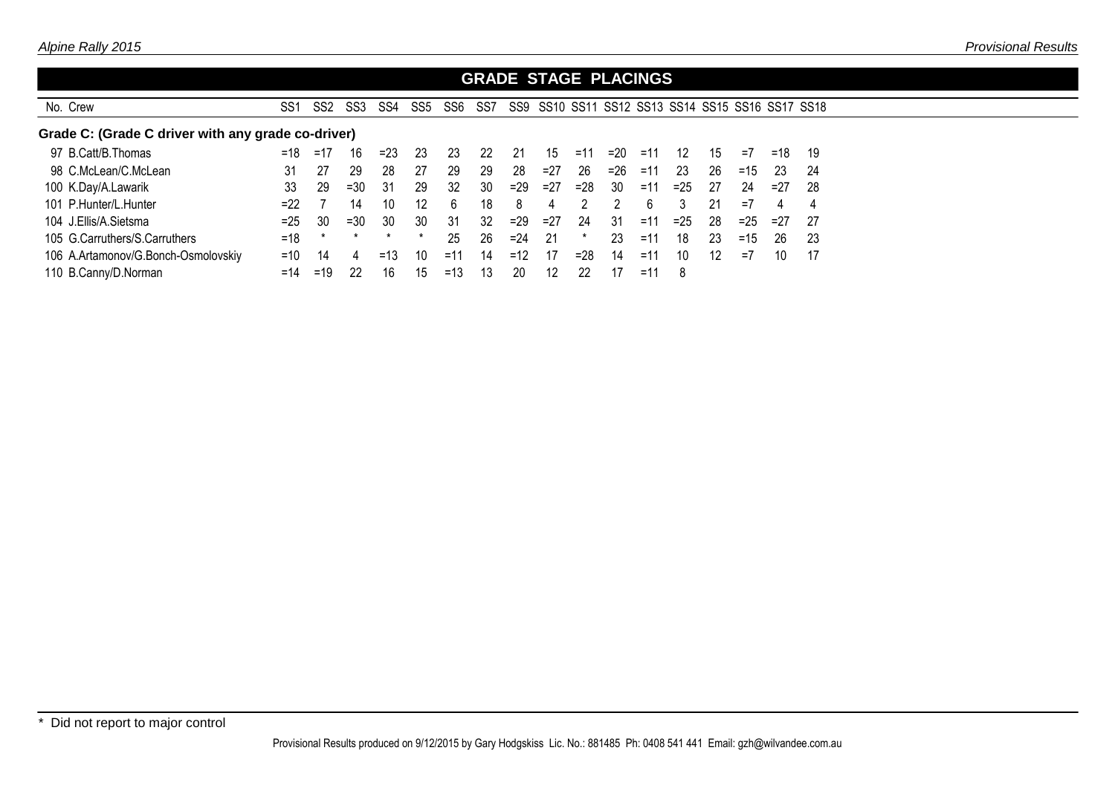|                                                    |                 |                 |                 |                 |                 |                 |     |        | <b>GRADE STAGE PLACINGS</b> |        |                                              |       |       |    |       |       |     |
|----------------------------------------------------|-----------------|-----------------|-----------------|-----------------|-----------------|-----------------|-----|--------|-----------------------------|--------|----------------------------------------------|-------|-------|----|-------|-------|-----|
| No. Crew                                           | SS <sub>1</sub> | SS <sub>2</sub> | SS <sub>3</sub> | SS <sub>4</sub> | SS <sub>5</sub> | SS <sub>6</sub> | SS7 | SS9    |                             |        | SS10 SS11 SS12 SS13 SS14 SS15 SS16 SS17 SS18 |       |       |    |       |       |     |
| Grade C: (Grade C driver with any grade co-driver) |                 |                 |                 |                 |                 |                 |     |        |                             |        |                                              |       |       |    |       |       |     |
| 97 B.Catt/B.Thomas                                 | $=18$           | $=17$           | 16              | $=23$           | 23              | 23              | 22  | 21     | 15                          | $=11$  | $=20$                                        | $=11$ | 12    | 15 | $=7$  | $=18$ | 19  |
| 98 C.McLean/C.McLean                               | 31              | 27              | 29              | 28              | 27              | 29              | 29  | 28     | $=27$                       | 26     | $= 26$                                       | =11   | 23    | 26 | $=15$ | 23    | 24  |
| 100 K.Day/A.Lawarik                                | 33              | 29              | $=30$           | 31              | 29              | 32              | 30  | $=29$  | $=27$                       | $= 28$ | 30                                           | $=11$ | $=25$ | 27 | 24    | $=27$ | -28 |
| 101 P.Hunter/L.Hunter                              | $=22$           |                 | 14              | 10              | 12              | 6               | 18  | 8      | 4                           | っ      | 2                                            | 6     | 3     | 21 | $=7$  | 4     | 4   |
| 104 J.Ellis/A.Sietsma                              | $=25$           | 30              | $=30$           | 30              | 30              | 31              | 32  | $=29$  | $=27$                       | 24     | 31                                           | $=11$ | $=25$ | 28 | $=25$ | $=27$ | 27  |
| 105 G.Carruthers/S.Carruthers                      | $=18$           | $\ast$          | $\star$         | $\star$         | $\star$         | 25              | 26  | $= 24$ | 21                          | *      | 23                                           | $=11$ | 18    | 23 | $=15$ | 26    | -23 |
| 106 A.Artamonov/G.Bonch-Osmolovskiy                | $=10$           | 14              | 4               | $=13$           | 10              | $=11$           | 14  | $=12$  | 17                          | $= 28$ | 14                                           | $=11$ | 10    | 12 | $=7$  | 10    | 17  |
| 110 B.Canny/D.Norman                               | $=14$           | $=19$           | 22              | 16              | 15              | $=13$           | 13  | 20     | 12                          | 22     | 17                                           | $=1$  | 8     |    |       |       |     |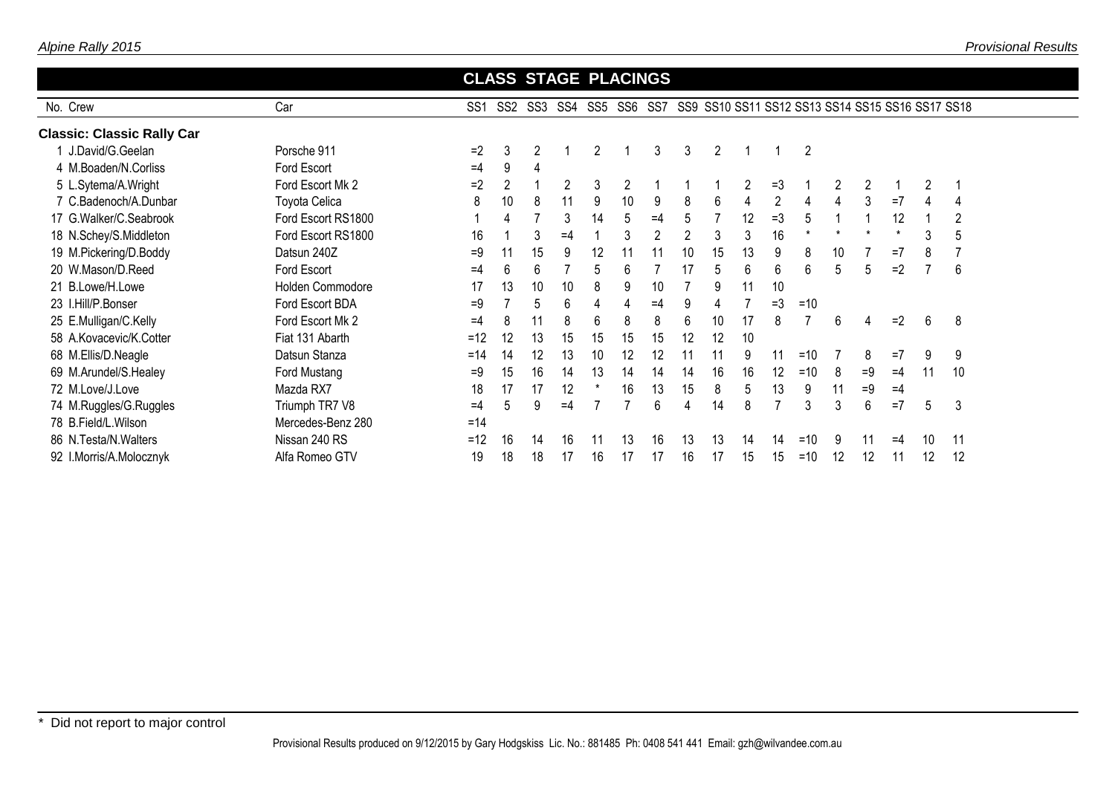| Alpine Rally 2015 |  |
|-------------------|--|
|-------------------|--|

|                                   |                      | <b>CLASS STAGE PLACINGS</b> |                |                |      |         |    |                |                |                |    |                |                                                  |    |                |          |                |                |
|-----------------------------------|----------------------|-----------------------------|----------------|----------------|------|---------|----|----------------|----------------|----------------|----|----------------|--------------------------------------------------|----|----------------|----------|----------------|----------------|
| No. Crew                          | Car                  | SS <sub>1</sub>             |                | SS2 SS3        | SS4  | SS5 SS6 |    | SS7            |                |                |    |                | SS9 SS10 SS11 SS12 SS13 SS14 SS15 SS16 SS17 SS18 |    |                |          |                |                |
| <b>Classic: Classic Rally Car</b> |                      |                             |                |                |      |         |    |                |                |                |    |                |                                                  |    |                |          |                |                |
| 1 J.David/G.Geelan                | Porsche 911          | $=2$                        | 3              | $\overline{2}$ |      | 2       |    | 3              | 3              | $\overline{2}$ |    |                | $\overline{2}$                                   |    |                |          |                |                |
| 4 M.Boaden/N.Corliss              | Ford Escort          | $=4$                        | 9              | 4              |      |         |    |                |                |                |    |                |                                                  |    |                |          |                |                |
| 5 L.Sytema/A.Wright               | Ford Escort Mk 2     | $=2$                        | $\overline{2}$ |                | 2    | 3       | 2  |                |                |                | 2  | $=3$           |                                                  | 2  | $\overline{c}$ |          | $\overline{2}$ |                |
| 7 C.Badenoch/A.Dunbar             | <b>Toyota Celica</b> | 8                           | 10             | 8              | 11   | 9       | 10 | 9              | 8              | 6              | 4  | $\overline{2}$ | 4                                                | 4  | 3              | $=7$     | 4              | 4              |
| 17 G.Walker/C.Seabrook            | Ford Escort RS1800   |                             | 4              |                | 3    | 14      | 5  | $=4$           | 5              |                | 12 | $=3$           | 5                                                |    |                | 12       |                | $\overline{2}$ |
| 18 N.Schey/S.Middleton            | Ford Escort RS1800   | 16                          |                | 3              | $=4$ |         | 3  | $\overline{2}$ | $\overline{2}$ | 3              | 3  | 16             | $^\star$                                         |    |                | $^\star$ | 3              | 5              |
| 19 M.Pickering/D.Boddy            | Datsun 240Z          | $=9$                        | 11             | 15             | 9    | 12      | 11 | 11             | 10             | 15             | 13 | 9              | 8                                                | 10 |                | $=7$     | 8              |                |
| 20 W.Mason/D.Reed                 | Ford Escort          | $=4$                        | 6              | 6              |      | 5       | 6  |                | 17             | 5              | 6  | 6              | 6                                                | 5  | 5              | $=2$     |                | 6              |
| 21 B.Lowe/H.Lowe                  | Holden Commodore     | 17                          | 13             | 10             | 10   | 8       | 9  | 10             |                | 9              | 11 | 10             |                                                  |    |                |          |                |                |
| 23 I.Hill/P.Bonser                | Ford Escort BDA      | =9                          |                | 5              | 6    | 4       | 4  | $=4$           | 9              |                |    | $=3$           | $=10$                                            |    |                |          |                |                |
| 25 E.Mulligan/C.Kelly             | Ford Escort Mk 2     | $=4$                        | 8              | 11             | 8    | 6       | 8  | 8              | 6              | 10             | 17 | 8              |                                                  | 6  | 4              | $=2$     | 6              | 8              |
| 58 A.Kovacevic/K.Cotter           | Fiat 131 Abarth      | $=12$                       | 12             | 13             | 15   | 15      | 15 | 15             | 12             | 12             | 10 |                |                                                  |    |                |          |                |                |
| 68 M.Ellis/D.Neagle               | Datsun Stanza        | $=14$                       | 14             | 12             | 13   | 10      | 12 | 12             | 11             | 11             | 9  | 11             | $=10$                                            |    | 8              | $=7$     | 9              | 9              |
| 69 M.Arundel/S.Healey             | Ford Mustang         | $=9$                        | 15             | 16             | 14   | 13      | 14 | 14             | 14             | 16             | 16 | 12             | $=10$                                            | 8  | $=9$           | $=4$     | 11             | 10             |
| 72 M.Love/J.Love                  | Mazda RX7            | 18                          | 17             | 17             | 12   |         | 16 | 13             | 15             | 8              | 5  | 13             | 9                                                | 11 | $=9$           | $=4$     |                |                |
| 74 M.Ruggles/G.Ruggles            | Triumph TR7 V8       | =4                          | 5              | 9              | $=4$ |         |    | 6              | 4              | 14             | 8  | $\overline{7}$ | 3                                                | 3  | 6              | $=7$     | 5              | 3              |
| 78 B.Field/L.Wilson               | Mercedes-Benz 280    | $=14$                       |                |                |      |         |    |                |                |                |    |                |                                                  |    |                |          |                |                |
| 86 N.Testa/N.Walters              | Nissan 240 RS        | $=12$                       | 16             | 14             | 16   | 11      | 13 | 16             | 13             | 13             | 14 | 14             | $=10$                                            | 9  | 11             | $=4$     | 10             | 11             |
| 92 I.Morris/A.Molocznyk           | Alfa Romeo GTV       | 19                          | 18             | 18             | 17   | 16      | 17 | 17             | 16             | 17             | 15 | 15             | $=10$                                            | 12 | 12             | 11       | 12             | 12             |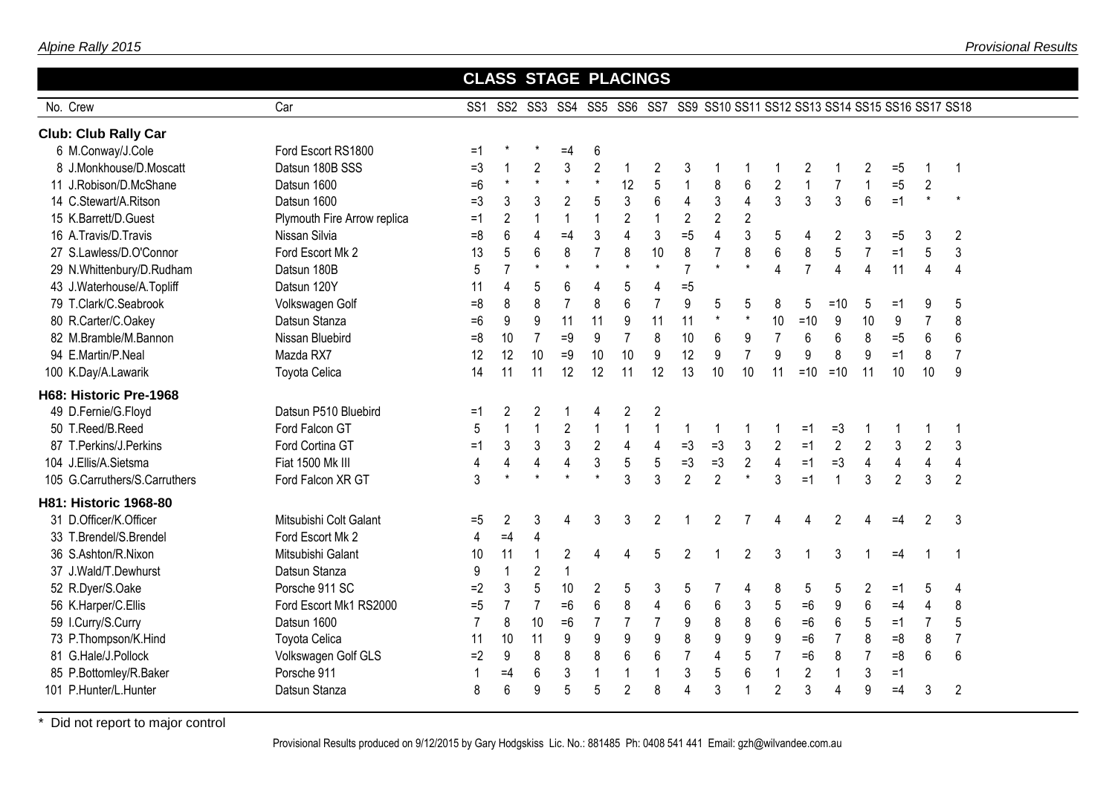|                               |                             |                |                         |                | <b>CLASS STAGE PLACINGS</b> |                |                  |                         |                         |                |                  |                  |                  |                                                                              |                |                         |                         |                         |  |
|-------------------------------|-----------------------------|----------------|-------------------------|----------------|-----------------------------|----------------|------------------|-------------------------|-------------------------|----------------|------------------|------------------|------------------|------------------------------------------------------------------------------|----------------|-------------------------|-------------------------|-------------------------|--|
| No. Crew                      | Car                         |                |                         |                |                             |                |                  |                         |                         |                |                  |                  |                  | SS1 SS2 SS3 SS4 SS5 SS6 SS7 SS9 SS10 SS11 SS12 SS13 SS14 SS15 SS16 SS17 SS18 |                |                         |                         |                         |  |
| <b>Club: Club Rally Car</b>   |                             |                |                         |                |                             |                |                  |                         |                         |                |                  |                  |                  |                                                                              |                |                         |                         |                         |  |
| 6 M.Conway/J.Cole             | Ford Escort RS1800          | $=1$           |                         |                | $=4$                        | 6              |                  |                         |                         |                |                  |                  |                  |                                                                              |                |                         |                         |                         |  |
| 8 J.Monkhouse/D.Moscatt       | Datsun 180B SSS             | $=3$           | 1                       | $\overline{2}$ | 3                           | $\overline{2}$ | $\mathbf{1}$     | 2                       | 3                       |                |                  |                  | 2                |                                                                              | 2              | $=5$                    | 1                       | $\overline{1}$          |  |
| 11 J.Robison/D.McShane        | Datsun 1600                 | $=6$           | $\star$                 | $\star$        | $\star$                     | $\star$        | 12               | 5                       | $\mathbf{1}$            | 8              | $\boldsymbol{6}$ | $\sqrt{2}$       | $\mathbf{1}$     | $\overline{7}$                                                               | $\mathbf{1}$   | $=5$                    | $\overline{c}$          |                         |  |
| 14 C.Stewart/A.Ritson         | Datsun 1600                 | $=3$           | 3                       | 3              | $\overline{2}$              | 5              | $\mathfrak{Z}$   | 6                       | $\overline{\mathbf{4}}$ | 3              | $\overline{4}$   | $\mathfrak{Z}$   | $\overline{3}$   | $\mathfrak{Z}$                                                               | 6              | $=1$                    | $\star$                 | $\star$                 |  |
| 15 K.Barrett/D.Guest          | Plymouth Fire Arrow replica | $=1$           | $\overline{c}$          | $\overline{1}$ | $\mathbf{1}$                | $\mathbf{1}$   | $\overline{2}$   | $\overline{1}$          | $\overline{2}$          | $\overline{2}$ | $\overline{2}$   |                  |                  |                                                                              |                |                         |                         |                         |  |
| 16 A.Travis/D.Travis          | Nissan Silvia               | $=8$           | 6                       | $\overline{4}$ | $=4$                        | 3              | $\overline{4}$   | 3                       | $=5$                    | 4              | $\mathfrak{Z}$   | 5                | 4                | 2                                                                            | 3              | $=5$                    | 3                       | $\overline{2}$          |  |
| 27 S.Lawless/D.O'Connor       | Ford Escort Mk 2            | 13             | 5                       | 6              | 8                           | $\overline{7}$ | 8                | 10                      | $\bf 8$                 | $\overline{7}$ | 8                | $\,6$            | $\,8\,$          | $\overline{5}$                                                               | $\overline{7}$ | $=1$                    | 5                       | $\mathfrak{Z}$          |  |
| 29 N.Whittenbury/D.Rudham     | Datsun 180B                 | 5              | $\overline{7}$          | $\star$        | $^\star$                    | $\star$        | $\star$          | $\star$                 | $\overline{7}$          | $\star$        | $\star$          | $\overline{4}$   | $\overline{7}$   | $\overline{4}$                                                               | $\overline{4}$ | 11                      | $\overline{4}$          | $\overline{4}$          |  |
| 43 J.Waterhouse/A.Topliff     | Datsun 120Y                 | 11             | 4                       | 5              | 6                           | 4              | 5                | 4                       | $=5$                    |                |                  |                  |                  |                                                                              |                |                         |                         |                         |  |
| 79 T.Clark/C.Seabrook         | Volkswagen Golf             | $=8$           | 8                       | 8              | $\overline{7}$              | 8              | 6                | $\overline{7}$          | 9                       | 5              | 5                | 8                | 5                | $=10$                                                                        | 5              | =1                      | 9                       | 5                       |  |
| 80 R.Carter/C.Oakey           | Datsun Stanza               | $=6$           | $\boldsymbol{9}$        | $9\,$          | 11                          | 11             | $\boldsymbol{9}$ | 11                      | 11                      | $\star$        | $\star$          | 10               | $=10$            | $\boldsymbol{9}$                                                             | 10             | 9                       | $\overline{7}$          | 8                       |  |
| 82 M.Bramble/M.Bannon         | Nissan Bluebird             | $=8$           | 10                      | $\overline{7}$ | $=9$                        | 9              | $\overline{7}$   | 8                       | $10$                    | 6              | $\boldsymbol{9}$ | $\overline{7}$   | $\,6\,$          | 6                                                                            | 8              | $=5$                    | $\,6\,$                 | $6\,$                   |  |
| 94 E.Martin/P.Neal            | Mazda RX7                   | 12             | 12                      | 10             | $=9$                        | 10             | 10               | 9                       | 12                      | 9              | $\overline{7}$   | $\boldsymbol{9}$ | $\boldsymbol{9}$ | 8                                                                            | 9              | $=1$                    | 8                       | $\overline{7}$          |  |
| 100 K.Day/A.Lawarik           | <b>Toyota Celica</b>        | 14             | 11                      | 11             | 12                          | 12             | 11               | 12                      | 13                      | 10             | 10               | 11               | $=10$            | $=10$                                                                        | 11             | 10                      | 10                      | 9                       |  |
| H68: Historic Pre-1968        |                             |                |                         |                |                             |                |                  |                         |                         |                |                  |                  |                  |                                                                              |                |                         |                         |                         |  |
| 49 D.Fernie/G.Floyd           | Datsun P510 Bluebird        | $=1$           | $\overline{c}$          | $\overline{2}$ |                             | 4              | $\overline{2}$   | $\overline{c}$          |                         |                |                  |                  |                  |                                                                              |                |                         |                         |                         |  |
| 50 T.Reed/B.Reed              | Ford Falcon GT              | 5              | $\mathbf{1}$            | $\overline{1}$ | $\overline{2}$              | $\mathbf{1}$   | $\mathbf{1}$     | $\mathbf 1$             | 1                       |                |                  |                  | $=1$             | $=3$                                                                         |                | $\mathbf 1$             |                         | -1                      |  |
| 87 T.Perkins/J.Perkins        | Ford Cortina GT             | $=1$           | $\sqrt{3}$              | $\mathbf{3}$   | 3                           | $\overline{2}$ | $\overline{4}$   | $\overline{\mathbf{4}}$ | $=3$                    | $=3$           | 3                | $\overline{2}$   | $=1$             | $\overline{2}$                                                               | $\overline{2}$ | $\mathfrak{Z}$          | $\overline{2}$          | 3                       |  |
| 104 J.Ellis/A.Sietsma         | Fiat 1500 Mk III            | 4              | $\overline{\mathbf{4}}$ | $\pmb{4}$      | $\overline{\mathbf{4}}$     | $\mathfrak{z}$ | 5                | 5                       | $=3$                    | $=3$           | $\overline{2}$   | $\overline{4}$   | $=1$             | $=3$                                                                         | $\overline{4}$ | $\overline{\mathbf{4}}$ | $\overline{\mathbf{4}}$ | $\overline{\mathbf{4}}$ |  |
| 105 G.Carruthers/S.Carruthers | Ford Falcon XR GT           | 3              | $\star$                 | $\star$        | $\star$                     | $\star$        | 3                | 3                       | $\overline{2}$          | $\overline{2}$ | $\star$          | $\mathfrak{Z}$   | $=1$             |                                                                              | 3              | $\overline{2}$          | 3                       | $\overline{2}$          |  |
| H81: Historic 1968-80         |                             |                |                         |                |                             |                |                  |                         |                         |                |                  |                  |                  |                                                                              |                |                         |                         |                         |  |
| 31 D.Officer/K.Officer        | Mitsubishi Colt Galant      | $=5$           | $\overline{c}$          | 3              | 4                           | 3              | 3                | $\overline{2}$          |                         | $\overline{2}$ | 7                |                  |                  | 2                                                                            | 4              | $=4$                    | $\overline{2}$          | 3                       |  |
| 33 T.Brendel/S.Brendel        | Ford Escort Mk 2            | 4              | $=4$                    | $\overline{4}$ |                             |                |                  |                         |                         |                |                  |                  |                  |                                                                              |                |                         |                         |                         |  |
| 36 S.Ashton/R.Nixon           | Mitsubishi Galant           | 10             | 11                      | $\overline{1}$ | $\overline{2}$              | 4              | 4                | 5                       | $\overline{2}$          |                | $\overline{2}$   | 3                |                  | 3                                                                            |                | $=4$                    |                         |                         |  |
| 37 J.Wald/T.Dewhurst          | Datsun Stanza               | 9              | $\overline{1}$          | $\sqrt{2}$     | 1                           |                |                  |                         |                         |                |                  |                  |                  |                                                                              |                |                         |                         |                         |  |
| 52 R.Dyer/S.Oake              | Porsche 911 SC              | $=2$           | 3                       | 5              | 10                          | $\overline{2}$ | 5                | 3                       | 5                       |                | 4                | 8                | 5                | 5                                                                            | 2              | $=1$                    | 5                       | $\overline{4}$          |  |
| 56 K.Harper/C.Ellis           | Ford Escort Mk1 RS2000      | $=5$           | $\overline{7}$          | $\overline{7}$ | $=6$                        | $6\phantom{a}$ | 8                | $\overline{4}$          | 6                       | 6              | 3                | 5                | $=6$             | 9                                                                            | 6              | $=4$                    | 4                       | 8                       |  |
| 59 I.Curry/S.Curry            | Datsun 1600                 | $\overline{7}$ | 8                       | 10             | $=6$                        | $\overline{7}$ | $\overline{7}$   | $\overline{7}$          | 9                       | 8              | 8                | $6\phantom{1}6$  | $=6$             | $6\phantom{1}6$                                                              | 5              | $=1$                    | $\overline{7}$          | 5                       |  |
| 73 P.Thompson/K.Hind          | <b>Toyota Celica</b>        | 11             | 10                      | 11             | 9                           | 9              | 9                | 9                       | 8                       | 9              | 9                | 9                | $=6$             | $\overline{7}$                                                               | 8              | $= 8$                   | 8                       | $\overline{7}$          |  |
| 81 G.Hale/J.Pollock           | Volkswagen Golf GLS         | $=2$           | 9                       | 8              | 8                           | 8              | 6                | 6                       | $\overline{7}$          | 4              | 5                | $\overline{7}$   | $=6$             | 8                                                                            | $\overline{7}$ | $= 8$                   | $6\phantom{1}$          | $6\,$                   |  |
| 85 P.Bottomley/R.Baker        | Porsche 911                 |                | $=4$                    | 6              | 3                           | $\mathbf{1}$   | $\mathbf{1}$     | 1                       | 3                       | 5              | $6\phantom{1}6$  | 1                | $\overline{2}$   |                                                                              | 3              | $=1$                    |                         |                         |  |
| 101 P.Hunter/L.Hunter         | Datsun Stanza               | 8              | 6                       | $9\,$          | 5                           | 5              | $\overline{2}$   | 8                       | 4                       | 3              | $\overline{1}$   | $\overline{2}$   | 3                | 4                                                                            | 9              | $=4$                    | 3                       | $\overline{2}$          |  |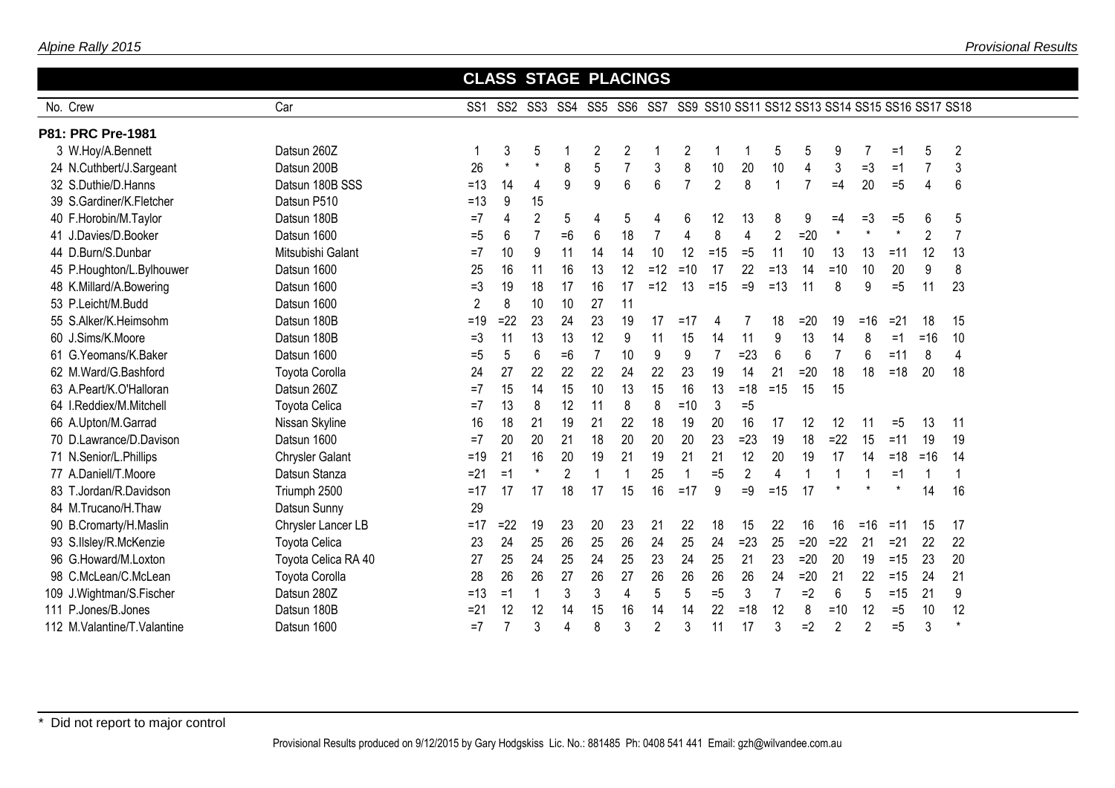|                             |                        | <b>CLASS STAGE PLACINGS</b> |         |                         |                |                |                |                |                |                |                |                |                |                |                |          |                                                  |                |
|-----------------------------|------------------------|-----------------------------|---------|-------------------------|----------------|----------------|----------------|----------------|----------------|----------------|----------------|----------------|----------------|----------------|----------------|----------|--------------------------------------------------|----------------|
| No. Crew                    | Car                    | SS <sub>1</sub>             |         | SS2 SS3 SS4 SS5 SS6 SS7 |                |                |                |                |                |                |                |                |                |                |                |          | SS9 SS10 SS11 SS12 SS13 SS14 SS15 SS16 SS17 SS18 |                |
| P81: PRC Pre-1981           |                        |                             |         |                         |                |                |                |                |                |                |                |                |                |                |                |          |                                                  |                |
| 3 W.Hoy/A.Bennett           | Datsun 260Z            |                             | 3       | 5                       |                | $\overline{2}$ | $\overline{2}$ |                | $\overline{2}$ |                |                | 5              | 5              | 9              |                | =1       | 5                                                | $\overline{2}$ |
| 24 N.Cuthbert/J.Sargeant    | Datsun 200B            | 26                          | $\star$ | $^\star$                | 8              | 5              |                | 3              | 8              | 10             | 20             | 10             | 4              | 3              | $=3$           | $=1$     |                                                  | 3              |
| 32 S.Duthie/D.Hanns         | Datsun 180B SSS        | $=13$                       | 14      | 4                       | 9              | 9              | 6              | 6              | $\overline{7}$ | $\overline{2}$ | 8              | $\mathbf{1}$   | $\overline{7}$ | $=4$           | 20             | $=5$     | 4                                                | 6              |
| 39 S.Gardiner/K.Fletcher    | Datsun P510            | $=13$                       | 9       | 15                      |                |                |                |                |                |                |                |                |                |                |                |          |                                                  |                |
| 40 F.Horobin/M.Taylor       | Datsun 180B            | $=7$                        | 4       | $\overline{2}$          | 5              | 4              | 5              | 4              | 6              | 12             | 13             | 8              | 9              | $=4$           | $=3$           | $=5$     | 6                                                | 5              |
| 41 J.Davies/D.Booker        | Datsun 1600            | $=5$                        | 6       | $\overline{7}$          | $=6$           | 6              | 18             | $\overline{7}$ | 4              | 8              | 4              | $\overline{2}$ | $=20$          | $\star$        | $\star$        | $^\star$ | $\overline{2}$                                   | $\overline{7}$ |
| 44 D.Burn/S.Dunbar          | Mitsubishi Galant      | $=7$                        | 10      | 9                       | 11             | 14             | 14             | 10             | 12             | $=15$          | $=5$           | 11             | 10             | 13             | 13             | $=11$    | 12                                               | 13             |
| 45 P.Houghton/L.Bylhouwer   | Datsun 1600            | 25                          | 16      | 11                      | 16             | 13             | 12             | $=12$          | $=10$          | 17             | 22             | $=13$          | 14             | $=10$          | 10             | 20       | 9                                                | 8              |
| 48 K.Millard/A.Bowering     | Datsun 1600            | $=3$                        | 19      | 18                      | 17             | 16             | 17             | $=12$          | 13             | $=15$          | $=9$           | $=13$          | 11             | 8              | 9              | $=5$     | 11                                               | 23             |
| 53 P.Leicht/M.Budd          | Datsun 1600            | $\overline{2}$              | 8       | 10                      | 10             | 27             | 11             |                |                |                |                |                |                |                |                |          |                                                  |                |
| 55 S.Alker/K.Heimsohm       | Datsun 180B            | $=19$                       | $=22$   | 23                      | 24             | 23             | 19             | 17             | $=17$          | 4              |                | 18             | $=20$          | 19             | $=16$          | $=21$    | 18                                               | 15             |
| 60 J.Sims/K.Moore           | Datsun 180B            | $=3$                        | 11      | 13                      | 13             | 12             | 9              | 11             | 15             | 14             | 11             | 9              | 13             | 14             | 8              | $=1$     | $=16$                                            | 10             |
| 61 G.Yeomans/K.Baker        | Datsun 1600            | $= 5$                       | 5       | 6                       | $=6$           | $\overline{7}$ | 10             | 9              | 9              | $\overline{7}$ | $=23$          | 6              | 6              | $\overline{7}$ | 6              | $=11$    | 8                                                | 4              |
| 62 M.Ward/G.Bashford        | <b>Toyota Corolla</b>  | 24                          | 27      | 22                      | 22             | 22             | 24             | 22             | 23             | 19             | 14             | 21             | $=20$          | 18             | 18             | $=18$    | 20                                               | 18             |
| 63 A.Peart/K.O'Halloran     | Datsun 260Z            | $=7$                        | 15      | 14                      | 15             | 10             | 13             | 15             | 16             | 13             | $=18$          | $=15$          | 15             | 15             |                |          |                                                  |                |
| 64 I.Reddiex/M.Mitchell     | <b>Toyota Celica</b>   | $=7$                        | 13      | 8                       | 12             | 11             | 8              | 8              | $=10$          | 3              | $=5$           |                |                |                |                |          |                                                  |                |
| 66 A.Upton/M.Garrad         | Nissan Skyline         | 16                          | 18      | 21                      | 19             | 21             | 22             | 18             | 19             | 20             | 16             | 17             | 12             | 12             | 11             | $=5$     | 13                                               | 11             |
| 70 D.Lawrance/D.Davison     | Datsun 1600            | $=7$                        | 20      | 20                      | 21             | 18             | 20             | 20             | 20             | 23             | $=23$          | 19             | 18             | $=22$          | 15             | $=11$    | 19                                               | 19             |
| 71 N.Senior/L.Phillips      | <b>Chrysler Galant</b> | $=19$                       | 21      | 16                      | 20             | 19             | 21             | 19             | 21             | 21             | 12             | 20             | 19             | 17             | 14             | $=18$    | $=16$                                            | 14             |
| 77 A.Daniell/T.Moore        | Datsun Stanza          | $=21$                       | $=1$    | $^\star$                | $\overline{2}$ | $\mathbf{1}$   |                | 25             | 1              | $=5$           | $\overline{c}$ | 4              | 1              | 1              | 1              | $=1$     | $\overline{1}$                                   | -1             |
| 83 T.Jordan/R.Davidson      | Triumph 2500           | $=17$                       | 17      | 17                      | 18             | 17             | 15             | 16             | $=17$          | 9              | $=9$           | $=15$          | 17             |                |                | $^\star$ | 14                                               | 16             |
| 84 M.Trucano/H.Thaw         | Datsun Sunny           | 29                          |         |                         |                |                |                |                |                |                |                |                |                |                |                |          |                                                  |                |
| 90 B.Cromarty/H.Maslin      | Chrysler Lancer LB     | $=17$                       | $=22$   | 19                      | 23             | 20             | 23             | 21             | 22             | 18             | 15             | 22             | 16             | 16             | $=16$          | $=11$    | 15                                               | 17             |
| 93 S.IIsley/R.McKenzie      | Toyota Celica          | 23                          | 24      | 25                      | 26             | 25             | 26             | 24             | 25             | 24             | $=23$          | 25             | $=20$          | $=22$          | 21             | $=21$    | 22                                               | 22             |
| 96 G.Howard/M.Loxton        | Toyota Celica RA 40    | 27                          | 25      | 24                      | 25             | 24             | 25             | 23             | 24             | 25             | 21             | 23             | $=20$          | 20             | 19             | $=15$    | 23                                               | 20             |
| 98 C.McLean/C.McLean        | <b>Toyota Corolla</b>  | 28                          | 26      | 26                      | 27             | 26             | 27             | 26             | 26             | 26             | 26             | 24             | $=20$          | 21             | 22             | $=15$    | 24                                               | 21             |
| 109 J.Wightman/S.Fischer    | Datsun 280Z            | $=13$                       | $=1$    |                         | 3              | 3              | 4              | 5              | 5              | $=5$           | 3              | $\overline{7}$ | $=2$           | 6              | 5              | $=15$    | 21                                               | 9              |
| 111 P.Jones/B.Jones         | Datsun 180B            | $= 21$                      | 12      | 12                      | 14             | 15             | 16             | 14             | 14             | 22             | $=18$          | 12             | 8              | $=10$          | 12             | $=5$     | 10                                               | 12             |
| 112 M.Valantine/T.Valantine | Datsun 1600            | $=7$                        | 7       | 3                       | 4              | 8              | 3              | $\overline{2}$ | 3              | 11             | 17             | 3              | $=2$           | $\overline{2}$ | $\overline{2}$ | $=5$     | 3                                                | $\star$        |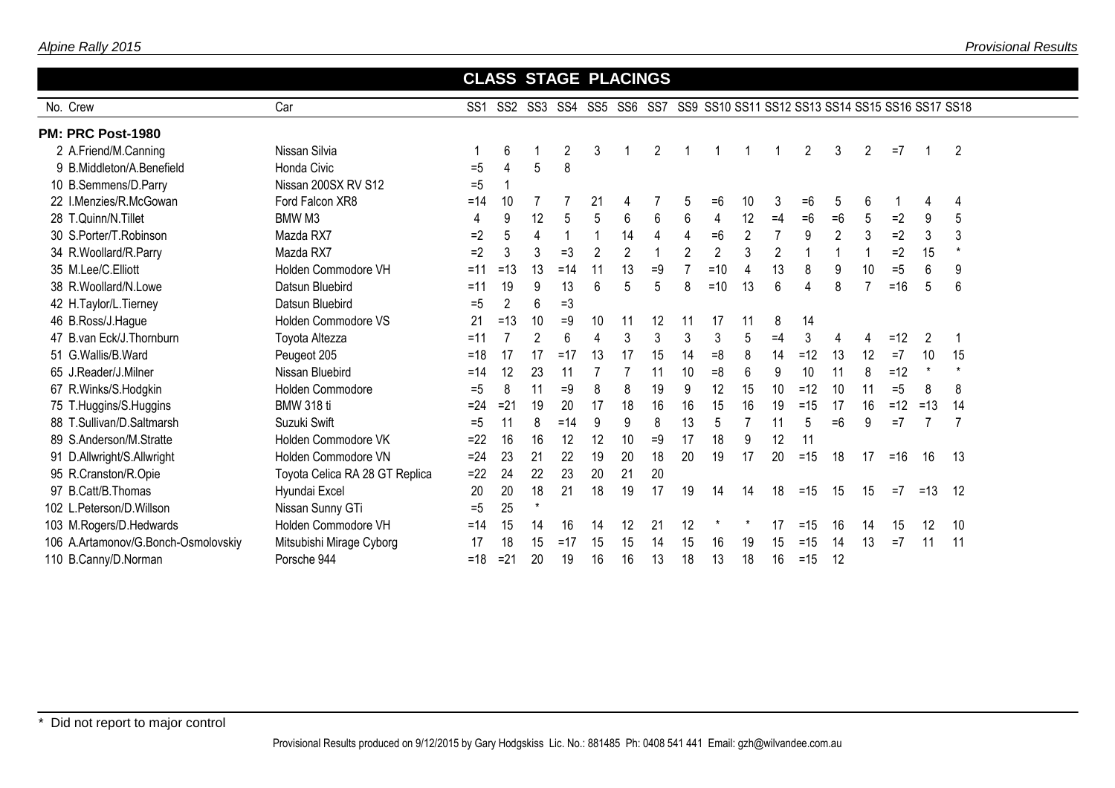| Alpine Rally 2015 |  |
|-------------------|--|
|                   |  |

|                                     |                                |       |                |                |                |                |                | <b>CLASS STAGE PLACINGS</b> |                |                |                |                |                                                                              |                |                |       |                |                |  |
|-------------------------------------|--------------------------------|-------|----------------|----------------|----------------|----------------|----------------|-----------------------------|----------------|----------------|----------------|----------------|------------------------------------------------------------------------------|----------------|----------------|-------|----------------|----------------|--|
| No. Crew                            | Car                            |       |                |                |                |                |                |                             |                |                |                |                | SS1 SS2 SS3 SS4 SS5 SS6 SS7 SS9 SS10 SS11 SS12 SS13 SS14 SS15 SS16 SS17 SS18 |                |                |       |                |                |  |
| PM: PRC Post-1980                   |                                |       |                |                |                |                |                |                             |                |                |                |                |                                                                              |                |                |       |                |                |  |
| 2 A.Friend/M.Canning                | Nissan Silvia                  |       | 6              |                | $\overline{c}$ | 3              |                | $\overline{2}$              |                |                |                |                | $\overline{2}$                                                               | 3              | $\overline{2}$ | $=7$  |                | $\overline{2}$ |  |
| 9 B.Middleton/A.Benefield           | <b>Honda Civic</b>             | $=5$  | 4              | 5              | 8              |                |                |                             |                |                |                |                |                                                                              |                |                |       |                |                |  |
| 10 B.Semmens/D.Parry                | Nissan 200SX RV S12            | $=5$  |                |                |                |                |                |                             |                |                |                |                |                                                                              |                |                |       |                |                |  |
| 22 I.Menzies/R.McGowan              | Ford Falcon XR8                | $=14$ | 10             |                |                | 21             | 4              |                             | 5              | $=6$           | 10             | 3              | $=6$                                                                         | 5              | 6              |       | 4              | 4              |  |
| 28 T.Quinn/N.Tillet                 | BMW M3                         | 4     | 9              | 12             | 5              | 5              | 6              | 6                           | 6              | 4              | 12             | $=4$           | $=6$                                                                         | $=6$           | 5              | $=2$  | 9              | 5              |  |
| 30 S.Porter/T.Robinson              | Mazda RX7                      | $=2$  | 5              | 4              | 1              | $\mathbf 1$    | 14             | 4                           | 4              | $=6$           | $\overline{2}$ | $\overline{7}$ | 9                                                                            | $\overline{2}$ | 3              | $=2$  | 3              | 3              |  |
| 34 R.Woollard/R.Parry               | Mazda RX7                      | $=2$  | 3              | 3              | $=3$           | $\overline{2}$ | $\overline{2}$ | $\overline{1}$              | $\overline{2}$ | $\overline{2}$ | 3              | $\overline{2}$ | -1                                                                           |                | $\mathbf{1}$   | $=2$  | 15             |                |  |
| 35 M.Lee/C.Elliott                  | Holden Commodore VH            | $=11$ | $=13$          | 13             | $=14$          | 11             | 13             | $=9$                        |                | $=10$          | 4              | 13             | 8                                                                            | 9              | 10             | $=5$  | 6              | 9              |  |
| 38 R.Woollard/N.Lowe                | Datsun Bluebird                | $=11$ | 19             | 9              | 13             | 6              | 5              | 5                           | 8              | $=10$          | 13             | 6              | 4                                                                            | 8              | 7              | $=16$ | 5              | 6              |  |
| 42 H.Taylor/L.Tierney               | Datsun Bluebird                | $=5$  | $\overline{2}$ | 6              | $=3$           |                |                |                             |                |                |                |                |                                                                              |                |                |       |                |                |  |
| 46 B.Ross/J.Hague                   | Holden Commodore VS            | 21    | $=13$          | 10             | $=9$           | 10             | 11             | 12                          | 11             | 17             | 11             | 8              | 14                                                                           |                |                |       |                |                |  |
| 47 B.van Eck/J.Thornburn            | Toyota Altezza                 | $=11$ |                | $\overline{2}$ | 6              | $\overline{4}$ | 3              | 3                           | 3              | 3              | 5              | $=4$           | 3                                                                            | 4              | 4              | $=12$ | $\overline{2}$ | -1             |  |
| 51 G.Wallis/B.Ward                  | Peugeot 205                    | $=18$ | 17             | 17             | $=17$          | 13             | 17             | 15                          | 14             | $=8$           | 8              | 14             | $=12$                                                                        | 13             | 12             | $=7$  | 10             | 15             |  |
| 65 J.Reader/J.Milner                | Nissan Bluebird                | $=14$ | 12             | 23             | 11             |                |                | 11                          | 10             | $=8$           | 6              | 9              | 10                                                                           | 11             | 8              | $=12$ | $\star$        |                |  |
| 67 R.Winks/S.Hodgkin                | Holden Commodore               | $=5$  | 8              | 11             | $=9$           | 8              | 8              | 19                          | 9              | 12             | 15             | 10             | $=12$                                                                        | 10             | 11             | $=5$  | 8              | 8              |  |
| 75 T.Huggins/S.Huggins              | <b>BMW 318 ti</b>              | $=24$ | $=21$          | 19             | 20             | 17             | 18             | 16                          | 16             | 15             | 16             | 19             | $=15$                                                                        | 17             | 16             | $=12$ | $=13$          | 14             |  |
| 88 T.Sullivan/D.Saltmarsh           | Suzuki Swift                   | $=5$  |                | 8              | $=14$          | 9              | 9              | 8                           | 13             | 5              |                | 11             | 5                                                                            | $=6$           | 9              | $=7$  |                |                |  |
| 89 S.Anderson/M.Stratte             | Holden Commodore VK            | $=22$ | 16             | 16             | 12             | 12             | 10             | $=9$                        | 17             | 18             | 9              | 12             | 11                                                                           |                |                |       |                |                |  |
| 91 D.Allwright/S.Allwright          | Holden Commodore VN            | $=24$ | 23             | 21             | 22             | 19             | 20             | 18                          | 20             | 19             | 17             | 20             | $=15$                                                                        | 18             | 17             | $=16$ | 16             | 13             |  |
| 95 R.Cranston/R.Opie                | Toyota Celica RA 28 GT Replica | $=22$ | 24             | 22             | 23             | 20             | 21             | 20                          |                |                |                |                |                                                                              |                |                |       |                |                |  |
| 97 B.Catt/B.Thomas                  | Hyundai Excel                  | 20    | 20             | 18             | 21             | 18             | 19             | 17                          | 19             | 14             | 14             | 18             | $=15$                                                                        | 15             | 15             | $=7$  | $=13$          | 12             |  |
| 102 L.Peterson/D.Willson            | Nissan Sunny GTi               | $= 5$ | 25             | $^\star$       |                |                |                |                             |                |                |                |                |                                                                              |                |                |       |                |                |  |
| 103 M.Rogers/D.Hedwards             | Holden Commodore VH            | $=14$ | 15             | 14             | 16             | 14             | 12             | 21                          | 12             |                |                | 17             | $=15$                                                                        | 16             | 14             | 15    | 12             | 10             |  |
| 106 A.Artamonov/G.Bonch-Osmolovskiy | Mitsubishi Mirage Cyborg       | 17    | 18             | 15             | $=17$          | 15             | 15             | 14                          | 15             | 16             | 19             | 15             | $=15$                                                                        | 14             | 13             | $=7$  |                | 11             |  |
| 110 B.Canny/D.Norman                | Porsche 944                    | $=18$ | $=21$          | 20             | 19             | 16             | 16             | 13                          | 18             | 13             | 18             | 16             | $=15$                                                                        | 12             |                |       |                |                |  |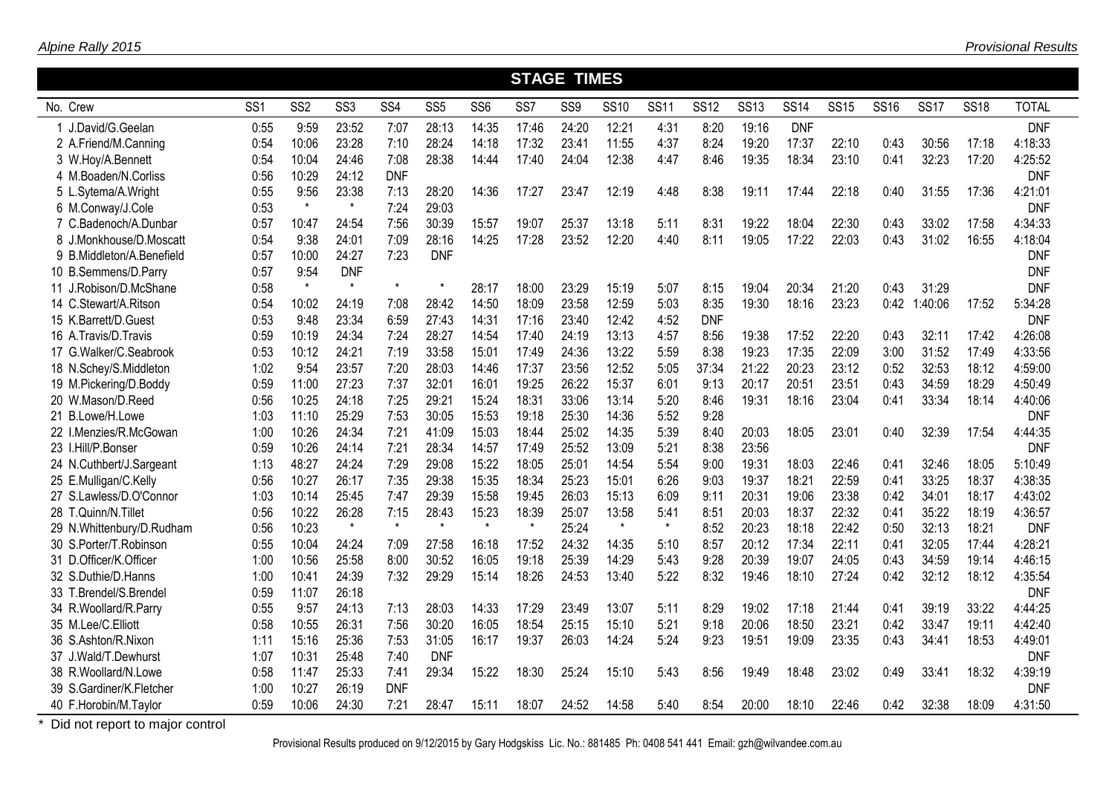|                           |                 |                 |                 |                 |                 |                 |                 | <b>STAGE TIMES</b> |             |             |             |             |             |             |             |             |             |              |
|---------------------------|-----------------|-----------------|-----------------|-----------------|-----------------|-----------------|-----------------|--------------------|-------------|-------------|-------------|-------------|-------------|-------------|-------------|-------------|-------------|--------------|
| No. Crew                  | SS <sub>1</sub> | SS <sub>2</sub> | SS <sub>3</sub> | SS <sub>4</sub> | SS <sub>5</sub> | SS <sub>6</sub> | SS <sub>7</sub> | SS <sub>9</sub>    | <b>SS10</b> | <b>SS11</b> | <b>SS12</b> | <b>SS13</b> | <b>SS14</b> | <b>SS15</b> | <b>SS16</b> | <b>SS17</b> | <b>SS18</b> | <b>TOTAL</b> |
| 1 J.David/G.Geelan        | 0:55            | 9:59            | 23:52           | 7:07            | 28:13           | 14:35           | 17:46           | 24:20              | 12:21       | 4:31        | 8:20        | 19:16       | <b>DNF</b>  |             |             |             |             | <b>DNF</b>   |
| 2 A.Friend/M.Canning      | 0:54            | 10:06           | 23:28           | 7:10            | 28:24           | 14:18           | 17:32           | 23:41              | 11:55       | 4:37        | 8:24        | 19:20       | 17:37       | 22:10       | 0:43        | 30:56       | 17:18       | 4:18:33      |
| 3 W.Hoy/A.Bennett         | 0:54            | 10:04           | 24:46           | 7:08            | 28:38           | 14:44           | 17:40           | 24:04              | 12:38       | 4:47        | 8:46        | 19:35       | 18:34       | 23:10       | 0:41        | 32:23       | 17:20       | 4:25:52      |
| 4 M.Boaden/N.Corliss      | 0:56            | 10:29           | 24:12           | <b>DNF</b>      |                 |                 |                 |                    |             |             |             |             |             |             |             |             |             | <b>DNF</b>   |
| 5 L.Sytema/A.Wright       | 0:55            | 9:56            | 23:38           | 7:13            | 28:20           | 14:36           | 17:27           | 23:47              | 12:19       | 4:48        | 8:38        | 19:11       | 17:44       | 22:18       | 0:40        | 31:55       | 17:36       | 4:21:01      |
| 6 M.Conway/J.Cole         | 0:53            | $\star$         | $\star$         | 7:24            | 29:03           |                 |                 |                    |             |             |             |             |             |             |             |             |             | <b>DNF</b>   |
| 7 C.Badenoch/A.Dunbar     | 0:57            | 10:47           | 24:54           | 7:56            | 30:39           | 15:57           | 19:07           | 25:37              | 13:18       | 5:11        | 8:31        | 19:22       | 18:04       | 22:30       | 0:43        | 33:02       | 17:58       | 4:34:33      |
| 8 J.Monkhouse/D.Moscatt   | 0:54            | 9:38            | 24:01           | 7:09            | 28:16           | 14:25           | 17:28           | 23:52              | 12:20       | 4:40        | 8:11        | 19:05       | 17:22       | 22:03       | 0:43        | 31:02       | 16:55       | 4:18:04      |
| 9 B.Middleton/A.Benefield | 0:57            | 10:00           | 24:27           | 7:23            | <b>DNF</b>      |                 |                 |                    |             |             |             |             |             |             |             |             |             | <b>DNF</b>   |
| 10 B.Semmens/D.Parry      | 0:57            | 9:54            | <b>DNF</b>      |                 |                 |                 |                 |                    |             |             |             |             |             |             |             |             |             | <b>DNF</b>   |
| 11 J.Robison/D.McShane    | 0:58            | $\star$         | $\star$         | $^\star$        |                 | 28:17           | 18:00           | 23:29              | 15:19       | 5:07        | 8:15        | 19:04       | 20:34       | 21:20       | 0:43        | 31:29       |             | <b>DNF</b>   |
| 14 C.Stewart/A.Ritson     | 0:54            | 10:02           | 24:19           | 7:08            | 28:42           | 14:50           | 18:09           | 23:58              | 12:59       | 5:03        | 8:35        | 19:30       | 18:16       | 23:23       | 0:42        | 1:40:06     | 17:52       | 5:34:28      |
| 15 K.Barrett/D.Guest      | 0:53            | 9:48            | 23:34           | 6:59            | 27:43           | 14:31           | 17:16           | 23:40              | 12:42       | 4:52        | <b>DNF</b>  |             |             |             |             |             |             | <b>DNF</b>   |
| 16 A.Travis/D.Travis      | 0:59            | 10:19           | 24:34           | 7:24            | 28:27           | 14:54           | 17:40           | 24:19              | 13:13       | 4:57        | 8:56        | 19:38       | 17:52       | 22:20       | 0:43        | 32:11       | 17:42       | 4:26:08      |
| 17 G.Walker/C.Seabrook    | 0:53            | 10:12           | 24:21           | 7:19            | 33:58           | 15:01           | 17:49           | 24:36              | 13:22       | 5:59        | 8:38        | 19:23       | 17:35       | 22:09       | 3:00        | 31:52       | 17:49       | 4:33:56      |
| 18 N.Schey/S.Middleton    | 1:02            | 9:54            | 23:57           | 7:20            | 28:03           | 14:46           | 17:37           | 23:56              | 12:52       | 5:05        | 37:34       | 21:22       | 20:23       | 23:12       | 0:52        | 32:53       | 18:12       | 4:59:00      |
| 19 M.Pickering/D.Boddy    | 0:59            | 11:00           | 27:23           | 7:37            | 32:01           | 16:01           | 19:25           | 26:22              | 15:37       | 6:01        | 9:13        | 20:17       | 20:51       | 23:51       | 0:43        | 34:59       | 18:29       | 4:50:49      |
| 20 W.Mason/D.Reed         | 0:56            | 10:25           | 24:18           | 7:25            | 29:21           | 15:24           | 18:31           | 33:06              | 13:14       | 5:20        | 8:46        | 19:31       | 18:16       | 23:04       | 0:41        | 33:34       | 18:14       | 4:40:06      |
| 21 B.Lowe/H.Lowe          | 1:03            | 11:10           | 25:29           | 7:53            | 30:05           | 15:53           | 19:18           | 25:30              | 14:36       | 5:52        | 9:28        |             |             |             |             |             |             | <b>DNF</b>   |
| 22 I.Menzies/R.McGowan    | 1:00            | 10:26           | 24:34           | 7:21            | 41:09           | 15:03           | 18:44           | 25:02              | 14:35       | 5:39        | 8:40        | 20:03       | 18:05       | 23:01       | 0:40        | 32:39       | 17:54       | 4:44:35      |
| 23 I.Hill/P.Bonser        | 0:59            | 10:26           | 24:14           | 7:21            | 28:34           | 14:57           | 17:49           | 25:52              | 13:09       | 5:21        | 8:38        | 23:56       |             |             |             |             |             | <b>DNF</b>   |
| 24 N.Cuthbert/J.Sargeant  | 1:13            | 48:27           | 24:24           | 7:29            | 29:08           | 15:22           | 18:05           | 25:01              | 14:54       | 5:54        | 9:00        | 19:31       | 18:03       | 22:46       | 0:41        | 32:46       | 18:05       | 5:10:49      |
| 25 E.Mulligan/C.Kelly     | 0:56            | 10:27           | 26:17           | 7:35            | 29:38           | 15:35           | 18:34           | 25:23              | 15:01       | 6:26        | 9:03        | 19:37       | 18:21       | 22:59       | 0:41        | 33:25       | 18:37       | 4:38:35      |
| 27 S.Lawless/D.O'Connor   | 1:03            | 10:14           | 25:45           | 7:47            | 29:39           | 15:58           | 19:45           | 26:03              | 15:13       | 6:09        | 9:11        | 20:31       | 19:06       | 23:38       | 0:42        | 34:01       | 18:17       | 4:43:02      |
| 28 T.Quinn/N.Tillet       | 0:56            | 10:22           | 26:28           | 7:15            | 28:43           | 15:23           | 18:39           | 25:07              | 13:58       | 5:41        | 8:51        | 20:03       | 18:37       | 22:32       | 0:41        | 35:22       | 18:19       | 4:36:57      |
| 29 N.Whittenbury/D.Rudham | 0:56            | 10:23           | $\star$         | $\star$         | $\star$         | $\star$         | $\star$         | 25:24              | $\star$     | $\star$     | 8:52        | 20:23       | 18:18       | 22:42       | 0:50        | 32:13       | 18:21       | <b>DNF</b>   |
| 30 S.Porter/T.Robinson    | 0:55            | 10:04           | 24:24           | 7:09            | 27:58           | 16:18           | 17:52           | 24:32              | 14:35       | 5:10        | 8:57        | 20:12       | 17:34       | 22:11       | 0:41        | 32:05       | 17:44       | 4:28:21      |
| 31 D.Officer/K.Officer    | 1:00            | 10:56           | 25:58           | 8:00            | 30:52           | 16:05           | 19:18           | 25:39              | 14:29       | 5:43        | 9:28        | 20:39       | 19:07       | 24:05       | 0:43        | 34:59       | 19:14       | 4:46:15      |
| 32 S.Duthie/D.Hanns       | 1:00            | 10:41           | 24:39           | 7:32            | 29:29           | 15:14           | 18:26           | 24:53              | 13:40       | 5:22        | 8:32        | 19:46       | 18:10       | 27:24       | 0:42        | 32:12       | 18:12       | 4:35:54      |
| 33 T.Brendel/S.Brendel    | 0:59            | 11:07           | 26:18           |                 |                 |                 |                 |                    |             |             |             |             |             |             |             |             |             | <b>DNF</b>   |
| 34 R.Woollard/R.Parry     | 0:55            | 9:57            | 24:13           | 7:13            | 28:03           | 14:33           | 17:29           | 23:49              | 13:07       | 5:11        | 8:29        | 19:02       | 17:18       | 21:44       | 0:41        | 39:19       | 33:22       | 4:44:25      |
| 35 M.Lee/C.Elliott        | 0:58            | 10:55           | 26:31           | 7:56            | 30:20           | 16:05           | 18:54           | 25:15              | 15:10       | 5:21        | 9:18        | 20:06       | 18:50       | 23:21       | 0:42        | 33:47       | 19:11       | 4:42:40      |
| 36 S.Ashton/R.Nixon       | 1:11            | 15:16           | 25:36           | 7:53            | 31:05           | 16:17           | 19:37           | 26:03              | 14:24       | 5:24        | 9:23        | 19:51       | 19:09       | 23:35       | 0:43        | 34:41       | 18:53       | 4:49:01      |
| 37 J.Wald/T.Dewhurst      | 1:07            | 10:31           | 25:48           | 7:40            | <b>DNF</b>      |                 |                 |                    |             |             |             |             |             |             |             |             |             | <b>DNF</b>   |
| 38 R. Woollard/N. Lowe    | 0:58            | 11:47           | 25:33           | 7:41            | 29:34           | 15:22           | 18:30           | 25:24              | 15:10       | 5:43        | 8:56        | 19:49       | 18:48       | 23:02       | 0:49        | 33:41       | 18:32       | 4:39:19      |
| 39 S.Gardiner/K.Fletcher  | 1:00            | 10:27           | 26:19           | <b>DNF</b>      |                 |                 |                 |                    |             |             |             |             |             |             |             |             |             | <b>DNF</b>   |
| 40 F.Horobin/M.Taylor     | 0:59            | 10:06           | 24:30           | 7:21            | 28:47           | 15:11           | 18:07           | 24:52              | 14:58       | 5:40        | 8:54        | 20:00       | 18:10       | 22:46       | 0:42        | 32:38       | 18:09       | 4:31:50      |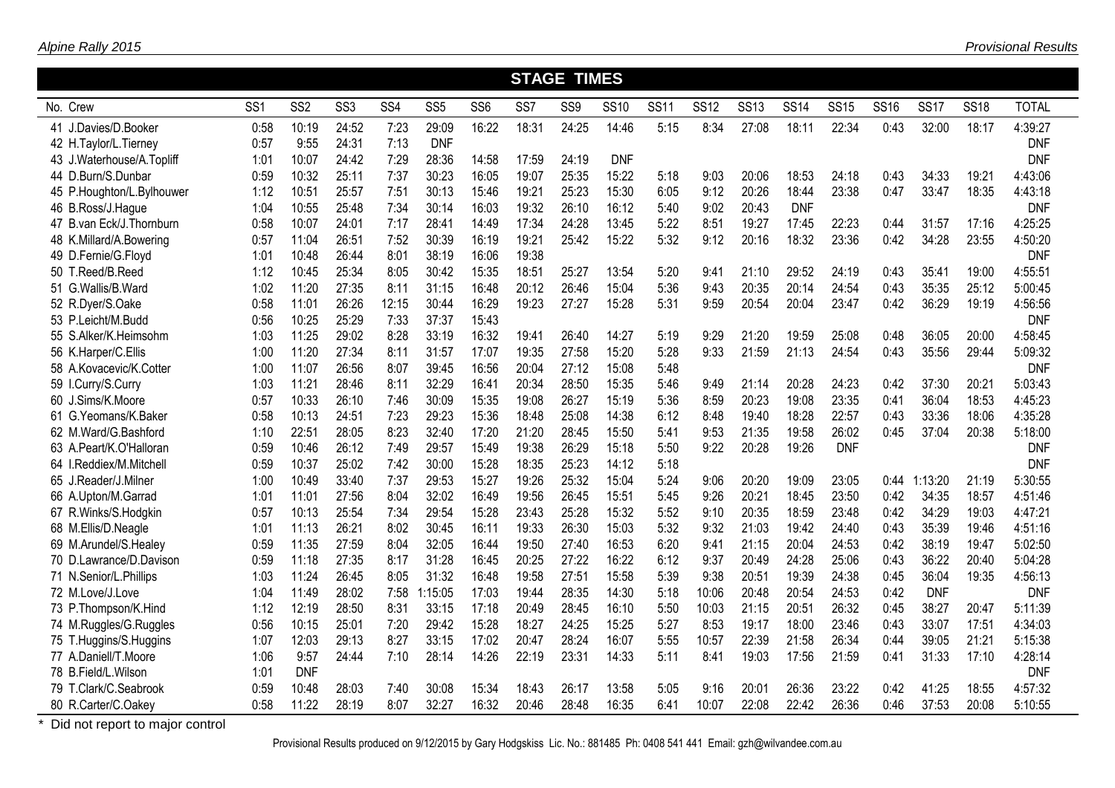|                           | <b>STAGE TIMES</b><br>SS <sub>2</sub><br>SS <sub>3</sub><br><b>SS13</b><br><b>SS14</b><br><b>SS16</b><br><b>SS17</b><br><b>SS18</b><br><b>TOTAL</b><br>SS <sub>1</sub><br>SS <sub>4</sub><br>SS <sub>5</sub><br>SS <sub>6</sub><br>SS7<br>SS <sub>9</sub><br><b>SS10</b><br><b>SS11</b><br><b>SS12</b><br><b>SS15</b> |            |       |       |            |       |       |       |            |      |       |       |            |            |      |            |       |            |
|---------------------------|-----------------------------------------------------------------------------------------------------------------------------------------------------------------------------------------------------------------------------------------------------------------------------------------------------------------------|------------|-------|-------|------------|-------|-------|-------|------------|------|-------|-------|------------|------------|------|------------|-------|------------|
| No. Crew                  |                                                                                                                                                                                                                                                                                                                       |            |       |       |            |       |       |       |            |      |       |       |            |            |      |            |       |            |
| 41 J.Davies/D.Booker      | 0:58                                                                                                                                                                                                                                                                                                                  | 10:19      | 24:52 | 7:23  | 29:09      | 16:22 | 18:31 | 24:25 | 14:46      | 5:15 | 8:34  | 27:08 | 18:11      | 22:34      | 0:43 | 32:00      | 18:17 | 4:39:27    |
| 42 H.Taylor/L.Tierney     | 0:57                                                                                                                                                                                                                                                                                                                  | 9:55       | 24:31 | 7:13  | <b>DNF</b> |       |       |       |            |      |       |       |            |            |      |            |       | <b>DNF</b> |
| 43 J.Waterhouse/A.Topliff | 1:01                                                                                                                                                                                                                                                                                                                  | 10:07      | 24:42 | 7:29  | 28:36      | 14:58 | 17:59 | 24:19 | <b>DNF</b> |      |       |       |            |            |      |            |       | <b>DNF</b> |
| 44 D.Burn/S.Dunbar        | 0:59                                                                                                                                                                                                                                                                                                                  | 10:32      | 25:11 | 7:37  | 30:23      | 16:05 | 19:07 | 25:35 | 15:22      | 5:18 | 9:03  | 20:06 | 18:53      | 24:18      | 0:43 | 34:33      | 19:21 | 4:43:06    |
| 45 P.Houghton/L.Bylhouwer | 1:12                                                                                                                                                                                                                                                                                                                  | 10:51      | 25:57 | 7:51  | 30:13      | 15:46 | 19:21 | 25:23 | 15:30      | 6:05 | 9:12  | 20:26 | 18:44      | 23:38      | 0:47 | 33:47      | 18:35 | 4:43:18    |
| 46 B.Ross/J.Hague         | 1:04                                                                                                                                                                                                                                                                                                                  | 10:55      | 25:48 | 7:34  | 30:14      | 16:03 | 19:32 | 26:10 | 16:12      | 5:40 | 9:02  | 20:43 | <b>DNF</b> |            |      |            |       | <b>DNF</b> |
| 47 B.van Eck/J.Thornburn  | 0:58                                                                                                                                                                                                                                                                                                                  | 10:07      | 24:01 | 7:17  | 28:41      | 14:49 | 17:34 | 24:28 | 13:45      | 5:22 | 8:51  | 19:27 | 17:45      | 22:23      | 0:44 | 31:57      | 17:16 | 4:25:25    |
| 48 K.Millard/A.Bowering   | 0:57                                                                                                                                                                                                                                                                                                                  | 11:04      | 26:51 | 7:52  | 30:39      | 16:19 | 19:21 | 25:42 | 15:22      | 5:32 | 9:12  | 20:16 | 18:32      | 23:36      | 0:42 | 34:28      | 23:55 | 4:50:20    |
| 49 D.Fernie/G.Floyd       | 1:01                                                                                                                                                                                                                                                                                                                  | 10:48      | 26:44 | 8:01  | 38:19      | 16:06 | 19:38 |       |            |      |       |       |            |            |      |            |       | <b>DNF</b> |
| 50 T.Reed/B.Reed          | 1:12                                                                                                                                                                                                                                                                                                                  | 10:45      | 25:34 | 8:05  | 30:42      | 15:35 | 18:51 | 25:27 | 13:54      | 5:20 | 9:41  | 21:10 | 29:52      | 24:19      | 0:43 | 35:41      | 19:00 | 4:55:51    |
| 51 G.Wallis/B.Ward        | 1:02                                                                                                                                                                                                                                                                                                                  | 11:20      | 27:35 | 8:11  | 31:15      | 16:48 | 20:12 | 26:46 | 15:04      | 5:36 | 9:43  | 20:35 | 20:14      | 24:54      | 0:43 | 35:35      | 25:12 | 5:00:45    |
| 52 R.Dyer/S.Oake          | 0:58                                                                                                                                                                                                                                                                                                                  | 11:01      | 26:26 | 12:15 | 30:44      | 16:29 | 19:23 | 27:27 | 15:28      | 5:31 | 9:59  | 20:54 | 20:04      | 23:47      | 0:42 | 36:29      | 19:19 | 4:56:56    |
| 53 P.Leicht/M.Budd        | 0:56                                                                                                                                                                                                                                                                                                                  | 10:25      | 25:29 | 7:33  | 37:37      | 15:43 |       |       |            |      |       |       |            |            |      |            |       | <b>DNF</b> |
| 55 S.Alker/K.Heimsohm     | 1:03                                                                                                                                                                                                                                                                                                                  | 11:25      | 29:02 | 8:28  | 33:19      | 16:32 | 19:41 | 26:40 | 14:27      | 5:19 | 9:29  | 21:20 | 19:59      | 25:08      | 0:48 | 36:05      | 20:00 | 4:58:45    |
| 56 K.Harper/C.Ellis       | 1:00                                                                                                                                                                                                                                                                                                                  | 11:20      | 27:34 | 8:11  | 31:57      | 17:07 | 19:35 | 27:58 | 15:20      | 5:28 | 9:33  | 21:59 | 21:13      | 24:54      | 0:43 | 35:56      | 29:44 | 5:09:32    |
| 58 A.Kovacevic/K.Cotter   | 1:00                                                                                                                                                                                                                                                                                                                  | 11:07      | 26:56 | 8:07  | 39:45      | 16:56 | 20:04 | 27:12 | 15:08      | 5:48 |       |       |            |            |      |            |       | <b>DNF</b> |
| 59 I.Curry/S.Curry        | 1:03                                                                                                                                                                                                                                                                                                                  | 11:21      | 28:46 | 8:11  | 32:29      | 16:41 | 20:34 | 28:50 | 15:35      | 5:46 | 9:49  | 21:14 | 20:28      | 24:23      | 0:42 | 37:30      | 20:21 | 5:03:43    |
| 60 J.Sims/K.Moore         | 0:57                                                                                                                                                                                                                                                                                                                  | 10:33      | 26:10 | 7:46  | 30:09      | 15:35 | 19:08 | 26:27 | 15:19      | 5:36 | 8:59  | 20:23 | 19:08      | 23:35      | 0:41 | 36:04      | 18:53 | 4:45:23    |
| 61 G.Yeomans/K.Baker      | 0:58                                                                                                                                                                                                                                                                                                                  | 10:13      | 24:51 | 7:23  | 29:23      | 15:36 | 18:48 | 25:08 | 14:38      | 6:12 | 8:48  | 19:40 | 18:28      | 22:57      | 0:43 | 33:36      | 18:06 | 4:35:28    |
| 62 M.Ward/G.Bashford      | 1:10                                                                                                                                                                                                                                                                                                                  | 22:51      | 28:05 | 8:23  | 32:40      | 17:20 | 21:20 | 28:45 | 15:50      | 5:41 | 9:53  | 21:35 | 19:58      | 26:02      | 0:45 | 37:04      | 20:38 | 5:18:00    |
| 63 A.Peart/K.O'Halloran   | 0:59                                                                                                                                                                                                                                                                                                                  | 10:46      | 26:12 | 7:49  | 29:57      | 15:49 | 19:38 | 26:29 | 15:18      | 5:50 | 9:22  | 20:28 | 19:26      | <b>DNF</b> |      |            |       | <b>DNF</b> |
| 64 I.Reddiex/M.Mitchell   | 0:59                                                                                                                                                                                                                                                                                                                  | 10:37      | 25:02 | 7:42  | 30:00      | 15:28 | 18:35 | 25:23 | 14:12      | 5:18 |       |       |            |            |      |            |       | <b>DNF</b> |
| 65 J.Reader/J.Milner      | 1:00                                                                                                                                                                                                                                                                                                                  | 10:49      | 33:40 | 7:37  | 29:53      | 15:27 | 19:26 | 25:32 | 15:04      | 5:24 | 9:06  | 20:20 | 19:09      | 23:05      | 0:44 | 1:13:20    | 21:19 | 5:30:55    |
| 66 A.Upton/M.Garrad       | 1:01                                                                                                                                                                                                                                                                                                                  | 11:01      | 27:56 | 8:04  | 32:02      | 16:49 | 19:56 | 26:45 | 15:51      | 5:45 | 9:26  | 20:21 | 18:45      | 23:50      | 0:42 | 34:35      | 18:57 | 4:51:46    |
| 67 R.Winks/S.Hodgkin      | 0:57                                                                                                                                                                                                                                                                                                                  | 10:13      | 25:54 | 7:34  | 29:54      | 15:28 | 23:43 | 25:28 | 15:32      | 5:52 | 9:10  | 20:35 | 18:59      | 23:48      | 0:42 | 34:29      | 19:03 | 4:47:21    |
| 68 M.Ellis/D.Neagle       | 1:01                                                                                                                                                                                                                                                                                                                  | 11:13      | 26:21 | 8:02  | 30:45      | 16:11 | 19:33 | 26:30 | 15:03      | 5:32 | 9:32  | 21:03 | 19:42      | 24:40      | 0:43 | 35:39      | 19:46 | 4:51:16    |
| 69 M.Arundel/S.Healey     | 0:59                                                                                                                                                                                                                                                                                                                  | 11:35      | 27:59 | 8:04  | 32:05      | 16:44 | 19:50 | 27:40 | 16:53      | 6:20 | 9:41  | 21:15 | 20:04      | 24:53      | 0:42 | 38:19      | 19:47 | 5:02:50    |
| 70 D.Lawrance/D.Davison   | 0:59                                                                                                                                                                                                                                                                                                                  | 11:18      | 27:35 | 8:17  | 31:28      | 16:45 | 20:25 | 27:22 | 16:22      | 6:12 | 9:37  | 20:49 | 24:28      | 25:06      | 0:43 | 36:22      | 20:40 | 5:04:28    |
| 71 N.Senior/L.Phillips    | 1:03                                                                                                                                                                                                                                                                                                                  | 11:24      | 26:45 | 8:05  | 31:32      | 16:48 | 19:58 | 27:51 | 15:58      | 5:39 | 9:38  | 20:51 | 19:39      | 24:38      | 0:45 | 36:04      | 19:35 | 4:56:13    |
| 72 M.Love/J.Love          | 1:04                                                                                                                                                                                                                                                                                                                  | 11:49      | 28:02 | 7:58  | :15:05     | 17:03 | 19:44 | 28:35 | 14:30      | 5:18 | 10:06 | 20:48 | 20:54      | 24:53      | 0:42 | <b>DNF</b> |       | <b>DNF</b> |
| 73 P.Thompson/K.Hind      | 1:12                                                                                                                                                                                                                                                                                                                  | 12:19      | 28:50 | 8:31  | 33:15      | 17:18 | 20:49 | 28:45 | 16:10      | 5:50 | 10:03 | 21:15 | 20:51      | 26:32      | 0:45 | 38:27      | 20:47 | 5:11:39    |
| 74 M.Ruggles/G.Ruggles    | 0:56                                                                                                                                                                                                                                                                                                                  | 10:15      | 25:01 | 7:20  | 29:42      | 15:28 | 18:27 | 24:25 | 15:25      | 5:27 | 8:53  | 19:17 | 18:00      | 23:46      | 0:43 | 33:07      | 17:51 | 4:34:03    |
| 75 T.Huggins/S.Huggins    | 1:07                                                                                                                                                                                                                                                                                                                  | 12:03      | 29:13 | 8:27  | 33:15      | 17:02 | 20:47 | 28:24 | 16:07      | 5:55 | 10:57 | 22:39 | 21:58      | 26:34      | 0:44 | 39:05      | 21:21 | 5:15:38    |
| 77 A.Daniell/T.Moore      | 1:06                                                                                                                                                                                                                                                                                                                  | 9:57       | 24:44 | 7:10  | 28:14      | 14:26 | 22:19 | 23:31 | 14:33      | 5:11 | 8:41  | 19:03 | 17:56      | 21:59      | 0:41 | 31:33      | 17:10 | 4:28:14    |
| 78 B.Field/L.Wilson       | 1:01                                                                                                                                                                                                                                                                                                                  | <b>DNF</b> |       |       |            |       |       |       |            |      |       |       |            |            |      |            |       | <b>DNF</b> |
| 79 T.Clark/C.Seabrook     | 0:59                                                                                                                                                                                                                                                                                                                  | 10:48      | 28:03 | 7:40  | 30:08      | 15:34 | 18:43 | 26:17 | 13:58      | 5:05 | 9:16  | 20:01 | 26:36      | 23:22      | 0:42 | 41:25      | 18:55 | 4:57:32    |
| 80 R.Carter/C.Oakey       | 0:58                                                                                                                                                                                                                                                                                                                  | 11:22      | 28:19 | 8:07  | 32:27      | 16:32 | 20:46 | 28:48 | 16:35      | 6:41 | 10:07 | 22:08 | 22:42      | 26:36      | 0:46 | 37:53      | 20:08 | 5:10:55    |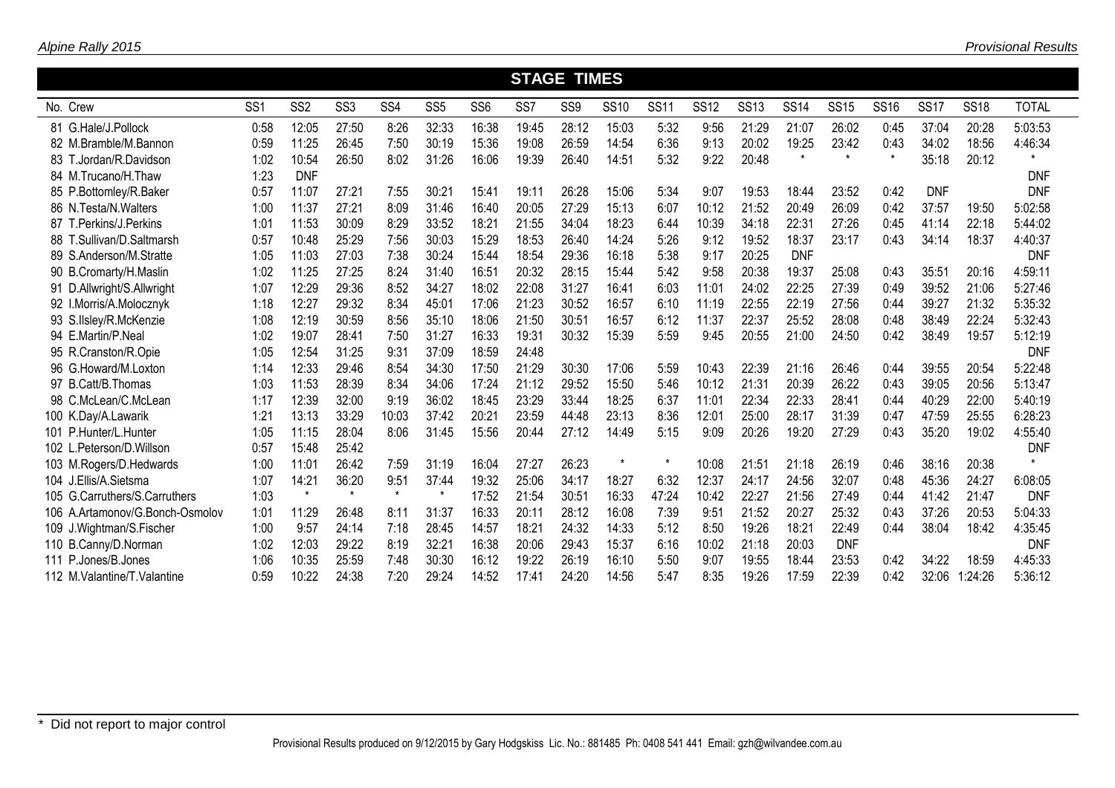|       |                                 |                 |                  |                  |                 |                  |                 | <b>STAGE TIMES</b> |                 |             |             |             |             |             |             |             |             |             |              |
|-------|---------------------------------|-----------------|------------------|------------------|-----------------|------------------|-----------------|--------------------|-----------------|-------------|-------------|-------------|-------------|-------------|-------------|-------------|-------------|-------------|--------------|
|       | No. Crew                        | SS <sub>1</sub> | SS <sub>2</sub>  | SS <sub>3</sub>  | SS <sub>4</sub> | SS <sub>5</sub>  | SS <sub>6</sub> | SS <sub>7</sub>    | SS <sub>9</sub> | <b>SS10</b> | <b>SS11</b> | <b>SS12</b> | <b>SS13</b> | <b>SS14</b> | <b>SS15</b> | <b>SS16</b> | <b>SS17</b> | <b>SS18</b> | <b>TOTAL</b> |
|       | 81 G.Hale/J.Pollock             | 0:58            | 12:05            | 27:50            | 8:26            | 32:33            | 16:38           | 19:45              | 28:12           | 15:03       | 5:32        | 9:56        | 21:29       | 21:07       | 26:02       | 0:45        | 37:04       | 20:28       | 5:03:53      |
|       | 82 M.Bramble/M.Bannon           | 0:59            | 11:25            | 26:45            | 7:50            | 30:19            | 15:36           | 19:08              | 26:59           | 14:54       | 6:36        | 9:13        | 20:02       | 19:25       | 23:42       | 0:43        | 34:02       | 18:56       | 4:46:34      |
| 83 T. | .Jordan/R.Davidson              | 1:02            | 10:54            | 26:50            | 8:02            | 31:26            | 16:06           | 19:39              | 26:40           | 14:51       | 5:32        | 9:22        | 20:48       | $\star$     | $\star$     | $\star$     | 35:18       | 20:12       | $\star$      |
|       | 84 M.Trucano/H.Thaw             | 1:23            | <b>DNF</b>       |                  |                 |                  |                 |                    |                 |             |             |             |             |             |             |             |             |             | <b>DNF</b>   |
|       | 85 P.Bottomley/R.Baker          | 0:57            | 11:07            | 27:21            | 7:55            | 30:21            | 15:41           | 19:11              | 26:28           | 15:06       | 5:34        | 9:07        | 19:53       | 18:44       | 23:52       | 0:42        | <b>DNF</b>  |             | <b>DNF</b>   |
|       | 86 N.Testa/N.Walters            | 1:00            | 11:37            | 27:21            | 8:09            | 31:46            | 16:40           | 20:05              | 27:29           | 15:13       | 6:07        | 10:12       | 21:52       | 20:49       | 26:09       | 0:42        | 37:57       | 19:50       | 5:02:58      |
|       | 87 T.Perkins/J.Perkins          | 1:01            | 11:53            | 30:09            | 8:29            | 33:52            | 18:21           | 21:55              | 34:04           | 18:23       | 6:44        | 10:39       | 34:18       | 22:31       | 27:26       | 0:45        | 41:14       | 22:18       | 5:44:02      |
|       | 88 T.Sullivan/D.Saltmarsh       | 0:57            | 10:48            | 25:29            | 7:56            | 30:03            | 15:29           | 18:53              | 26:40           | 14:24       | 5:26        | 9:12        | 19:52       | 18:37       | 23:17       | 0:43        | 34:14       | 18:37       | 4:40:37      |
|       | 89 S.Anderson/M.Stratte         | 1:05            | 11:03            | 27:03            | 7:38            | 30:24            | 15:44           | 18:54              | 29:36           | 16:18       | 5:38        | 9:17        | 20:25       | <b>DNF</b>  |             |             |             |             | <b>DNF</b>   |
|       | 90 B.Cromarty/H.Maslin          | 1:02            | 11:25            | 27:25            | 8:24            | 31:40            | 16:51           | 20:32              | 28:15           | 15:44       | 5:42        | 9:58        | 20:38       | 19:37       | 25:08       | 0:43        | 35:51       | 20:16       | 4:59:11      |
|       | 91 D.Allwright/S.Allwright      | 1:07            | 12:29            | 29:36            | 8:52            | 34:27            | 18:02           | 22:08              | 31:27           | 16:41       | 6:03        | 11:01       | 24:02       | 22:25       | 27:39       | 0:49        | 39:52       | 21:06       | 5:27:46      |
|       | 92 I.Morris/A.Molocznyk         | 1:18            | 12:27            | 29:32            | 8:34            | 45:01            | 17:06           | 21:23              | 30:52           | 16:57       | 6:10        | 11:19       | 22:55       | 22:19       | 27:56       | 0:44        | 39:27       | 21:32       | 5:35:32      |
|       | 93 S.IIsley/R.McKenzie          | 1:08            | 12:19            | 30:59            | 8:56            | 35:10            | 18:06           | 21:50              | 30:51           | 16:57       | 6:12        | 11:37       | 22:37       | 25:52       | 28:08       | 0:48        | 38:49       | 22:24       | 5:32:43      |
|       | 94 E.Martin/P.Neal              | 1:02            | 19:07            | 28:41            | 7:50            | 31:27            | 16:33           | 19:31              | 30:32           | 15:39       | 5:59        | 9:45        | 20:55       | 21:00       | 24:50       | 0:42        | 38:49       | 19:57       | 5:12:19      |
|       | 95 R.Cranston/R.Opie            | 1:05            | 12:54            | 31:25            | 9:31            | 37:09            | 18:59           | 24:48              |                 |             |             |             |             |             |             |             |             |             | <b>DNF</b>   |
|       | 96 G.Howard/M.Loxton            | 1:14            | 12:33            | 29:46            | 8:54            | 34:30            | 17:50           | 21:29              | 30:30           | 17:06       | 5:59        | 10:43       | 22:39       | 21:16       | 26:46       | 0:44        | 39:55       | 20:54       | 5:22:48      |
|       | 97 B.Catt/B.Thomas              | 1:03            | 11:53            | 28:39            | 8:34            | 34:06            | 17:24           | 21:12              | 29:52           | 15:50       | 5:46        | 10:12       | 21:31       | 20:39       | 26:22       | 0:43        | 39:05       | 20:56       | 5:13:47      |
|       | 98 C.McLean/C.McLean            | 1:17            | 12:39            | 32:00            | 9:19            | 36:02            | 18:45           | 23:29              | 33:44           | 18:25       | 6:37        | 11:01       | 22:34       | 22:33       | 28:41       | 0:44        | 40:29       | 22:00       | 5:40:19      |
|       | 100 K.Day/A.Lawarik             | $1:2^{\circ}$   | 13:13            | 33:29            | 10:03           | 37:42            | 20:21           | 23:59              | 44:48           | 23:13       | 8:36        | 12:01       | 25:00       | 28:17       | 31:39       | 0:47        | 47:59       | 25:55       | 6:28:23      |
|       | 101 P.Hunter/L.Hunter           | 1:05            | 11:15            | 28:04            | 8:06            | 31:45            | 15:56           | 20:44              | 27:12           | 14:49       | 5:15        | 9:09        | 20:26       | 19:20       | 27:29       | 0:43        | 35:20       | 19:02       | 4:55:40      |
|       | 102 L.Peterson/D.Willson        | 0:57            | 15:48            | 25:42            |                 |                  |                 |                    |                 | $\star$     | $\star$     |             |             |             |             |             |             |             | <b>DNF</b>   |
|       | 103 M.Rogers/D.Hedwards         | 1:00            | 11:01            | 26:42            | 7:59            | 31:19            | 16:04           | 27:27              | 26:23           |             |             | 10:08       | 21:51       | 21:18       | 26:19       | 0:46        | 38:16       | 20:38       |              |
|       | 104 J.Ellis/A.Sietsma           | 1:07            | 14:21<br>$\star$ | 36:20<br>$\star$ | 9:51<br>$\star$ | 37:44<br>$\star$ | 19:32           | 25:06              | 34:17           | 18:27       | 6:32        | 12:37       | 24:17       | 24:56       | 32:07       | 0:48        | 45:36       | 24:27       | 6:08:05      |
|       | 105 G.Carruthers/S.Carruthers   | 1:03            |                  |                  |                 |                  | 17:52           | 21:54              | 30:51           | 16:33       | 47:24       | 10:42       | 22:27       | 21:56       | 27:49       | 0:44        | 41:42       | 21:47       | <b>DNF</b>   |
|       | 106 A.Artamonov/G.Bonch-Osmolov | 1:01            | 11:29            | 26:48            | 8:11            | 31:37            | 16:33           | 20:11              | 28:12           | 16:08       | 7:39        | 9:51        | 21:52       | 20:27       | 25:32       | 0:43        | 37:26       | 20:53       | 5:04:33      |
|       | 109 J.Wightman/S.Fischer        | 1:00            | 9:57             | 24:14            | 7:18            | 28:45            | 14:57           | 18:21              | 24:32           | 14:33       | 5:12        | 8:50        | 19:26       | 18:21       | 22:49       | 0:44        | 38:04       | 18:42       | 4:35:45      |
|       | 110 B.Canny/D.Norman            | 1:02            | 12:03            | 29:22            | 8:19            | 32:2'            | 16:38           | 20:06              | 29:43           | 15:37       | 6:16        | 10:02       | 21:18       | 20:03       | <b>DNF</b>  |             |             |             | <b>DNF</b>   |
|       | 111 P.Jones/B.Jones             | 1:06            | 10:35            | 25:59            | 7:48            | 30:30            | 16:12           | 19:22              | 26:19           | 16:10       | 5:50        | 9:07        | 19:55       | 18:44       | 23:53       | 0:42        | 34:22       | 18:59       | 4:45:33      |
|       | 112 M. Valantine/T. Valantine   | 0:59            | 10:22            | 24:38            | 7:20            | 29:24            | 14:52           | 17:41              | 24:20           | 14:56       | 5:47        | 8:35        | 19:26       | 17:59       | 22:39       | 0:42        | 32:06       | :24:26      | 5:36:12      |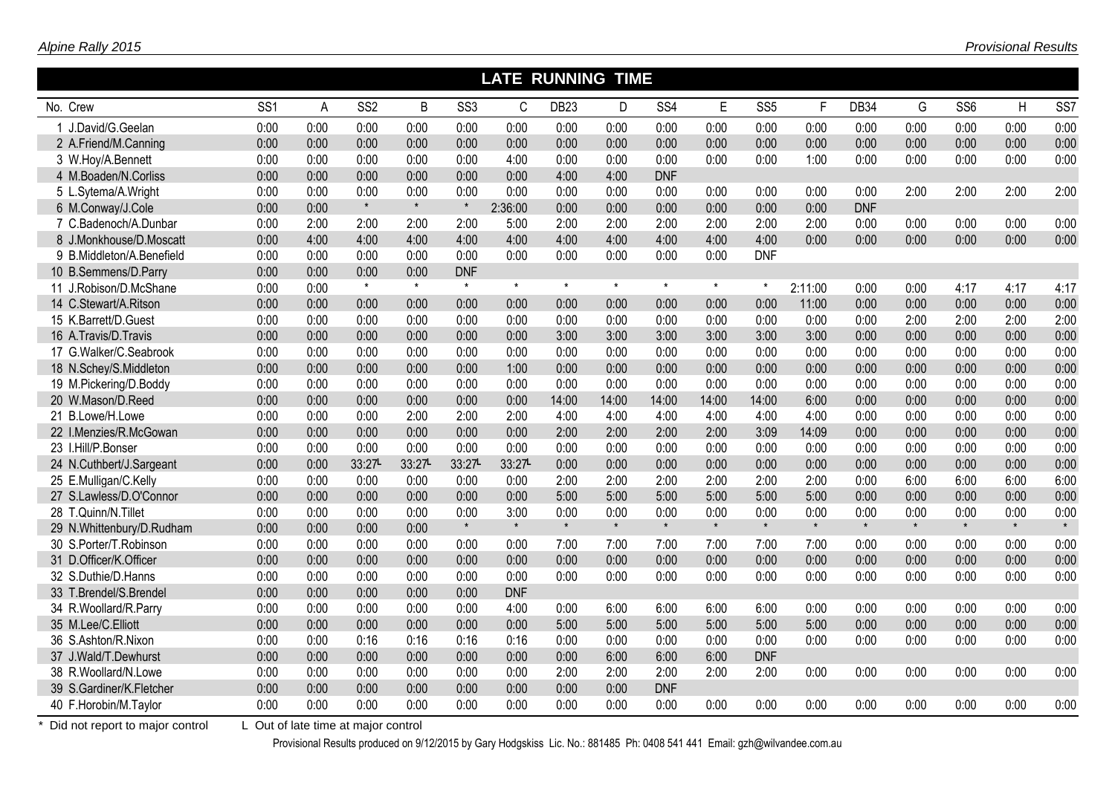|                           | <b>LATE RUNNING</b><br><b>TIME</b> |      |                 |         |                 |            |                  |         |                 |         |                 |         |            |         |                 |         |                 |
|---------------------------|------------------------------------|------|-----------------|---------|-----------------|------------|------------------|---------|-----------------|---------|-----------------|---------|------------|---------|-----------------|---------|-----------------|
| No. Crew                  | SS <sub>1</sub>                    | A    | SS <sub>2</sub> | B       | SS <sub>3</sub> | C          | DB <sub>23</sub> | D       | SS <sub>4</sub> | E       | SS <sub>5</sub> | F.      | DB34       | G       | SS <sub>6</sub> | H       | SS <sub>7</sub> |
| 1 J.David/G.Geelan        | 0:00                               | 0:00 | 0:00            | 0:00    | 0:00            | 0:00       | 0:00             | 0:00    | 0:00            | 0:00    | 0:00            | 0:00    | 0:00       | 0:00    | 0:00            | 0:00    | 0:00            |
| 2 A.Friend/M.Canning      | 0:00                               | 0:00 | 0:00            | 0:00    | 0:00            | 0:00       | 0:00             | 0:00    | 0:00            | 0:00    | 0:00            | 0:00    | 0:00       | 0:00    | 0:00            | 0:00    | 0:00            |
| 3 W.Hoy/A.Bennett         | 0:00                               | 0:00 | 0:00            | 0:00    | 0:00            | 4:00       | 0:00             | 0:00    | 0:00            | 0:00    | 0:00            | 1:00    | 0:00       | 0:00    | 0:00            | 0:00    | 0:00            |
| 4 M.Boaden/N.Corliss      | 0:00                               | 0:00 | 0:00            | 0:00    | 0:00            | 0:00       | 4:00             | 4:00    | <b>DNF</b>      |         |                 |         |            |         |                 |         |                 |
| 5 L.Sytema/A.Wright       | 0:00                               | 0:00 | 0:00            | 0:00    | 0:00            | 0:00       | 0:00             | 0:00    | 0:00            | 0:00    | 0:00            | 0:00    | 0:00       | 2:00    | 2:00            | 2:00    | 2:00            |
| 6 M.Conway/J.Cole         | 0:00                               | 0:00 | $\star$         | $\star$ | $\pmb{\ast}$    | 2:36:00    | 0:00             | 0:00    | 0:00            | 0:00    | 0:00            | 0:00    | <b>DNF</b> |         |                 |         |                 |
| 7 C.Badenoch/A.Dunbar     | 0:00                               | 2:00 | 2:00            | 2:00    | 2:00            | 5:00       | 2:00             | 2:00    | 2:00            | 2:00    | 2:00            | 2:00    | 0:00       | 0:00    | 0:00            | 0:00    | 0:00            |
| 8 J.Monkhouse/D.Moscatt   | 0:00                               | 4:00 | 4:00            | 4:00    | 4:00            | 4:00       | 4:00             | 4:00    | 4:00            | 4:00    | 4:00            | 0:00    | 0:00       | 0:00    | 0:00            | 0:00    | 0:00            |
| 9 B.Middleton/A.Benefield | 0:00                               | 0:00 | 0:00            | 0:00    | 0:00            | 0:00       | 0:00             | 0:00    | 0:00            | 0:00    | <b>DNF</b>      |         |            |         |                 |         |                 |
| 10 B.Semmens/D.Parry      | 0:00                               | 0:00 | 0:00            | 0:00    | <b>DNF</b>      |            |                  |         |                 |         |                 |         |            |         |                 |         |                 |
| 11 J.Robison/D.McShane    | 0:00                               | 0:00 | $\star$         | $\star$ | $\star$         | $\star$    | $\star$          | $\star$ | $\star$         | $\star$ | $\star$         | 2:11:00 | 0:00       | 0:00    | 4:17            | 4:17    | 4:17            |
| 14 C.Stewart/A.Ritson     | 0:00                               | 0:00 | 0:00            | 0:00    | 0:00            | 0:00       | 0:00             | 0:00    | 0:00            | 0:00    | 0:00            | 11:00   | 0:00       | 0:00    | 0:00            | 0:00    | 0:00            |
| 15 K.Barrett/D.Guest      | 0:00                               | 0:00 | 0:00            | 0:00    | 0:00            | 0:00       | 0:00             | 0:00    | 0:00            | 0:00    | 0:00            | 0:00    | 0:00       | 2:00    | 2:00            | 2:00    | 2:00            |
| 16 A.Travis/D.Travis      | 0:00                               | 0:00 | 0:00            | 0:00    | 0:00            | 0:00       | 3:00             | 3:00    | 3:00            | 3:00    | 3:00            | 3:00    | 0:00       | 0:00    | 0:00            | 0:00    | 0:00            |
| 17 G.Walker/C.Seabrook    | 0:00                               | 0:00 | 0:00            | 0:00    | 0:00            | 0:00       | 0:00             | 0:00    | 0:00            | 0:00    | 0:00            | 0:00    | 0:00       | 0:00    | 0:00            | 0:00    | 0:00            |
| 18 N.Schey/S.Middleton    | 0:00                               | 0:00 | 0:00            | 0:00    | 0:00            | 1:00       | 0:00             | 0:00    | 0:00            | 0:00    | 0:00            | 0:00    | 0:00       | 0:00    | 0:00            | 0:00    | 0:00            |
| 19 M.Pickering/D.Boddy    | 0:00                               | 0:00 | 0:00            | 0:00    | 0:00            | 0:00       | 0:00             | 0:00    | 0:00            | 0:00    | 0:00            | 0:00    | 0:00       | 0:00    | 0:00            | 0:00    | 0:00            |
| 20 W.Mason/D.Reed         | 0:00                               | 0:00 | 0:00            | 0:00    | 0:00            | 0:00       | 14:00            | 14:00   | 14:00           | 14:00   | 14:00           | 6:00    | 0:00       | 0:00    | 0:00            | 0:00    | 0:00            |
| 21 B.Lowe/H.Lowe          | 0:00                               | 0:00 | 0:00            | 2:00    | 2:00            | 2:00       | 4:00             | 4:00    | 4:00            | 4:00    | 4:00            | 4:00    | 0:00       | 0:00    | 0:00            | 0:00    | 0:00            |
| 22 I.Menzies/R.McGowan    | 0:00                               | 0:00 | 0:00            | 0:00    | 0:00            | 0:00       | 2:00             | 2:00    | 2:00            | 2:00    | 3:09            | 14:09   | 0:00       | 0:00    | 0:00            | 0:00    | 0:00            |
| 23 I.Hill/P.Bonser        | 0:00                               | 0:00 | 0:00            | 0:00    | 0:00            | 0:00       | 0:00             | 0:00    | 0:00            | 0:00    | 0:00            | 0:00    | 0:00       | 0:00    | 0:00            | 0:00    | 0:00            |
| 24 N.Cuthbert/J.Sargeant  | 0:00                               | 0:00 | 33:27L          | 33:27L  | 33:27L          | 33:27      | 0:00             | 0:00    | 0:00            | 0:00    | 0:00            | 0:00    | 0:00       | 0:00    | 0:00            | 0:00    | 0:00            |
| 25 E.Mulligan/C.Kelly     | 0:00                               | 0:00 | 0:00            | 0:00    | 0:00            | 0:00       | 2:00             | 2:00    | 2:00            | 2:00    | 2:00            | 2:00    | 0:00       | 6:00    | 6:00            | 6:00    | 6:00            |
| 27 S.Lawless/D.O'Connor   | 0:00                               | 0:00 | 0:00            | 0:00    | 0:00            | 0:00       | 5:00             | 5:00    | 5:00            | 5:00    | 5:00            | 5:00    | 0:00       | 0:00    | 0:00            | 0:00    | 0:00            |
| 28 T.Quinn/N.Tillet       | 0:00                               | 0:00 | 0:00            | 0:00    | 0:00            | 3:00       | 0:00             | 0:00    | 0:00            | 0:00    | 0:00            | 0:00    | 0:00       | 0:00    | 0:00            | 0:00    | 0:00            |
| 29 N.Whittenbury/D.Rudham | 0:00                               | 0:00 | 0:00            | 0:00    | $\star$         | $\star$    | $\star$          | $\star$ | $\star$         | $\star$ | $\star$         | $\star$ | $\star$    | $\star$ | $\star$         | $\star$ | $\star$         |
| 30 S.Porter/T.Robinson    | 0:00                               | 0:00 | 0:00            | 0:00    | 0:00            | 0:00       | 7:00             | 7:00    | 7:00            | 7:00    | 7:00            | 7:00    | 0:00       | 0:00    | 0:00            | 0:00    | 0:00            |
| 31 D.Officer/K.Officer    | 0:00                               | 0:00 | 0:00            | 0:00    | 0:00            | 0:00       | 0:00             | 0:00    | 0:00            | 0:00    | 0:00            | 0:00    | 0:00       | 0:00    | 0:00            | 0:00    | 0:00            |
| 32 S.Duthie/D.Hanns       | 0:00                               | 0:00 | 0:00            | 0:00    | 0:00            | 0:00       | 0:00             | 0:00    | 0:00            | 0:00    | 0:00            | 0:00    | 0:00       | 0:00    | 0:00            | 0:00    | 0:00            |
| 33 T.Brendel/S.Brendel    | 0:00                               | 0:00 | 0:00            | 0:00    | 0:00            | <b>DNF</b> |                  |         |                 |         |                 |         |            |         |                 |         |                 |
| 34 R.Woollard/R.Parry     | 0:00                               | 0:00 | 0:00            | 0:00    | 0:00            | 4:00       | 0:00             | 6:00    | 6:00            | 6:00    | 6:00            | 0:00    | 0:00       | 0:00    | 0:00            | 0:00    | 0:00            |
| 35 M.Lee/C.Elliott        | 0:00                               | 0:00 | 0:00            | 0:00    | 0:00            | 0:00       | 5:00             | 5:00    | 5:00            | 5:00    | 5:00            | 5:00    | 0:00       | 0:00    | 0:00            | 0:00    | 0:00            |
| 36 S.Ashton/R.Nixon       | 0:00                               | 0:00 | 0:16            | 0:16    | 0:16            | 0:16       | 0:00             | 0:00    | 0:00            | 0:00    | 0:00            | 0:00    | 0:00       | 0:00    | 0:00            | 0:00    | 0:00            |
| 37 J.Wald/T.Dewhurst      | 0:00                               | 0:00 | 0:00            | 0:00    | 0:00            | 0:00       | 0:00             | 6:00    | 6:00            | 6:00    | <b>DNF</b>      |         |            |         |                 |         |                 |
| 38 R.Woollard/N.Lowe      | 0:00                               | 0:00 | 0:00            | 0:00    | 0:00            | 0:00       | 2:00             | 2:00    | 2:00            | 2:00    | 2:00            | 0:00    | 0:00       | 0:00    | 0:00            | 0:00    | 0:00            |
| 39 S.Gardiner/K.Fletcher  | 0:00                               | 0:00 | 0:00            | 0:00    | 0:00            | 0:00       | 0:00             | 0:00    | <b>DNF</b>      |         |                 |         |            |         |                 |         |                 |
| 40 F.Horobin/M.Taylor     | 0:00                               | 0:00 | 0:00            | 0:00    | 0:00            | 0:00       | 0:00             | 0:00    | 0:00            | 0:00    | 0:00            | 0:00    | 0:00       | 0:00    | 0:00            | 0:00    | 0:00            |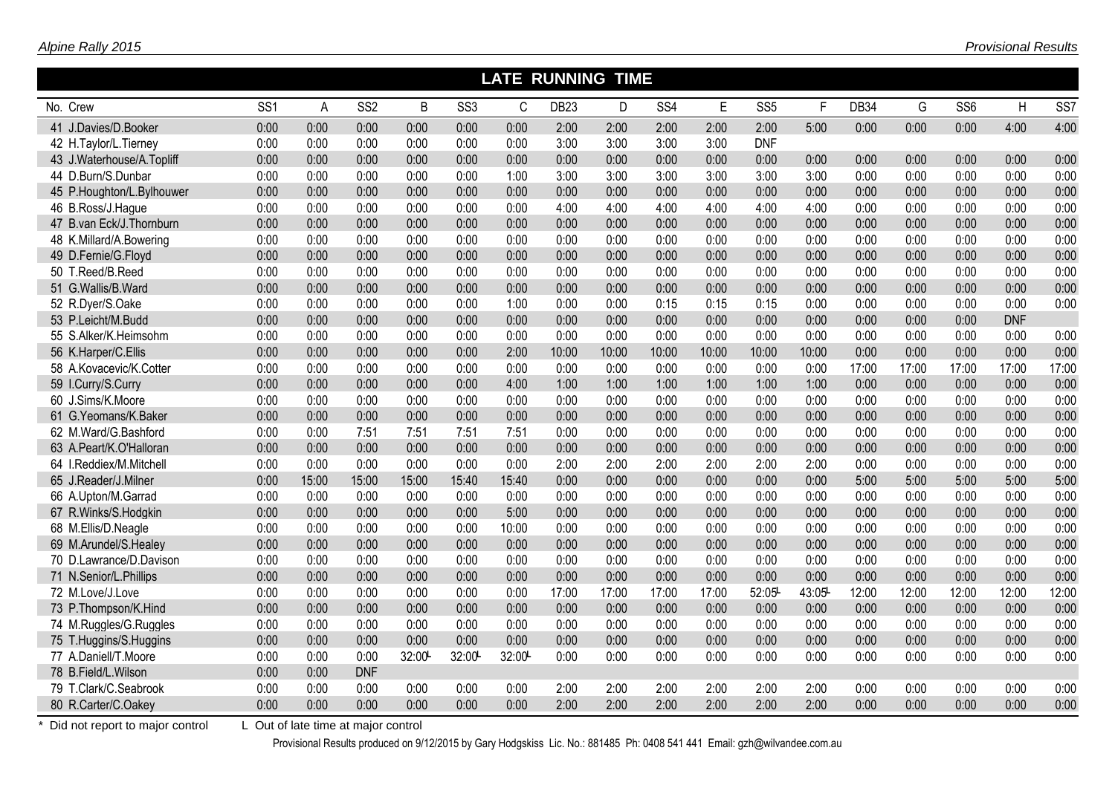|                           | <b>LATE RUNNING TIME</b> |       |                 |       |                 |       |                  |       |       |       |                 |       |       |       |                 |            |                 |
|---------------------------|--------------------------|-------|-----------------|-------|-----------------|-------|------------------|-------|-------|-------|-----------------|-------|-------|-------|-----------------|------------|-----------------|
| No. Crew                  | SS <sub>1</sub>          | A     | SS <sub>2</sub> | B     | SS <sub>3</sub> | C     | DB <sub>23</sub> | D     | SS4   | E     | SS <sub>5</sub> | F     | DB34  | G     | SS <sub>6</sub> | H          | SS <sub>7</sub> |
| 41 J.Davies/D.Booker      | 0:00                     | 0:00  | 0:00            | 0:00  | 0:00            | 0:00  | 2:00             | 2:00  | 2:00  | 2:00  | 2:00            | 5:00  | 0:00  | 0:00  | 0:00            | 4:00       | 4:00            |
| 42 H.Taylor/L.Tierney     | 0:00                     | 0:00  | 0:00            | 0:00  | 0:00            | 0:00  | 3:00             | 3:00  | 3:00  | 3:00  | <b>DNF</b>      |       |       |       |                 |            |                 |
| 43 J.Waterhouse/A.Topliff | 0:00                     | 0:00  | 0:00            | 0:00  | 0:00            | 0:00  | 0:00             | 0:00  | 0:00  | 0:00  | 0:00            | 0:00  | 0:00  | 0:00  | 0:00            | 0:00       | 0:00            |
| 44 D.Burn/S.Dunbar        | 0:00                     | 0:00  | 0:00            | 0:00  | 0:00            | 1:00  | 3:00             | 3:00  | 3:00  | 3:00  | 3:00            | 3:00  | 0:00  | 0:00  | 0:00            | 0:00       | 0:00            |
| 45 P.Houghton/L.Bylhouwer | 0:00                     | 0:00  | 0:00            | 0:00  | 0:00            | 0:00  | 0:00             | 0:00  | 0:00  | 0:00  | 0:00            | 0:00  | 0:00  | 0:00  | 0:00            | 0:00       | 0:00            |
| 46 B.Ross/J.Hague         | 0:00                     | 0:00  | 0:00            | 0:00  | 0:00            | 0:00  | 4:00             | 4:00  | 4:00  | 4:00  | 4:00            | 4:00  | 0:00  | 0:00  | 0:00            | 0:00       | 0:00            |
| 47 B.van Eck/J.Thornburn  | 0:00                     | 0:00  | 0:00            | 0:00  | 0:00            | 0:00  | 0:00             | 0:00  | 0:00  | 0:00  | 0:00            | 0:00  | 0:00  | 0:00  | 0:00            | 0:00       | 0:00            |
| 48 K.Millard/A.Bowering   | 0:00                     | 0:00  | 0:00            | 0:00  | 0:00            | 0:00  | 0:00             | 0:00  | 0:00  | 0:00  | 0:00            | 0:00  | 0:00  | 0:00  | 0:00            | 0:00       | 0:00            |
| 49 D.Fernie/G.Floyd       | 0:00                     | 0:00  | 0:00            | 0:00  | 0:00            | 0:00  | 0:00             | 0:00  | 0:00  | 0:00  | 0:00            | 0:00  | 0:00  | 0:00  | 0:00            | 0:00       | 0:00            |
| 50 T.Reed/B.Reed          | 0:00                     | 0:00  | 0:00            | 0:00  | 0:00            | 0:00  | 0:00             | 0:00  | 0:00  | 0:00  | 0:00            | 0:00  | 0:00  | 0:00  | 0:00            | 0:00       | 0:00            |
| 51 G.Wallis/B.Ward        | 0:00                     | 0:00  | 0:00            | 0:00  | 0:00            | 0:00  | 0:00             | 0:00  | 0:00  | 0:00  | 0:00            | 0:00  | 0:00  | 0:00  | 0:00            | 0:00       | 0:00            |
| 52 R.Dyer/S.Oake          | 0:00                     | 0:00  | 0:00            | 0:00  | 0:00            | 1:00  | 0:00             | 0:00  | 0:15  | 0:15  | 0:15            | 0:00  | 0:00  | 0:00  | 0:00            | 0:00       | 0:00            |
| 53 P.Leicht/M.Budd        | 0:00                     | 0:00  | 0:00            | 0:00  | 0:00            | 0:00  | 0:00             | 0:00  | 0:00  | 0:00  | 0:00            | 0:00  | 0:00  | 0:00  | 0:00            | <b>DNF</b> |                 |
| 55 S.Alker/K.Heimsohm     | 0:00                     | 0:00  | 0:00            | 0:00  | 0:00            | 0:00  | 0:00             | 0:00  | 0:00  | 0:00  | 0:00            | 0:00  | 0:00  | 0:00  | 0:00            | 0:00       | 0:00            |
| 56 K.Harper/C.Ellis       | 0:00                     | 0:00  | 0:00            | 0:00  | 0:00            | 2:00  | 10:00            | 10:00 | 10:00 | 10:00 | 10:00           | 10:00 | 0:00  | 0:00  | 0:00            | 0:00       | 0:00            |
| 58 A.Kovacevic/K.Cotter   | 0:00                     | 0:00  | 0:00            | 0:00  | 0:00            | 0:00  | 0:00             | 0:00  | 0:00  | 0:00  | 0:00            | 0:00  | 17:00 | 17:00 | 17:00           | 17:00      | 17:00           |
| 59 I.Curry/S.Curry        | 0:00                     | 0:00  | 0:00            | 0:00  | 0:00            | 4:00  | 1:00             | 1:00  | 1:00  | 1:00  | 1:00            | 1:00  | 0:00  | 0:00  | 0:00            | 0:00       | 0:00            |
| 60 J.Sims/K.Moore         | 0:00                     | 0:00  | 0:00            | 0:00  | 0:00            | 0:00  | 0:00             | 0:00  | 0:00  | 0:00  | 0:00            | 0:00  | 0:00  | 0:00  | 0:00            | 0:00       | 0:00            |
| 61 G.Yeomans/K.Baker      | 0:00                     | 0:00  | 0:00            | 0:00  | 0:00            | 0:00  | 0:00             | 0:00  | 0:00  | 0:00  | 0:00            | 0:00  | 0:00  | 0:00  | 0:00            | 0:00       | 0:00            |
| 62 M.Ward/G.Bashford      | 0:00                     | 0:00  | 7:51            | 7:51  | 7:51            | 7:51  | 0:00             | 0:00  | 0:00  | 0:00  | 0:00            | 0:00  | 0:00  | 0:00  | 0:00            | 0:00       | 0:00            |
| 63 A.Peart/K.O'Halloran   | 0:00                     | 0:00  | 0:00            | 0:00  | 0:00            | 0:00  | 0:00             | 0:00  | 0:00  | 0:00  | 0:00            | 0:00  | 0:00  | 0:00  | 0:00            | 0:00       | 0:00            |
| 64 I.Reddiex/M.Mitchell   | 0:00                     | 0:00  | 0:00            | 0:00  | 0:00            | 0:00  | 2:00             | 2:00  | 2:00  | 2:00  | 2:00            | 2:00  | 0:00  | 0:00  | 0:00            | 0:00       | 0:00            |
| 65 J.Reader/J.Milner      | 0:00                     | 15:00 | 15:00           | 15:00 | 15:40           | 15:40 | 0:00             | 0:00  | 0:00  | 0:00  | 0:00            | 0:00  | 5:00  | 5:00  | 5:00            | 5:00       | 5:00            |
| 66 A.Upton/M.Garrad       | 0:00                     | 0:00  | 0:00            | 0:00  | 0:00            | 0:00  | 0:00             | 0:00  | 0:00  | 0:00  | 0:00            | 0:00  | 0:00  | 0:00  | 0:00            | 0:00       | 0:00            |
| 67 R.Winks/S.Hodgkin      | 0:00                     | 0:00  | 0:00            | 0:00  | 0:00            | 5:00  | 0:00             | 0:00  | 0:00  | 0:00  | 0:00            | 0:00  | 0:00  | 0:00  | 0:00            | 0:00       | 0:00            |
| 68 M.Ellis/D.Neagle       | 0:00                     | 0:00  | 0:00            | 0:00  | 0:00            | 10:00 | 0:00             | 0:00  | 0:00  | 0:00  | 0:00            | 0:00  | 0:00  | 0:00  | 0:00            | 0:00       | 0:00            |
| 69 M.Arundel/S.Healey     | 0:00                     | 0:00  | 0:00            | 0:00  | 0:00            | 0:00  | 0:00             | 0:00  | 0:00  | 0:00  | 0:00            | 0:00  | 0:00  | 0:00  | 0:00            | 0:00       | 0:00            |
| 70 D.Lawrance/D.Davison   | 0:00                     | 0:00  | 0:00            | 0:00  | 0:00            | 0:00  | 0:00             | 0:00  | 0:00  | 0:00  | 0:00            | 0:00  | 0:00  | 0:00  | 0:00            | 0:00       | 0:00            |
| 71 N.Senior/L.Phillips    | 0:00                     | 0:00  | 0:00            | 0:00  | 0:00            | 0:00  | 0:00             | 0:00  | 0:00  | 0:00  | 0:00            | 0:00  | 0:00  | 0:00  | 0:00            | 0:00       | 0:00            |
| 72 M.Love/J.Love          | 0:00                     | 0:00  | 0:00            | 0:00  | 0:00            | 0:00  | 17:00            | 17:00 | 17:00 | 17:00 | 52:05           | 43:05 | 12:00 | 12:00 | 12:00           | 12:00      | 12:00           |
| 73 P.Thompson/K.Hind      | 0:00                     | 0:00  | 0:00            | 0:00  | 0:00            | 0:00  | 0:00             | 0:00  | 0:00  | 0:00  | 0:00            | 0:00  | 0:00  | 0:00  | 0:00            | 0:00       | 0:00            |
| 74 M.Ruggles/G.Ruggles    | 0:00                     | 0:00  | 0:00            | 0:00  | 0:00            | 0:00  | 0:00             | 0:00  | 0:00  | 0:00  | 0:00            | 0:00  | 0:00  | 0:00  | 0:00            | 0:00       | 0:00            |
| 75 T.Huggins/S.Huggins    | 0:00                     | 0:00  | 0:00            | 0:00  | 0:00            | 0:00  | 0:00             | 0:00  | 0:00  | 0:00  | 0:00            | 0:00  | 0:00  | 0:00  | 0:00            | 0:00       | 0:00            |
| 77 A.Daniell/T.Moore      | 0:00                     | 0:00  | 0:00            | 32:00 | 32:00           | 32:00 | 0:00             | 0:00  | 0:00  | 0:00  | 0:00            | 0:00  | 0:00  | 0:00  | 0:00            | 0:00       | 0:00            |
| 78 B.Field/L.Wilson       | 0:00                     | 0:00  | <b>DNF</b>      |       |                 |       |                  |       |       |       |                 |       |       |       |                 |            |                 |
| 79 T.Clark/C.Seabrook     | 0:00                     | 0:00  | 0:00            | 0:00  | 0:00            | 0:00  | 2:00             | 2:00  | 2:00  | 2:00  | 2:00            | 2:00  | 0:00  | 0:00  | 0:00            | 0:00       | 0:00            |
| 80 R.Carter/C.Oakey       | 0:00                     | 0:00  | 0:00            | 0:00  | 0:00            | 0:00  | 2:00             | 2:00  | 2:00  | 2:00  | 2:00            | 2:00  | 0:00  | 0:00  | 0:00            | 0:00       | 0:00            |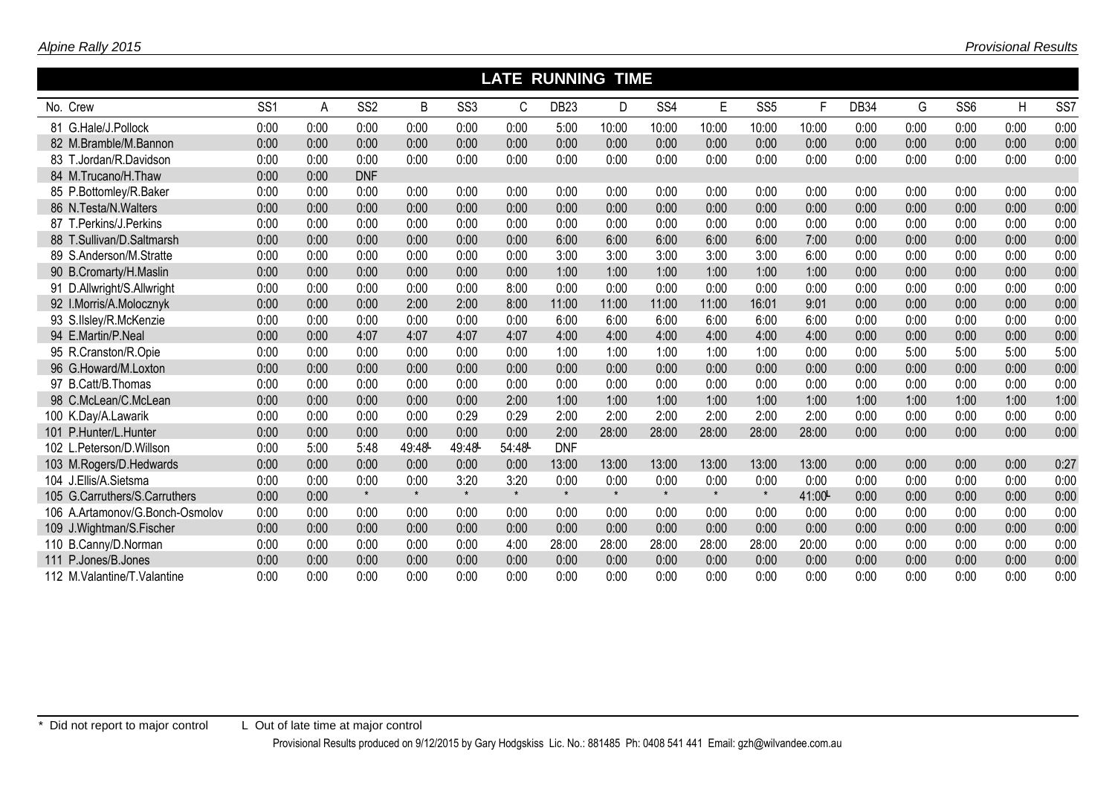|                                 |                 | <b>LATE RUNNING</b><br><b>TIME</b> |                 |         |                 |         |                  |         |                 |         |                 |       |      |      |                 |      |                 |
|---------------------------------|-----------------|------------------------------------|-----------------|---------|-----------------|---------|------------------|---------|-----------------|---------|-----------------|-------|------|------|-----------------|------|-----------------|
| No. Crew                        | SS <sub>1</sub> | A                                  | SS <sub>2</sub> | B       | SS <sub>3</sub> | C       | DB <sub>23</sub> | D.      | SS <sub>4</sub> | E       | SS <sub>5</sub> | F     | DB34 | G    | SS <sub>6</sub> | H    | SS <sub>7</sub> |
| 81 G.Hale/J.Pollock             | 0:00            | 0:00                               | 0:00            | 0:00    | 0:00            | 0:00    | 5:00             | 10:00   | 10:00           | 10:00   | 10:00           | 10:00 | 0:00 | 0:00 | 0:00            | 0:00 | 0:00            |
| 82 M.Bramble/M.Bannon           | 0:00            | 0:00                               | 0:00            | 0:00    | 0:00            | 0:00    | 0:00             | 0:00    | 0:00            | 0:00    | 0:00            | 0:00  | 0:00 | 0:00 | 0:00            | 0:00 | 0:00            |
| 83 T.Jordan/R.Davidson          | 0:00            | 0:00                               | 0:00            | 0:00    | 0:00            | 0:00    | 0:00             | 0:00    | 0:00            | 0:00    | 0:00            | 0:00  | 0:00 | 0:00 | 0:00            | 0:00 | 0:00            |
| 84 M.Trucano/H.Thaw             | 0:00            | 0:00                               | <b>DNF</b>      |         |                 |         |                  |         |                 |         |                 |       |      |      |                 |      |                 |
| 85 P.Bottomley/R.Baker          | 0:00            | 0:00                               | 0:00            | 0:00    | 0:00            | 0:00    | 0:00             | 0:00    | 0:00            | 0:00    | 0:00            | 0:00  | 0:00 | 0:00 | 0:00            | 0:00 | 0:00            |
| 86 N.Testa/N.Walters            | 0:00            | 0:00                               | 0:00            | 0:00    | 0:00            | 0:00    | 0:00             | 0:00    | 0:00            | 0:00    | 0:00            | 0:00  | 0:00 | 0:00 | 0:00            | 0:00 | 0:00            |
| 87 T.Perkins/J.Perkins          | 0:00            | 0:00                               | 0:00            | 0:00    | 0:00            | 0:00    | 0:00             | 0:00    | 0:00            | 0:00    | 0:00            | 0:00  | 0:00 | 0:00 | 0:00            | 0:00 | 0:00            |
| 88 T.Sullivan/D.Saltmarsh       | 0:00            | 0:00                               | 0:00            | 0:00    | 0:00            | 0:00    | 6:00             | 6:00    | 6:00            | 6:00    | 6:00            | 7:00  | 0:00 | 0:00 | 0:00            | 0:00 | 0:00            |
| 89 S.Anderson/M.Stratte         | 0:00            | 0:00                               | 0:00            | 0:00    | 0:00            | 0:00    | 3:00             | 3:00    | 3:00            | 3:00    | 3:00            | 6:00  | 0:00 | 0:00 | 0:00            | 0:00 | 0:00            |
| 90 B.Cromarty/H.Maslin          | 0:00            | 0:00                               | 0:00            | 0:00    | 0:00            | 0:00    | 1:00             | 1:00    | 1:00            | 1:00    | 1:00            | 1:00  | 0:00 | 0:00 | 0:00            | 0:00 | 0:00            |
| 91 D.Allwright/S.Allwright      | 0:00            | 0:00                               | 0:00            | 0:00    | 0:00            | 8:00    | 0:00             | 0:00    | 0:00            | 0:00    | 0:00            | 0:00  | 0:00 | 0:00 | 0:00            | 0:00 | 0:00            |
| 92 I.Morris/A.Molocznyk         | 0:00            | 0:00                               | 0:00            | 2:00    | 2:00            | 8:00    | 11:00            | 11:00   | 11:00           | 11:00   | 16:01           | 9:01  | 0:00 | 0:00 | 0:00            | 0:00 | 0:00            |
| 93 S.IIsley/R.McKenzie          | 0:00            | 0:00                               | 0:00            | 0:00    | 0:00            | 0:00    | 6:00             | 6:00    | 6:00            | 6:00    | 6:00            | 6:00  | 0:00 | 0:00 | 0:00            | 0:00 | 0:00            |
| 94 E.Martin/P.Neal              | 0:00            | 0:00                               | 4:07            | 4:07    | 4:07            | 4:07    | 4:00             | 4:00    | 4:00            | 4:00    | 4:00            | 4:00  | 0:00 | 0:00 | 0:00            | 0:00 | 0:00            |
| 95 R.Cranston/R.Opie            | 0:00            | 0:00                               | 0:00            | 0:00    | 0:00            | 0:00    | 1:00             | 1:00    | 1:00            | 1:00    | 1:00            | 0:00  | 0:00 | 5:00 | 5:00            | 5:00 | 5:00            |
| 96 G.Howard/M.Loxton            | 0:00            | 0:00                               | 0:00            | 0:00    | 0:00            | 0:00    | 0:00             | 0:00    | 0:00            | 0:00    | 0:00            | 0:00  | 0:00 | 0:00 | 0:00            | 0:00 | 0:00            |
| 97 B.Catt/B.Thomas              | 0:00            | 0:00                               | 0:00            | 0:00    | 0:00            | 0:00    | 0:00             | 0:00    | 0:00            | 0:00    | 0:00            | 0:00  | 0:00 | 0:00 | 0:00            | 0:00 | 0:00            |
| 98 C.McLean/C.McLean            | 0:00            | 0:00                               | 0:00            | 0:00    | 0:00            | 2:00    | 1:00             | 1:00    | 1:00            | 1:00    | 1:00            | 1:00  | 1:00 | 1:00 | 1:00            | 1:00 | 1:00            |
| 100 K.Day/A.Lawarik             | 0:00            | 0:00                               | 0:00            | 0:00    | 0:29            | 0:29    | 2:00             | 2:00    | 2:00            | 2:00    | 2:00            | 2:00  | 0:00 | 0:00 | 0:00            | 0:00 | 0:00            |
| 101 P.Hunter/L.Hunter           | 0:00            | 0:00                               | 0:00            | 0:00    | 0:00            | 0:00    | 2:00             | 28:00   | 28:00           | 28:00   | 28:00           | 28:00 | 0:00 | 0:00 | 0:00            | 0:00 | 0:00            |
| 102 L.Peterson/D.Willson        | 0:00            | 5:00                               | 5:48            | 49:48   | 49:48           | 54:48   | <b>DNF</b>       |         |                 |         |                 |       |      |      |                 |      |                 |
| 103 M.Rogers/D.Hedwards         | 0:00            | 0:00                               | 0:00            | 0:00    | 0:00            | 0:00    | 13:00            | 13:00   | 13:00           | 13:00   | 13:00           | 13:00 | 0:00 | 0:00 | 0:00            | 0:00 | 0:27            |
| 104 J.Ellis/A.Sietsma           | 0:00            | 0:00                               | 0:00            | 0:00    | 3:20            | 3:20    | 0:00             | 0:00    | 0:00            | 0:00    | 0:00            | 0:00  | 0:00 | 0:00 | 0:00            | 0:00 | 0:00            |
| 105 G.Carruthers/S.Carruthers   | 0:00            | 0:00                               | $\star$         | $\star$ | $\star$         | $\star$ | $\star$          | $\star$ | $\star$         | $\star$ | $\star$         | 41:00 | 0:00 | 0:00 | 0:00            | 0:00 | 0:00            |
| 106 A.Artamonov/G.Bonch-Osmolov | 0:00            | 0:00                               | 0:00            | 0:00    | 0:00            | 0:00    | 0:00             | 0:00    | 0:00            | 0:00    | 0:00            | 0:00  | 0:00 | 0:00 | 0:00            | 0:00 | 0:00            |
| 109 J.Wightman/S.Fischer        | 0:00            | 0:00                               | 0:00            | 0:00    | 0:00            | 0:00    | 0:00             | 0:00    | 0:00            | 0:00    | 0:00            | 0:00  | 0:00 | 0:00 | 0:00            | 0:00 | 0:00            |
| 110 B.Canny/D.Norman            | 0:00            | 0:00                               | 0:00            | 0:00    | 0:00            | 4:00    | 28:00            | 28:00   | 28:00           | 28:00   | 28:00           | 20:00 | 0:00 | 0:00 | 0:00            | 0:00 | 0:00            |
| 111 P.Jones/B.Jones             | 0:00            | 0:00                               | 0:00            | 0:00    | 0:00            | 0:00    | 0:00             | 0:00    | 0:00            | 0:00    | 0:00            | 0:00  | 0:00 | 0:00 | 0:00            | 0:00 | 0:00            |
| 112 M. Valantine/T. Valantine   | 0:00            | 0:00                               | 0:00            | 0:00    | 0:00            | 0:00    | 0:00             | 0:00    | 0:00            | 0:00    | 0:00            | 0:00  | 0:00 | 0:00 | 0:00            | 0:00 | 0:00            |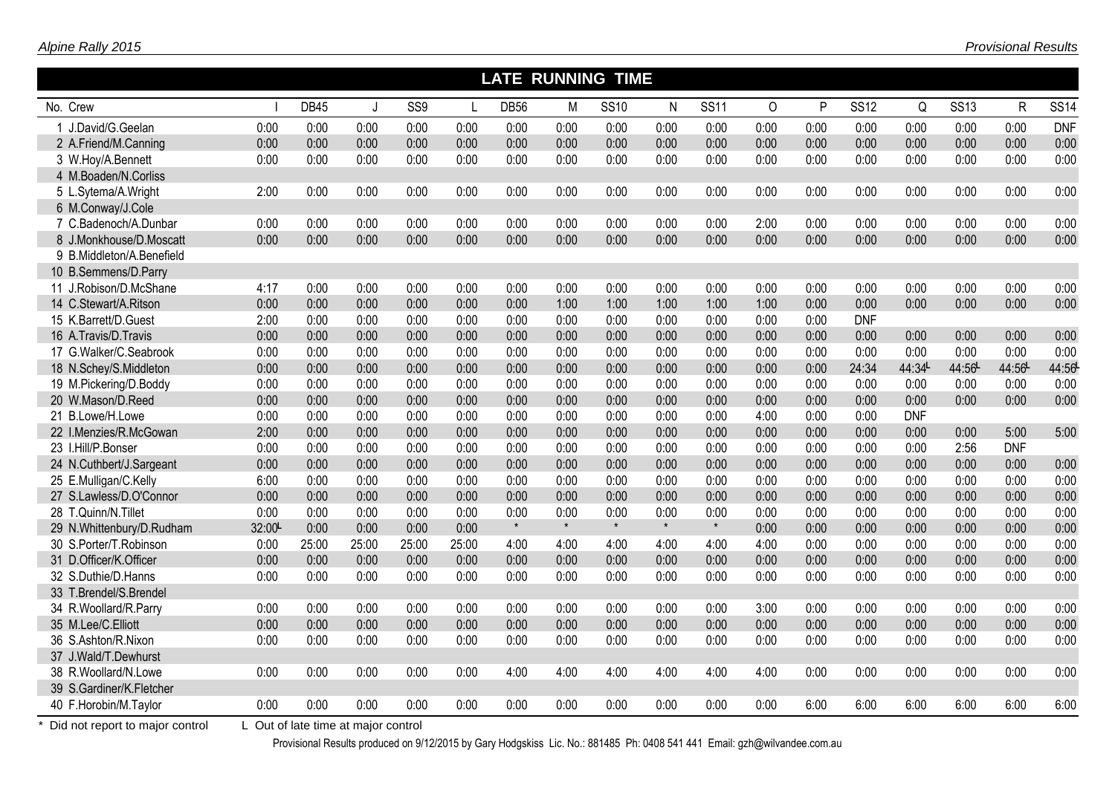|                           | <b>LATE RUNNING TIME</b><br><b>DB45</b><br>P<br>M<br>N<br>$\Omega$<br>Q<br>J.<br>$\mathsf{L}$ |       |       |                 |       |             |         |             |         |             |      |      |             |            |             |              |             |
|---------------------------|-----------------------------------------------------------------------------------------------|-------|-------|-----------------|-------|-------------|---------|-------------|---------|-------------|------|------|-------------|------------|-------------|--------------|-------------|
| No. Crew                  |                                                                                               |       |       | SS <sub>9</sub> |       | <b>DB56</b> |         | <b>SS10</b> |         | <b>SS11</b> |      |      | <b>SS12</b> |            | <b>SS13</b> | $\mathsf{R}$ | <b>SS14</b> |
| 1 J.David/G.Geelan        | 0:00                                                                                          | 0:00  | 0:00  | 0:00            | 0:00  | 0:00        | 0:00    | 0:00        | 0:00    | 0:00        | 0:00 | 0:00 | 0:00        | 0:00       | 0:00        | 0:00         | <b>DNF</b>  |
| 2 A.Friend/M.Canning      | 0:00                                                                                          | 0:00  | 0:00  | 0:00            | 0:00  | 0:00        | 0:00    | 0:00        | 0:00    | 0:00        | 0:00 | 0:00 | 0:00        | 0:00       | 0:00        | 0:00         | 0:00        |
| 3 W.Hoy/A.Bennett         | 0:00                                                                                          | 0:00  | 0:00  | 0:00            | 0:00  | 0:00        | 0:00    | 0:00        | 0:00    | 0:00        | 0:00 | 0:00 | 0:00        | 0:00       | 0:00        | 0:00         | 0:00        |
| 4 M.Boaden/N.Corliss      |                                                                                               |       |       |                 |       |             |         |             |         |             |      |      |             |            |             |              |             |
| 5 L.Sytema/A.Wright       | 2:00                                                                                          | 0:00  | 0:00  | 0:00            | 0:00  | 0:00        | 0:00    | 0:00        | 0:00    | 0:00        | 0:00 | 0:00 | 0:00        | 0:00       | 0:00        | 0:00         | 0:00        |
| 6 M.Conway/J.Cole         |                                                                                               |       |       |                 |       |             |         |             |         |             |      |      |             |            |             |              |             |
| 7 C.Badenoch/A.Dunbar     | 0:00                                                                                          | 0:00  | 0:00  | 0:00            | 0:00  | 0:00        | 0:00    | 0:00        | 0:00    | 0:00        | 2:00 | 0:00 | 0:00        | 0:00       | 0:00        | 0:00         | 0:00        |
| 8 J.Monkhouse/D.Moscatt   | 0:00                                                                                          | 0:00  | 0:00  | 0:00            | 0:00  | 0:00        | 0:00    | 0:00        | 0:00    | 0:00        | 0:00 | 0:00 | 0:00        | 0:00       | 0:00        | 0:00         | 0:00        |
| 9 B.Middleton/A.Benefield |                                                                                               |       |       |                 |       |             |         |             |         |             |      |      |             |            |             |              |             |
| 10 B.Semmens/D.Parry      |                                                                                               |       |       |                 |       |             |         |             |         |             |      |      |             |            |             |              |             |
| 11 J.Robison/D.McShane    | 4:17                                                                                          | 0:00  | 0:00  | 0:00            | 0:00  | 0:00        | 0:00    | 0:00        | 0:00    | 0:00        | 0:00 | 0:00 | 0:00        | 0:00       | 0:00        | 0:00         | 0:00        |
| 14 C.Stewart/A.Ritson     | 0:00                                                                                          | 0:00  | 0:00  | 0:00            | 0:00  | 0:00        | 1:00    | 1:00        | 1:00    | 1:00        | 1:00 | 0:00 | 0:00        | 0:00       | 0:00        | 0:00         | 0:00        |
| 15 K.Barrett/D.Guest      | 2:00                                                                                          | 0:00  | 0:00  | 0:00            | 0:00  | 0:00        | 0:00    | 0:00        | 0:00    | 0:00        | 0:00 | 0:00 | <b>DNF</b>  |            |             |              |             |
| 16 A.Travis/D.Travis      | 0:00                                                                                          | 0:00  | 0:00  | 0:00            | 0:00  | 0:00        | 0:00    | 0:00        | 0:00    | 0:00        | 0:00 | 0:00 | 0:00        | 0:00       | 0:00        | 0:00         | 0:00        |
| 17 G.Walker/C.Seabrook    | 0:00                                                                                          | 0:00  | 0:00  | 0:00            | 0:00  | 0:00        | 0:00    | 0:00        | 0:00    | 0:00        | 0:00 | 0:00 | 0:00        | 0:00       | 0:00        | 0:00         | 0:00        |
| 18 N.Schey/S.Middleton    | 0:00                                                                                          | 0:00  | 0:00  | 0:00            | 0:00  | 0:00        | 0:00    | 0:00        | 0:00    | 0:00        | 0:00 | 0:00 | 24:34       | 44:34L     | 44:56       | 44:56        | 44:56       |
| 19 M.Pickering/D.Boddy    | 0:00                                                                                          | 0:00  | 0:00  | 0:00            | 0:00  | 0:00        | 0:00    | 0:00        | 0:00    | 0:00        | 0:00 | 0:00 | 0:00        | 0:00       | 0:00        | 0:00         | 0:00        |
| 20 W.Mason/D.Reed         | 0:00                                                                                          | 0:00  | 0:00  | 0:00            | 0:00  | 0:00        | 0:00    | 0:00        | 0:00    | 0:00        | 0:00 | 0:00 | 0:00        | 0:00       | 0:00        | 0:00         | 0:00        |
| 21 B.Lowe/H.Lowe          | 0:00                                                                                          | 0:00  | 0:00  | 0:00            | 0:00  | 0:00        | 0:00    | 0:00        | 0:00    | 0:00        | 4:00 | 0:00 | 0:00        | <b>DNF</b> |             |              |             |
| 22 I.Menzies/R.McGowan    | 2:00                                                                                          | 0:00  | 0:00  | 0:00            | 0:00  | 0:00        | 0:00    | 0:00        | 0:00    | 0:00        | 0:00 | 0:00 | 0:00        | 0:00       | 0:00        | 5:00         | 5:00        |
| 23 I.Hill/P.Bonser        | 0:00                                                                                          | 0:00  | 0:00  | 0:00            | 0:00  | 0:00        | 0:00    | 0:00        | 0:00    | 0:00        | 0:00 | 0:00 | 0:00        | 0:00       | 2:56        | <b>DNF</b>   |             |
| 24 N.Cuthbert/J.Sargeant  | 0:00                                                                                          | 0:00  | 0:00  | 0:00            | 0:00  | 0:00        | 0:00    | 0:00        | 0:00    | 0:00        | 0:00 | 0:00 | 0:00        | 0:00       | 0:00        | 0:00         | 0:00        |
| 25 E.Mulligan/C.Kelly     | 6:00                                                                                          | 0:00  | 0:00  | 0:00            | 0:00  | 0:00        | 0:00    | 0:00        | 0:00    | 0:00        | 0:00 | 0:00 | 0:00        | 0:00       | 0:00        | 0:00         | 0:00        |
| 27 S.Lawless/D.O'Connor   | 0:00                                                                                          | 0:00  | 0:00  | 0:00            | 0:00  | 0:00        | 0:00    | 0:00        | 0:00    | 0:00        | 0:00 | 0:00 | 0:00        | 0:00       | 0:00        | 0:00         | 0:00        |
| 28 T.Quinn/N.Tillet       | 0:00                                                                                          | 0:00  | 0:00  | 0:00            | 0:00  | 0:00        | 0:00    | 0:00        | 0:00    | 0:00        | 0:00 | 0:00 | 0:00        | 0:00       | 0:00        | 0:00         | 0:00        |
| 29 N.Whittenbury/D.Rudham | 32:00                                                                                         | 0:00  | 0:00  | 0:00            | 0:00  | $\star$     | $\star$ | $\star$     | $\star$ | $\star$     | 0:00 | 0:00 | 0:00        | 0:00       | 0:00        | 0:00         | 0:00        |
| 30 S.Porter/T.Robinson    | 0:00                                                                                          | 25:00 | 25:00 | 25:00           | 25:00 | 4:00        | 4:00    | 4:00        | 4:00    | 4:00        | 4:00 | 0:00 | 0:00        | 0:00       | 0:00        | 0:00         | 0:00        |
| 31 D.Officer/K.Officer    | 0:00                                                                                          | 0:00  | 0:00  | 0:00            | 0:00  | 0:00        | 0:00    | 0:00        | 0:00    | 0:00        | 0:00 | 0:00 | 0:00        | 0:00       | 0:00        | 0:00         | 0:00        |
| 32 S.Duthie/D.Hanns       | 0:00                                                                                          | 0:00  | 0:00  | 0:00            | 0:00  | 0:00        | 0:00    | 0:00        | 0:00    | 0:00        | 0:00 | 0:00 | 0:00        | 0:00       | 0:00        | 0:00         | 0:00        |
| 33 T.Brendel/S.Brendel    |                                                                                               |       |       |                 |       |             |         |             |         |             |      |      |             |            |             |              |             |
| 34 R.Woollard/R.Parry     | 0:00                                                                                          | 0:00  | 0:00  | 0:00            | 0:00  | 0:00        | 0:00    | 0:00        | 0:00    | 0:00        | 3:00 | 0:00 | 0:00        | 0:00       | 0:00        | 0:00         | 0:00        |
| 35 M.Lee/C.Elliott        | 0:00                                                                                          | 0:00  | 0:00  | 0:00            | 0:00  | 0:00        | 0:00    | 0:00        | 0:00    | 0:00        | 0:00 | 0:00 | 0:00        | 0:00       | 0:00        | 0:00         | 0:00        |
| 36 S.Ashton/R.Nixon       | 0:00                                                                                          | 0:00  | 0:00  | 0:00            | 0:00  | 0:00        | 0:00    | 0:00        | 0:00    | 0:00        | 0:00 | 0:00 | 0:00        | 0:00       | 0:00        | 0:00         | 0:00        |
| 37 J.Wald/T.Dewhurst      |                                                                                               |       |       |                 |       |             |         |             |         |             |      |      |             |            |             |              |             |
| 38 R.Woollard/N.Lowe      | 0:00                                                                                          | 0:00  | 0:00  | 0:00            | 0:00  | 4:00        | 4:00    | 4:00        | 4:00    | 4:00        | 4:00 | 0:00 | 0:00        | 0:00       | 0:00        | 0:00         | 0:00        |
| 39 S.Gardiner/K.Fletcher  |                                                                                               |       |       |                 |       |             |         |             |         |             |      |      |             |            |             |              |             |
| 40 F.Horobin/M.Taylor     | 0:00                                                                                          | 0:00  | 0:00  | 0:00            | 0:00  | 0:00        | 0:00    | 0:00        | 0:00    | 0:00        | 0:00 | 6:00 | 6:00        | 6:00       | 6:00        | 6:00         | 6:00        |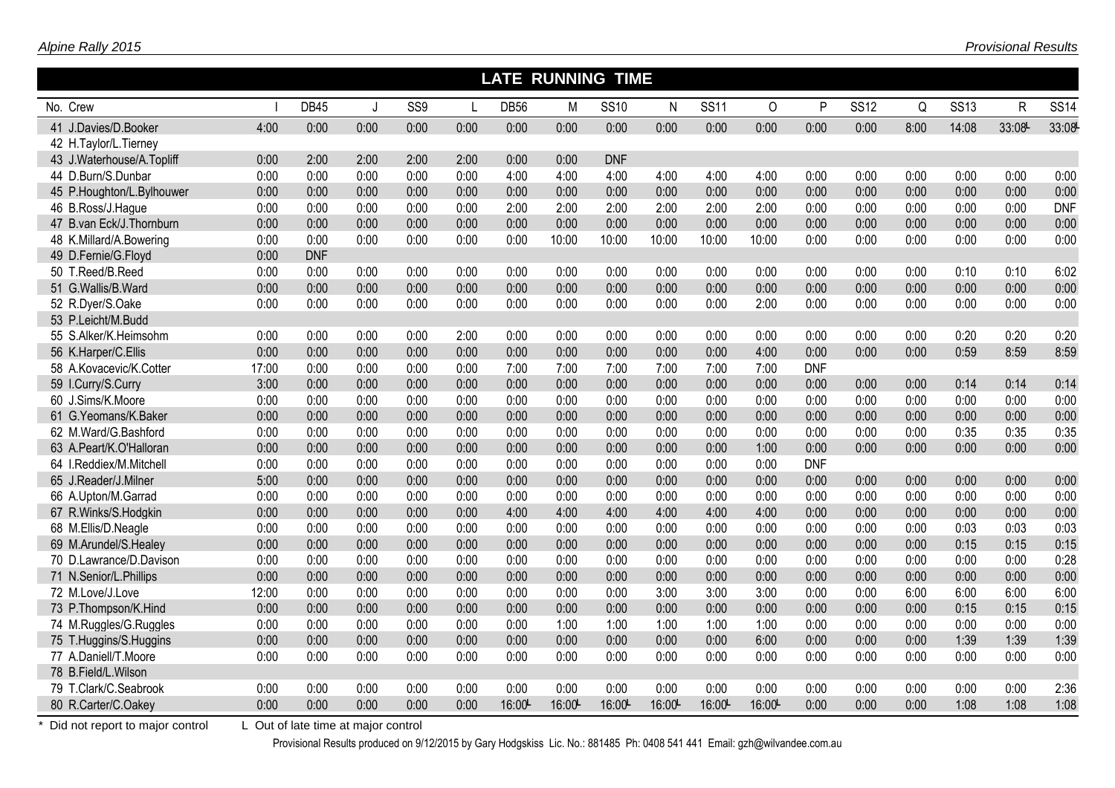|                                   | <b>LATE RUNNING TIME</b><br>$\overline{\text{SS}14}$<br><b>DB45</b><br>SS9<br>DB <sub>56</sub><br>M<br><b>SS10</b><br>$\mathsf{N}$<br><b>SS11</b><br>$\circ$<br>P<br><b>SS12</b><br>Q<br><b>SS13</b><br>$\mathsf{R}$<br>J |                                     |      |      |      |       |       |            |       |        |       |            |      |      |       |       |            |
|-----------------------------------|---------------------------------------------------------------------------------------------------------------------------------------------------------------------------------------------------------------------------|-------------------------------------|------|------|------|-------|-------|------------|-------|--------|-------|------------|------|------|-------|-------|------------|
| No. Crew                          |                                                                                                                                                                                                                           |                                     |      |      |      |       |       |            |       |        |       |            |      |      |       |       |            |
| 41 J.Davies/D.Booker              | 4:00                                                                                                                                                                                                                      | 0:00                                | 0:00 | 0:00 | 0:00 | 0:00  | 0:00  | 0:00       | 0:00  | 0:00   | 0:00  | 0:00       | 0:00 | 8:00 | 14:08 | 33:08 | 33:08      |
| 42 H.Taylor/L.Tierney             |                                                                                                                                                                                                                           |                                     |      |      |      |       |       |            |       |        |       |            |      |      |       |       |            |
| 43 J.Waterhouse/A.Topliff         | 0:00                                                                                                                                                                                                                      | 2:00                                | 2:00 | 2:00 | 2:00 | 0:00  | 0:00  | <b>DNF</b> |       |        |       |            |      |      |       |       |            |
| 44 D.Burn/S.Dunbar                | 0:00                                                                                                                                                                                                                      | 0:00                                | 0:00 | 0:00 | 0:00 | 4:00  | 4:00  | 4:00       | 4:00  | 4:00   | 4:00  | 0:00       | 0:00 | 0:00 | 0:00  | 0:00  | 0:00       |
| 45 P.Houghton/L.Bylhouwer         | 0:00                                                                                                                                                                                                                      | 0:00                                | 0:00 | 0:00 | 0:00 | 0:00  | 0:00  | 0:00       | 0:00  | 0:00   | 0:00  | 0:00       | 0:00 | 0:00 | 0:00  | 0:00  | 0:00       |
| 46 B.Ross/J.Hague                 | 0:00                                                                                                                                                                                                                      | 0:00                                | 0:00 | 0:00 | 0:00 | 2:00  | 2:00  | 2:00       | 2:00  | 2:00   | 2:00  | 0:00       | 0:00 | 0:00 | 0:00  | 0:00  | <b>DNF</b> |
| 47 B.van Eck/J.Thornburn          | 0:00                                                                                                                                                                                                                      | 0:00                                | 0:00 | 0:00 | 0:00 | 0:00  | 0:00  | 0:00       | 0:00  | 0:00   | 0:00  | 0:00       | 0:00 | 0:00 | 0:00  | 0:00  | 0:00       |
| 48 K.Millard/A.Bowering           | 0:00                                                                                                                                                                                                                      | 0:00                                | 0:00 | 0:00 | 0:00 | 0:00  | 10:00 | 10:00      | 10:00 | 10:00  | 10:00 | 0:00       | 0:00 | 0:00 | 0:00  | 0:00  | 0:00       |
| 49 D.Fernie/G.Floyd               | 0:00                                                                                                                                                                                                                      | <b>DNF</b>                          |      |      |      |       |       |            |       |        |       |            |      |      |       |       |            |
| 50 T.Reed/B.Reed                  | 0:00                                                                                                                                                                                                                      | 0:00                                | 0:00 | 0:00 | 0:00 | 0:00  | 0:00  | 0:00       | 0:00  | 0:00   | 0:00  | 0:00       | 0:00 | 0:00 | 0:10  | 0:10  | 6:02       |
| 51 G.Wallis/B.Ward                | 0:00                                                                                                                                                                                                                      | 0:00                                | 0:00 | 0:00 | 0:00 | 0:00  | 0:00  | 0:00       | 0:00  | 0:00   | 0:00  | 0:00       | 0:00 | 0:00 | 0:00  | 0:00  | 0:00       |
| 52 R.Dyer/S.Oake                  | 0:00                                                                                                                                                                                                                      | 0:00                                | 0:00 | 0:00 | 0:00 | 0:00  | 0:00  | 0:00       | 0:00  | 0:00   | 2:00  | 0:00       | 0:00 | 0:00 | 0:00  | 0:00  | 0:00       |
| 53 P.Leicht/M.Budd                |                                                                                                                                                                                                                           |                                     |      |      |      |       |       |            |       |        |       |            |      |      |       |       |            |
| 55 S.Alker/K.Heimsohm             | 0:00                                                                                                                                                                                                                      | 0:00                                | 0:00 | 0:00 | 2:00 | 0:00  | 0:00  | 0:00       | 0:00  | 0:00   | 0:00  | 0:00       | 0:00 | 0:00 | 0:20  | 0:20  | 0:20       |
| 56 K.Harper/C.Ellis               | 0:00                                                                                                                                                                                                                      | 0:00                                | 0:00 | 0:00 | 0:00 | 0:00  | 0:00  | 0:00       | 0:00  | 0:00   | 4:00  | 0:00       | 0:00 | 0:00 | 0:59  | 8:59  | 8:59       |
| 58 A.Kovacevic/K.Cotter           | 17:00                                                                                                                                                                                                                     | 0:00                                | 0:00 | 0:00 | 0:00 | 7:00  | 7:00  | 7:00       | 7:00  | 7:00   | 7:00  | <b>DNF</b> |      |      |       |       |            |
| 59 I.Curry/S.Curry                | 3:00                                                                                                                                                                                                                      | 0:00                                | 0:00 | 0:00 | 0:00 | 0:00  | 0:00  | 0:00       | 0:00  | 0:00   | 0:00  | 0:00       | 0:00 | 0:00 | 0:14  | 0:14  | 0:14       |
| 60 J.Sims/K.Moore                 | 0:00                                                                                                                                                                                                                      | 0:00                                | 0:00 | 0:00 | 0:00 | 0:00  | 0:00  | 0:00       | 0:00  | 0:00   | 0:00  | 0:00       | 0:00 | 0:00 | 0:00  | 0:00  | 0:00       |
| 61 G.Yeomans/K.Baker              | 0:00                                                                                                                                                                                                                      | 0:00                                | 0:00 | 0:00 | 0:00 | 0:00  | 0:00  | 0:00       | 0:00  | 0:00   | 0:00  | 0:00       | 0:00 | 0:00 | 0:00  | 0:00  | 0:00       |
| 62 M.Ward/G.Bashford              | 0:00                                                                                                                                                                                                                      | 0:00                                | 0:00 | 0:00 | 0:00 | 0:00  | 0:00  | 0:00       | 0:00  | 0:00   | 0:00  | 0:00       | 0:00 | 0:00 | 0:35  | 0:35  | 0:35       |
| 63 A.Peart/K.O'Halloran           | 0:00                                                                                                                                                                                                                      | 0:00                                | 0:00 | 0:00 | 0:00 | 0:00  | 0:00  | 0:00       | 0:00  | 0:00   | 1:00  | 0:00       | 0:00 | 0:00 | 0:00  | 0:00  | 0:00       |
| 64 I.Reddiex/M.Mitchell           | 0:00                                                                                                                                                                                                                      | 0:00                                | 0:00 | 0:00 | 0:00 | 0:00  | 0:00  | 0:00       | 0:00  | 0:00   | 0:00  | <b>DNF</b> |      |      |       |       |            |
| 65 J.Reader/J.Milner              | 5:00                                                                                                                                                                                                                      | 0:00                                | 0:00 | 0:00 | 0:00 | 0:00  | 0:00  | 0:00       | 0:00  | 0:00   | 0:00  | 0:00       | 0:00 | 0:00 | 0:00  | 0:00  | 0:00       |
| 66 A.Upton/M.Garrad               | 0:00                                                                                                                                                                                                                      | 0:00                                | 0:00 | 0:00 | 0:00 | 0:00  | 0:00  | 0:00       | 0:00  | 0:00   | 0:00  | 0:00       | 0:00 | 0:00 | 0:00  | 0:00  | 0:00       |
| 67 R.Winks/S.Hodgkin              | 0:00                                                                                                                                                                                                                      | 0:00                                | 0:00 | 0:00 | 0:00 | 4:00  | 4:00  | 4:00       | 4:00  | 4:00   | 4:00  | 0:00       | 0:00 | 0:00 | 0:00  | 0:00  | 0:00       |
| 68 M.Ellis/D.Neagle               | 0:00                                                                                                                                                                                                                      | 0:00                                | 0:00 | 0:00 | 0:00 | 0:00  | 0:00  | 0:00       | 0:00  | 0:00   | 0:00  | 0:00       | 0:00 | 0:00 | 0:03  | 0:03  | 0:03       |
| 69 M.Arundel/S.Healey             | 0:00                                                                                                                                                                                                                      | 0:00                                | 0:00 | 0:00 | 0:00 | 0:00  | 0:00  | 0:00       | 0:00  | 0:00   | 0:00  | 0:00       | 0:00 | 0:00 | 0:15  | 0:15  | 0:15       |
| 70 D.Lawrance/D.Davison           | 0:00                                                                                                                                                                                                                      | 0:00                                | 0:00 | 0:00 | 0:00 | 0:00  | 0:00  | 0:00       | 0:00  | 0:00   | 0:00  | 0:00       | 0:00 | 0:00 | 0:00  | 0:00  | 0:28       |
| 71 N.Senior/L.Phillips            | 0:00                                                                                                                                                                                                                      | 0:00                                | 0:00 | 0:00 | 0:00 | 0:00  | 0:00  | 0:00       | 0:00  | 0:00   | 0:00  | 0:00       | 0:00 | 0:00 | 0:00  | 0:00  | 0:00       |
| 72 M.Love/J.Love                  | 12:00                                                                                                                                                                                                                     | 0:00                                | 0:00 | 0:00 | 0:00 | 0:00  | 0:00  | 0:00       | 3:00  | 3:00   | 3:00  | 0:00       | 0:00 | 6:00 | 6:00  | 6:00  | 6:00       |
| 73 P.Thompson/K.Hind              | 0:00                                                                                                                                                                                                                      | 0:00                                | 0:00 | 0:00 | 0:00 | 0:00  | 0:00  | 0:00       | 0:00  | 0:00   | 0:00  | 0:00       | 0:00 | 0:00 | 0:15  | 0:15  | 0:15       |
| 74 M.Ruggles/G.Ruggles            | 0:00                                                                                                                                                                                                                      | 0:00                                | 0:00 | 0:00 | 0:00 | 0:00  | 1:00  | 1:00       | 1:00  | 1:00   | 1:00  | 0:00       | 0:00 | 0:00 | 0:00  | 0:00  | 0:00       |
| 75 T.Huggins/S.Huggins            | 0:00                                                                                                                                                                                                                      | 0:00                                | 0:00 | 0:00 | 0:00 | 0:00  | 0:00  | 0:00       | 0:00  | 0:00   | 6:00  | 0:00       | 0:00 | 0:00 | 1:39  | 1:39  | 1:39       |
| 77 A.Daniell/T.Moore              | 0:00                                                                                                                                                                                                                      | 0:00                                | 0:00 | 0:00 | 0:00 | 0:00  | 0:00  | 0:00       | 0:00  | 0:00   | 0:00  | 0:00       | 0:00 | 0:00 | 0:00  | 0:00  | 0:00       |
| 78 B.Field/L.Wilson               |                                                                                                                                                                                                                           |                                     |      |      |      |       |       |            |       |        |       |            |      |      |       |       |            |
| 79 T.Clark/C.Seabrook             | 0:00                                                                                                                                                                                                                      | 0:00                                | 0:00 | 0:00 | 0:00 | 0:00  | 0:00  | 0:00       | 0:00  | 0:00   | 0:00  | 0:00       | 0:00 | 0:00 | 0:00  | 0:00  | 2:36       |
| 80 R.Carter/C.Oakey               | 0:00                                                                                                                                                                                                                      | 0:00                                | 0:00 | 0:00 | 0:00 | 16:00 | 16:00 | 16:00      | 16:00 | 16:00L | 16:00 | 0:00       | 0:00 | 0:00 | 1:08  | 1:08  | 1:08       |
| * Did not report to major control |                                                                                                                                                                                                                           | L Out of late time at major control |      |      |      |       |       |            |       |        |       |            |      |      |       |       |            |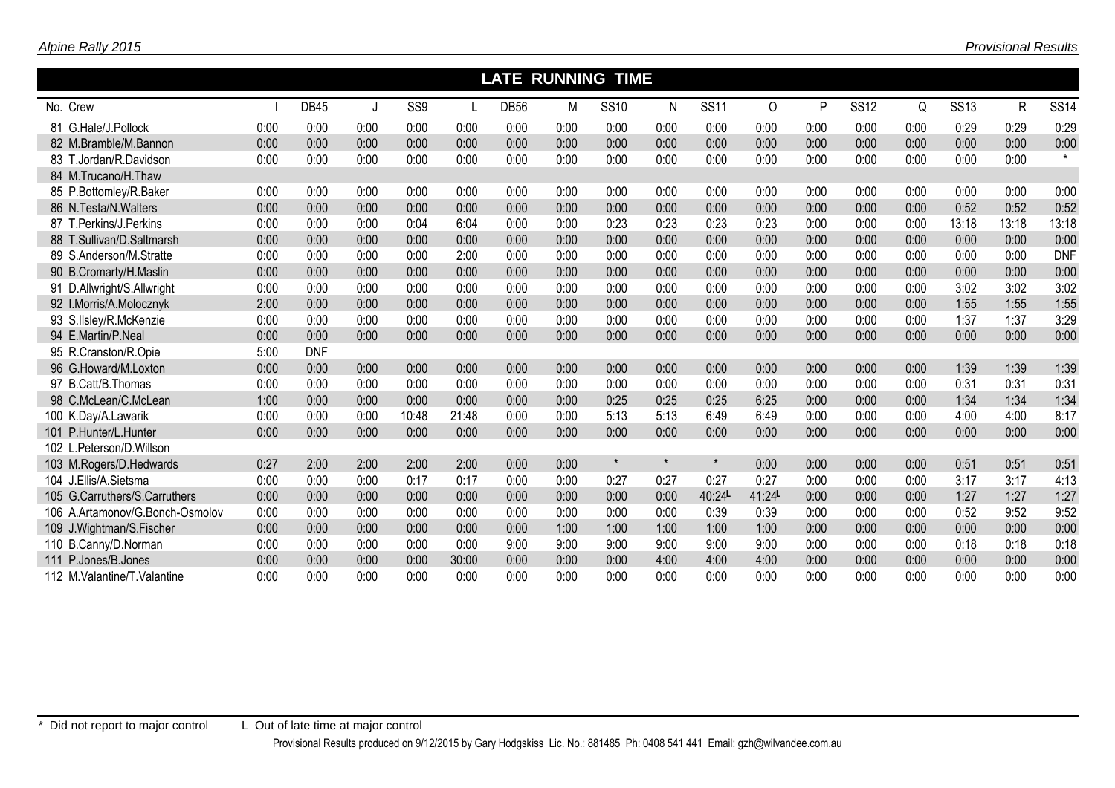| <b>LATE RUNNING TIME</b>        |      |             |         |                 |       |             |      |             |              |             |        |      |             |      |             |              |             |
|---------------------------------|------|-------------|---------|-----------------|-------|-------------|------|-------------|--------------|-------------|--------|------|-------------|------|-------------|--------------|-------------|
| No. Crew                        |      | <b>DB45</b> | $\cdot$ | SS <sub>9</sub> |       | <b>DB56</b> | M    | <b>SS10</b> | $\mathsf{N}$ | <b>SS11</b> | 0      | P    | <b>SS12</b> | Q    | <b>SS13</b> | $\mathsf{R}$ | <b>SS14</b> |
| 81 G.Hale/J.Pollock             | 0:00 | 0:00        | 0:00    | 0:00            | 0:00  | 0:00        | 0:00 | 0:00        | 0:00         | 0:00        | 0:00   | 0:00 | 0:00        | 0:00 | 0:29        | 0:29         | 0:29        |
| 82 M.Bramble/M.Bannon           | 0:00 | 0:00        | 0:00    | 0:00            | 0:00  | 0:00        | 0:00 | 0:00        | 0:00         | 0:00        | 0:00   | 0:00 | 0:00        | 0:00 | 0:00        | 0:00         | 0:00        |
| 83 T.Jordan/R.Davidson          | 0:00 | 0:00        | 0:00    | 0:00            | 0:00  | 0:00        | 0:00 | 0:00        | 0:00         | 0:00        | 0:00   | 0:00 | 0:00        | 0:00 | 0:00        | 0:00         | $\star$     |
| 84 M.Trucano/H.Thaw             |      |             |         |                 |       |             |      |             |              |             |        |      |             |      |             |              |             |
| 85 P.Bottomley/R.Baker          | 0:00 | 0:00        | 0:00    | 0:00            | 0:00  | 0:00        | 0:00 | 0:00        | 0:00         | 0:00        | 0:00   | 0:00 | 0:00        | 0:00 | 0:00        | 0:00         | 0:00        |
| 86 N.Testa/N.Walters            | 0:00 | 0:00        | 0:00    | 0:00            | 0:00  | 0:00        | 0:00 | 0:00        | 0:00         | 0:00        | 0:00   | 0:00 | 0:00        | 0:00 | 0:52        | 0:52         | 0:52        |
| 87 T.Perkins/J.Perkins          | 0:00 | 0:00        | 0:00    | 0:04            | 6:04  | 0:00        | 0:00 | 0:23        | 0:23         | 0:23        | 0:23   | 0:00 | 0:00        | 0:00 | 13:18       | 13:18        | 13:18       |
| 88 T.Sullivan/D.Saltmarsh       | 0:00 | 0:00        | 0:00    | 0:00            | 0:00  | 0:00        | 0:00 | 0:00        | 0:00         | 0:00        | 0:00   | 0:00 | 0:00        | 0:00 | 0:00        | 0:00         | 0:00        |
| 89 S.Anderson/M.Stratte         | 0:00 | 0:00        | 0:00    | 0:00            | 2:00  | 0:00        | 0:00 | 0:00        | 0:00         | 0:00        | 0:00   | 0:00 | 0:00        | 0:00 | 0:00        | 0:00         | <b>DNF</b>  |
| 90 B.Cromarty/H.Maslin          | 0:00 | 0:00        | 0:00    | 0:00            | 0:00  | 0:00        | 0:00 | 0:00        | 0:00         | 0:00        | 0:00   | 0:00 | 0:00        | 0:00 | 0:00        | 0:00         | 0:00        |
| 91 D.Allwright/S.Allwright      | 0:00 | 0:00        | 0:00    | 0:00            | 0:00  | 0:00        | 0:00 | 0:00        | 0:00         | 0:00        | 0:00   | 0:00 | 0:00        | 0:00 | 3:02        | 3:02         | 3:02        |
| 92 I.Morris/A.Molocznyk         | 2:00 | 0:00        | 0:00    | 0:00            | 0:00  | 0:00        | 0:00 | 0:00        | 0:00         | 0:00        | 0:00   | 0:00 | 0:00        | 0:00 | 1:55        | 1:55         | 1:55        |
| 93 S.IIsley/R.McKenzie          | 0:00 | 0:00        | 0:00    | 0:00            | 0:00  | 0:00        | 0:00 | 0:00        | 0:00         | 0:00        | 0:00   | 0:00 | 0:00        | 0:00 | 1:37        | 1:37         | 3:29        |
| 94 E.Martin/P.Neal              | 0:00 | 0:00        | 0:00    | 0:00            | 0:00  | 0:00        | 0:00 | 0:00        | 0:00         | 0:00        | 0:00   | 0:00 | 0:00        | 0:00 | 0:00        | 0:00         | 0:00        |
| 95 R.Cranston/R.Opie            | 5:00 | <b>DNF</b>  |         |                 |       |             |      |             |              |             |        |      |             |      |             |              |             |
| 96 G.Howard/M.Loxton            | 0:00 | 0:00        | 0:00    | 0:00            | 0:00  | 0:00        | 0:00 | 0:00        | 0:00         | 0:00        | 0:00   | 0:00 | 0:00        | 0:00 | 1:39        | 1:39         | 1:39        |
| 97 B.Catt/B.Thomas              | 0:00 | 0:00        | 0:00    | 0:00            | 0:00  | 0:00        | 0:00 | 0:00        | 0:00         | 0:00        | 0:00   | 0:00 | 0:00        | 0:00 | 0:31        | 0:31         | 0:31        |
| 98 C.McLean/C.McLean            | 1:00 | 0:00        | 0:00    | 0:00            | 0:00  | 0:00        | 0:00 | 0:25        | 0:25         | 0:25        | 6:25   | 0:00 | 0:00        | 0:00 | 1:34        | 1:34         | 1:34        |
| 100 K.Day/A.Lawarik             | 0:00 | 0:00        | 0:00    | 10:48           | 21:48 | 0:00        | 0:00 | 5:13        | 5:13         | 6:49        | 6:49   | 0:00 | 0:00        | 0:00 | 4:00        | 4:00         | 8:17        |
| 101 P.Hunter/L.Hunter           | 0:00 | 0:00        | 0:00    | 0:00            | 0:00  | 0:00        | 0:00 | 0:00        | 0:00         | 0:00        | 0:00   | 0:00 | 0:00        | 0:00 | 0:00        | 0:00         | 0:00        |
| 102 L.Peterson/D.Willson        |      |             |         |                 |       |             |      |             |              |             |        |      |             |      |             |              |             |
| 103 M.Rogers/D.Hedwards         | 0:27 | 2:00        | 2:00    | 2:00            | 2:00  | 0:00        | 0:00 | $\star$     | $\star$      | $\star$     | 0:00   | 0:00 | 0:00        | 0:00 | 0:51        | 0:51         | 0:51        |
| 104 J.Ellis/A.Sietsma           | 0:00 | 0:00        | 0:00    | 0:17            | 0:17  | 0:00        | 0:00 | 0:27        | 0:27         | 0:27        | 0:27   | 0:00 | 0:00        | 0:00 | 3:17        | 3:17         | 4:13        |
| 105 G.Carruthers/S.Carruthers   | 0:00 | 0:00        | 0:00    | 0:00            | 0:00  | 0:00        | 0:00 | 0:00        | 0:00         | 40:24L      | 41:24L | 0:00 | 0:00        | 0:00 | 1:27        | 1:27         | 1:27        |
| 106 A.Artamonov/G.Bonch-Osmolov | 0:00 | 0:00        | 0:00    | 0:00            | 0:00  | 0:00        | 0:00 | 0:00        | 0:00         | 0:39        | 0:39   | 0:00 | 0:00        | 0:00 | 0:52        | 9:52         | 9:52        |
| 109 J. Wightman/S. Fischer      | 0:00 | 0:00        | 0:00    | 0:00            | 0:00  | 0:00        | 1:00 | 1:00        | 1:00         | 1:00        | 1:00   | 0:00 | 0:00        | 0:00 | 0:00        | 0:00         | 0:00        |
| 110 B.Canny/D.Norman            | 0:00 | 0:00        | 0:00    | 0:00            | 0:00  | 9:00        | 9:00 | 9:00        | 9:00         | 9:00        | 9:00   | 0:00 | 0:00        | 0:00 | 0:18        | 0:18         | 0:18        |
| 111 P.Jones/B.Jones             | 0:00 | 0:00        | 0:00    | 0:00            | 30:00 | 0:00        | 0:00 | 0:00        | 4:00         | 4:00        | 4:00   | 0:00 | 0:00        | 0:00 | 0:00        | 0:00         | 0:00        |
| 112 M.Valantine/T.Valantine     | 0:00 | 0:00        | 0:00    | 0:00            | 0:00  | 0:00        | 0:00 | 0:00        | 0:00         | 0:00        | 0:00   | 0:00 | 0:00        | 0:00 | 0:00        | 0:00         | 0:00        |

*Provisional Results*

*Alpine Rally 2015*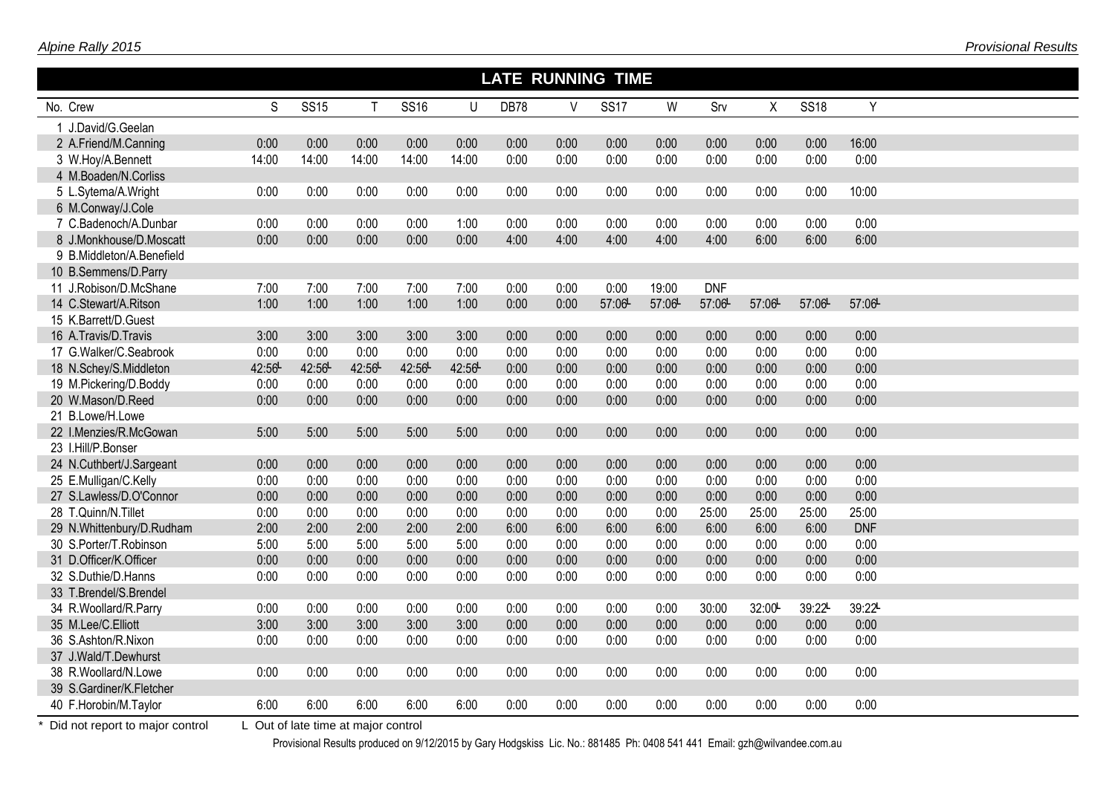|                           | <b>LATE RUNNING TIME</b> |             |       |             |       |             |      |             |       |            |        |             |            |  |
|---------------------------|--------------------------|-------------|-------|-------------|-------|-------------|------|-------------|-------|------------|--------|-------------|------------|--|
| No. Crew                  | S                        | <b>SS15</b> | T.    | <b>SS16</b> | U     | <b>DB78</b> | V    | <b>SS17</b> | W     | Srv        | X      | <b>SS18</b> | Y          |  |
| 1 J.David/G.Geelan        |                          |             |       |             |       |             |      |             |       |            |        |             |            |  |
| 2 A.Friend/M.Canning      | 0:00                     | 0:00        | 0:00  | 0:00        | 0:00  | 0:00        | 0:00 | 0:00        | 0:00  | 0:00       | 0:00   | 0:00        | 16:00      |  |
| 3 W.Hoy/A.Bennett         | 14:00                    | 14:00       | 14:00 | 14:00       | 14:00 | 0:00        | 0:00 | 0:00        | 0:00  | 0:00       | 0:00   | 0:00        | 0:00       |  |
| 4 M.Boaden/N.Corliss      |                          |             |       |             |       |             |      |             |       |            |        |             |            |  |
| 5 L.Sytema/A.Wright       | 0:00                     | 0:00        | 0:00  | 0:00        | 0:00  | 0:00        | 0:00 | 0:00        | 0:00  | 0:00       | 0:00   | 0:00        | 10:00      |  |
| 6 M.Conway/J.Cole         |                          |             |       |             |       |             |      |             |       |            |        |             |            |  |
| 7 C.Badenoch/A.Dunbar     | 0:00                     | 0:00        | 0:00  | 0:00        | 1:00  | 0:00        | 0:00 | 0:00        | 0:00  | 0:00       | 0:00   | 0:00        | 0:00       |  |
| 8 J.Monkhouse/D.Moscatt   | 0:00                     | 0:00        | 0:00  | 0:00        | 0:00  | 4:00        | 4:00 | 4:00        | 4:00  | 4:00       | 6:00   | 6:00        | 6:00       |  |
| 9 B.Middleton/A.Benefield |                          |             |       |             |       |             |      |             |       |            |        |             |            |  |
| 10 B.Semmens/D.Parry      |                          |             |       |             |       |             |      |             |       |            |        |             |            |  |
| 11 J.Robison/D.McShane    | 7:00                     | 7:00        | 7:00  | 7:00        | 7:00  | 0:00        | 0:00 | 0:00        | 19:00 | <b>DNF</b> |        |             |            |  |
| 14 C.Stewart/A.Ritson     | 1:00                     | 1:00        | 1:00  | 1:00        | 1:00  | 0:00        | 0:00 | 57:06       | 57:06 | 57:06      | 57:06- | 57:06       | 57:06-     |  |
| 15 K.Barrett/D.Guest      |                          |             |       |             |       |             |      |             |       |            |        |             |            |  |
| 16 A.Travis/D.Travis      | 3:00                     | 3:00        | 3:00  | 3:00        | 3:00  | 0:00        | 0:00 | 0:00        | 0:00  | 0:00       | 0:00   | 0:00        | 0:00       |  |
| 17 G.Walker/C.Seabrook    | 0:00                     | 0:00        | 0:00  | 0:00        | 0:00  | 0:00        | 0:00 | 0:00        | 0:00  | 0:00       | 0:00   | 0:00        | 0:00       |  |
| 18 N.Schey/S.Middleton    | 42:56                    | 42:56       | 42:56 | 42:56       | 42:56 | 0:00        | 0:00 | 0:00        | 0:00  | 0:00       | 0:00   | 0:00        | 0:00       |  |
| 19 M.Pickering/D.Boddy    | 0:00                     | 0:00        | 0:00  | 0:00        | 0:00  | 0:00        | 0:00 | 0:00        | 0:00  | 0:00       | 0:00   | 0:00        | 0:00       |  |
| 20 W.Mason/D.Reed         | 0:00                     | 0:00        | 0:00  | 0:00        | 0:00  | 0:00        | 0:00 | 0:00        | 0:00  | 0:00       | 0:00   | 0:00        | 0:00       |  |
| 21 B.Lowe/H.Lowe          |                          |             |       |             |       |             |      |             |       |            |        |             |            |  |
| 22 I.Menzies/R.McGowan    | 5:00                     | 5:00        | 5:00  | 5:00        | 5:00  | 0:00        | 0:00 | 0:00        | 0:00  | 0:00       | 0:00   | 0:00        | 0:00       |  |
| 23 I.Hill/P.Bonser        |                          |             |       |             |       |             |      |             |       |            |        |             |            |  |
| 24 N.Cuthbert/J.Sargeant  | 0:00                     | 0:00        | 0:00  | 0:00        | 0:00  | 0:00        | 0:00 | 0:00        | 0:00  | 0:00       | 0:00   | 0:00        | 0:00       |  |
| 25 E.Mulligan/C.Kelly     | 0:00                     | 0:00        | 0:00  | 0:00        | 0:00  | 0:00        | 0:00 | 0:00        | 0:00  | 0:00       | 0:00   | 0:00        | 0:00       |  |
| 27 S.Lawless/D.O'Connor   | 0:00                     | 0:00        | 0:00  | 0:00        | 0:00  | 0:00        | 0:00 | 0:00        | 0:00  | 0:00       | 0:00   | 0:00        | 0:00       |  |
| 28 T.Quinn/N.Tillet       | 0:00                     | 0:00        | 0:00  | 0:00        | 0:00  | 0:00        | 0:00 | 0:00        | 0:00  | 25:00      | 25:00  | 25:00       | 25:00      |  |
| 29 N.Whittenbury/D.Rudham | 2:00                     | 2:00        | 2:00  | 2:00        | 2:00  | 6:00        | 6:00 | 6:00        | 6:00  | 6:00       | 6:00   | 6:00        | <b>DNF</b> |  |
| 30 S.Porter/T.Robinson    | 5:00                     | 5:00        | 5:00  | 5:00        | 5:00  | 0:00        | 0:00 | 0:00        | 0:00  | 0:00       | 0:00   | 0:00        | 0:00       |  |
| 31 D.Officer/K.Officer    | 0:00                     | 0:00        | 0:00  | 0:00        | 0:00  | 0:00        | 0:00 | 0:00        | 0:00  | 0:00       | 0:00   | 0:00        | 0:00       |  |
| 32 S.Duthie/D.Hanns       | 0:00                     | 0:00        | 0:00  | 0:00        | 0:00  | 0:00        | 0:00 | 0:00        | 0:00  | 0:00       | 0:00   | 0:00        | 0:00       |  |
| 33 T.Brendel/S.Brendel    |                          |             |       |             |       |             |      |             |       |            |        |             |            |  |
| 34 R.Woollard/R.Parry     | 0:00                     | 0:00        | 0:00  | 0:00        | 0:00  | 0:00        | 0:00 | 0:00        | 0:00  | 30:00      | 32:00  | 39:22L      | 39:22L     |  |
| 35 M.Lee/C.Elliott        | 3:00                     | 3:00        | 3:00  | 3:00        | 3:00  | 0:00        | 0:00 | 0:00        | 0:00  | 0:00       | 0:00   | 0:00        | 0:00       |  |
| 36 S.Ashton/R.Nixon       | 0:00                     | 0:00        | 0:00  | 0:00        | 0:00  | 0:00        | 0:00 | 0:00        | 0:00  | 0:00       | 0:00   | 0:00        | 0:00       |  |
| 37 J.Wald/T.Dewhurst      |                          |             |       |             |       |             |      |             |       |            |        |             |            |  |
| 38 R.Woollard/N.Lowe      | 0:00                     | 0:00        | 0:00  | 0:00        | 0:00  | 0:00        | 0:00 | 0:00        | 0:00  | 0:00       | 0:00   | 0:00        | 0:00       |  |
| 39 S.Gardiner/K.Fletcher  |                          |             |       |             |       |             |      |             |       |            |        |             |            |  |
| 40 F.Horobin/M.Taylor     | 6:00                     | 6:00        | 6:00  | 6:00        | 6:00  | 0:00        | 0:00 | 0:00        | 0:00  | 0:00       | 0:00   | 0:00        | 0:00       |  |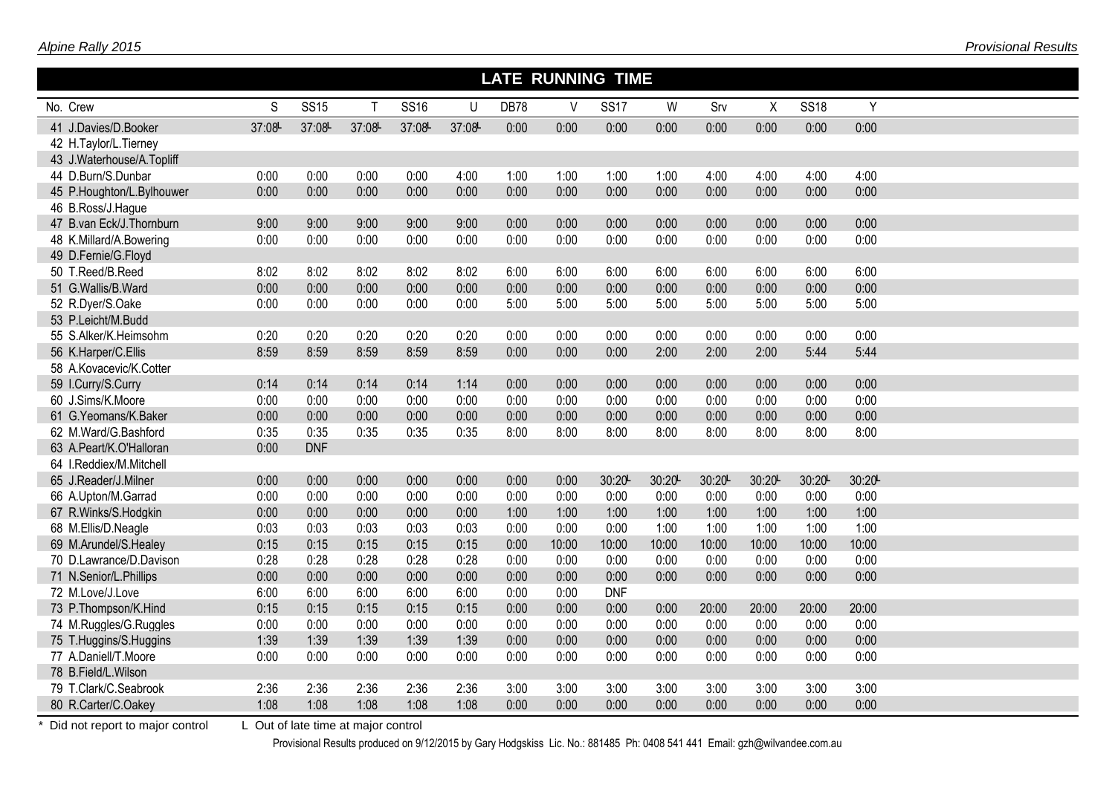|                           | <b>LATE RUNNING TIME</b> |             |        |             |        |             |       |             |       |        |       |             |        |  |  |
|---------------------------|--------------------------|-------------|--------|-------------|--------|-------------|-------|-------------|-------|--------|-------|-------------|--------|--|--|
| No. Crew                  | S                        | <b>SS15</b> | т      | <b>SS16</b> | U      | <b>DB78</b> | V     | <b>SS17</b> | W     | Srv    | X     | <b>SS18</b> | Y      |  |  |
| 41 J.Davies/D.Booker      | 37:08-                   | 37:08       | 37:08L | 37:08       | 37:08- | 0:00        | 0:00  | 0:00        | 0:00  | 0:00   | 0:00  | 0:00        | 0:00   |  |  |
| 42 H.Taylor/L.Tierney     |                          |             |        |             |        |             |       |             |       |        |       |             |        |  |  |
| 43 J.Waterhouse/A.Topliff |                          |             |        |             |        |             |       |             |       |        |       |             |        |  |  |
| 44 D.Burn/S.Dunbar        | 0:00                     | 0:00        | 0:00   | 0:00        | 4:00   | 1:00        | 1:00  | 1:00        | 1:00  | 4:00   | 4:00  | 4:00        | 4:00   |  |  |
| 45 P.Houghton/L.Bylhouwer | 0:00                     | 0:00        | 0:00   | 0:00        | 0:00   | 0:00        | 0:00  | 0:00        | 0:00  | 0:00   | 0:00  | 0:00        | 0:00   |  |  |
| 46 B.Ross/J.Hague         |                          |             |        |             |        |             |       |             |       |        |       |             |        |  |  |
| 47 B.van Eck/J.Thornburn  | 9:00                     | 9:00        | 9:00   | 9:00        | 9:00   | 0:00        | 0:00  | 0:00        | 0:00  | 0:00   | 0:00  | 0:00        | 0:00   |  |  |
| 48 K.Millard/A.Bowering   | 0:00                     | 0:00        | 0:00   | 0:00        | 0:00   | 0:00        | 0:00  | 0:00        | 0:00  | 0:00   | 0:00  | 0:00        | 0:00   |  |  |
| 49 D.Fernie/G.Floyd       |                          |             |        |             |        |             |       |             |       |        |       |             |        |  |  |
| 50 T.Reed/B.Reed          | 8:02                     | 8:02        | 8:02   | 8:02        | 8:02   | 6:00        | 6:00  | 6:00        | 6:00  | 6:00   | 6:00  | 6:00        | 6:00   |  |  |
| 51 G.Wallis/B.Ward        | 0:00                     | 0:00        | 0:00   | 0:00        | 0:00   | 0:00        | 0:00  | 0:00        | 0:00  | 0:00   | 0:00  | 0:00        | 0:00   |  |  |
| 52 R.Dyer/S.Oake          | 0:00                     | 0:00        | 0:00   | 0:00        | 0:00   | 5:00        | 5:00  | 5:00        | 5:00  | 5:00   | 5:00  | 5:00        | 5:00   |  |  |
| 53 P.Leicht/M.Budd        |                          |             |        |             |        |             |       |             |       |        |       |             |        |  |  |
| 55 S.Alker/K.Heimsohm     | 0:20                     | 0:20        | 0:20   | 0:20        | 0:20   | 0:00        | 0:00  | 0:00        | 0:00  | 0:00   | 0:00  | 0:00        | 0:00   |  |  |
| 56 K.Harper/C.Ellis       | 8:59                     | 8:59        | 8:59   | 8:59        | 8:59   | 0:00        | 0:00  | 0:00        | 2:00  | 2:00   | 2:00  | 5:44        | 5:44   |  |  |
| 58 A.Kovacevic/K.Cotter   |                          |             |        |             |        |             |       |             |       |        |       |             |        |  |  |
| 59 I.Curry/S.Curry        | 0:14                     | 0:14        | 0:14   | 0:14        | 1:14   | 0:00        | 0:00  | 0:00        | 0:00  | 0:00   | 0:00  | 0:00        | 0:00   |  |  |
| 60 J.Sims/K.Moore         | 0:00                     | 0:00        | 0:00   | 0:00        | 0:00   | 0:00        | 0:00  | 0:00        | 0:00  | 0:00   | 0:00  | 0:00        | 0:00   |  |  |
| 61 G.Yeomans/K.Baker      | 0:00                     | 0:00        | 0:00   | 0:00        | 0:00   | 0:00        | 0:00  | 0:00        | 0:00  | 0:00   | 0:00  | 0:00        | 0:00   |  |  |
| 62 M.Ward/G.Bashford      | 0:35                     | 0:35        | 0:35   | 0:35        | 0:35   | 8:00        | 8:00  | 8:00        | 8:00  | 8:00   | 8:00  | 8:00        | 8:00   |  |  |
| 63 A.Peart/K.O'Halloran   | 0:00                     | <b>DNF</b>  |        |             |        |             |       |             |       |        |       |             |        |  |  |
| 64 I.Reddiex/M.Mitchell   |                          |             |        |             |        |             |       |             |       |        |       |             |        |  |  |
| 65 J.Reader/J.Milner      | 0:00                     | 0:00        | 0:00   | 0:00        | 0:00   | 0:00        | 0:00  | 30:20       | 30:20 | 30:20L | 30:20 | 30:20       | 30:20L |  |  |
| 66 A.Upton/M.Garrad       | 0:00                     | 0:00        | 0:00   | 0:00        | 0:00   | 0:00        | 0:00  | 0:00        | 0:00  | 0:00   | 0:00  | 0:00        | 0:00   |  |  |
| 67 R.Winks/S.Hodgkin      | 0:00                     | 0:00        | 0:00   | 0:00        | 0:00   | 1:00        | 1:00  | 1:00        | 1:00  | 1:00   | 1:00  | 1:00        | 1:00   |  |  |
| 68 M.Ellis/D.Neagle       | 0:03                     | 0:03        | 0:03   | 0:03        | 0:03   | 0:00        | 0:00  | 0:00        | 1:00  | 1:00   | 1:00  | 1:00        | 1:00   |  |  |
| 69 M.Arundel/S.Healey     | 0:15                     | 0:15        | 0:15   | 0:15        | 0:15   | 0:00        | 10:00 | 10:00       | 10:00 | 10:00  | 10:00 | 10:00       | 10:00  |  |  |
| 70 D.Lawrance/D.Davison   | 0:28                     | 0:28        | 0:28   | 0:28        | 0:28   | 0:00        | 0:00  | 0:00        | 0:00  | 0:00   | 0:00  | 0:00        | 0:00   |  |  |
| 71 N.Senior/L.Phillips    | 0:00                     | 0:00        | 0:00   | 0:00        | 0:00   | 0:00        | 0:00  | 0:00        | 0:00  | 0:00   | 0:00  | 0:00        | 0:00   |  |  |
| 72 M.Love/J.Love          | 6:00                     | 6:00        | 6:00   | 6:00        | 6:00   | 0:00        | 0:00  | <b>DNF</b>  |       |        |       |             |        |  |  |
| 73 P.Thompson/K.Hind      | 0:15                     | 0:15        | 0:15   | 0:15        | 0:15   | 0:00        | 0:00  | 0:00        | 0:00  | 20:00  | 20:00 | 20:00       | 20:00  |  |  |
| 74 M.Ruggles/G.Ruggles    | 0:00                     | 0:00        | 0:00   | 0:00        | 0:00   | 0:00        | 0:00  | 0:00        | 0:00  | 0:00   | 0:00  | 0:00        | 0:00   |  |  |
| 75 T.Huggins/S.Huggins    | 1:39                     | 1:39        | 1:39   | 1:39        | 1:39   | 0:00        | 0:00  | 0:00        | 0:00  | 0:00   | 0:00  | 0:00        | 0:00   |  |  |
| 77 A.Daniell/T.Moore      | 0:00                     | 0:00        | 0:00   | 0:00        | 0:00   | 0:00        | 0:00  | 0:00        | 0:00  | 0:00   | 0:00  | 0:00        | 0:00   |  |  |
| 78 B.Field/L.Wilson       |                          |             |        |             |        |             |       |             |       |        |       |             |        |  |  |
| 79 T.Clark/C.Seabrook     | 2:36                     | 2:36        | 2:36   | 2:36        | 2:36   | 3:00        | 3:00  | 3:00        | 3:00  | 3:00   | 3:00  | 3:00        | 3:00   |  |  |
| 80 R.Carter/C.Oakey       | 1:08                     | 1:08        | 1:08   | 1:08        | 1:08   | 0:00        | 0:00  | 0:00        | 0:00  | 0:00   | 0:00  | 0:00        | 0:00   |  |  |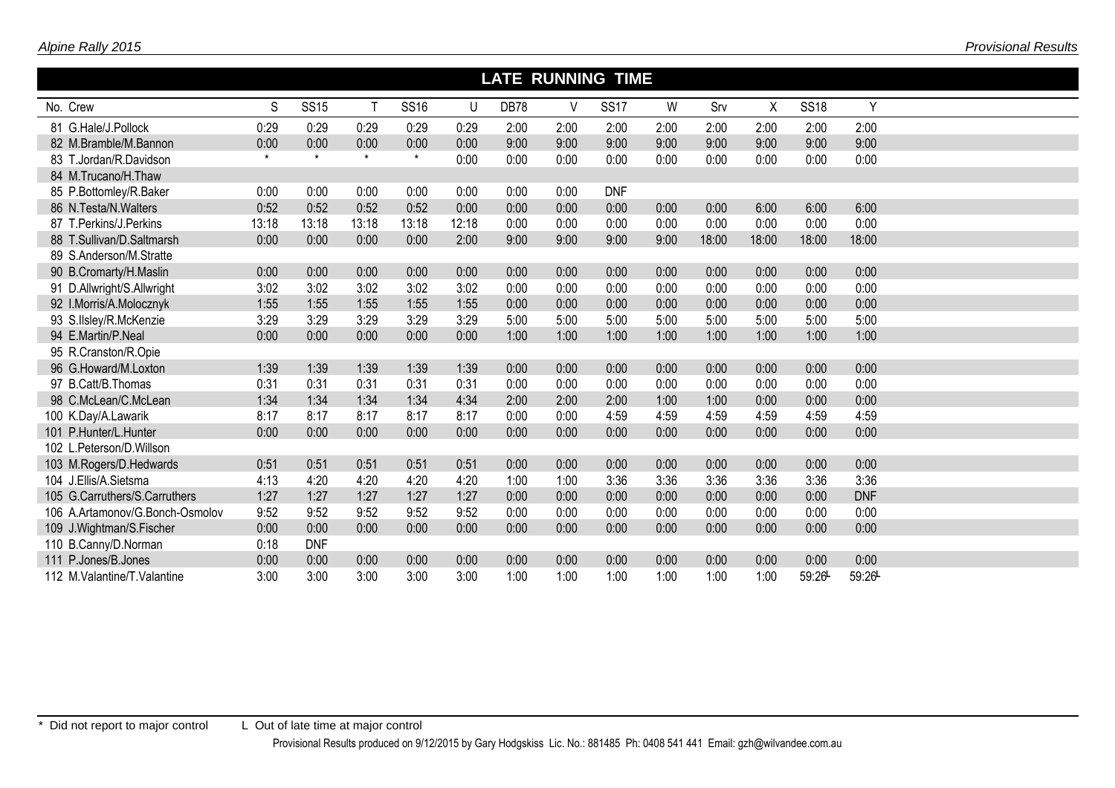|                                 | <b>LATE RUNNING TIME</b> |             |              |             |       |      |        |             |      |       |       |             |            |  |  |
|---------------------------------|--------------------------|-------------|--------------|-------------|-------|------|--------|-------------|------|-------|-------|-------------|------------|--|--|
| No. Crew                        | S                        | <b>SS15</b> | $\mathsf{T}$ | <b>SS16</b> | U     | DB78 | $\vee$ | <b>SS17</b> | W    | Srv   | X     | <b>SS18</b> | Y          |  |  |
| 81 G.Hale/J.Pollock             | 0:29                     | 0:29        | 0:29         | 0:29        | 0:29  | 2:00 | 2:00   | 2:00        | 2:00 | 2:00  | 2:00  | 2:00        | 2:00       |  |  |
| 82 M.Bramble/M.Bannon           | 0:00                     | 0:00        | 0:00         | 0:00        | 0:00  | 9:00 | 9:00   | 9:00        | 9:00 | 9:00  | 9:00  | 9:00        | 9:00       |  |  |
| 83 T.Jordan/R.Davidson          | $\star$                  | $\star$     | $\star$      | $\star$     | 0:00  | 0:00 | 0:00   | 0:00        | 0:00 | 0:00  | 0:00  | 0:00        | 0:00       |  |  |
| 84 M.Trucano/H.Thaw             |                          |             |              |             |       |      |        |             |      |       |       |             |            |  |  |
| 85 P.Bottomley/R.Baker          | 0:00                     | 0:00        | 0:00         | 0:00        | 0:00  | 0:00 | 0:00   | <b>DNF</b>  |      |       |       |             |            |  |  |
| 86 N.Testa/N.Walters            | 0:52                     | 0:52        | 0:52         | 0:52        | 0:00  | 0:00 | 0:00   | 0:00        | 0:00 | 0:00  | 6:00  | 6:00        | 6:00       |  |  |
| 87 T.Perkins/J.Perkins          | 13:18                    | 13:18       | 13:18        | 13:18       | 12:18 | 0:00 | 0:00   | 0:00        | 0:00 | 0:00  | 0:00  | 0:00        | 0:00       |  |  |
| 88 T.Sullivan/D.Saltmarsh       | 0:00                     | 0:00        | 0:00         | 0:00        | 2:00  | 9:00 | 9:00   | 9:00        | 9:00 | 18:00 | 18:00 | 18:00       | 18:00      |  |  |
| 89 S.Anderson/M.Stratte         |                          |             |              |             |       |      |        |             |      |       |       |             |            |  |  |
| 90 B.Cromarty/H.Maslin          | 0:00                     | 0:00        | 0:00         | 0:00        | 0:00  | 0:00 | 0:00   | 0:00        | 0:00 | 0:00  | 0:00  | 0:00        | 0:00       |  |  |
| 91 D.Allwright/S.Allwright      | 3:02                     | 3:02        | 3:02         | 3:02        | 3:02  | 0:00 | 0:00   | 0:00        | 0:00 | 0:00  | 0:00  | 0:00        | 0:00       |  |  |
| 92 I.Morris/A.Molocznyk         | 1:55                     | 1:55        | 1:55         | 1:55        | 1:55  | 0:00 | 0:00   | 0:00        | 0:00 | 0:00  | 0:00  | 0:00        | 0:00       |  |  |
| 93 S.IIsley/R.McKenzie          | 3:29                     | 3:29        | 3:29         | 3:29        | 3:29  | 5:00 | 5:00   | 5:00        | 5:00 | 5:00  | 5:00  | 5:00        | 5:00       |  |  |
| 94 E.Martin/P.Neal              | 0:00                     | 0:00        | 0:00         | 0:00        | 0:00  | 1:00 | 1:00   | 1:00        | 1:00 | 1:00  | 1:00  | 1:00        | 1:00       |  |  |
| 95 R.Cranston/R.Opie            |                          |             |              |             |       |      |        |             |      |       |       |             |            |  |  |
| 96 G.Howard/M.Loxton            | 1:39                     | 1:39        | 1:39         | 1:39        | 1:39  | 0:00 | 0:00   | 0:00        | 0:00 | 0:00  | 0:00  | 0:00        | 0:00       |  |  |
| 97 B.Catt/B.Thomas              | 0:31                     | 0:31        | 0:31         | 0:31        | 0:31  | 0:00 | 0:00   | 0:00        | 0:00 | 0:00  | 0:00  | 0:00        | 0:00       |  |  |
| 98 C.McLean/C.McLean            | 1:34                     | 1:34        | 1:34         | 1:34        | 4:34  | 2:00 | 2:00   | 2:00        | 1:00 | 1:00  | 0:00  | 0:00        | 0:00       |  |  |
| 100 K.Day/A.Lawarik             | 8:17                     | 8:17        | 8:17         | 8:17        | 8:17  | 0:00 | 0:00   | 4:59        | 4:59 | 4:59  | 4:59  | 4:59        | 4:59       |  |  |
| 101 P.Hunter/L.Hunter           | 0:00                     | 0:00        | 0:00         | 0:00        | 0:00  | 0:00 | 0:00   | 0:00        | 0:00 | 0:00  | 0:00  | 0:00        | 0:00       |  |  |
| 102 L.Peterson/D.Willson        |                          |             |              |             |       |      |        |             |      |       |       |             |            |  |  |
| 103 M.Rogers/D.Hedwards         | 0:51                     | 0:51        | 0:51         | 0:51        | 0:51  | 0:00 | 0:00   | 0:00        | 0:00 | 0:00  | 0:00  | 0:00        | 0:00       |  |  |
| 104 J.Ellis/A.Sietsma           | 4:13                     | 4:20        | 4:20         | 4:20        | 4:20  | 1:00 | 1:00   | 3:36        | 3:36 | 3:36  | 3:36  | 3:36        | 3:36       |  |  |
| 105 G.Carruthers/S.Carruthers   | 1:27                     | 1:27        | 1:27         | 1:27        | 1:27  | 0:00 | 0:00   | 0:00        | 0:00 | 0:00  | 0:00  | 0:00        | <b>DNF</b> |  |  |
| 106 A.Artamonov/G.Bonch-Osmolov | 9:52                     | 9:52        | 9:52         | 9:52        | 9:52  | 0:00 | 0:00   | 0:00        | 0:00 | 0:00  | 0:00  | 0:00        | 0:00       |  |  |
| 109 J.Wightman/S.Fischer        | 0:00                     | 0:00        | 0:00         | 0:00        | 0:00  | 0:00 | 0:00   | 0:00        | 0:00 | 0:00  | 0:00  | 0:00        | 0:00       |  |  |
| 110 B.Canny/D.Norman            | 0:18                     | <b>DNF</b>  |              |             |       |      |        |             |      |       |       |             |            |  |  |
| 111 P.Jones/B.Jones             | 0:00                     | 0:00        | 0:00         | 0:00        | 0:00  | 0:00 | 0:00   | 0:00        | 0:00 | 0:00  | 0:00  | 0:00        | 0:00       |  |  |
| 112 M. Valantine/T. Valantine   | 3:00                     | 3:00        | 3:00         | 3:00        | 3:00  | 1:00 | 1:00   | 1:00        | 1:00 | 1:00  | 1:00  | 59:26-      | 59:26-     |  |  |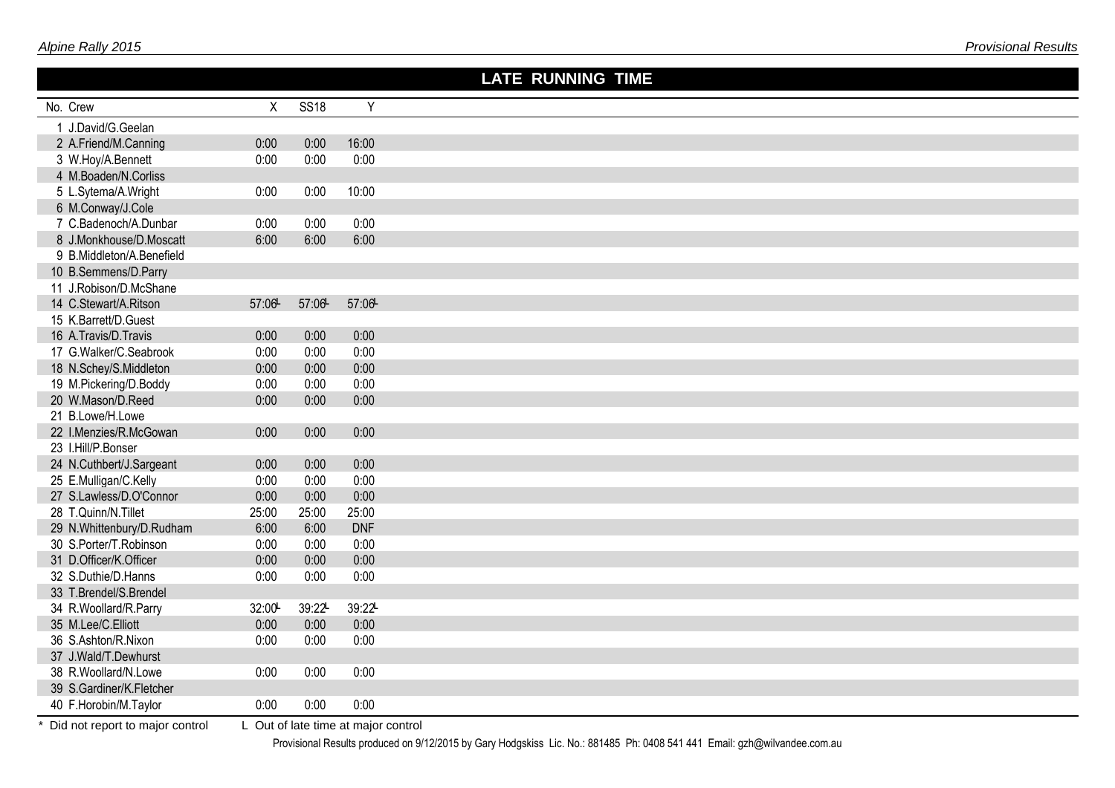|                           |              |             |                | <b>LATE RUNNING TIME</b> |
|---------------------------|--------------|-------------|----------------|--------------------------|
| No. Crew                  | $\mathsf{X}$ | <b>SS18</b> | $\overline{Y}$ |                          |
| 1 J.David/G.Geelan        |              |             |                |                          |
| 2 A.Friend/M.Canning      | 0:00         | 0:00        | 16:00          |                          |
| 3 W.Hoy/A.Bennett         | 0:00         | 0:00        | 0:00           |                          |
| 4 M.Boaden/N.Corliss      |              |             |                |                          |
| 5 L.Sytema/A.Wright       | 0:00         | 0:00        | 10:00          |                          |
| 6 M.Conway/J.Cole         |              |             |                |                          |
| 7 C.Badenoch/A.Dunbar     | 0:00         | 0:00        | 0:00           |                          |
| 8 J.Monkhouse/D.Moscatt   | 6:00         | 6:00        | 6:00           |                          |
| 9 B.Middleton/A.Benefield |              |             |                |                          |
| 10 B.Semmens/D.Parry      |              |             |                |                          |
| 11 J.Robison/D.McShane    |              |             |                |                          |
| 14 C.Stewart/A.Ritson     | 57:06        | 57:06       | 57:06          |                          |
| 15 K.Barrett/D.Guest      |              |             |                |                          |
| 16 A.Travis/D.Travis      | 0:00         | 0:00        | 0:00           |                          |
| 17 G.Walker/C.Seabrook    | 0:00         | 0:00        | 0:00           |                          |
| 18 N.Schey/S.Middleton    | 0:00         | 0:00        | 0:00           |                          |
| 19 M.Pickering/D.Boddy    | 0:00         | 0:00        | 0:00           |                          |
| 20 W.Mason/D.Reed         | 0:00         | 0:00        | 0:00           |                          |
| 21 B.Lowe/H.Lowe          |              |             |                |                          |
| 22 I.Menzies/R.McGowan    | 0:00         | 0:00        | 0:00           |                          |
| 23 I.Hill/P.Bonser        |              |             |                |                          |
| 24 N.Cuthbert/J.Sargeant  | 0:00         | 0:00        | 0:00           |                          |
| 25 E.Mulligan/C.Kelly     | 0:00         | 0:00        | 0:00           |                          |
| 27 S.Lawless/D.O'Connor   | 0:00         | 0:00        | 0:00           |                          |
| 28 T.Quinn/N.Tillet       | 25:00        | 25:00       | 25:00          |                          |
| 29 N.Whittenbury/D.Rudham | 6:00         | 6:00        | <b>DNF</b>     |                          |
| 30 S.Porter/T.Robinson    | 0:00         | 0:00        | 0:00           |                          |
| 31 D.Officer/K.Officer    | 0:00         | 0:00        | 0:00           |                          |
| 32 S.Duthie/D.Hanns       | 0:00         | 0:00        | 0:00           |                          |
| 33 T.Brendel/S.Brendel    |              |             |                |                          |
| 34 R.Woollard/R.Parry     | 32:00        | 39:22       | 39:22L         |                          |
| 35 M.Lee/C.Elliott        | 0:00         | 0:00        | 0:00           |                          |
| 36 S.Ashton/R.Nixon       | 0:00         | 0:00        | 0:00           |                          |
| 37 J.Wald/T.Dewhurst      |              |             |                |                          |
| 38 R.Woollard/N.Lowe      | 0:00         | 0:00        | 0:00           |                          |
| 39 S.Gardiner/K.Fletcher  |              |             |                |                          |
| 40 F.Horobin/M.Taylor     | 0:00         | 0:00        | 0:00           |                          |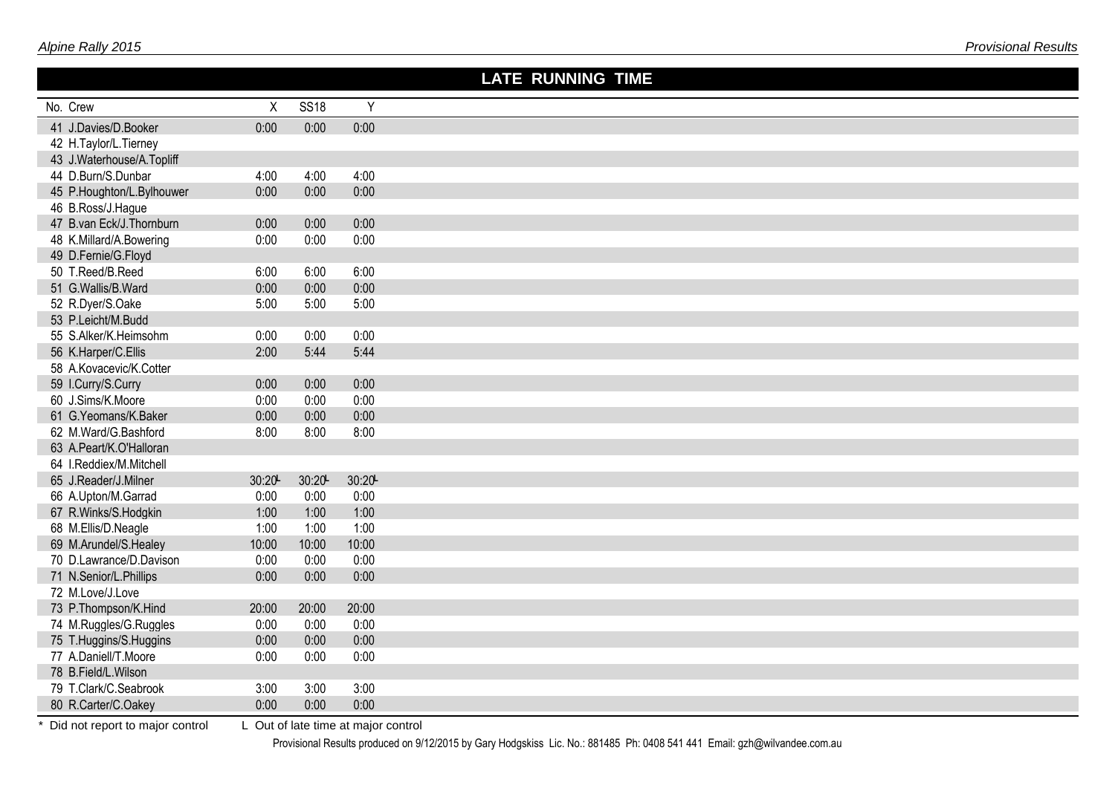|                                              |               |               |               | <b>LATE RUNNING TIME</b> |
|----------------------------------------------|---------------|---------------|---------------|--------------------------|
| No. Crew                                     | $\sf X$       | <b>SS18</b>   | Y             |                          |
| 41 J.Davies/D.Booker                         | 0:00          | 0:00          | 0:00          |                          |
| 42 H.Taylor/L.Tierney                        |               |               |               |                          |
| 43 J.Waterhouse/A.Topliff                    |               |               |               |                          |
| 44 D.Burn/S.Dunbar                           | 4:00          | 4:00          | 4:00          |                          |
| 45 P.Houghton/L.Bylhouwer                    | 0:00          | 0:00          | 0:00          |                          |
| 46 B.Ross/J.Hague                            |               |               |               |                          |
| 47 B.van Eck/J.Thornburn                     | 0:00          | 0:00          | 0:00          |                          |
| 48 K.Millard/A.Bowering                      | 0:00          | 0:00          | 0:00          |                          |
| 49 D.Fernie/G.Floyd                          |               |               |               |                          |
| 50 T.Reed/B.Reed                             | 6:00          | 6:00          | 6:00          |                          |
| 51 G.Wallis/B.Ward                           | 0:00          | 0:00          | 0:00          |                          |
| 52 R.Dyer/S.Oake                             | 5:00          | 5:00          | 5:00          |                          |
| 53 P.Leicht/M.Budd                           |               |               |               |                          |
| 55 S.Alker/K.Heimsohm                        | 0:00          | 0:00          | 0:00          |                          |
| 56 K.Harper/C.Ellis                          | 2:00          | 5:44          | 5:44          |                          |
| 58 A.Kovacevic/K.Cotter                      |               |               |               |                          |
| 59 I.Curry/S.Curry                           | 0:00          | 0:00          | 0:00          |                          |
| 60 J.Sims/K.Moore                            | 0:00          | 0:00          | 0:00          |                          |
| 61 G.Yeomans/K.Baker                         | 0:00          | 0:00          | 0:00          |                          |
| 62 M.Ward/G.Bashford                         | 8:00          | 8:00          | 8:00          |                          |
| 63 A.Peart/K.O'Halloran                      |               |               |               |                          |
| 64 I.Reddiex/M.Mitchell                      |               |               |               |                          |
| 65 J.Reader/J.Milner                         | 30:20L        | 30:20         | 30:20         |                          |
| 66 A.Upton/M.Garrad                          | 0:00          | 0:00          | 0:00          |                          |
| 67 R.Winks/S.Hodgkin                         | 1:00          | 1:00          | 1:00          |                          |
| 68 M.Ellis/D.Neagle<br>69 M.Arundel/S.Healey | 1:00<br>10:00 | 1:00<br>10:00 | 1:00<br>10:00 |                          |
| 70 D.Lawrance/D.Davison                      | 0:00          | 0:00          | 0:00          |                          |
| 71 N.Senior/L.Phillips                       | 0:00          | 0:00          | 0:00          |                          |
| 72 M.Love/J.Love                             |               |               |               |                          |
| 73 P.Thompson/K.Hind                         | 20:00         | 20:00         | 20:00         |                          |
| 74 M.Ruggles/G.Ruggles                       | 0:00          | 0:00          | 0:00          |                          |
| 75 T.Huggins/S.Huggins                       | 0:00          | 0:00          | 0:00          |                          |
| 77 A.Daniell/T.Moore                         | 0:00          | 0:00          | 0:00          |                          |
| 78 B.Field/L.Wilson                          |               |               |               |                          |
| 79 T.Clark/C.Seabrook                        | 3:00          | 3:00          | 3:00          |                          |
| 80 R.Carter/C.Oakey                          | 0:00          | 0:00          | 0:00          |                          |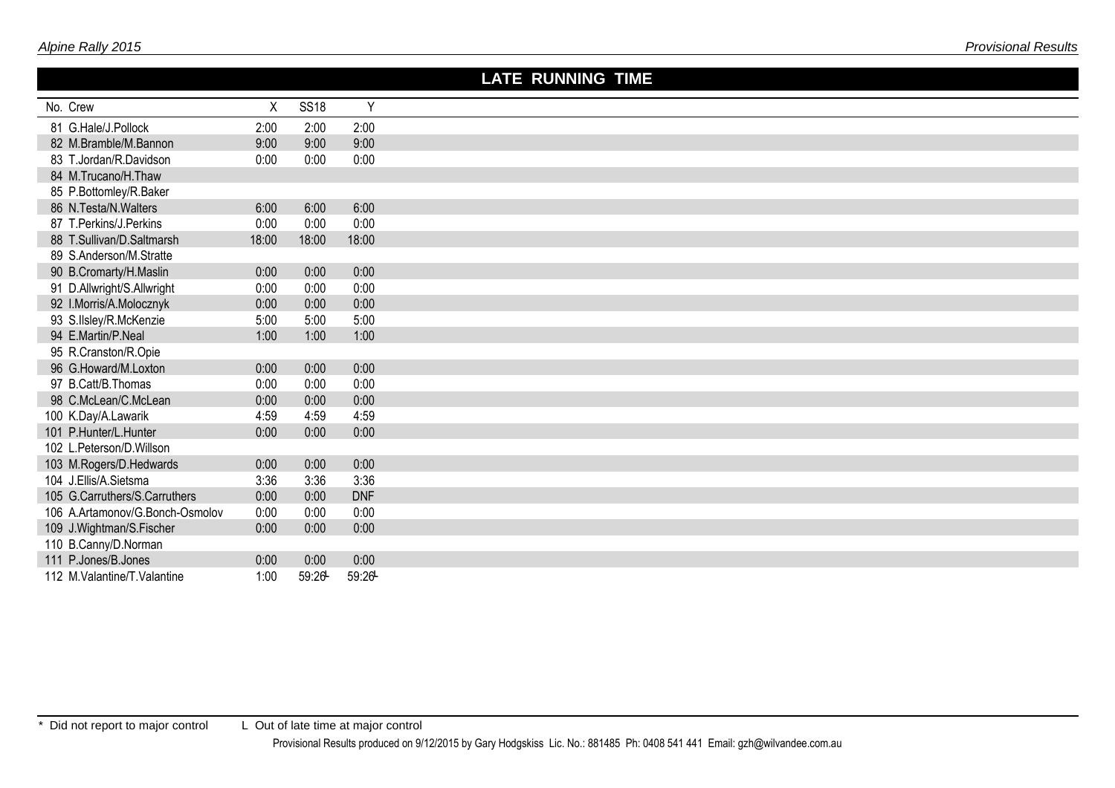|                                 |       |             |            | <b>LATE RUNNING TIME</b> |
|---------------------------------|-------|-------------|------------|--------------------------|
| No. Crew                        | X     | <b>SS18</b> | Y          |                          |
| 81 G.Hale/J.Pollock             | 2:00  | 2:00        | 2:00       |                          |
| 82 M.Bramble/M.Bannon           | 9:00  | 9:00        | 9:00       |                          |
| 83 T.Jordan/R.Davidson          | 0:00  | 0:00        | 0:00       |                          |
| 84 M.Trucano/H.Thaw             |       |             |            |                          |
| 85 P.Bottomley/R.Baker          |       |             |            |                          |
| 86 N.Testa/N.Walters            | 6:00  | 6:00        | 6:00       |                          |
| 87 T.Perkins/J.Perkins          | 0:00  | 0:00        | 0:00       |                          |
| 88 T.Sullivan/D.Saltmarsh       | 18:00 | 18:00       | 18:00      |                          |
| 89 S.Anderson/M.Stratte         |       |             |            |                          |
| 90 B.Cromarty/H.Maslin          | 0:00  | 0:00        | 0:00       |                          |
| 91 D.Allwright/S.Allwright      | 0:00  | 0:00        | 0:00       |                          |
| 92 I.Morris/A.Molocznyk         | 0:00  | 0:00        | 0:00       |                          |
| 93 S.IIsley/R.McKenzie          | 5:00  | 5:00        | 5:00       |                          |
| 94 E.Martin/P.Neal              | 1:00  | 1:00        | 1:00       |                          |
| 95 R.Cranston/R.Opie            |       |             |            |                          |
| 96 G.Howard/M.Loxton            | 0:00  | 0:00        | 0:00       |                          |
| 97 B.Catt/B.Thomas              | 0:00  | 0:00        | 0:00       |                          |
| 98 C.McLean/C.McLean            | 0:00  | 0:00        | 0:00       |                          |
| 100 K.Day/A.Lawarik             | 4:59  | 4:59        | 4:59       |                          |
| 101 P.Hunter/L.Hunter           | 0:00  | 0:00        | 0:00       |                          |
| 102 L.Peterson/D.Willson        |       |             |            |                          |
| 103 M.Rogers/D.Hedwards         | 0:00  | 0:00        | 0:00       |                          |
| 104 J.Ellis/A.Sietsma           | 3:36  | 3:36        | 3:36       |                          |
| 105 G.Carruthers/S.Carruthers   | 0:00  | 0:00        | <b>DNF</b> |                          |
| 106 A.Artamonov/G.Bonch-Osmolov | 0:00  | 0:00        | 0:00       |                          |
| 109 J. Wightman/S. Fischer      | 0:00  | 0:00        | 0:00       |                          |
| 110 B.Canny/D.Norman            |       |             |            |                          |
| 111 P.Jones/B.Jones             | 0:00  | 0:00        | 0:00       |                          |
| 112 M. Valantine/T. Valantine   | 1:00  | 59:26-      | 59:26L     |                          |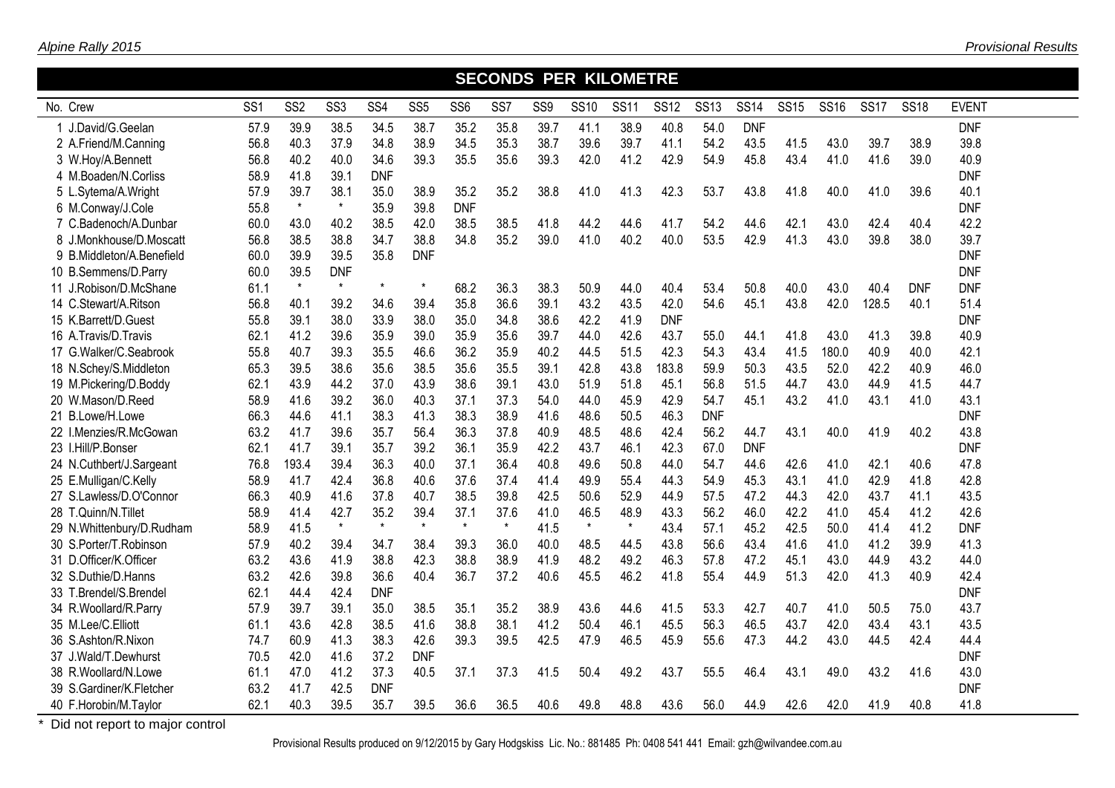| <b>SECONDS PER KILOMETRE</b> |                 |                 |                 |                 |                 |                 |         |                 |             |             |             |             |             |             |             |             |             |              |  |
|------------------------------|-----------------|-----------------|-----------------|-----------------|-----------------|-----------------|---------|-----------------|-------------|-------------|-------------|-------------|-------------|-------------|-------------|-------------|-------------|--------------|--|
| No. Crew                     | SS <sub>1</sub> | SS <sub>2</sub> | SS <sub>3</sub> | SS <sub>4</sub> | SS <sub>5</sub> | SS <sub>6</sub> | SS7     | SS <sub>9</sub> | <b>SS10</b> | <b>SS11</b> | <b>SS12</b> | <b>SS13</b> | <b>SS14</b> | <b>SS15</b> | <b>SS16</b> | <b>SS17</b> | <b>SS18</b> | <b>EVENT</b> |  |
| 1 J.David/G.Geelan           | 57.9            | 39.9            | 38.5            | 34.5            | 38.7            | 35.2            | 35.8    | 39.7            | 41.1        | 38.9        | 40.8        | 54.0        | <b>DNF</b>  |             |             |             |             | <b>DNF</b>   |  |
| 2 A.Friend/M.Canning         | 56.8            | 40.3            | 37.9            | 34.8            | 38.9            | 34.5            | 35.3    | 38.7            | 39.6        | 39.7        | 41.1        | 54.2        | 43.5        | 41.5        | 43.0        | 39.7        | 38.9        | 39.8         |  |
| 3 W.Hoy/A.Bennett            | 56.8            | 40.2            | 40.0            | 34.6            | 39.3            | 35.5            | 35.6    | 39.3            | 42.0        | 41.2        | 42.9        | 54.9        | 45.8        | 43.4        | 41.0        | 41.6        | 39.0        | 40.9         |  |
| 4 M.Boaden/N.Corliss         | 58.9            | 41.8            | 39.1            | <b>DNF</b>      |                 |                 |         |                 |             |             |             |             |             |             |             |             |             | <b>DNF</b>   |  |
| 5 L.Sytema/A.Wright          | 57.9            | 39.7            | 38.1            | 35.0            | 38.9            | 35.2            | 35.2    | 38.8            | 41.0        | 41.3        | 42.3        | 53.7        | 43.8        | 41.8        | 40.0        | 41.0        | 39.6        | 40.1         |  |
| 6 M.Conway/J.Cole            | 55.8            | $\star$         | $\star$         | 35.9            | 39.8            | <b>DNF</b>      |         |                 |             |             |             |             |             |             |             |             |             | <b>DNF</b>   |  |
| 7 C.Badenoch/A.Dunbar        | 60.0            | 43.0            | 40.2            | 38.5            | 42.0            | 38.5            | 38.5    | 41.8            | 44.2        | 44.6        | 41.7        | 54.2        | 44.6        | 42.1        | 43.0        | 42.4        | 40.4        | 42.2         |  |
| 8 J.Monkhouse/D.Moscatt      | 56.8            | 38.5            | 38.8            | 34.7            | 38.8            | 34.8            | 35.2    | 39.0            | 41.0        | 40.2        | 40.0        | 53.5        | 42.9        | 41.3        | 43.0        | 39.8        | 38.0        | 39.7         |  |
| 9 B.Middleton/A.Benefield    | 60.0            | 39.9            | 39.5            | 35.8            | <b>DNF</b>      |                 |         |                 |             |             |             |             |             |             |             |             |             | <b>DNF</b>   |  |
| 10 B.Semmens/D.Parry         | 60.0            | 39.5            | <b>DNF</b>      |                 |                 |                 |         |                 |             |             |             |             |             |             |             |             |             | <b>DNF</b>   |  |
| 11 J.Robison/D.McShane       | 61.1            | $\star$         | $\star$         | $\star$         | $\star$         | 68.2            | 36.3    | 38.3            | 50.9        | 44.0        | 40.4        | 53.4        | 50.8        | 40.0        | 43.0        | 40.4        | <b>DNF</b>  | <b>DNF</b>   |  |
| 14 C.Stewart/A.Ritson        | 56.8            | 40.1            | 39.2            | 34.6            | 39.4            | 35.8            | 36.6    | 39.1            | 43.2        | 43.5        | 42.0        | 54.6        | 45.1        | 43.8        | 42.0        | 128.5       | 40.1        | 51.4         |  |
| 15 K.Barrett/D.Guest         | 55.8            | 39.1            | 38.0            | 33.9            | 38.0            | 35.0            | 34.8    | 38.6            | 42.2        | 41.9        | <b>DNF</b>  |             |             |             |             |             |             | <b>DNF</b>   |  |
| 16 A.Travis/D.Travis         | 62.1            | 41.2            | 39.6            | 35.9            | 39.0            | 35.9            | 35.6    | 39.7            | 44.0        | 42.6        | 43.7        | 55.0        | 44.1        | 41.8        | 43.0        | 41.3        | 39.8        | 40.9         |  |
| 17 G.Walker/C.Seabrook       | 55.8            | 40.7            | 39.3            | 35.5            | 46.6            | 36.2            | 35.9    | 40.2            | 44.5        | 51.5        | 42.3        | 54.3        | 43.4        | 41.5        | 180.0       | 40.9        | 40.0        | 42.1         |  |
| 18 N.Schey/S.Middleton       | 65.3            | 39.5            | 38.6            | 35.6            | 38.5            | 35.6            | 35.5    | 39.1            | 42.8        | 43.8        | 183.8       | 59.9        | 50.3        | 43.5        | 52.0        | 42.2        | 40.9        | 46.0         |  |
| 19 M.Pickering/D.Boddy       | 62.1            | 43.9            | 44.2            | 37.0            | 43.9            | 38.6            | 39.1    | 43.0            | 51.9        | 51.8        | 45.1        | 56.8        | 51.5        | 44.7        | 43.0        | 44.9        | 41.5        | 44.7         |  |
| 20 W.Mason/D.Reed            | 58.9            | 41.6            | 39.2            | 36.0            | 40.3            | 37.1            | 37.3    | 54.0            | 44.0        | 45.9        | 42.9        | 54.7        | 45.1        | 43.2        | 41.0        | 43.1        | 41.0        | 43.1         |  |
| 21 B.Lowe/H.Lowe             | 66.3            | 44.6            | 41.1            | 38.3            | 41.3            | 38.3            | 38.9    | 41.6            | 48.6        | 50.5        | 46.3        | <b>DNF</b>  |             |             |             |             |             | <b>DNF</b>   |  |
| 22 I.Menzies/R.McGowan       | 63.2            | 41.7            | 39.6            | 35.7            | 56.4            | 36.3            | 37.8    | 40.9            | 48.5        | 48.6        | 42.4        | 56.2        | 44.7        | 43.1        | 40.0        | 41.9        | 40.2        | 43.8         |  |
| 23 I.Hill/P.Bonser           | 62.1            | 41.7            | 39.1            | 35.7            | 39.2            | 36.1            | 35.9    | 42.2            | 43.7        | 46.1        | 42.3        | 67.0        | <b>DNF</b>  |             |             |             |             | <b>DNF</b>   |  |
| 24 N.Cuthbert/J.Sargeant     | 76.8            | 193.4           | 39.4            | 36.3            | 40.0            | 37.1            | 36.4    | 40.8            | 49.6        | 50.8        | 44.0        | 54.7        | 44.6        | 42.6        | 41.0        | 42.1        | 40.6        | 47.8         |  |
| 25 E.Mulligan/C.Kelly        | 58.9            | 41.7            | 42.4            | 36.8            | 40.6            | 37.6            | 37.4    | 41.4            | 49.9        | 55.4        | 44.3        | 54.9        | 45.3        | 43.1        | 41.0        | 42.9        | 41.8        | 42.8         |  |
| 27 S.Lawless/D.O'Connor      | 66.3            | 40.9            | 41.6            | 37.8            | 40.7            | 38.5            | 39.8    | 42.5            | 50.6        | 52.9        | 44.9        | 57.5        | 47.2        | 44.3        | 42.0        | 43.7        | 41.1        | 43.5         |  |
| 28 T.Quinn/N.Tillet          | 58.9            | 41.4            | 42.7            | 35.2            | 39.4            | 37.1            | 37.6    | 41.0            | 46.5        | 48.9        | 43.3        | 56.2        | 46.0        | 42.2        | 41.0        | 45.4        | 41.2        | 42.6         |  |
| 29 N.Whittenbury/D.Rudham    | 58.9            | 41.5            | $\star$         | $\star$         | $\star$         | $\star$         | $\star$ | 41.5            | $\star$     | $\star$     | 43.4        | 57.1        | 45.2        | 42.5        | 50.0        | 41.4        | 41.2        | <b>DNF</b>   |  |
| 30 S.Porter/T.Robinson       | 57.9            | 40.2            | 39.4            | 34.7            | 38.4            | 39.3            | 36.0    | 40.0            | 48.5        | 44.5        | 43.8        | 56.6        | 43.4        | 41.6        | 41.0        | 41.2        | 39.9        | 41.3         |  |
| 31 D.Officer/K.Officer       | 63.2            | 43.6            | 41.9            | 38.8            | 42.3            | 38.8            | 38.9    | 41.9            | 48.2        | 49.2        | 46.3        | 57.8        | 47.2        | 45.1        | 43.0        | 44.9        | 43.2        | 44.0         |  |
| 32 S.Duthie/D.Hanns          | 63.2            | 42.6            | 39.8            | 36.6            | 40.4            | 36.7            | 37.2    | 40.6            | 45.5        | 46.2        | 41.8        | 55.4        | 44.9        | 51.3        | 42.0        | 41.3        | 40.9        | 42.4         |  |
| 33 T.Brendel/S.Brendel       | 62.1            | 44.4            | 42.4            | <b>DNF</b>      |                 |                 |         |                 |             |             |             |             |             |             |             |             |             | <b>DNF</b>   |  |
| 34 R.Woollard/R.Parry        | 57.9            | 39.7            | 39.1            | 35.0            | 38.5            | 35.1            | 35.2    | 38.9            | 43.6        | 44.6        | 41.5        | 53.3        | 42.7        | 40.7        | 41.0        | 50.5        | 75.0        | 43.7         |  |
| 35 M.Lee/C.Elliott           | 61.1            | 43.6            | 42.8            | 38.5            | 41.6            | 38.8            | 38.1    | 41.2            | 50.4        | 46.1        | 45.5        | 56.3        | 46.5        | 43.7        | 42.0        | 43.4        | 43.1        | 43.5         |  |
| 36 S.Ashton/R.Nixon          | 74.7            | 60.9            | 41.3            | 38.3            | 42.6            | 39.3            | 39.5    | 42.5            | 47.9        | 46.5        | 45.9        | 55.6        | 47.3        | 44.2        | 43.0        | 44.5        | 42.4        | 44.4         |  |
| 37 J.Wald/T.Dewhurst         | 70.5            | 42.0            | 41.6            | 37.2            | <b>DNF</b>      |                 |         |                 |             |             |             |             |             |             |             |             |             | <b>DNF</b>   |  |
| 38 R.Woollard/N.Lowe         | 61.1            | 47.0            | 41.2            | 37.3            | 40.5            | 37.1            | 37.3    | 41.5            | 50.4        | 49.2        | 43.7        | 55.5        | 46.4        | 43.1        | 49.0        | 43.2        | 41.6        | 43.0         |  |
| 39 S.Gardiner/K.Fletcher     | 63.2            | 41.7            | 42.5            | <b>DNF</b>      |                 |                 |         |                 |             |             |             |             |             |             |             |             |             | <b>DNF</b>   |  |
| 40 F.Horobin/M.Taylor        | 62.1            | 40.3            | 39.5            | 35.7            | 39.5            | 36.6            | 36.5    | 40.6            | 49.8        | 48.8        | 43.6        | 56.0        | 44.9        | 42.6        | 42.0        | 41.9        | 40.8        | 41.8         |  |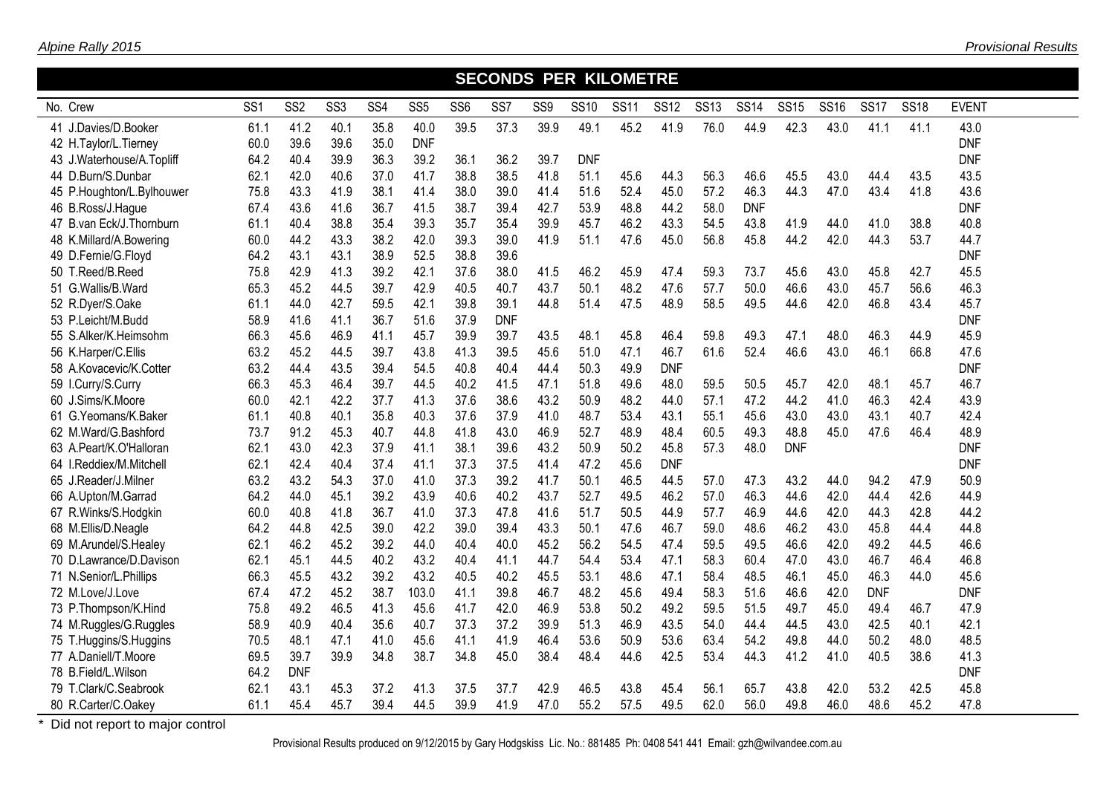| <b>SECONDS PER KILOMETRE</b> |                 |                 |                 |                 |                 |                 |            |                 |             |             |             |             |             |             |             |             |             |              |  |
|------------------------------|-----------------|-----------------|-----------------|-----------------|-----------------|-----------------|------------|-----------------|-------------|-------------|-------------|-------------|-------------|-------------|-------------|-------------|-------------|--------------|--|
| No. Crew                     | SS <sub>1</sub> | SS <sub>2</sub> | SS <sub>3</sub> | SS <sub>4</sub> | SS <sub>5</sub> | SS <sub>6</sub> | SS7        | SS <sub>9</sub> | <b>SS10</b> | <b>SS11</b> | <b>SS12</b> | <b>SS13</b> | <b>SS14</b> | <b>SS15</b> | <b>SS16</b> | <b>SS17</b> | <b>SS18</b> | <b>EVENT</b> |  |
| 41 J.Davies/D.Booker         | 61.1            | 41.2            | 40.1            | 35.8            | 40.0            | 39.5            | 37.3       | 39.9            | 49.1        | 45.2        | 41.9        | 76.0        | 44.9        | 42.3        | 43.0        | 41.1        | 41.1        | 43.0         |  |
| 42 H.Taylor/L.Tierney        | 60.0            | 39.6            | 39.6            | 35.0            | <b>DNF</b>      |                 |            |                 |             |             |             |             |             |             |             |             |             | <b>DNF</b>   |  |
| 43 J.Waterhouse/A.Topliff    | 64.2            | 40.4            | 39.9            | 36.3            | 39.2            | 36.1            | 36.2       | 39.7            | <b>DNF</b>  |             |             |             |             |             |             |             |             | <b>DNF</b>   |  |
| 44 D.Burn/S.Dunbar           | 62.1            | 42.0            | 40.6            | 37.0            | 41.7            | 38.8            | 38.5       | 41.8            | 51.1        | 45.6        | 44.3        | 56.3        | 46.6        | 45.5        | 43.0        | 44.4        | 43.5        | 43.5         |  |
| 45 P.Houghton/L.Bylhouwer    | 75.8            | 43.3            | 41.9            | 38.1            | 41.4            | 38.0            | 39.0       | 41.4            | 51.6        | 52.4        | 45.0        | 57.2        | 46.3        | 44.3        | 47.0        | 43.4        | 41.8        | 43.6         |  |
| 46 B.Ross/J.Hague            | 67.4            | 43.6            | 41.6            | 36.7            | 41.5            | 38.7            | 39.4       | 42.7            | 53.9        | 48.8        | 44.2        | 58.0        | <b>DNF</b>  |             |             |             |             | <b>DNF</b>   |  |
| 47 B.van Eck/J.Thornburn     | 61.1            | 40.4            | 38.8            | 35.4            | 39.3            | 35.7            | 35.4       | 39.9            | 45.7        | 46.2        | 43.3        | 54.5        | 43.8        | 41.9        | 44.0        | 41.0        | 38.8        | 40.8         |  |
| 48 K.Millard/A.Bowering      | 60.0            | 44.2            | 43.3            | 38.2            | 42.0            | 39.3            | 39.0       | 41.9            | 51.1        | 47.6        | 45.0        | 56.8        | 45.8        | 44.2        | 42.0        | 44.3        | 53.7        | 44.7         |  |
| 49 D.Fernie/G.Floyd          | 64.2            | 43.1            | 43.1            | 38.9            | 52.5            | 38.8            | 39.6       |                 |             |             |             |             |             |             |             |             |             | <b>DNF</b>   |  |
| 50 T.Reed/B.Reed             | 75.8            | 42.9            | 41.3            | 39.2            | 42.1            | 37.6            | 38.0       | 41.5            | 46.2        | 45.9        | 47.4        | 59.3        | 73.7        | 45.6        | 43.0        | 45.8        | 42.7        | 45.5         |  |
| 51 G.Wallis/B.Ward           | 65.3            | 45.2            | 44.5            | 39.7            | 42.9            | 40.5            | 40.7       | 43.7            | 50.1        | 48.2        | 47.6        | 57.7        | 50.0        | 46.6        | 43.0        | 45.7        | 56.6        | 46.3         |  |
| 52 R.Dyer/S.Oake             | 61.1            | 44.0            | 42.7            | 59.5            | 42.1            | 39.8            | 39.1       | 44.8            | 51.4        | 47.5        | 48.9        | 58.5        | 49.5        | 44.6        | 42.0        | 46.8        | 43.4        | 45.7         |  |
| 53 P.Leicht/M.Budd           | 58.9            | 41.6            | 41.1            | 36.7            | 51.6            | 37.9            | <b>DNF</b> |                 |             |             |             |             |             |             |             |             |             | <b>DNF</b>   |  |
| 55 S.Alker/K.Heimsohm        | 66.3            | 45.6            | 46.9            | 41.1            | 45.7            | 39.9            | 39.7       | 43.5            | 48.1        | 45.8        | 46.4        | 59.8        | 49.3        | 47.1        | 48.0        | 46.3        | 44.9        | 45.9         |  |
| 56 K.Harper/C.Ellis          | 63.2            | 45.2            | 44.5            | 39.7            | 43.8            | 41.3            | 39.5       | 45.6            | 51.0        | 47.1        | 46.7        | 61.6        | 52.4        | 46.6        | 43.0        | 46.1        | 66.8        | 47.6         |  |
| 58 A.Kovacevic/K.Cotter      | 63.2            | 44.4            | 43.5            | 39.4            | 54.5            | 40.8            | 40.4       | 44.4            | 50.3        | 49.9        | <b>DNF</b>  |             |             |             |             |             |             | <b>DNF</b>   |  |
| 59 I.Curry/S.Curry           | 66.3            | 45.3            | 46.4            | 39.7            | 44.5            | 40.2            | 41.5       | 47.1            | 51.8        | 49.6        | 48.0        | 59.5        | 50.5        | 45.7        | 42.0        | 48.1        | 45.7        | 46.7         |  |
| 60 J.Sims/K.Moore            | 60.0            | 42.1            | 42.2            | 37.7            | 41.3            | 37.6            | 38.6       | 43.2            | 50.9        | 48.2        | 44.0        | 57.1        | 47.2        | 44.2        | 41.0        | 46.3        | 42.4        | 43.9         |  |
| 61 G. Yeomans/K. Baker       | 61.1            | 40.8            | 40.1            | 35.8            | 40.3            | 37.6            | 37.9       | 41.0            | 48.7        | 53.4        | 43.1        | 55.1        | 45.6        | 43.0        | 43.0        | 43.1        | 40.7        | 42.4         |  |
| 62 M.Ward/G.Bashford         | 73.7            | 91.2            | 45.3            | 40.7            | 44.8            | 41.8            | 43.0       | 46.9            | 52.7        | 48.9        | 48.4        | 60.5        | 49.3        | 48.8        | 45.0        | 47.6        | 46.4        | 48.9         |  |
| 63 A.Peart/K.O'Halloran      | 62.1            | 43.0            | 42.3            | 37.9            | 41.1            | 38.1            | 39.6       | 43.2            | 50.9        | 50.2        | 45.8        | 57.3        | 48.0        | <b>DNF</b>  |             |             |             | <b>DNF</b>   |  |
| 64 I.Reddiex/M.Mitchell      | 62.1            | 42.4            | 40.4            | 37.4            | 41.1            | 37.3            | 37.5       | 41.4            | 47.2        | 45.6        | <b>DNF</b>  |             |             |             |             |             |             | <b>DNF</b>   |  |
| 65 J.Reader/J.Milner         | 63.2            | 43.2            | 54.3            | 37.0            | 41.0            | 37.3            | 39.2       | 41.7            | 50.1        | 46.5        | 44.5        | 57.0        | 47.3        | 43.2        | 44.0        | 94.2        | 47.9        | 50.9         |  |
| 66 A.Upton/M.Garrad          | 64.2            | 44.0            | 45.1            | 39.2            | 43.9            | 40.6            | 40.2       | 43.7            | 52.7        | 49.5        | 46.2        | 57.0        | 46.3        | 44.6        | 42.0        | 44.4        | 42.6        | 44.9         |  |
| 67 R.Winks/S.Hodgkin         | 60.0            | 40.8            | 41.8            | 36.7            | 41.0            | 37.3            | 47.8       | 41.6            | 51.7        | 50.5        | 44.9        | 57.7        | 46.9        | 44.6        | 42.0        | 44.3        | 42.8        | 44.2         |  |
| 68 M.Ellis/D.Neagle          | 64.2            | 44.8            | 42.5            | 39.0            | 42.2            | 39.0            | 39.4       | 43.3            | 50.1        | 47.6        | 46.7        | 59.0        | 48.6        | 46.2        | 43.0        | 45.8        | 44.4        | 44.8         |  |
| 69 M.Arundel/S.Healey        | 62.1            | 46.2            | 45.2            | 39.2            | 44.0            | 40.4            | 40.0       | 45.2            | 56.2        | 54.5        | 47.4        | 59.5        | 49.5        | 46.6        | 42.0        | 49.2        | 44.5        | 46.6         |  |
| 70 D.Lawrance/D.Davison      | 62.1            | 45.1            | 44.5            | 40.2            | 43.2            | 40.4            | 41.1       | 44.7            | 54.4        | 53.4        | 47.1        | 58.3        | 60.4        | 47.0        | 43.0        | 46.7        | 46.4        | 46.8         |  |
| 71 N.Senior/L.Phillips       | 66.3            | 45.5            | 43.2            | 39.2            | 43.2            | 40.5            | 40.2       | 45.5            | 53.1        | 48.6        | 47.1        | 58.4        | 48.5        | 46.1        | 45.0        | 46.3        | 44.0        | 45.6         |  |
| 72 M.Love/J.Love             | 67.4            | 47.2            | 45.2            | 38.7            | 103.0           | 41.1            | 39.8       | 46.7            | 48.2        | 45.6        | 49.4        | 58.3        | 51.6        | 46.6        | 42.0        | <b>DNF</b>  |             | <b>DNF</b>   |  |
| 73 P.Thompson/K.Hind         | 75.8            | 49.2            | 46.5            | 41.3            | 45.6            | 41.7            | 42.0       | 46.9            | 53.8        | 50.2        | 49.2        | 59.5        | 51.5        | 49.7        | 45.0        | 49.4        | 46.7        | 47.9         |  |
| 74 M.Ruggles/G.Ruggles       | 58.9            | 40.9            | 40.4            | 35.6            | 40.7            | 37.3            | 37.2       | 39.9            | 51.3        | 46.9        | 43.5        | 54.0        | 44.4        | 44.5        | 43.0        | 42.5        | 40.1        | 42.1         |  |
| 75 T.Huggins/S.Huggins       | 70.5            | 48.1            | 47.1            | 41.0            | 45.6            | 41.1            | 41.9       | 46.4            | 53.6        | 50.9        | 53.6        | 63.4        | 54.2        | 49.8        | 44.0        | 50.2        | 48.0        | 48.5         |  |
| 77 A.Daniell/T.Moore         | 69.5            | 39.7            | 39.9            | 34.8            | 38.7            | 34.8            | 45.0       | 38.4            | 48.4        | 44.6        | 42.5        | 53.4        | 44.3        | 41.2        | 41.0        | 40.5        | 38.6        | 41.3         |  |
| 78 B.Field/L.Wilson          | 64.2            | <b>DNF</b>      |                 |                 |                 |                 |            |                 |             |             |             |             |             |             |             |             |             | <b>DNF</b>   |  |
| 79 T.Clark/C.Seabrook        | 62.1            | 43.1            | 45.3            | 37.2            | 41.3            | 37.5            | 37.7       | 42.9            | 46.5        | 43.8        | 45.4        | 56.1        | 65.7        | 43.8        | 42.0        | 53.2        | 42.5        | 45.8         |  |
| 80 R.Carter/C.Oakey          | 61.1            | 45.4            | 45.7            | 39.4            | 44.5            | 39.9            | 41.9       | 47.0            | 55.2        | 57.5        | 49.5        | 62.0        | 56.0        | 49.8        | 46.0        | 48.6        | 45.2        | 47.8         |  |